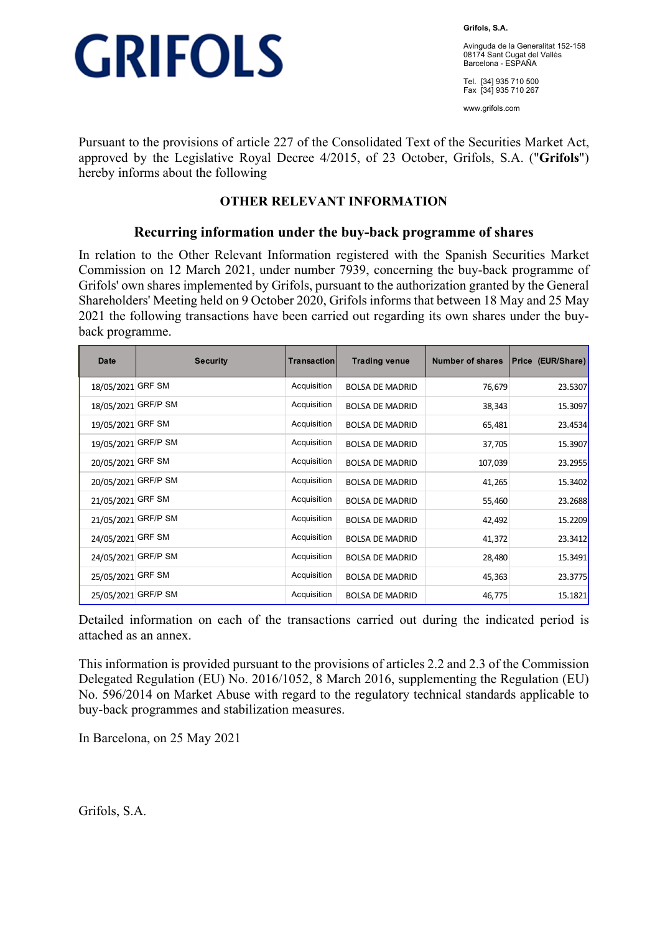

**Grifols, S.A.** 

Avinguda de la Generalitat 152-158 08174 Sant Cugat del Vallès Barcelona - ESPAÑA

Tel. [34] 935 710 500 Fax [34] 935 710 267

www.grifols.com

Pursuant to the provisions of article 227 of the Consolidated Text of the Securities Market Act, approved by the Legislative Royal Decree 4/2015, of 23 October, Grifols, S.A. ("**Grifols**") hereby informs about the following

## **OTHER RELEVANT INFORMATION**

### **Recurring information under the buy-back programme of shares**

In relation to the Other Relevant Information registered with the Spanish Securities Market Commission on 12 March 2021, under number 7939, concerning the buy-back programme of Grifols' own shares implemented by Grifols, pursuant to the authorization granted by the General Shareholders' Meeting held on 9 October 2020, Grifols informs that between 18 May and 25 May 2021 the following transactions have been carried out regarding its own shares under the buyback programme.

| Date                | <b>Security</b> | Transaction | <b>Trading venue</b>   | <b>Number of shares</b> | Price (EUR/Share) |
|---------------------|-----------------|-------------|------------------------|-------------------------|-------------------|
| 18/05/2021 GRF SM   |                 | Acquisition | <b>BOLSA DE MADRID</b> | 76,679                  | 23.5307           |
| 18/05/2021 GRF/P SM |                 | Acquisition | <b>BOLSA DE MADRID</b> | 38,343                  | 15.3097           |
| 19/05/2021 GRF SM   |                 | Acquisition | <b>BOLSA DE MADRID</b> | 65,481                  | 23.4534           |
| 19/05/2021 GRF/P SM |                 | Acquisition | <b>BOLSA DE MADRID</b> | 37,705                  | 15.3907           |
| 20/05/2021 GRF SM   |                 | Acquisition | <b>BOLSA DE MADRID</b> | 107,039                 | 23.2955           |
| 20/05/2021 GRF/P SM |                 | Acquisition | <b>BOLSA DE MADRID</b> | 41,265                  | 15.3402           |
| 21/05/2021 GRF SM   |                 | Acquisition | <b>BOLSA DE MADRID</b> | 55,460                  | 23.2688           |
| 21/05/2021 GRF/P SM |                 | Acquisition | <b>BOLSA DE MADRID</b> | 42,492                  | 15.2209           |
| 24/05/2021 GRF SM   |                 | Acquisition | <b>BOLSA DE MADRID</b> | 41,372                  | 23.3412           |
| 24/05/2021 GRF/P SM |                 | Acquisition | <b>BOLSA DE MADRID</b> | 28,480                  | 15.3491           |
| 25/05/2021 GRF SM   |                 | Acquisition | <b>BOLSA DE MADRID</b> | 45,363                  | 23.3775           |
| 25/05/2021 GRF/P SM |                 | Acquisition | <b>BOLSA DE MADRID</b> | 46,775                  | 15.1821           |

Detailed information on each of the transactions carried out during the indicated period is attached as an annex.

This information is provided pursuant to the provisions of articles 2.2 and 2.3 of the Commission Delegated Regulation (EU) No. 2016/1052, 8 March 2016, supplementing the Regulation (EU) No. 596/2014 on Market Abuse with regard to the regulatory technical standards applicable to buy-back programmes and stabilization measures.

In Barcelona, on 25 May 2021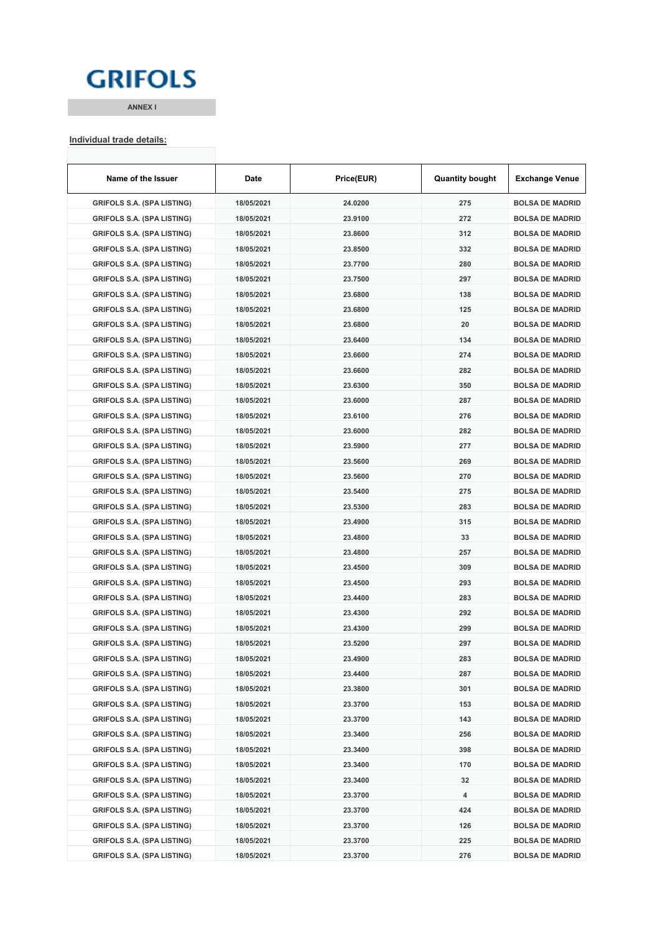## **GRIFOLS**

**ANNEX I**

#### **Individual trade details:**

| Name of the Issuer                | Date       | Price(EUR) | <b>Quantity bought</b> | <b>Exchange Venue</b>  |
|-----------------------------------|------------|------------|------------------------|------------------------|
| <b>GRIFOLS S.A. (SPA LISTING)</b> | 18/05/2021 | 24.0200    | 275                    | <b>BOLSA DE MADRID</b> |
| <b>GRIFOLS S.A. (SPA LISTING)</b> | 18/05/2021 | 23.9100    | 272                    | <b>BOLSA DE MADRID</b> |
| <b>GRIFOLS S.A. (SPA LISTING)</b> | 18/05/2021 | 23.8600    | 312                    | <b>BOLSA DE MADRID</b> |
| <b>GRIFOLS S.A. (SPA LISTING)</b> | 18/05/2021 | 23.8500    | 332                    | <b>BOLSA DE MADRID</b> |
| GRIFOLS S.A. (SPA LISTING)        | 18/05/2021 | 23.7700    | 280                    | <b>BOLSA DE MADRID</b> |
| <b>GRIFOLS S.A. (SPA LISTING)</b> | 18/05/2021 | 23.7500    | 297                    | <b>BOLSA DE MADRID</b> |
| <b>GRIFOLS S.A. (SPA LISTING)</b> | 18/05/2021 | 23.6800    | 138                    | <b>BOLSA DE MADRID</b> |
| <b>GRIFOLS S.A. (SPA LISTING)</b> | 18/05/2021 | 23.6800    | 125                    | <b>BOLSA DE MADRID</b> |
| GRIFOLS S.A. (SPA LISTING)        | 18/05/2021 | 23.6800    | 20                     | <b>BOLSA DE MADRID</b> |
| <b>GRIFOLS S.A. (SPA LISTING)</b> | 18/05/2021 | 23.6400    | 134                    | <b>BOLSA DE MADRID</b> |
| <b>GRIFOLS S.A. (SPA LISTING)</b> | 18/05/2021 | 23.6600    | 274                    | <b>BOLSA DE MADRID</b> |
| GRIFOLS S.A. (SPA LISTING)        | 18/05/2021 | 23.6600    | 282                    | <b>BOLSA DE MADRID</b> |
| GRIFOLS S.A. (SPA LISTING)        | 18/05/2021 | 23.6300    | 350                    | <b>BOLSA DE MADRID</b> |
| <b>GRIFOLS S.A. (SPA LISTING)</b> | 18/05/2021 | 23.6000    | 287                    | <b>BOLSA DE MADRID</b> |
| <b>GRIFOLS S.A. (SPA LISTING)</b> | 18/05/2021 | 23.6100    | 276                    | <b>BOLSA DE MADRID</b> |
| <b>GRIFOLS S.A. (SPA LISTING)</b> | 18/05/2021 | 23.6000    | 282                    | <b>BOLSA DE MADRID</b> |
| <b>GRIFOLS S.A. (SPA LISTING)</b> | 18/05/2021 | 23.5900    | 277                    | <b>BOLSA DE MADRID</b> |
| <b>GRIFOLS S.A. (SPA LISTING)</b> | 18/05/2021 | 23.5600    | 269                    | <b>BOLSA DE MADRID</b> |
| GRIFOLS S.A. (SPA LISTING)        | 18/05/2021 | 23.5600    | 270                    | <b>BOLSA DE MADRID</b> |
| GRIFOLS S.A. (SPA LISTING)        | 18/05/2021 | 23.5400    | 275                    | <b>BOLSA DE MADRID</b> |
| <b>GRIFOLS S.A. (SPA LISTING)</b> | 18/05/2021 | 23.5300    | 283                    | <b>BOLSA DE MADRID</b> |
| <b>GRIFOLS S.A. (SPA LISTING)</b> | 18/05/2021 | 23.4900    | 315                    | <b>BOLSA DE MADRID</b> |
| GRIFOLS S.A. (SPA LISTING)        | 18/05/2021 | 23.4800    | 33                     | <b>BOLSA DE MADRID</b> |
| <b>GRIFOLS S.A. (SPA LISTING)</b> | 18/05/2021 | 23.4800    | 257                    | <b>BOLSA DE MADRID</b> |
| <b>GRIFOLS S.A. (SPA LISTING)</b> | 18/05/2021 | 23.4500    | 309                    | <b>BOLSA DE MADRID</b> |
| GRIFOLS S.A. (SPA LISTING)        | 18/05/2021 | 23.4500    | 293                    | <b>BOLSA DE MADRID</b> |
| GRIFOLS S.A. (SPA LISTING)        | 18/05/2021 | 23.4400    | 283                    | <b>BOLSA DE MADRID</b> |
| <b>GRIFOLS S.A. (SPA LISTING)</b> | 18/05/2021 | 23.4300    | 292                    | <b>BOLSA DE MADRID</b> |
| <b>GRIFOLS S.A. (SPA LISTING)</b> | 18/05/2021 | 23.4300    | 299                    | <b>BOLSA DE MADRID</b> |
| <b>GRIFOLS S.A. (SPA LISTING)</b> | 18/05/2021 | 23.5200    | 297                    | <b>BOLSA DE MADRID</b> |
| <b>GRIFOLS S.A. (SPA LISTING)</b> | 18/05/2021 | 23.4900    | 283                    | <b>BOLSA DE MADRID</b> |
| <b>GRIFOLS S.A. (SPA LISTING)</b> | 18/05/2021 | 23.4400    | 287                    | <b>BOLSA DE MADRID</b> |
| <b>GRIFOLS S.A. (SPA LISTING)</b> | 18/05/2021 | 23.3800    | 301                    | <b>BOLSA DE MADRID</b> |
| <b>GRIFOLS S.A. (SPA LISTING)</b> | 18/05/2021 | 23.3700    | 153                    | <b>BOLSA DE MADRID</b> |
| <b>GRIFOLS S.A. (SPA LISTING)</b> | 18/05/2021 | 23.3700    | 143                    | <b>BOLSA DE MADRID</b> |
| <b>GRIFOLS S.A. (SPA LISTING)</b> | 18/05/2021 | 23.3400    | 256                    | <b>BOLSA DE MADRID</b> |
| <b>GRIFOLS S.A. (SPA LISTING)</b> |            | 23.3400    |                        | <b>BOLSA DE MADRID</b> |
|                                   | 18/05/2021 |            | 398                    |                        |
| <b>GRIFOLS S.A. (SPA LISTING)</b> | 18/05/2021 | 23.3400    | 170                    | <b>BOLSA DE MADRID</b> |
| <b>GRIFOLS S.A. (SPA LISTING)</b> | 18/05/2021 | 23.3400    | 32                     | <b>BOLSA DE MADRID</b> |
| <b>GRIFOLS S.A. (SPA LISTING)</b> | 18/05/2021 | 23.3700    | 4                      | <b>BOLSA DE MADRID</b> |
| <b>GRIFOLS S.A. (SPA LISTING)</b> | 18/05/2021 | 23.3700    | 424                    | <b>BOLSA DE MADRID</b> |
| <b>GRIFOLS S.A. (SPA LISTING)</b> | 18/05/2021 | 23.3700    | 126                    | <b>BOLSA DE MADRID</b> |
| <b>GRIFOLS S.A. (SPA LISTING)</b> | 18/05/2021 | 23.3700    | 225                    | <b>BOLSA DE MADRID</b> |
| <b>GRIFOLS S.A. (SPA LISTING)</b> | 18/05/2021 | 23.3700    | 276                    | <b>BOLSA DE MADRID</b> |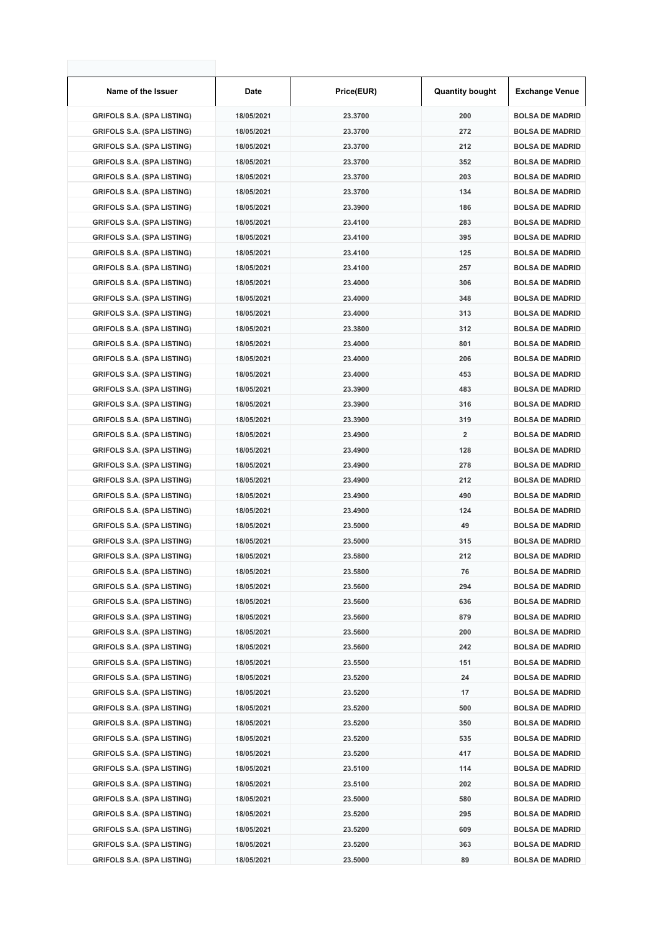| Name of the Issuer                | Date       | Price(EUR) | <b>Quantity bought</b>  | <b>Exchange Venue</b>  |
|-----------------------------------|------------|------------|-------------------------|------------------------|
| <b>GRIFOLS S.A. (SPA LISTING)</b> | 18/05/2021 | 23.3700    | 200                     | <b>BOLSA DE MADRID</b> |
| <b>GRIFOLS S.A. (SPA LISTING)</b> | 18/05/2021 | 23.3700    | 272                     | <b>BOLSA DE MADRID</b> |
| <b>GRIFOLS S.A. (SPA LISTING)</b> | 18/05/2021 | 23.3700    | 212                     | <b>BOLSA DE MADRID</b> |
| <b>GRIFOLS S.A. (SPA LISTING)</b> | 18/05/2021 | 23.3700    | 352                     | <b>BOLSA DE MADRID</b> |
| <b>GRIFOLS S.A. (SPA LISTING)</b> | 18/05/2021 | 23.3700    | 203                     | <b>BOLSA DE MADRID</b> |
| <b>GRIFOLS S.A. (SPA LISTING)</b> | 18/05/2021 | 23.3700    | 134                     | <b>BOLSA DE MADRID</b> |
| <b>GRIFOLS S.A. (SPA LISTING)</b> | 18/05/2021 | 23.3900    | 186                     | <b>BOLSA DE MADRID</b> |
| <b>GRIFOLS S.A. (SPA LISTING)</b> | 18/05/2021 | 23.4100    | 283                     | <b>BOLSA DE MADRID</b> |
| <b>GRIFOLS S.A. (SPA LISTING)</b> | 18/05/2021 | 23.4100    | 395                     | <b>BOLSA DE MADRID</b> |
| <b>GRIFOLS S.A. (SPA LISTING)</b> | 18/05/2021 | 23.4100    | 125                     | <b>BOLSA DE MADRID</b> |
| <b>GRIFOLS S.A. (SPA LISTING)</b> | 18/05/2021 | 23.4100    | 257                     | <b>BOLSA DE MADRID</b> |
| <b>GRIFOLS S.A. (SPA LISTING)</b> | 18/05/2021 | 23.4000    | 306                     | <b>BOLSA DE MADRID</b> |
| <b>GRIFOLS S.A. (SPA LISTING)</b> | 18/05/2021 | 23.4000    | 348                     | <b>BOLSA DE MADRID</b> |
| <b>GRIFOLS S.A. (SPA LISTING)</b> | 18/05/2021 | 23.4000    | 313                     | <b>BOLSA DE MADRID</b> |
| <b>GRIFOLS S.A. (SPA LISTING)</b> | 18/05/2021 | 23.3800    | 312                     | <b>BOLSA DE MADRID</b> |
| <b>GRIFOLS S.A. (SPA LISTING)</b> | 18/05/2021 | 23.4000    | 801                     | <b>BOLSA DE MADRID</b> |
| <b>GRIFOLS S.A. (SPA LISTING)</b> | 18/05/2021 | 23.4000    | 206                     | <b>BOLSA DE MADRID</b> |
| <b>GRIFOLS S.A. (SPA LISTING)</b> | 18/05/2021 | 23.4000    | 453                     | <b>BOLSA DE MADRID</b> |
| <b>GRIFOLS S.A. (SPA LISTING)</b> | 18/05/2021 | 23.3900    | 483                     | <b>BOLSA DE MADRID</b> |
| <b>GRIFOLS S.A. (SPA LISTING)</b> | 18/05/2021 | 23.3900    | 316                     | <b>BOLSA DE MADRID</b> |
| <b>GRIFOLS S.A. (SPA LISTING)</b> | 18/05/2021 | 23.3900    | 319                     | <b>BOLSA DE MADRID</b> |
| <b>GRIFOLS S.A. (SPA LISTING)</b> | 18/05/2021 | 23.4900    | $\overline{\mathbf{2}}$ | <b>BOLSA DE MADRID</b> |
| <b>GRIFOLS S.A. (SPA LISTING)</b> | 18/05/2021 | 23.4900    | 128                     | <b>BOLSA DE MADRID</b> |
| <b>GRIFOLS S.A. (SPA LISTING)</b> | 18/05/2021 | 23.4900    | 278                     | <b>BOLSA DE MADRID</b> |
| <b>GRIFOLS S.A. (SPA LISTING)</b> | 18/05/2021 | 23.4900    | 212                     | <b>BOLSA DE MADRID</b> |
| <b>GRIFOLS S.A. (SPA LISTING)</b> | 18/05/2021 | 23.4900    | 490                     | <b>BOLSA DE MADRID</b> |
| <b>GRIFOLS S.A. (SPA LISTING)</b> | 18/05/2021 | 23.4900    | 124                     | <b>BOLSA DE MADRID</b> |
| <b>GRIFOLS S.A. (SPA LISTING)</b> | 18/05/2021 | 23.5000    | 49                      | <b>BOLSA DE MADRID</b> |
| <b>GRIFOLS S.A. (SPA LISTING)</b> | 18/05/2021 | 23.5000    | 315                     | <b>BOLSA DE MADRID</b> |
| <b>GRIFOLS S.A. (SPA LISTING)</b> | 18/05/2021 | 23.5800    | 212                     | <b>BOLSA DE MADRID</b> |
| <b>GRIFOLS S.A. (SPA LISTING)</b> | 18/05/2021 | 23.5800    | 76                      | <b>BOLSA DE MADRID</b> |
| <b>GRIFOLS S.A. (SPA LISTING)</b> | 18/05/2021 | 23.5600    | 294                     | <b>BOLSA DE MADRID</b> |
| <b>GRIFOLS S.A. (SPA LISTING)</b> | 18/05/2021 | 23.5600    | 636                     | <b>BOLSA DE MADRID</b> |
| <b>GRIFOLS S.A. (SPA LISTING)</b> | 18/05/2021 | 23.5600    | 879                     | <b>BOLSA DE MADRID</b> |
| <b>GRIFOLS S.A. (SPA LISTING)</b> | 18/05/2021 | 23.5600    | 200                     | <b>BOLSA DE MADRID</b> |
| <b>GRIFOLS S.A. (SPA LISTING)</b> | 18/05/2021 | 23.5600    | 242                     | <b>BOLSA DE MADRID</b> |
| <b>GRIFOLS S.A. (SPA LISTING)</b> | 18/05/2021 | 23.5500    | 151                     | <b>BOLSA DE MADRID</b> |
| <b>GRIFOLS S.A. (SPA LISTING)</b> | 18/05/2021 | 23.5200    | 24                      | <b>BOLSA DE MADRID</b> |
| <b>GRIFOLS S.A. (SPA LISTING)</b> | 18/05/2021 | 23.5200    | 17                      | <b>BOLSA DE MADRID</b> |
| <b>GRIFOLS S.A. (SPA LISTING)</b> | 18/05/2021 | 23.5200    | 500                     | <b>BOLSA DE MADRID</b> |
| <b>GRIFOLS S.A. (SPA LISTING)</b> | 18/05/2021 | 23.5200    | 350                     | <b>BOLSA DE MADRID</b> |
| <b>GRIFOLS S.A. (SPA LISTING)</b> | 18/05/2021 | 23.5200    | 535                     | <b>BOLSA DE MADRID</b> |
| <b>GRIFOLS S.A. (SPA LISTING)</b> | 18/05/2021 | 23.5200    | 417                     | <b>BOLSA DE MADRID</b> |
| <b>GRIFOLS S.A. (SPA LISTING)</b> | 18/05/2021 | 23.5100    | 114                     | <b>BOLSA DE MADRID</b> |
| <b>GRIFOLS S.A. (SPA LISTING)</b> | 18/05/2021 | 23.5100    | 202                     | <b>BOLSA DE MADRID</b> |
| <b>GRIFOLS S.A. (SPA LISTING)</b> | 18/05/2021 | 23.5000    | 580                     | <b>BOLSA DE MADRID</b> |
| <b>GRIFOLS S.A. (SPA LISTING)</b> | 18/05/2021 | 23.5200    | 295                     | <b>BOLSA DE MADRID</b> |
| <b>GRIFOLS S.A. (SPA LISTING)</b> | 18/05/2021 | 23.5200    | 609                     | <b>BOLSA DE MADRID</b> |
| <b>GRIFOLS S.A. (SPA LISTING)</b> | 18/05/2021 | 23.5200    | 363                     | <b>BOLSA DE MADRID</b> |
| <b>GRIFOLS S.A. (SPA LISTING)</b> | 18/05/2021 | 23.5000    | 89                      | <b>BOLSA DE MADRID</b> |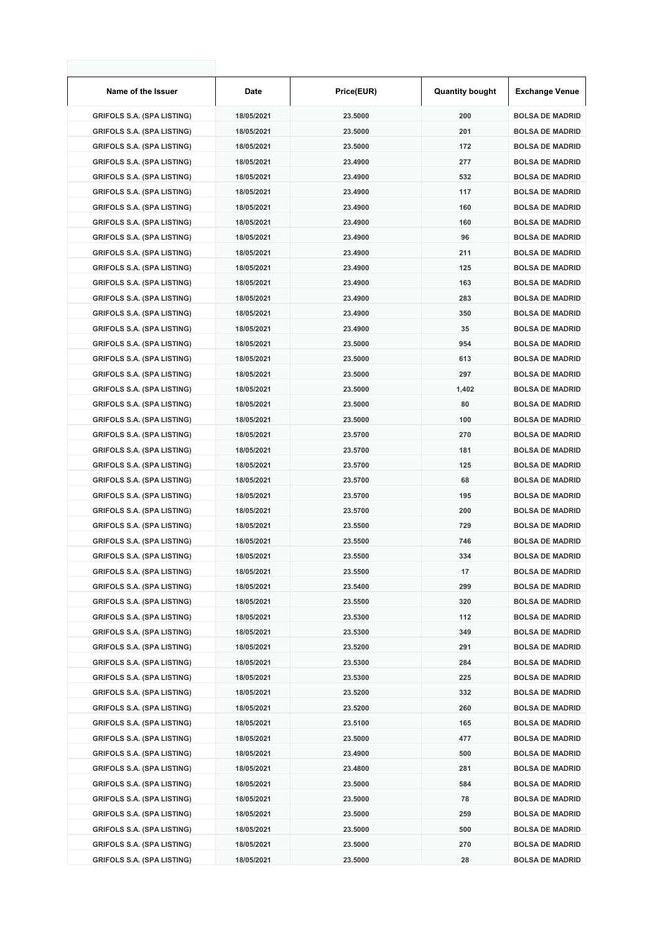| Name of the Issuer                | Date       | Price(EUR) | <b>Quantity bought</b> | <b>Exchange Venue</b>  |
|-----------------------------------|------------|------------|------------------------|------------------------|
| <b>GRIFOLS S.A. (SPA LISTING)</b> | 18/05/2021 | 23.5000    | 200                    | <b>BOLSA DE MADRID</b> |
| <b>GRIFOLS S.A. (SPA LISTING)</b> | 18/05/2021 | 23.5000    | 201                    | <b>BOLSA DE MADRID</b> |
| <b>GRIFOLS S.A. (SPA LISTING)</b> | 18/05/2021 | 23.5000    | 172                    | <b>BOLSA DE MADRID</b> |
| <b>GRIFOLS S.A. (SPA LISTING)</b> | 18/05/2021 | 23.4900    | 277                    | <b>BOLSA DE MADRID</b> |
| <b>GRIFOLS S.A. (SPA LISTING)</b> | 18/05/2021 | 23.4900    | 532                    | <b>BOLSA DE MADRID</b> |
| <b>GRIFOLS S.A. (SPA LISTING)</b> | 18/05/2021 | 23.4900    | 117                    | <b>BOLSA DE MADRID</b> |
| <b>GRIFOLS S.A. (SPA LISTING)</b> | 18/05/2021 | 23.4900    | 160                    | <b>BOLSA DE MADRID</b> |
| <b>GRIFOLS S.A. (SPA LISTING)</b> | 18/05/2021 | 23.4900    | 160                    | <b>BOLSA DE MADRID</b> |
| <b>GRIFOLS S.A. (SPA LISTING)</b> | 18/05/2021 | 23.4900    | 96                     | <b>BOLSA DE MADRID</b> |
| <b>GRIFOLS S.A. (SPA LISTING)</b> | 18/05/2021 | 23.4900    | 211                    | <b>BOLSA DE MADRID</b> |
| <b>GRIFOLS S.A. (SPA LISTING)</b> | 18/05/2021 | 23.4900    | 125                    | <b>BOLSA DE MADRID</b> |
| <b>GRIFOLS S.A. (SPA LISTING)</b> | 18/05/2021 | 23.4900    | 163                    | <b>BOLSA DE MADRID</b> |
| <b>GRIFOLS S.A. (SPA LISTING)</b> | 18/05/2021 | 23.4900    | 283                    | <b>BOLSA DE MADRID</b> |
| <b>GRIFOLS S.A. (SPA LISTING)</b> | 18/05/2021 | 23.4900    | 350                    | <b>BOLSA DE MADRID</b> |
| <b>GRIFOLS S.A. (SPA LISTING)</b> | 18/05/2021 | 23.4900    | 35                     | <b>BOLSA DE MADRID</b> |
| <b>GRIFOLS S.A. (SPA LISTING)</b> | 18/05/2021 | 23.5000    | 954                    | <b>BOLSA DE MADRID</b> |
| <b>GRIFOLS S.A. (SPA LISTING)</b> | 18/05/2021 | 23.5000    | 613                    | <b>BOLSA DE MADRID</b> |
| <b>GRIFOLS S.A. (SPA LISTING)</b> | 18/05/2021 | 23.5000    | 297                    | <b>BOLSA DE MADRID</b> |
| <b>GRIFOLS S.A. (SPA LISTING)</b> | 18/05/2021 | 23.5000    | 1,402                  | <b>BOLSA DE MADRID</b> |
| <b>GRIFOLS S.A. (SPA LISTING)</b> | 18/05/2021 | 23.5000    | 80                     | <b>BOLSA DE MADRID</b> |
| <b>GRIFOLS S.A. (SPA LISTING)</b> | 18/05/2021 | 23.5000    | 100                    | <b>BOLSA DE MADRID</b> |
| <b>GRIFOLS S.A. (SPA LISTING)</b> | 18/05/2021 | 23.5700    | 270                    | <b>BOLSA DE MADRID</b> |
| <b>GRIFOLS S.A. (SPA LISTING)</b> | 18/05/2021 | 23.5700    | 181                    | <b>BOLSA DE MADRID</b> |
| <b>GRIFOLS S.A. (SPA LISTING)</b> | 18/05/2021 | 23.5700    | 125                    | <b>BOLSA DE MADRID</b> |
| <b>GRIFOLS S.A. (SPA LISTING)</b> | 18/05/2021 | 23.5700    | 68                     | <b>BOLSA DE MADRID</b> |
| <b>GRIFOLS S.A. (SPA LISTING)</b> | 18/05/2021 | 23.5700    | 195                    | <b>BOLSA DE MADRID</b> |
| <b>GRIFOLS S.A. (SPA LISTING)</b> | 18/05/2021 | 23.5700    | 200                    | <b>BOLSA DE MADRID</b> |
| <b>GRIFOLS S.A. (SPA LISTING)</b> | 18/05/2021 | 23.5500    | 729                    | <b>BOLSA DE MADRID</b> |
| <b>GRIFOLS S.A. (SPA LISTING)</b> | 18/05/2021 | 23.5500    | 746                    | <b>BOLSA DE MADRID</b> |
| <b>GRIFOLS S.A. (SPA LISTING)</b> | 18/05/2021 | 23.5500    | 334                    | <b>BOLSA DE MADRID</b> |
| <b>GRIFOLS S.A. (SPA LISTING)</b> | 18/05/2021 | 23.5500    | 17                     | <b>BOLSA DE MADRID</b> |
| <b>GRIFOLS S.A. (SPA LISTING)</b> | 18/05/2021 | 23.5400    | 299                    | <b>BOLSA DE MADRID</b> |
| <b>GRIFOLS S.A. (SPA LISTING)</b> | 18/05/2021 | 23.5500    | 320                    | <b>BOLSA DE MADRID</b> |
| <b>GRIFOLS S.A. (SPA LISTING)</b> | 18/05/2021 | 23.5300    | 112                    | <b>BOLSA DE MADRID</b> |
| <b>GRIFOLS S.A. (SPA LISTING)</b> | 18/05/2021 | 23.5300    | 349                    | <b>BOLSA DE MADRID</b> |
| <b>GRIFOLS S.A. (SPA LISTING)</b> | 18/05/2021 | 23.5200    | 291                    | <b>BOLSA DE MADRID</b> |
| <b>GRIFOLS S.A. (SPA LISTING)</b> | 18/05/2021 | 23.5300    | 284                    | <b>BOLSA DE MADRID</b> |
| <b>GRIFOLS S.A. (SPA LISTING)</b> | 18/05/2021 | 23.5300    | 225                    | <b>BOLSA DE MADRID</b> |
| <b>GRIFOLS S.A. (SPA LISTING)</b> | 18/05/2021 | 23.5200    | 332                    | <b>BOLSA DE MADRID</b> |
| <b>GRIFOLS S.A. (SPA LISTING)</b> | 18/05/2021 | 23.5200    | 260                    | <b>BOLSA DE MADRID</b> |
| <b>GRIFOLS S.A. (SPA LISTING)</b> | 18/05/2021 | 23.5100    | 165                    | <b>BOLSA DE MADRID</b> |
| <b>GRIFOLS S.A. (SPA LISTING)</b> | 18/05/2021 | 23.5000    | 477                    | <b>BOLSA DE MADRID</b> |
| <b>GRIFOLS S.A. (SPA LISTING)</b> | 18/05/2021 | 23.4900    | 500                    | <b>BOLSA DE MADRID</b> |
| <b>GRIFOLS S.A. (SPA LISTING)</b> | 18/05/2021 | 23.4800    | 281                    | <b>BOLSA DE MADRID</b> |
| <b>GRIFOLS S.A. (SPA LISTING)</b> | 18/05/2021 | 23.5000    | 584                    | <b>BOLSA DE MADRID</b> |
| <b>GRIFOLS S.A. (SPA LISTING)</b> | 18/05/2021 | 23.5000    | 78                     | <b>BOLSA DE MADRID</b> |
| <b>GRIFOLS S.A. (SPA LISTING)</b> | 18/05/2021 | 23.5000    | 259                    | <b>BOLSA DE MADRID</b> |
| <b>GRIFOLS S.A. (SPA LISTING)</b> | 18/05/2021 | 23.5000    | 500                    | <b>BOLSA DE MADRID</b> |
| <b>GRIFOLS S.A. (SPA LISTING)</b> | 18/05/2021 | 23.5000    | 270                    | <b>BOLSA DE MADRID</b> |
| <b>GRIFOLS S.A. (SPA LISTING)</b> | 18/05/2021 | 23.5000    | 28                     | <b>BOLSA DE MADRID</b> |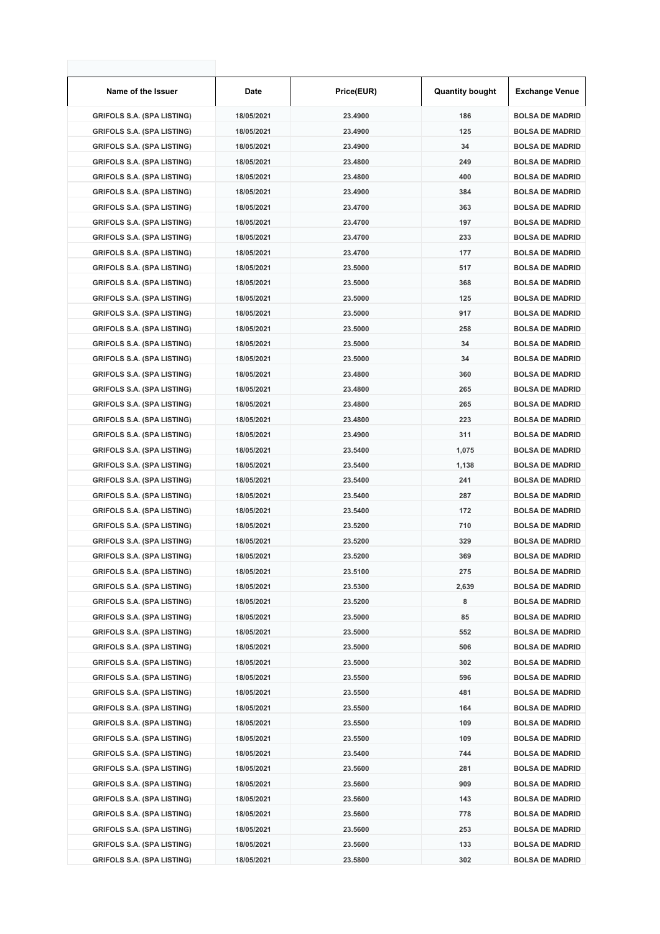| Name of the Issuer                | Date       | Price(EUR) | <b>Quantity bought</b> | <b>Exchange Venue</b>  |
|-----------------------------------|------------|------------|------------------------|------------------------|
| <b>GRIFOLS S.A. (SPA LISTING)</b> | 18/05/2021 | 23.4900    | 186                    | <b>BOLSA DE MADRID</b> |
| <b>GRIFOLS S.A. (SPA LISTING)</b> | 18/05/2021 | 23.4900    | 125                    | <b>BOLSA DE MADRID</b> |
| <b>GRIFOLS S.A. (SPA LISTING)</b> | 18/05/2021 | 23.4900    | 34                     | <b>BOLSA DE MADRID</b> |
| <b>GRIFOLS S.A. (SPA LISTING)</b> | 18/05/2021 | 23.4800    | 249                    | <b>BOLSA DE MADRID</b> |
| <b>GRIFOLS S.A. (SPA LISTING)</b> | 18/05/2021 | 23.4800    | 400                    | <b>BOLSA DE MADRID</b> |
| <b>GRIFOLS S.A. (SPA LISTING)</b> | 18/05/2021 | 23.4900    | 384                    | <b>BOLSA DE MADRID</b> |
| <b>GRIFOLS S.A. (SPA LISTING)</b> | 18/05/2021 | 23.4700    | 363                    | <b>BOLSA DE MADRID</b> |
| <b>GRIFOLS S.A. (SPA LISTING)</b> | 18/05/2021 | 23.4700    | 197                    | <b>BOLSA DE MADRID</b> |
| <b>GRIFOLS S.A. (SPA LISTING)</b> | 18/05/2021 | 23.4700    | 233                    | <b>BOLSA DE MADRID</b> |
| <b>GRIFOLS S.A. (SPA LISTING)</b> | 18/05/2021 | 23.4700    | 177                    | <b>BOLSA DE MADRID</b> |
| <b>GRIFOLS S.A. (SPA LISTING)</b> | 18/05/2021 | 23.5000    | 517                    | <b>BOLSA DE MADRID</b> |
| <b>GRIFOLS S.A. (SPA LISTING)</b> | 18/05/2021 | 23.5000    | 368                    | <b>BOLSA DE MADRID</b> |
| <b>GRIFOLS S.A. (SPA LISTING)</b> | 18/05/2021 | 23.5000    | 125                    | <b>BOLSA DE MADRID</b> |
| <b>GRIFOLS S.A. (SPA LISTING)</b> | 18/05/2021 | 23.5000    | 917                    | <b>BOLSA DE MADRID</b> |
| <b>GRIFOLS S.A. (SPA LISTING)</b> | 18/05/2021 | 23.5000    | 258                    | <b>BOLSA DE MADRID</b> |
| <b>GRIFOLS S.A. (SPA LISTING)</b> | 18/05/2021 | 23.5000    | 34                     | <b>BOLSA DE MADRID</b> |
| <b>GRIFOLS S.A. (SPA LISTING)</b> | 18/05/2021 | 23.5000    | 34                     | <b>BOLSA DE MADRID</b> |
| <b>GRIFOLS S.A. (SPA LISTING)</b> | 18/05/2021 | 23.4800    | 360                    | <b>BOLSA DE MADRID</b> |
| <b>GRIFOLS S.A. (SPA LISTING)</b> | 18/05/2021 | 23.4800    | 265                    | <b>BOLSA DE MADRID</b> |
| <b>GRIFOLS S.A. (SPA LISTING)</b> | 18/05/2021 | 23.4800    | 265                    | <b>BOLSA DE MADRID</b> |
| <b>GRIFOLS S.A. (SPA LISTING)</b> | 18/05/2021 | 23.4800    | 223                    | <b>BOLSA DE MADRID</b> |
| <b>GRIFOLS S.A. (SPA LISTING)</b> | 18/05/2021 | 23.4900    | 311                    | <b>BOLSA DE MADRID</b> |
| <b>GRIFOLS S.A. (SPA LISTING)</b> | 18/05/2021 | 23.5400    | 1,075                  | <b>BOLSA DE MADRID</b> |
| <b>GRIFOLS S.A. (SPA LISTING)</b> | 18/05/2021 | 23.5400    | 1,138                  | <b>BOLSA DE MADRID</b> |
| <b>GRIFOLS S.A. (SPA LISTING)</b> | 18/05/2021 | 23.5400    | 241                    | <b>BOLSA DE MADRID</b> |
| <b>GRIFOLS S.A. (SPA LISTING)</b> | 18/05/2021 | 23.5400    | 287                    | <b>BOLSA DE MADRID</b> |
| <b>GRIFOLS S.A. (SPA LISTING)</b> | 18/05/2021 | 23.5400    | 172                    | <b>BOLSA DE MADRID</b> |
| <b>GRIFOLS S.A. (SPA LISTING)</b> | 18/05/2021 | 23.5200    | 710                    | <b>BOLSA DE MADRID</b> |
| <b>GRIFOLS S.A. (SPA LISTING)</b> | 18/05/2021 | 23.5200    | 329                    | <b>BOLSA DE MADRID</b> |
| <b>GRIFOLS S.A. (SPA LISTING)</b> | 18/05/2021 | 23.5200    | 369                    | <b>BOLSA DE MADRID</b> |
| <b>GRIFOLS S.A. (SPA LISTING)</b> | 18/05/2021 | 23.5100    | 275                    | <b>BOLSA DE MADRID</b> |
| <b>GRIFOLS S.A. (SPA LISTING)</b> | 18/05/2021 | 23.5300    | 2,639                  | <b>BOLSA DE MADRID</b> |
| <b>GRIFOLS S.A. (SPA LISTING)</b> | 18/05/2021 | 23.5200    | 8                      | <b>BOLSA DE MADRID</b> |
| <b>GRIFOLS S.A. (SPA LISTING)</b> | 18/05/2021 | 23.5000    | 85                     | <b>BOLSA DE MADRID</b> |
| <b>GRIFOLS S.A. (SPA LISTING)</b> | 18/05/2021 | 23.5000    | 552                    | <b>BOLSA DE MADRID</b> |
| <b>GRIFOLS S.A. (SPA LISTING)</b> | 18/05/2021 | 23.5000    | 506                    | <b>BOLSA DE MADRID</b> |
| <b>GRIFOLS S.A. (SPA LISTING)</b> | 18/05/2021 | 23.5000    | 302                    | <b>BOLSA DE MADRID</b> |
| <b>GRIFOLS S.A. (SPA LISTING)</b> | 18/05/2021 | 23.5500    | 596                    | <b>BOLSA DE MADRID</b> |
| <b>GRIFOLS S.A. (SPA LISTING)</b> | 18/05/2021 | 23.5500    | 481                    | <b>BOLSA DE MADRID</b> |
| <b>GRIFOLS S.A. (SPA LISTING)</b> | 18/05/2021 | 23.5500    | 164                    | <b>BOLSA DE MADRID</b> |
| <b>GRIFOLS S.A. (SPA LISTING)</b> | 18/05/2021 | 23.5500    | 109                    | <b>BOLSA DE MADRID</b> |
| <b>GRIFOLS S.A. (SPA LISTING)</b> | 18/05/2021 | 23.5500    | 109                    | <b>BOLSA DE MADRID</b> |
| <b>GRIFOLS S.A. (SPA LISTING)</b> | 18/05/2021 | 23.5400    | 744                    | <b>BOLSA DE MADRID</b> |
| <b>GRIFOLS S.A. (SPA LISTING)</b> | 18/05/2021 | 23.5600    | 281                    | <b>BOLSA DE MADRID</b> |
| <b>GRIFOLS S.A. (SPA LISTING)</b> | 18/05/2021 | 23.5600    | 909                    | <b>BOLSA DE MADRID</b> |
| <b>GRIFOLS S.A. (SPA LISTING)</b> | 18/05/2021 | 23.5600    | 143                    | <b>BOLSA DE MADRID</b> |
| <b>GRIFOLS S.A. (SPA LISTING)</b> | 18/05/2021 | 23.5600    | 778                    | <b>BOLSA DE MADRID</b> |
| <b>GRIFOLS S.A. (SPA LISTING)</b> | 18/05/2021 | 23.5600    | 253                    | <b>BOLSA DE MADRID</b> |
| <b>GRIFOLS S.A. (SPA LISTING)</b> | 18/05/2021 | 23.5600    | 133                    | <b>BOLSA DE MADRID</b> |
| <b>GRIFOLS S.A. (SPA LISTING)</b> | 18/05/2021 | 23.5800    | 302                    | <b>BOLSA DE MADRID</b> |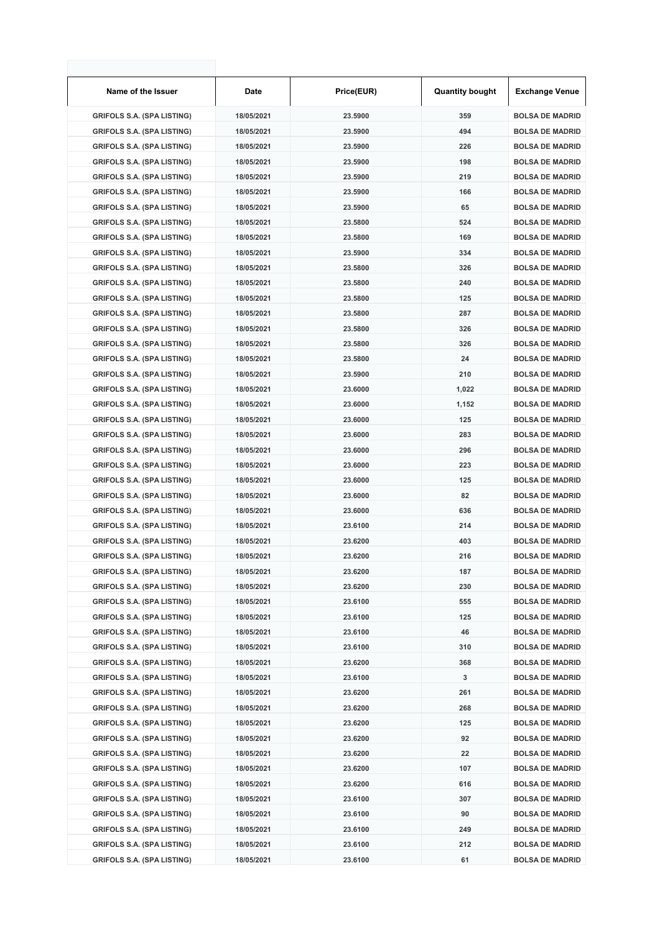| Name of the Issuer                                                     | Date                     | Price(EUR)         | <b>Quantity bought</b> | <b>Exchange Venue</b>                            |
|------------------------------------------------------------------------|--------------------------|--------------------|------------------------|--------------------------------------------------|
| <b>GRIFOLS S.A. (SPA LISTING)</b>                                      | 18/05/2021               | 23.5900            | 359                    | <b>BOLSA DE MADRID</b>                           |
| <b>GRIFOLS S.A. (SPA LISTING)</b>                                      | 18/05/2021               | 23.5900            | 494                    | <b>BOLSA DE MADRID</b>                           |
| <b>GRIFOLS S.A. (SPA LISTING)</b>                                      | 18/05/2021               | 23.5900            | 226                    | <b>BOLSA DE MADRID</b>                           |
| <b>GRIFOLS S.A. (SPA LISTING)</b>                                      | 18/05/2021               | 23.5900            | 198                    | <b>BOLSA DE MADRID</b>                           |
| <b>GRIFOLS S.A. (SPA LISTING)</b>                                      | 18/05/2021               | 23.5900            | 219                    | <b>BOLSA DE MADRID</b>                           |
| <b>GRIFOLS S.A. (SPA LISTING)</b>                                      | 18/05/2021               | 23.5900            | 166                    | <b>BOLSA DE MADRID</b>                           |
| <b>GRIFOLS S.A. (SPA LISTING)</b>                                      | 18/05/2021               | 23.5900            | 65                     | <b>BOLSA DE MADRID</b>                           |
| <b>GRIFOLS S.A. (SPA LISTING)</b>                                      | 18/05/2021               | 23.5800            | 524                    | <b>BOLSA DE MADRID</b>                           |
| <b>GRIFOLS S.A. (SPA LISTING)</b>                                      | 18/05/2021               | 23.5800            | 169                    | <b>BOLSA DE MADRID</b>                           |
| <b>GRIFOLS S.A. (SPA LISTING)</b>                                      | 18/05/2021               | 23.5900            | 334                    | <b>BOLSA DE MADRID</b>                           |
| <b>GRIFOLS S.A. (SPA LISTING)</b>                                      | 18/05/2021               | 23.5800            | 326                    | <b>BOLSA DE MADRID</b>                           |
| <b>GRIFOLS S.A. (SPA LISTING)</b>                                      | 18/05/2021               | 23.5800            | 240                    | <b>BOLSA DE MADRID</b>                           |
| <b>GRIFOLS S.A. (SPA LISTING)</b>                                      | 18/05/2021               | 23.5800            | 125                    | <b>BOLSA DE MADRID</b>                           |
| <b>GRIFOLS S.A. (SPA LISTING)</b>                                      | 18/05/2021               | 23.5800            | 287                    | <b>BOLSA DE MADRID</b>                           |
| <b>GRIFOLS S.A. (SPA LISTING)</b>                                      | 18/05/2021               | 23.5800            | 326                    | <b>BOLSA DE MADRID</b>                           |
| <b>GRIFOLS S.A. (SPA LISTING)</b>                                      | 18/05/2021               | 23.5800            | 326                    | <b>BOLSA DE MADRID</b>                           |
| <b>GRIFOLS S.A. (SPA LISTING)</b>                                      | 18/05/2021               | 23.5800            | 24                     | <b>BOLSA DE MADRID</b>                           |
| <b>GRIFOLS S.A. (SPA LISTING)</b>                                      | 18/05/2021               | 23.5900            | 210                    | <b>BOLSA DE MADRID</b>                           |
| <b>GRIFOLS S.A. (SPA LISTING)</b>                                      | 18/05/2021               | 23,6000            | 1,022                  | <b>BOLSA DE MADRID</b>                           |
| <b>GRIFOLS S.A. (SPA LISTING)</b>                                      | 18/05/2021               | 23.6000            | 1,152                  | <b>BOLSA DE MADRID</b>                           |
| <b>GRIFOLS S.A. (SPA LISTING)</b>                                      | 18/05/2021               | 23.6000            | 125                    | <b>BOLSA DE MADRID</b>                           |
| <b>GRIFOLS S.A. (SPA LISTING)</b>                                      | 18/05/2021               | 23.6000            | 283                    | <b>BOLSA DE MADRID</b>                           |
| <b>GRIFOLS S.A. (SPA LISTING)</b>                                      | 18/05/2021               | 23.6000            | 296                    | <b>BOLSA DE MADRID</b>                           |
| <b>GRIFOLS S.A. (SPA LISTING)</b>                                      | 18/05/2021               | 23.6000            | 223                    | <b>BOLSA DE MADRID</b>                           |
| <b>GRIFOLS S.A. (SPA LISTING)</b>                                      | 18/05/2021               | 23.6000            | 125                    | <b>BOLSA DE MADRID</b>                           |
| <b>GRIFOLS S.A. (SPA LISTING)</b>                                      | 18/05/2021               | 23.6000            | 82                     | <b>BOLSA DE MADRID</b>                           |
| <b>GRIFOLS S.A. (SPA LISTING)</b>                                      | 18/05/2021               | 23.6000            | 636                    | <b>BOLSA DE MADRID</b>                           |
| <b>GRIFOLS S.A. (SPA LISTING)</b>                                      | 18/05/2021               | 23.6100            | 214                    | <b>BOLSA DE MADRID</b>                           |
| <b>GRIFOLS S.A. (SPA LISTING)</b>                                      | 18/05/2021               | 23.6200            | 403                    | <b>BOLSA DE MADRID</b>                           |
| <b>GRIFOLS S.A. (SPA LISTING)</b>                                      | 18/05/2021               | 23.6200            | 216                    | <b>BOLSA DE MADRID</b>                           |
| <b>GRIFOLS S.A. (SPA LISTING)</b>                                      | 18/05/2021               | 23.6200            | 187                    | <b>BOLSA DE MADRID</b>                           |
| <b>GRIFOLS S.A. (SPA LISTING)</b>                                      | 18/05/2021               | 23.6200            | 230                    | <b>BOLSA DE MADRID</b>                           |
| <b>GRIFOLS S.A. (SPA LISTING)</b>                                      | 18/05/2021               | 23.6100            | 555                    | <b>BOLSA DE MADRID</b>                           |
| <b>GRIFOLS S.A. (SPA LISTING)</b>                                      | 18/05/2021               | 23.6100            | 125                    | <b>BOLSA DE MADRID</b>                           |
| <b>GRIFOLS S.A. (SPA LISTING)</b>                                      | 18/05/2021               | 23.6100            | 46                     | <b>BOLSA DE MADRID</b>                           |
| <b>GRIFOLS S.A. (SPA LISTING)</b>                                      | 18/05/2021               | 23.6100            | 310                    | <b>BOLSA DE MADRID</b>                           |
| <b>GRIFOLS S.A. (SPA LISTING)</b>                                      | 18/05/2021               | 23.6200            | 368                    | <b>BOLSA DE MADRID</b>                           |
| <b>GRIFOLS S.A. (SPA LISTING)</b>                                      | 18/05/2021               | 23.6100            | 3                      | <b>BOLSA DE MADRID</b>                           |
| <b>GRIFOLS S.A. (SPA LISTING)</b>                                      | 18/05/2021               | 23.6200            | 261                    | <b>BOLSA DE MADRID</b>                           |
| <b>GRIFOLS S.A. (SPA LISTING)</b>                                      | 18/05/2021               | 23.6200            | 268                    | <b>BOLSA DE MADRID</b>                           |
| <b>GRIFOLS S.A. (SPA LISTING)</b>                                      | 18/05/2021               | 23.6200            | 125                    | <b>BOLSA DE MADRID</b>                           |
| <b>GRIFOLS S.A. (SPA LISTING)</b>                                      | 18/05/2021               | 23.6200            | 92                     | <b>BOLSA DE MADRID</b>                           |
| <b>GRIFOLS S.A. (SPA LISTING)</b>                                      | 18/05/2021               | 23.6200            | 22                     | <b>BOLSA DE MADRID</b>                           |
| <b>GRIFOLS S.A. (SPA LISTING)</b>                                      | 18/05/2021               | 23.6200            | 107                    | <b>BOLSA DE MADRID</b>                           |
| <b>GRIFOLS S.A. (SPA LISTING)</b>                                      | 18/05/2021               | 23.6200            | 616                    | <b>BOLSA DE MADRID</b>                           |
| <b>GRIFOLS S.A. (SPA LISTING)</b>                                      | 18/05/2021               | 23.6100            | 307                    | <b>BOLSA DE MADRID</b>                           |
| <b>GRIFOLS S.A. (SPA LISTING)</b><br><b>GRIFOLS S.A. (SPA LISTING)</b> | 18/05/2021<br>18/05/2021 | 23.6100<br>23.6100 | 90<br>249              | <b>BOLSA DE MADRID</b><br><b>BOLSA DE MADRID</b> |
| <b>GRIFOLS S.A. (SPA LISTING)</b>                                      | 18/05/2021               | 23.6100            | 212                    | <b>BOLSA DE MADRID</b>                           |
| <b>GRIFOLS S.A. (SPA LISTING)</b>                                      | 18/05/2021               | 23.6100            | 61                     | <b>BOLSA DE MADRID</b>                           |
|                                                                        |                          |                    |                        |                                                  |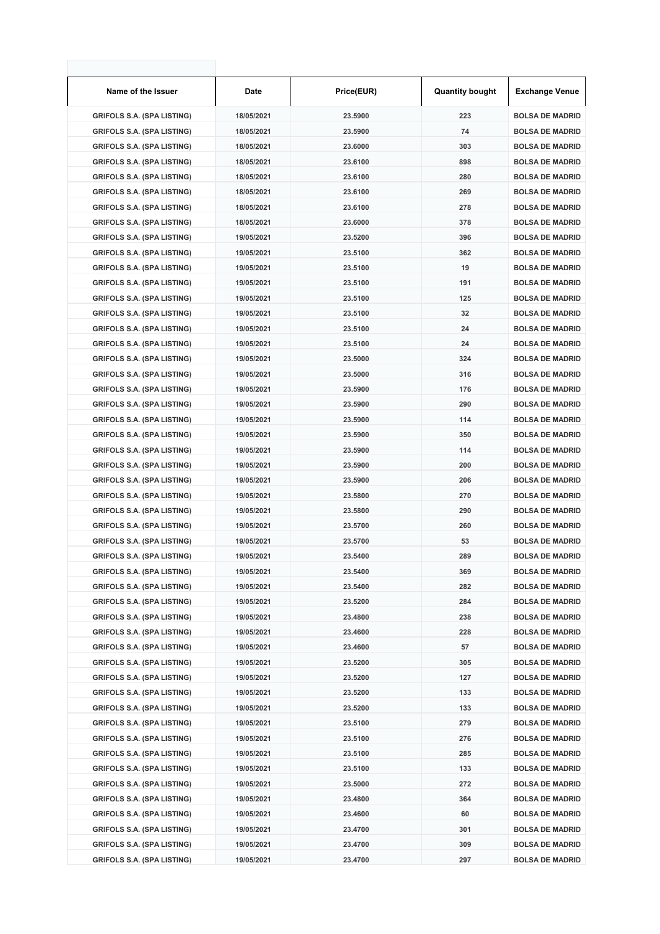| Name of the Issuer                | Date       | Price(EUR) | <b>Quantity bought</b> | <b>Exchange Venue</b>  |
|-----------------------------------|------------|------------|------------------------|------------------------|
| <b>GRIFOLS S.A. (SPA LISTING)</b> | 18/05/2021 | 23.5900    | 223                    | <b>BOLSA DE MADRID</b> |
| <b>GRIFOLS S.A. (SPA LISTING)</b> | 18/05/2021 | 23.5900    | 74                     | <b>BOLSA DE MADRID</b> |
| <b>GRIFOLS S.A. (SPA LISTING)</b> | 18/05/2021 | 23.6000    | 303                    | <b>BOLSA DE MADRID</b> |
| <b>GRIFOLS S.A. (SPA LISTING)</b> | 18/05/2021 | 23.6100    | 898                    | <b>BOLSA DE MADRID</b> |
| <b>GRIFOLS S.A. (SPA LISTING)</b> | 18/05/2021 | 23.6100    | 280                    | <b>BOLSA DE MADRID</b> |
| <b>GRIFOLS S.A. (SPA LISTING)</b> | 18/05/2021 | 23.6100    | 269                    | <b>BOLSA DE MADRID</b> |
| <b>GRIFOLS S.A. (SPA LISTING)</b> | 18/05/2021 | 23.6100    | 278                    | <b>BOLSA DE MADRID</b> |
| <b>GRIFOLS S.A. (SPA LISTING)</b> | 18/05/2021 | 23.6000    | 378                    | <b>BOLSA DE MADRID</b> |
| <b>GRIFOLS S.A. (SPA LISTING)</b> | 19/05/2021 | 23.5200    | 396                    | <b>BOLSA DE MADRID</b> |
| <b>GRIFOLS S.A. (SPA LISTING)</b> | 19/05/2021 | 23.5100    | 362                    | <b>BOLSA DE MADRID</b> |
| <b>GRIFOLS S.A. (SPA LISTING)</b> | 19/05/2021 | 23.5100    | 19                     | <b>BOLSA DE MADRID</b> |
| <b>GRIFOLS S.A. (SPA LISTING)</b> | 19/05/2021 | 23.5100    | 191                    | <b>BOLSA DE MADRID</b> |
| <b>GRIFOLS S.A. (SPA LISTING)</b> | 19/05/2021 | 23.5100    | 125                    | <b>BOLSA DE MADRID</b> |
| <b>GRIFOLS S.A. (SPA LISTING)</b> | 19/05/2021 | 23.5100    | 32                     | <b>BOLSA DE MADRID</b> |
| <b>GRIFOLS S.A. (SPA LISTING)</b> | 19/05/2021 | 23.5100    | 24                     | <b>BOLSA DE MADRID</b> |
| <b>GRIFOLS S.A. (SPA LISTING)</b> | 19/05/2021 | 23.5100    | 24                     | <b>BOLSA DE MADRID</b> |
| <b>GRIFOLS S.A. (SPA LISTING)</b> | 19/05/2021 | 23.5000    | 324                    | <b>BOLSA DE MADRID</b> |
| <b>GRIFOLS S.A. (SPA LISTING)</b> | 19/05/2021 | 23.5000    | 316                    | <b>BOLSA DE MADRID</b> |
| <b>GRIFOLS S.A. (SPA LISTING)</b> | 19/05/2021 | 23.5900    | 176                    | <b>BOLSA DE MADRID</b> |
| <b>GRIFOLS S.A. (SPA LISTING)</b> | 19/05/2021 | 23.5900    | 290                    | <b>BOLSA DE MADRID</b> |
| <b>GRIFOLS S.A. (SPA LISTING)</b> | 19/05/2021 | 23.5900    | 114                    | <b>BOLSA DE MADRID</b> |
| <b>GRIFOLS S.A. (SPA LISTING)</b> | 19/05/2021 | 23.5900    | 350                    | <b>BOLSA DE MADRID</b> |
| <b>GRIFOLS S.A. (SPA LISTING)</b> | 19/05/2021 | 23.5900    | 114                    | <b>BOLSA DE MADRID</b> |
| <b>GRIFOLS S.A. (SPA LISTING)</b> | 19/05/2021 | 23.5900    | 200                    | <b>BOLSA DE MADRID</b> |
| <b>GRIFOLS S.A. (SPA LISTING)</b> | 19/05/2021 | 23.5900    | 206                    | <b>BOLSA DE MADRID</b> |
| <b>GRIFOLS S.A. (SPA LISTING)</b> | 19/05/2021 | 23.5800    | 270                    | <b>BOLSA DE MADRID</b> |
| <b>GRIFOLS S.A. (SPA LISTING)</b> | 19/05/2021 | 23.5800    | 290                    | <b>BOLSA DE MADRID</b> |
| <b>GRIFOLS S.A. (SPA LISTING)</b> | 19/05/2021 | 23.5700    | 260                    | <b>BOLSA DE MADRID</b> |
| <b>GRIFOLS S.A. (SPA LISTING)</b> | 19/05/2021 | 23.5700    | 53                     | <b>BOLSA DE MADRID</b> |
| <b>GRIFOLS S.A. (SPA LISTING)</b> | 19/05/2021 | 23.5400    | 289                    | <b>BOLSA DE MADRID</b> |
| <b>GRIFOLS S.A. (SPA LISTING)</b> | 19/05/2021 | 23.5400    | 369                    | <b>BOLSA DE MADRID</b> |
| <b>GRIFOLS S.A. (SPA LISTING)</b> | 19/05/2021 | 23.5400    | 282                    | <b>BOLSA DE MADRID</b> |
| <b>GRIFOLS S.A. (SPA LISTING)</b> | 19/05/2021 | 23.5200    | 284                    | <b>BOLSA DE MADRID</b> |
| <b>GRIFOLS S.A. (SPA LISTING)</b> | 19/05/2021 | 23.4800    | 238                    | <b>BOLSA DE MADRID</b> |
| <b>GRIFOLS S.A. (SPA LISTING)</b> | 19/05/2021 | 23.4600    | 228                    | <b>BOLSA DE MADRID</b> |
| <b>GRIFOLS S.A. (SPA LISTING)</b> | 19/05/2021 | 23.4600    | 57                     | <b>BOLSA DE MADRID</b> |
| <b>GRIFOLS S.A. (SPA LISTING)</b> | 19/05/2021 | 23.5200    | 305                    | <b>BOLSA DE MADRID</b> |
| <b>GRIFOLS S.A. (SPA LISTING)</b> | 19/05/2021 | 23.5200    | 127                    | <b>BOLSA DE MADRID</b> |
| <b>GRIFOLS S.A. (SPA LISTING)</b> | 19/05/2021 | 23.5200    | 133                    | <b>BOLSA DE MADRID</b> |
| <b>GRIFOLS S.A. (SPA LISTING)</b> | 19/05/2021 | 23.5200    | 133                    | <b>BOLSA DE MADRID</b> |
| <b>GRIFOLS S.A. (SPA LISTING)</b> | 19/05/2021 | 23.5100    | 279                    | <b>BOLSA DE MADRID</b> |
| <b>GRIFOLS S.A. (SPA LISTING)</b> | 19/05/2021 | 23.5100    | 276                    | <b>BOLSA DE MADRID</b> |
| <b>GRIFOLS S.A. (SPA LISTING)</b> | 19/05/2021 | 23.5100    | 285                    | <b>BOLSA DE MADRID</b> |
| <b>GRIFOLS S.A. (SPA LISTING)</b> | 19/05/2021 | 23.5100    | 133                    | <b>BOLSA DE MADRID</b> |
| <b>GRIFOLS S.A. (SPA LISTING)</b> | 19/05/2021 | 23.5000    | 272                    | <b>BOLSA DE MADRID</b> |
| <b>GRIFOLS S.A. (SPA LISTING)</b> | 19/05/2021 | 23.4800    | 364                    | <b>BOLSA DE MADRID</b> |
| <b>GRIFOLS S.A. (SPA LISTING)</b> | 19/05/2021 | 23.4600    | 60                     | <b>BOLSA DE MADRID</b> |
| <b>GRIFOLS S.A. (SPA LISTING)</b> | 19/05/2021 | 23.4700    | 301                    | <b>BOLSA DE MADRID</b> |
| <b>GRIFOLS S.A. (SPA LISTING)</b> | 19/05/2021 | 23.4700    | 309                    | <b>BOLSA DE MADRID</b> |
| <b>GRIFOLS S.A. (SPA LISTING)</b> | 19/05/2021 | 23.4700    | 297                    | <b>BOLSA DE MADRID</b> |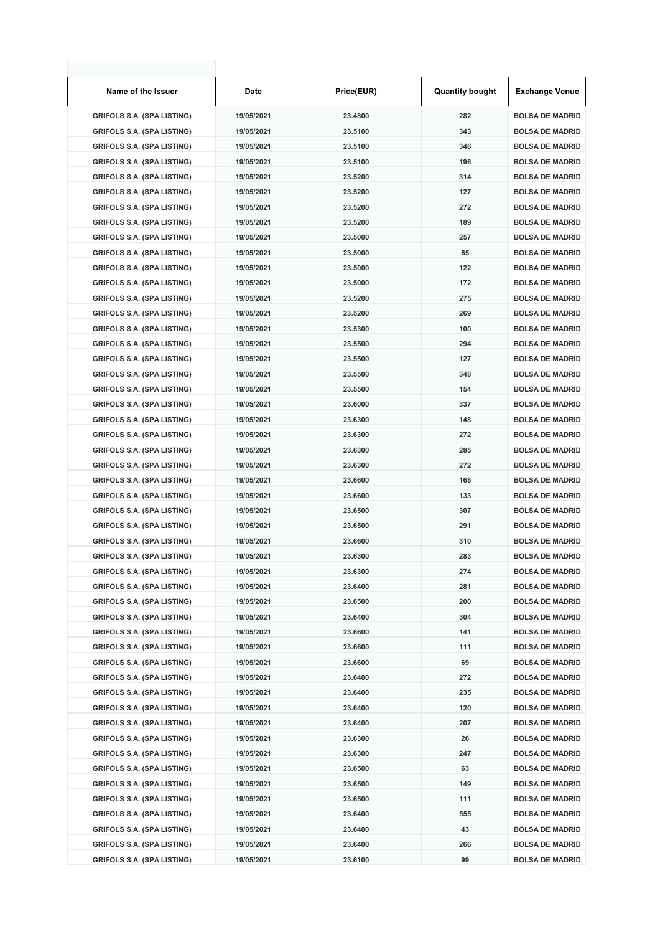| Name of the Issuer                | Date       | Price(EUR) | <b>Quantity bought</b> | <b>Exchange Venue</b>  |
|-----------------------------------|------------|------------|------------------------|------------------------|
| <b>GRIFOLS S.A. (SPA LISTING)</b> | 19/05/2021 | 23.4800    | 282                    | <b>BOLSA DE MADRID</b> |
| <b>GRIFOLS S.A. (SPA LISTING)</b> | 19/05/2021 | 23.5100    | 343                    | <b>BOLSA DE MADRID</b> |
| <b>GRIFOLS S.A. (SPA LISTING)</b> | 19/05/2021 | 23.5100    | 346                    | <b>BOLSA DE MADRID</b> |
| <b>GRIFOLS S.A. (SPA LISTING)</b> | 19/05/2021 | 23.5100    | 196                    | <b>BOLSA DE MADRID</b> |
| <b>GRIFOLS S.A. (SPA LISTING)</b> | 19/05/2021 | 23.5200    | 314                    | <b>BOLSA DE MADRID</b> |
| <b>GRIFOLS S.A. (SPA LISTING)</b> | 19/05/2021 | 23.5200    | 127                    | <b>BOLSA DE MADRID</b> |
| <b>GRIFOLS S.A. (SPA LISTING)</b> | 19/05/2021 | 23.5200    | 272                    | <b>BOLSA DE MADRID</b> |
| <b>GRIFOLS S.A. (SPA LISTING)</b> | 19/05/2021 | 23.5200    | 189                    | <b>BOLSA DE MADRID</b> |
| <b>GRIFOLS S.A. (SPA LISTING)</b> | 19/05/2021 | 23.5000    | 257                    | <b>BOLSA DE MADRID</b> |
| <b>GRIFOLS S.A. (SPA LISTING)</b> | 19/05/2021 | 23.5000    | 65                     | <b>BOLSA DE MADRID</b> |
| <b>GRIFOLS S.A. (SPA LISTING)</b> | 19/05/2021 | 23.5000    | 122                    | <b>BOLSA DE MADRID</b> |
| <b>GRIFOLS S.A. (SPA LISTING)</b> | 19/05/2021 | 23.5000    | 172                    | <b>BOLSA DE MADRID</b> |
| <b>GRIFOLS S.A. (SPA LISTING)</b> | 19/05/2021 | 23.5200    | 275                    | <b>BOLSA DE MADRID</b> |
| <b>GRIFOLS S.A. (SPA LISTING)</b> | 19/05/2021 | 23.5200    | 269                    | <b>BOLSA DE MADRID</b> |
| <b>GRIFOLS S.A. (SPA LISTING)</b> | 19/05/2021 | 23.5300    | 100                    | <b>BOLSA DE MADRID</b> |
| <b>GRIFOLS S.A. (SPA LISTING)</b> | 19/05/2021 | 23.5500    | 294                    | <b>BOLSA DE MADRID</b> |
| <b>GRIFOLS S.A. (SPA LISTING)</b> | 19/05/2021 | 23.5500    | 127                    | <b>BOLSA DE MADRID</b> |
| <b>GRIFOLS S.A. (SPA LISTING)</b> | 19/05/2021 | 23.5500    | 348                    | <b>BOLSA DE MADRID</b> |
| <b>GRIFOLS S.A. (SPA LISTING)</b> | 19/05/2021 | 23.5500    | 154                    | <b>BOLSA DE MADRID</b> |
| <b>GRIFOLS S.A. (SPA LISTING)</b> | 19/05/2021 | 23.6000    | 337                    | <b>BOLSA DE MADRID</b> |
| <b>GRIFOLS S.A. (SPA LISTING)</b> | 19/05/2021 | 23.6300    | 148                    | <b>BOLSA DE MADRID</b> |
| <b>GRIFOLS S.A. (SPA LISTING)</b> | 19/05/2021 | 23.6300    | 272                    | <b>BOLSA DE MADRID</b> |
| <b>GRIFOLS S.A. (SPA LISTING)</b> | 19/05/2021 | 23.6300    | 285                    | <b>BOLSA DE MADRID</b> |
| <b>GRIFOLS S.A. (SPA LISTING)</b> | 19/05/2021 | 23.6300    | 272                    | <b>BOLSA DE MADRID</b> |
| <b>GRIFOLS S.A. (SPA LISTING)</b> | 19/05/2021 | 23.6600    | 168                    | <b>BOLSA DE MADRID</b> |
| <b>GRIFOLS S.A. (SPA LISTING)</b> | 19/05/2021 | 23.6600    | 133                    | <b>BOLSA DE MADRID</b> |
| <b>GRIFOLS S.A. (SPA LISTING)</b> | 19/05/2021 | 23.6500    | 307                    | <b>BOLSA DE MADRID</b> |
| <b>GRIFOLS S.A. (SPA LISTING)</b> | 19/05/2021 | 23.6500    | 291                    | <b>BOLSA DE MADRID</b> |
| <b>GRIFOLS S.A. (SPA LISTING)</b> | 19/05/2021 | 23.6600    | 310                    | <b>BOLSA DE MADRID</b> |
| <b>GRIFOLS S.A. (SPA LISTING)</b> | 19/05/2021 | 23.6300    | 283                    | <b>BOLSA DE MADRID</b> |
| <b>GRIFOLS S.A. (SPA LISTING)</b> | 19/05/2021 | 23.6300    | 274                    | <b>BOLSA DE MADRID</b> |
| <b>GRIFOLS S.A. (SPA LISTING)</b> | 19/05/2021 | 23.6400    | 281                    | <b>BOLSA DE MADRID</b> |
| <b>GRIFOLS S.A. (SPA LISTING)</b> | 19/05/2021 | 23.6500    | 200                    | <b>BOLSA DE MADRID</b> |
| <b>GRIFOLS S.A. (SPA LISTING)</b> | 19/05/2021 | 23.6400    | 304                    | <b>BOLSA DE MADRID</b> |
| <b>GRIFOLS S.A. (SPA LISTING)</b> | 19/05/2021 | 23.6600    | 141                    | <b>BOLSA DE MADRID</b> |
| <b>GRIFOLS S.A. (SPA LISTING)</b> | 19/05/2021 | 23.6600    | 111                    | <b>BOLSA DE MADRID</b> |
| <b>GRIFOLS S.A. (SPA LISTING)</b> | 19/05/2021 | 23.6600    | 69                     | <b>BOLSA DE MADRID</b> |
| <b>GRIFOLS S.A. (SPA LISTING)</b> | 19/05/2021 | 23.6400    | 272                    | <b>BOLSA DE MADRID</b> |
| <b>GRIFOLS S.A. (SPA LISTING)</b> | 19/05/2021 | 23.6400    | 235                    | <b>BOLSA DE MADRID</b> |
| <b>GRIFOLS S.A. (SPA LISTING)</b> | 19/05/2021 | 23.6400    | 120                    | <b>BOLSA DE MADRID</b> |
| <b>GRIFOLS S.A. (SPA LISTING)</b> | 19/05/2021 | 23.6400    | 207                    | <b>BOLSA DE MADRID</b> |
| <b>GRIFOLS S.A. (SPA LISTING)</b> | 19/05/2021 | 23.6300    | 26                     | <b>BOLSA DE MADRID</b> |
| <b>GRIFOLS S.A. (SPA LISTING)</b> | 19/05/2021 | 23.6300    | 247                    | <b>BOLSA DE MADRID</b> |
| <b>GRIFOLS S.A. (SPA LISTING)</b> | 19/05/2021 | 23.6500    | 63                     | <b>BOLSA DE MADRID</b> |
| <b>GRIFOLS S.A. (SPA LISTING)</b> | 19/05/2021 | 23.6500    | 149                    | <b>BOLSA DE MADRID</b> |
| <b>GRIFOLS S.A. (SPA LISTING)</b> | 19/05/2021 | 23.6500    | 111                    | <b>BOLSA DE MADRID</b> |
| <b>GRIFOLS S.A. (SPA LISTING)</b> | 19/05/2021 | 23.6400    | 555                    | <b>BOLSA DE MADRID</b> |
| <b>GRIFOLS S.A. (SPA LISTING)</b> | 19/05/2021 | 23.6400    | 43                     | <b>BOLSA DE MADRID</b> |
| <b>GRIFOLS S.A. (SPA LISTING)</b> | 19/05/2021 | 23.6400    | 266                    | <b>BOLSA DE MADRID</b> |
| <b>GRIFOLS S.A. (SPA LISTING)</b> | 19/05/2021 | 23.6100    | 99                     | <b>BOLSA DE MADRID</b> |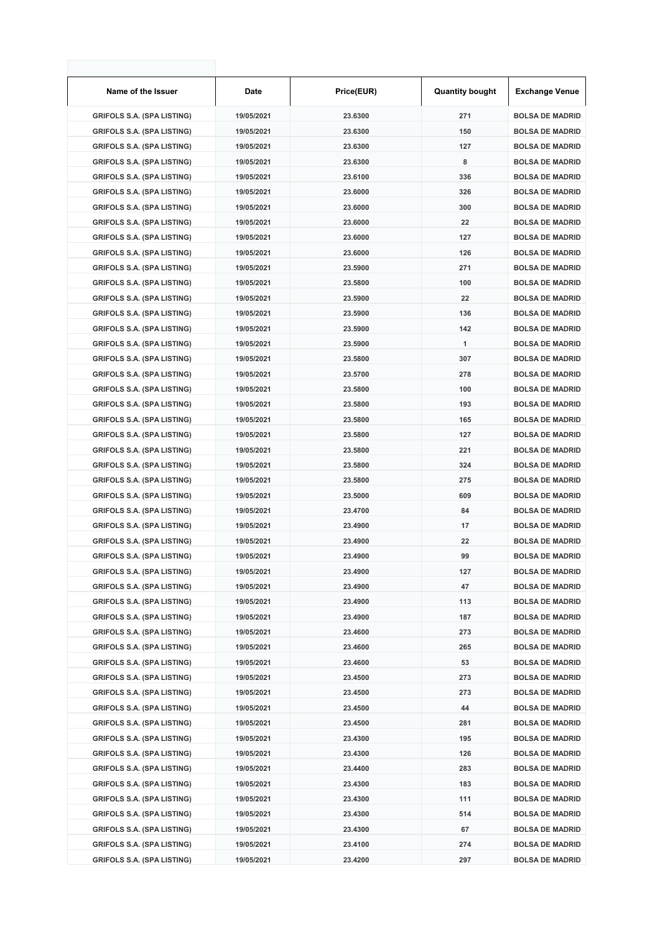| Name of the Issuer                | Date       | Price(EUR) | <b>Quantity bought</b> | <b>Exchange Venue</b>  |
|-----------------------------------|------------|------------|------------------------|------------------------|
| <b>GRIFOLS S.A. (SPA LISTING)</b> | 19/05/2021 | 23.6300    | 271                    | <b>BOLSA DE MADRID</b> |
| <b>GRIFOLS S.A. (SPA LISTING)</b> | 19/05/2021 | 23.6300    | 150                    | <b>BOLSA DE MADRID</b> |
| <b>GRIFOLS S.A. (SPA LISTING)</b> | 19/05/2021 | 23.6300    | 127                    | <b>BOLSA DE MADRID</b> |
| <b>GRIFOLS S.A. (SPA LISTING)</b> | 19/05/2021 | 23.6300    | 8                      | <b>BOLSA DE MADRID</b> |
| <b>GRIFOLS S.A. (SPA LISTING)</b> | 19/05/2021 | 23.6100    | 336                    | <b>BOLSA DE MADRID</b> |
| <b>GRIFOLS S.A. (SPA LISTING)</b> | 19/05/2021 | 23.6000    | 326                    | <b>BOLSA DE MADRID</b> |
| <b>GRIFOLS S.A. (SPA LISTING)</b> | 19/05/2021 | 23.6000    | 300                    | <b>BOLSA DE MADRID</b> |
| <b>GRIFOLS S.A. (SPA LISTING)</b> | 19/05/2021 | 23.6000    | 22                     | <b>BOLSA DE MADRID</b> |
| <b>GRIFOLS S.A. (SPA LISTING)</b> | 19/05/2021 | 23.6000    | 127                    | <b>BOLSA DE MADRID</b> |
| <b>GRIFOLS S.A. (SPA LISTING)</b> | 19/05/2021 | 23.6000    | 126                    | <b>BOLSA DE MADRID</b> |
| <b>GRIFOLS S.A. (SPA LISTING)</b> | 19/05/2021 | 23.5900    | 271                    | <b>BOLSA DE MADRID</b> |
| <b>GRIFOLS S.A. (SPA LISTING)</b> | 19/05/2021 | 23.5800    | 100                    | <b>BOLSA DE MADRID</b> |
| <b>GRIFOLS S.A. (SPA LISTING)</b> | 19/05/2021 | 23.5900    | 22                     | <b>BOLSA DE MADRID</b> |
| <b>GRIFOLS S.A. (SPA LISTING)</b> | 19/05/2021 | 23.5900    | 136                    | <b>BOLSA DE MADRID</b> |
| <b>GRIFOLS S.A. (SPA LISTING)</b> | 19/05/2021 | 23.5900    | 142                    | <b>BOLSA DE MADRID</b> |
| <b>GRIFOLS S.A. (SPA LISTING)</b> | 19/05/2021 | 23.5900    | 1                      | <b>BOLSA DE MADRID</b> |
| <b>GRIFOLS S.A. (SPA LISTING)</b> | 19/05/2021 | 23.5800    | 307                    | <b>BOLSA DE MADRID</b> |
| <b>GRIFOLS S.A. (SPA LISTING)</b> | 19/05/2021 | 23.5700    | 278                    | <b>BOLSA DE MADRID</b> |
| <b>GRIFOLS S.A. (SPA LISTING)</b> | 19/05/2021 | 23.5800    | 100                    | <b>BOLSA DE MADRID</b> |
| <b>GRIFOLS S.A. (SPA LISTING)</b> | 19/05/2021 | 23.5800    | 193                    | <b>BOLSA DE MADRID</b> |
| <b>GRIFOLS S.A. (SPA LISTING)</b> | 19/05/2021 | 23.5800    | 165                    | <b>BOLSA DE MADRID</b> |
| <b>GRIFOLS S.A. (SPA LISTING)</b> | 19/05/2021 | 23.5800    | 127                    | <b>BOLSA DE MADRID</b> |
| <b>GRIFOLS S.A. (SPA LISTING)</b> | 19/05/2021 | 23.5800    | 221                    | <b>BOLSA DE MADRID</b> |
| <b>GRIFOLS S.A. (SPA LISTING)</b> | 19/05/2021 | 23.5800    | 324                    | <b>BOLSA DE MADRID</b> |
| <b>GRIFOLS S.A. (SPA LISTING)</b> | 19/05/2021 | 23.5800    | 275                    | <b>BOLSA DE MADRID</b> |
| <b>GRIFOLS S.A. (SPA LISTING)</b> | 19/05/2021 | 23.5000    | 609                    | <b>BOLSA DE MADRID</b> |
| <b>GRIFOLS S.A. (SPA LISTING)</b> | 19/05/2021 | 23.4700    | 84                     | <b>BOLSA DE MADRID</b> |
| <b>GRIFOLS S.A. (SPA LISTING)</b> | 19/05/2021 | 23.4900    | 17                     | <b>BOLSA DE MADRID</b> |
| <b>GRIFOLS S.A. (SPA LISTING)</b> | 19/05/2021 | 23.4900    | 22                     | <b>BOLSA DE MADRID</b> |
| <b>GRIFOLS S.A. (SPA LISTING)</b> | 19/05/2021 | 23.4900    | 99                     | <b>BOLSA DE MADRID</b> |
| <b>GRIFOLS S.A. (SPA LISTING)</b> | 19/05/2021 | 23.4900    | 127                    | <b>BOLSA DE MADRID</b> |
| <b>GRIFOLS S.A. (SPA LISTING)</b> | 19/05/2021 | 23.4900    | 47                     | <b>BOLSA DE MADRID</b> |
| <b>GRIFOLS S.A. (SPA LISTING)</b> | 19/05/2021 | 23.4900    | 113                    | <b>BOLSA DE MADRID</b> |
| <b>GRIFOLS S.A. (SPA LISTING)</b> | 19/05/2021 | 23.4900    | 187                    | <b>BOLSA DE MADRID</b> |
| <b>GRIFOLS S.A. (SPA LISTING)</b> | 19/05/2021 | 23.4600    | 273                    | <b>BOLSA DE MADRID</b> |
| <b>GRIFOLS S.A. (SPA LISTING)</b> | 19/05/2021 | 23.4600    | 265                    | <b>BOLSA DE MADRID</b> |
| <b>GRIFOLS S.A. (SPA LISTING)</b> | 19/05/2021 | 23.4600    | 53                     | <b>BOLSA DE MADRID</b> |
| <b>GRIFOLS S.A. (SPA LISTING)</b> | 19/05/2021 | 23.4500    | 273                    | <b>BOLSA DE MADRID</b> |
| <b>GRIFOLS S.A. (SPA LISTING)</b> | 19/05/2021 | 23.4500    | 273                    | <b>BOLSA DE MADRID</b> |
| <b>GRIFOLS S.A. (SPA LISTING)</b> | 19/05/2021 | 23.4500    | 44                     | <b>BOLSA DE MADRID</b> |
| <b>GRIFOLS S.A. (SPA LISTING)</b> | 19/05/2021 | 23.4500    | 281                    | <b>BOLSA DE MADRID</b> |
| <b>GRIFOLS S.A. (SPA LISTING)</b> | 19/05/2021 | 23.4300    | 195                    | <b>BOLSA DE MADRID</b> |
| <b>GRIFOLS S.A. (SPA LISTING)</b> | 19/05/2021 | 23.4300    | 126                    | <b>BOLSA DE MADRID</b> |
| <b>GRIFOLS S.A. (SPA LISTING)</b> | 19/05/2021 | 23.4400    | 283                    | <b>BOLSA DE MADRID</b> |
| <b>GRIFOLS S.A. (SPA LISTING)</b> | 19/05/2021 | 23.4300    | 183                    | <b>BOLSA DE MADRID</b> |
| <b>GRIFOLS S.A. (SPA LISTING)</b> | 19/05/2021 | 23.4300    | 111                    | <b>BOLSA DE MADRID</b> |
| <b>GRIFOLS S.A. (SPA LISTING)</b> | 19/05/2021 | 23.4300    | 514                    | <b>BOLSA DE MADRID</b> |
| <b>GRIFOLS S.A. (SPA LISTING)</b> | 19/05/2021 | 23.4300    | 67                     | <b>BOLSA DE MADRID</b> |
| <b>GRIFOLS S.A. (SPA LISTING)</b> | 19/05/2021 | 23.4100    | 274                    | <b>BOLSA DE MADRID</b> |
| <b>GRIFOLS S.A. (SPA LISTING)</b> | 19/05/2021 | 23.4200    | 297                    | <b>BOLSA DE MADRID</b> |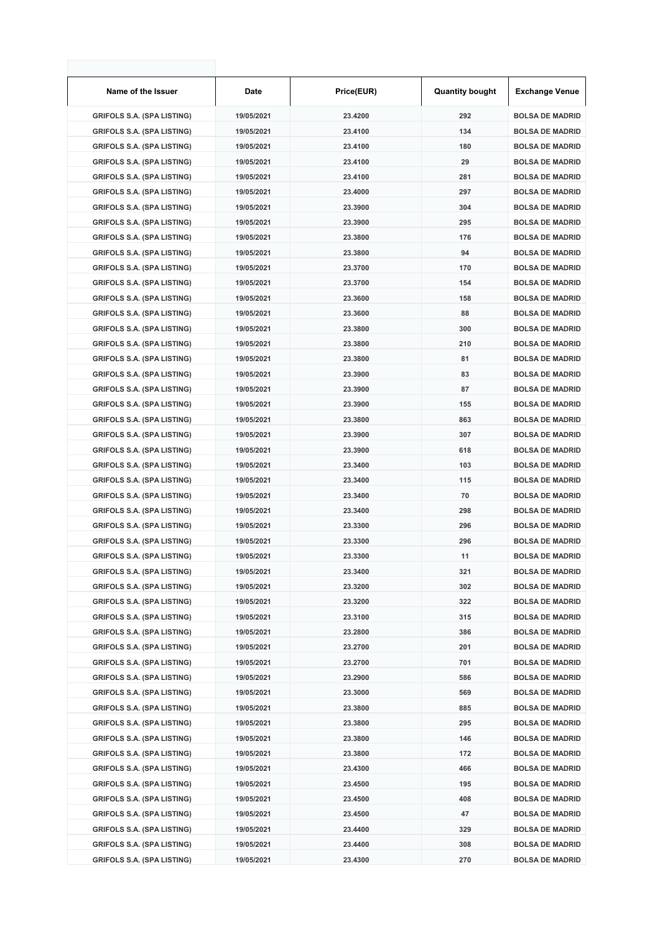| Name of the Issuer                | Date       | Price(EUR) | <b>Quantity bought</b> | <b>Exchange Venue</b>  |
|-----------------------------------|------------|------------|------------------------|------------------------|
| <b>GRIFOLS S.A. (SPA LISTING)</b> | 19/05/2021 | 23.4200    | 292                    | <b>BOLSA DE MADRID</b> |
| <b>GRIFOLS S.A. (SPA LISTING)</b> | 19/05/2021 | 23.4100    | 134                    | <b>BOLSA DE MADRID</b> |
| <b>GRIFOLS S.A. (SPA LISTING)</b> | 19/05/2021 | 23.4100    | 180                    | <b>BOLSA DE MADRID</b> |
| <b>GRIFOLS S.A. (SPA LISTING)</b> | 19/05/2021 | 23.4100    | 29                     | <b>BOLSA DE MADRID</b> |
| <b>GRIFOLS S.A. (SPA LISTING)</b> | 19/05/2021 | 23.4100    | 281                    | <b>BOLSA DE MADRID</b> |
| <b>GRIFOLS S.A. (SPA LISTING)</b> | 19/05/2021 | 23.4000    | 297                    | <b>BOLSA DE MADRID</b> |
| <b>GRIFOLS S.A. (SPA LISTING)</b> | 19/05/2021 | 23.3900    | 304                    | <b>BOLSA DE MADRID</b> |
| <b>GRIFOLS S.A. (SPA LISTING)</b> | 19/05/2021 | 23.3900    | 295                    | <b>BOLSA DE MADRID</b> |
| <b>GRIFOLS S.A. (SPA LISTING)</b> | 19/05/2021 | 23.3800    | 176                    | <b>BOLSA DE MADRID</b> |
| <b>GRIFOLS S.A. (SPA LISTING)</b> | 19/05/2021 | 23.3800    | 94                     | <b>BOLSA DE MADRID</b> |
| <b>GRIFOLS S.A. (SPA LISTING)</b> | 19/05/2021 | 23.3700    | 170                    | <b>BOLSA DE MADRID</b> |
| <b>GRIFOLS S.A. (SPA LISTING)</b> | 19/05/2021 | 23.3700    | 154                    | <b>BOLSA DE MADRID</b> |
| <b>GRIFOLS S.A. (SPA LISTING)</b> | 19/05/2021 | 23.3600    | 158                    | <b>BOLSA DE MADRID</b> |
| <b>GRIFOLS S.A. (SPA LISTING)</b> | 19/05/2021 | 23.3600    | 88                     | <b>BOLSA DE MADRID</b> |
| <b>GRIFOLS S.A. (SPA LISTING)</b> | 19/05/2021 | 23.3800    | 300                    | <b>BOLSA DE MADRID</b> |
| <b>GRIFOLS S.A. (SPA LISTING)</b> | 19/05/2021 | 23.3800    | 210                    | <b>BOLSA DE MADRID</b> |
| <b>GRIFOLS S.A. (SPA LISTING)</b> | 19/05/2021 | 23.3800    | 81                     | <b>BOLSA DE MADRID</b> |
| <b>GRIFOLS S.A. (SPA LISTING)</b> | 19/05/2021 | 23.3900    | 83                     | <b>BOLSA DE MADRID</b> |
| <b>GRIFOLS S.A. (SPA LISTING)</b> | 19/05/2021 | 23.3900    | 87                     | <b>BOLSA DE MADRID</b> |
| <b>GRIFOLS S.A. (SPA LISTING)</b> | 19/05/2021 | 23.3900    | 155                    | <b>BOLSA DE MADRID</b> |
| <b>GRIFOLS S.A. (SPA LISTING)</b> | 19/05/2021 | 23.3800    | 863                    | <b>BOLSA DE MADRID</b> |
| <b>GRIFOLS S.A. (SPA LISTING)</b> | 19/05/2021 | 23.3900    | 307                    | <b>BOLSA DE MADRID</b> |
| <b>GRIFOLS S.A. (SPA LISTING)</b> | 19/05/2021 | 23.3900    | 618                    | <b>BOLSA DE MADRID</b> |
| <b>GRIFOLS S.A. (SPA LISTING)</b> | 19/05/2021 | 23.3400    | 103                    | <b>BOLSA DE MADRID</b> |
| <b>GRIFOLS S.A. (SPA LISTING)</b> | 19/05/2021 | 23.3400    | 115                    | <b>BOLSA DE MADRID</b> |
| <b>GRIFOLS S.A. (SPA LISTING)</b> | 19/05/2021 | 23.3400    | 70                     | <b>BOLSA DE MADRID</b> |
| <b>GRIFOLS S.A. (SPA LISTING)</b> | 19/05/2021 | 23.3400    | 298                    | <b>BOLSA DE MADRID</b> |
| <b>GRIFOLS S.A. (SPA LISTING)</b> | 19/05/2021 | 23.3300    | 296                    | <b>BOLSA DE MADRID</b> |
| <b>GRIFOLS S.A. (SPA LISTING)</b> | 19/05/2021 | 23.3300    | 296                    | <b>BOLSA DE MADRID</b> |
| <b>GRIFOLS S.A. (SPA LISTING)</b> | 19/05/2021 | 23.3300    | 11                     | <b>BOLSA DE MADRID</b> |
| <b>GRIFOLS S.A. (SPA LISTING)</b> | 19/05/2021 | 23.3400    | 321                    | <b>BOLSA DE MADRID</b> |
| <b>GRIFOLS S.A. (SPA LISTING)</b> | 19/05/2021 | 23.3200    | 302                    | <b>BOLSA DE MADRID</b> |
| <b>GRIFOLS S.A. (SPA LISTING)</b> | 19/05/2021 | 23.3200    | 322                    | <b>BOLSA DE MADRID</b> |
| <b>GRIFOLS S.A. (SPA LISTING)</b> | 19/05/2021 | 23.3100    | 315                    | <b>BOLSA DE MADRID</b> |
| <b>GRIFOLS S.A. (SPA LISTING)</b> | 19/05/2021 | 23.2800    | 386                    | <b>BOLSA DE MADRID</b> |
| <b>GRIFOLS S.A. (SPA LISTING)</b> | 19/05/2021 | 23.2700    | 201                    | <b>BOLSA DE MADRID</b> |
| <b>GRIFOLS S.A. (SPA LISTING)</b> | 19/05/2021 | 23.2700    | 701                    | <b>BOLSA DE MADRID</b> |
| <b>GRIFOLS S.A. (SPA LISTING)</b> | 19/05/2021 | 23.2900    | 586                    | <b>BOLSA DE MADRID</b> |
| <b>GRIFOLS S.A. (SPA LISTING)</b> | 19/05/2021 | 23.3000    | 569                    | <b>BOLSA DE MADRID</b> |
| <b>GRIFOLS S.A. (SPA LISTING)</b> | 19/05/2021 | 23.3800    | 885                    | <b>BOLSA DE MADRID</b> |
| <b>GRIFOLS S.A. (SPA LISTING)</b> | 19/05/2021 | 23.3800    | 295                    | <b>BOLSA DE MADRID</b> |
| <b>GRIFOLS S.A. (SPA LISTING)</b> | 19/05/2021 | 23.3800    | 146                    | <b>BOLSA DE MADRID</b> |
| <b>GRIFOLS S.A. (SPA LISTING)</b> | 19/05/2021 | 23.3800    | 172                    | <b>BOLSA DE MADRID</b> |
| <b>GRIFOLS S.A. (SPA LISTING)</b> | 19/05/2021 | 23.4300    | 466                    | <b>BOLSA DE MADRID</b> |
| <b>GRIFOLS S.A. (SPA LISTING)</b> | 19/05/2021 | 23.4500    | 195                    | <b>BOLSA DE MADRID</b> |
| <b>GRIFOLS S.A. (SPA LISTING)</b> | 19/05/2021 | 23.4500    | 408                    | <b>BOLSA DE MADRID</b> |
| <b>GRIFOLS S.A. (SPA LISTING)</b> | 19/05/2021 | 23.4500    | 47                     | <b>BOLSA DE MADRID</b> |
| <b>GRIFOLS S.A. (SPA LISTING)</b> | 19/05/2021 | 23.4400    | 329                    | <b>BOLSA DE MADRID</b> |
| <b>GRIFOLS S.A. (SPA LISTING)</b> | 19/05/2021 | 23.4400    | 308                    | <b>BOLSA DE MADRID</b> |
| <b>GRIFOLS S.A. (SPA LISTING)</b> | 19/05/2021 | 23.4300    | 270                    | <b>BOLSA DE MADRID</b> |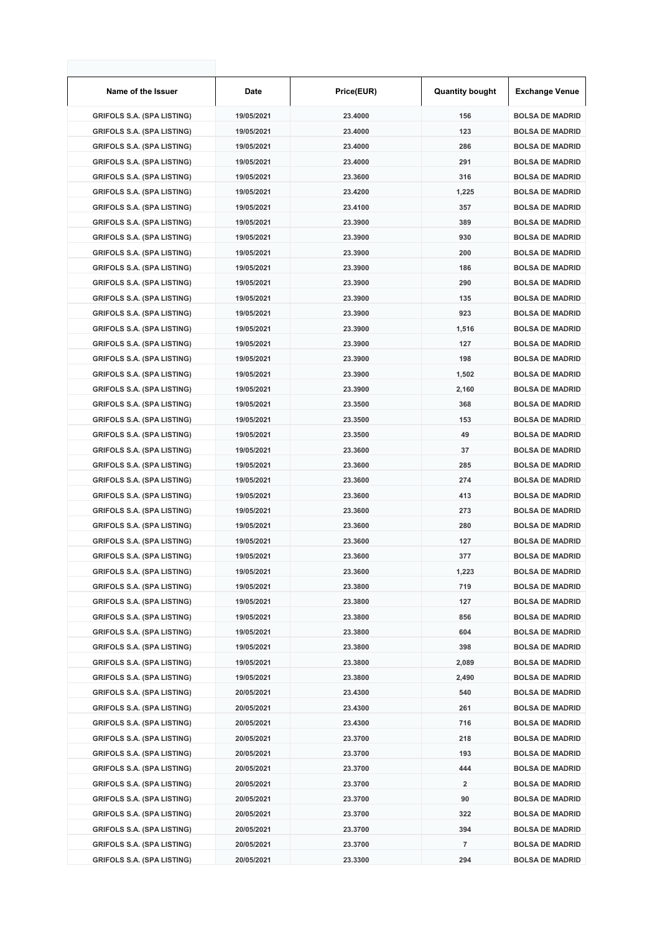| Name of the Issuer                | <b>Date</b> | Price(EUR) | <b>Quantity bought</b> | <b>Exchange Venue</b>  |
|-----------------------------------|-------------|------------|------------------------|------------------------|
| <b>GRIFOLS S.A. (SPA LISTING)</b> | 19/05/2021  | 23.4000    | 156                    | <b>BOLSA DE MADRID</b> |
| <b>GRIFOLS S.A. (SPA LISTING)</b> | 19/05/2021  | 23.4000    | 123                    | <b>BOLSA DE MADRID</b> |
| <b>GRIFOLS S.A. (SPA LISTING)</b> | 19/05/2021  | 23.4000    | 286                    | <b>BOLSA DE MADRID</b> |
| <b>GRIFOLS S.A. (SPA LISTING)</b> | 19/05/2021  | 23.4000    | 291                    | <b>BOLSA DE MADRID</b> |
| <b>GRIFOLS S.A. (SPA LISTING)</b> | 19/05/2021  | 23.3600    | 316                    | <b>BOLSA DE MADRID</b> |
| <b>GRIFOLS S.A. (SPA LISTING)</b> | 19/05/2021  | 23.4200    | 1,225                  | <b>BOLSA DE MADRID</b> |
| <b>GRIFOLS S.A. (SPA LISTING)</b> | 19/05/2021  | 23.4100    | 357                    | <b>BOLSA DE MADRID</b> |
| <b>GRIFOLS S.A. (SPA LISTING)</b> | 19/05/2021  | 23.3900    | 389                    | <b>BOLSA DE MADRID</b> |
| <b>GRIFOLS S.A. (SPA LISTING)</b> | 19/05/2021  | 23.3900    | 930                    | <b>BOLSA DE MADRID</b> |
| <b>GRIFOLS S.A. (SPA LISTING)</b> | 19/05/2021  | 23.3900    | 200                    | <b>BOLSA DE MADRID</b> |
| <b>GRIFOLS S.A. (SPA LISTING)</b> | 19/05/2021  | 23.3900    | 186                    | <b>BOLSA DE MADRID</b> |
| <b>GRIFOLS S.A. (SPA LISTING)</b> | 19/05/2021  | 23.3900    | 290                    | <b>BOLSA DE MADRID</b> |
| <b>GRIFOLS S.A. (SPA LISTING)</b> | 19/05/2021  | 23.3900    | 135                    | <b>BOLSA DE MADRID</b> |
| <b>GRIFOLS S.A. (SPA LISTING)</b> | 19/05/2021  | 23.3900    | 923                    | <b>BOLSA DE MADRID</b> |
| <b>GRIFOLS S.A. (SPA LISTING)</b> | 19/05/2021  | 23.3900    | 1,516                  | <b>BOLSA DE MADRID</b> |
| <b>GRIFOLS S.A. (SPA LISTING)</b> | 19/05/2021  | 23.3900    | 127                    | <b>BOLSA DE MADRID</b> |
| <b>GRIFOLS S.A. (SPA LISTING)</b> | 19/05/2021  | 23.3900    | 198                    | <b>BOLSA DE MADRID</b> |
| <b>GRIFOLS S.A. (SPA LISTING)</b> | 19/05/2021  | 23.3900    | 1,502                  | <b>BOLSA DE MADRID</b> |
| <b>GRIFOLS S.A. (SPA LISTING)</b> | 19/05/2021  | 23.3900    | 2,160                  | <b>BOLSA DE MADRID</b> |
| <b>GRIFOLS S.A. (SPA LISTING)</b> | 19/05/2021  | 23.3500    | 368                    | <b>BOLSA DE MADRID</b> |
| <b>GRIFOLS S.A. (SPA LISTING)</b> | 19/05/2021  | 23.3500    | 153                    | <b>BOLSA DE MADRID</b> |
| <b>GRIFOLS S.A. (SPA LISTING)</b> | 19/05/2021  | 23.3500    | 49                     | <b>BOLSA DE MADRID</b> |
| <b>GRIFOLS S.A. (SPA LISTING)</b> | 19/05/2021  | 23.3600    | 37                     | <b>BOLSA DE MADRID</b> |
| <b>GRIFOLS S.A. (SPA LISTING)</b> | 19/05/2021  | 23.3600    | 285                    | <b>BOLSA DE MADRID</b> |
| <b>GRIFOLS S.A. (SPA LISTING)</b> | 19/05/2021  | 23.3600    | 274                    | <b>BOLSA DE MADRID</b> |
| <b>GRIFOLS S.A. (SPA LISTING)</b> | 19/05/2021  | 23.3600    | 413                    | <b>BOLSA DE MADRID</b> |
| <b>GRIFOLS S.A. (SPA LISTING)</b> | 19/05/2021  | 23.3600    | 273                    | <b>BOLSA DE MADRID</b> |
| <b>GRIFOLS S.A. (SPA LISTING)</b> | 19/05/2021  | 23.3600    | 280                    | <b>BOLSA DE MADRID</b> |
| <b>GRIFOLS S.A. (SPA LISTING)</b> | 19/05/2021  | 23.3600    | 127                    | <b>BOLSA DE MADRID</b> |
| <b>GRIFOLS S.A. (SPA LISTING)</b> | 19/05/2021  | 23.3600    | 377                    | <b>BOLSA DE MADRID</b> |
| <b>GRIFOLS S.A. (SPA LISTING)</b> | 19/05/2021  | 23.3600    | 1,223                  | <b>BOLSA DE MADRID</b> |
| <b>GRIFOLS S.A. (SPA LISTING)</b> | 19/05/2021  | 23.3800    | 719                    | <b>BOLSA DE MADRID</b> |
| <b>GRIFOLS S.A. (SPA LISTING)</b> | 19/05/2021  | 23.3800    | 127                    | <b>BOLSA DE MADRID</b> |
| <b>GRIFOLS S.A. (SPA LISTING)</b> | 19/05/2021  | 23.3800    | 856                    | <b>BOLSA DE MADRID</b> |
| <b>GRIFOLS S.A. (SPA LISTING)</b> | 19/05/2021  | 23.3800    | 604                    | <b>BOLSA DE MADRID</b> |
| <b>GRIFOLS S.A. (SPA LISTING)</b> | 19/05/2021  | 23.3800    | 398                    | <b>BOLSA DE MADRID</b> |
| <b>GRIFOLS S.A. (SPA LISTING)</b> | 19/05/2021  | 23.3800    | 2,089                  | <b>BOLSA DE MADRID</b> |
| <b>GRIFOLS S.A. (SPA LISTING)</b> | 19/05/2021  | 23.3800    | 2,490                  | <b>BOLSA DE MADRID</b> |
| <b>GRIFOLS S.A. (SPA LISTING)</b> | 20/05/2021  | 23.4300    | 540                    | <b>BOLSA DE MADRID</b> |
| <b>GRIFOLS S.A. (SPA LISTING)</b> | 20/05/2021  | 23.4300    | 261                    | <b>BOLSA DE MADRID</b> |
| <b>GRIFOLS S.A. (SPA LISTING)</b> | 20/05/2021  | 23.4300    | 716                    | <b>BOLSA DE MADRID</b> |
| <b>GRIFOLS S.A. (SPA LISTING)</b> | 20/05/2021  | 23.3700    | 218                    | <b>BOLSA DE MADRID</b> |
| <b>GRIFOLS S.A. (SPA LISTING)</b> | 20/05/2021  | 23.3700    | 193                    | <b>BOLSA DE MADRID</b> |
| <b>GRIFOLS S.A. (SPA LISTING)</b> | 20/05/2021  | 23.3700    | 444                    | <b>BOLSA DE MADRID</b> |
| <b>GRIFOLS S.A. (SPA LISTING)</b> | 20/05/2021  | 23.3700    | 2                      | <b>BOLSA DE MADRID</b> |
| <b>GRIFOLS S.A. (SPA LISTING)</b> | 20/05/2021  | 23.3700    | 90                     | <b>BOLSA DE MADRID</b> |
| <b>GRIFOLS S.A. (SPA LISTING)</b> | 20/05/2021  | 23.3700    | 322                    | <b>BOLSA DE MADRID</b> |
| <b>GRIFOLS S.A. (SPA LISTING)</b> | 20/05/2021  | 23.3700    | 394                    | <b>BOLSA DE MADRID</b> |
| <b>GRIFOLS S.A. (SPA LISTING)</b> | 20/05/2021  | 23.3700    | 7                      | <b>BOLSA DE MADRID</b> |
| <b>GRIFOLS S.A. (SPA LISTING)</b> | 20/05/2021  | 23.3300    | 294                    | <b>BOLSA DE MADRID</b> |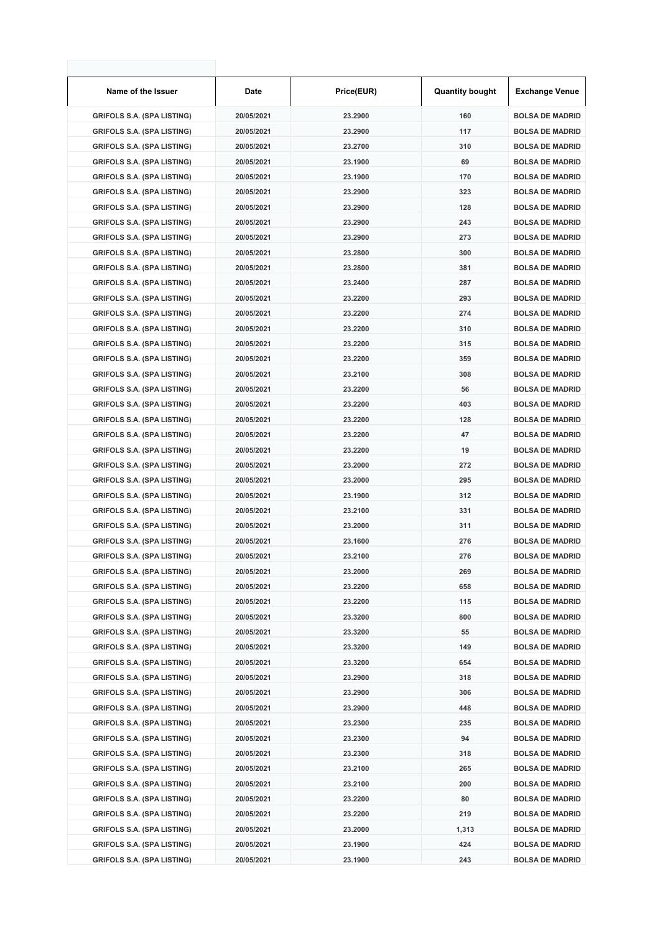| Name of the Issuer                | Date       | Price(EUR) | <b>Quantity bought</b> | <b>Exchange Venue</b>  |
|-----------------------------------|------------|------------|------------------------|------------------------|
| <b>GRIFOLS S.A. (SPA LISTING)</b> | 20/05/2021 | 23.2900    | 160                    | <b>BOLSA DE MADRID</b> |
| <b>GRIFOLS S.A. (SPA LISTING)</b> | 20/05/2021 | 23.2900    | 117                    | <b>BOLSA DE MADRID</b> |
| <b>GRIFOLS S.A. (SPA LISTING)</b> | 20/05/2021 | 23.2700    | 310                    | <b>BOLSA DE MADRID</b> |
| <b>GRIFOLS S.A. (SPA LISTING)</b> | 20/05/2021 | 23.1900    | 69                     | <b>BOLSA DE MADRID</b> |
| <b>GRIFOLS S.A. (SPA LISTING)</b> | 20/05/2021 | 23.1900    | 170                    | <b>BOLSA DE MADRID</b> |
| <b>GRIFOLS S.A. (SPA LISTING)</b> | 20/05/2021 | 23.2900    | 323                    | <b>BOLSA DE MADRID</b> |
| <b>GRIFOLS S.A. (SPA LISTING)</b> | 20/05/2021 | 23.2900    | 128                    | <b>BOLSA DE MADRID</b> |
| <b>GRIFOLS S.A. (SPA LISTING)</b> | 20/05/2021 | 23.2900    | 243                    | <b>BOLSA DE MADRID</b> |
| <b>GRIFOLS S.A. (SPA LISTING)</b> | 20/05/2021 | 23.2900    | 273                    | <b>BOLSA DE MADRID</b> |
| <b>GRIFOLS S.A. (SPA LISTING)</b> | 20/05/2021 | 23.2800    | 300                    | <b>BOLSA DE MADRID</b> |
| <b>GRIFOLS S.A. (SPA LISTING)</b> | 20/05/2021 | 23.2800    | 381                    | <b>BOLSA DE MADRID</b> |
| <b>GRIFOLS S.A. (SPA LISTING)</b> | 20/05/2021 | 23.2400    | 287                    | <b>BOLSA DE MADRID</b> |
| <b>GRIFOLS S.A. (SPA LISTING)</b> | 20/05/2021 | 23.2200    | 293                    | <b>BOLSA DE MADRID</b> |
| <b>GRIFOLS S.A. (SPA LISTING)</b> | 20/05/2021 | 23.2200    | 274                    | <b>BOLSA DE MADRID</b> |
| <b>GRIFOLS S.A. (SPA LISTING)</b> | 20/05/2021 | 23.2200    | 310                    | <b>BOLSA DE MADRID</b> |
| <b>GRIFOLS S.A. (SPA LISTING)</b> | 20/05/2021 | 23.2200    | 315                    | <b>BOLSA DE MADRID</b> |
| <b>GRIFOLS S.A. (SPA LISTING)</b> | 20/05/2021 | 23.2200    | 359                    | <b>BOLSA DE MADRID</b> |
| <b>GRIFOLS S.A. (SPA LISTING)</b> | 20/05/2021 | 23.2100    | 308                    | <b>BOLSA DE MADRID</b> |
| <b>GRIFOLS S.A. (SPA LISTING)</b> | 20/05/2021 | 23.2200    | 56                     | <b>BOLSA DE MADRID</b> |
| <b>GRIFOLS S.A. (SPA LISTING)</b> | 20/05/2021 | 23.2200    | 403                    | <b>BOLSA DE MADRID</b> |
| <b>GRIFOLS S.A. (SPA LISTING)</b> | 20/05/2021 | 23.2200    | 128                    | <b>BOLSA DE MADRID</b> |
| <b>GRIFOLS S.A. (SPA LISTING)</b> | 20/05/2021 | 23.2200    | 47                     | <b>BOLSA DE MADRID</b> |
| <b>GRIFOLS S.A. (SPA LISTING)</b> | 20/05/2021 | 23.2200    | 19                     | <b>BOLSA DE MADRID</b> |
| <b>GRIFOLS S.A. (SPA LISTING)</b> | 20/05/2021 | 23.2000    | 272                    | <b>BOLSA DE MADRID</b> |
| <b>GRIFOLS S.A. (SPA LISTING)</b> | 20/05/2021 | 23.2000    | 295                    | <b>BOLSA DE MADRID</b> |
| <b>GRIFOLS S.A. (SPA LISTING)</b> | 20/05/2021 | 23.1900    | 312                    | <b>BOLSA DE MADRID</b> |
| <b>GRIFOLS S.A. (SPA LISTING)</b> | 20/05/2021 | 23.2100    | 331                    | <b>BOLSA DE MADRID</b> |
| <b>GRIFOLS S.A. (SPA LISTING)</b> | 20/05/2021 | 23.2000    | 311                    | <b>BOLSA DE MADRID</b> |
| <b>GRIFOLS S.A. (SPA LISTING)</b> | 20/05/2021 | 23.1600    | 276                    | <b>BOLSA DE MADRID</b> |
| <b>GRIFOLS S.A. (SPA LISTING)</b> | 20/05/2021 | 23.2100    | 276                    | <b>BOLSA DE MADRID</b> |
| <b>GRIFOLS S.A. (SPA LISTING)</b> | 20/05/2021 | 23.2000    | 269                    | <b>BOLSA DE MADRID</b> |
| <b>GRIFOLS S.A. (SPA LISTING)</b> | 20/05/2021 | 23.2200    | 658                    | <b>BOLSA DE MADRID</b> |
| <b>GRIFOLS S.A. (SPA LISTING)</b> | 20/05/2021 | 23.2200    | 115                    | <b>BOLSA DE MADRID</b> |
| <b>GRIFOLS S.A. (SPA LISTING)</b> | 20/05/2021 | 23.3200    | 800                    | <b>BOLSA DE MADRID</b> |
| <b>GRIFOLS S.A. (SPA LISTING)</b> | 20/05/2021 | 23.3200    | 55                     | <b>BOLSA DE MADRID</b> |
| <b>GRIFOLS S.A. (SPA LISTING)</b> | 20/05/2021 | 23.3200    | 149                    | <b>BOLSA DE MADRID</b> |
| <b>GRIFOLS S.A. (SPA LISTING)</b> | 20/05/2021 | 23.3200    | 654                    | <b>BOLSA DE MADRID</b> |
| <b>GRIFOLS S.A. (SPA LISTING)</b> | 20/05/2021 | 23.2900    | 318                    | <b>BOLSA DE MADRID</b> |
| <b>GRIFOLS S.A. (SPA LISTING)</b> | 20/05/2021 | 23.2900    | 306                    | <b>BOLSA DE MADRID</b> |
| <b>GRIFOLS S.A. (SPA LISTING)</b> | 20/05/2021 | 23.2900    | 448                    | <b>BOLSA DE MADRID</b> |
| <b>GRIFOLS S.A. (SPA LISTING)</b> | 20/05/2021 | 23.2300    | 235                    | <b>BOLSA DE MADRID</b> |
| <b>GRIFOLS S.A. (SPA LISTING)</b> | 20/05/2021 | 23.2300    | 94                     | <b>BOLSA DE MADRID</b> |
| <b>GRIFOLS S.A. (SPA LISTING)</b> | 20/05/2021 | 23.2300    | 318                    | <b>BOLSA DE MADRID</b> |
| <b>GRIFOLS S.A. (SPA LISTING)</b> | 20/05/2021 | 23.2100    | 265                    | <b>BOLSA DE MADRID</b> |
| <b>GRIFOLS S.A. (SPA LISTING)</b> | 20/05/2021 | 23.2100    | 200                    | <b>BOLSA DE MADRID</b> |
| <b>GRIFOLS S.A. (SPA LISTING)</b> | 20/05/2021 | 23.2200    | 80                     | <b>BOLSA DE MADRID</b> |
| <b>GRIFOLS S.A. (SPA LISTING)</b> | 20/05/2021 | 23.2200    | 219                    | <b>BOLSA DE MADRID</b> |
| <b>GRIFOLS S.A. (SPA LISTING)</b> | 20/05/2021 | 23.2000    | 1,313                  | <b>BOLSA DE MADRID</b> |
| <b>GRIFOLS S.A. (SPA LISTING)</b> | 20/05/2021 | 23.1900    | 424                    | <b>BOLSA DE MADRID</b> |
| <b>GRIFOLS S.A. (SPA LISTING)</b> | 20/05/2021 | 23.1900    | 243                    | <b>BOLSA DE MADRID</b> |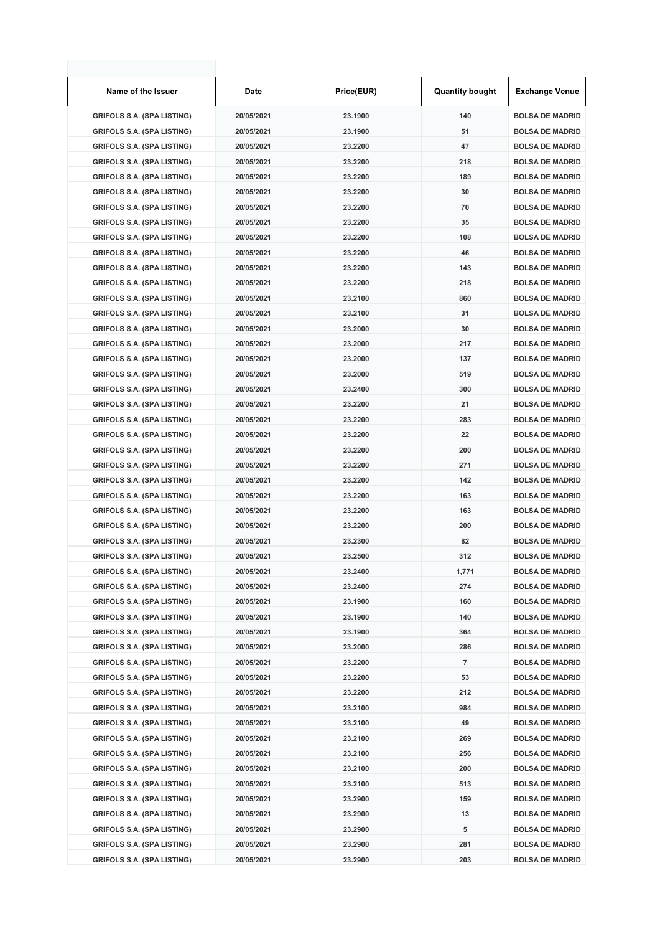| Name of the Issuer                | Date       | Price(EUR) | <b>Quantity bought</b> | <b>Exchange Venue</b>  |
|-----------------------------------|------------|------------|------------------------|------------------------|
| <b>GRIFOLS S.A. (SPA LISTING)</b> | 20/05/2021 | 23.1900    | 140                    | <b>BOLSA DE MADRID</b> |
| <b>GRIFOLS S.A. (SPA LISTING)</b> | 20/05/2021 | 23.1900    | 51                     | <b>BOLSA DE MADRID</b> |
| <b>GRIFOLS S.A. (SPA LISTING)</b> | 20/05/2021 | 23.2200    | 47                     | <b>BOLSA DE MADRID</b> |
| <b>GRIFOLS S.A. (SPA LISTING)</b> | 20/05/2021 | 23.2200    | 218                    | <b>BOLSA DE MADRID</b> |
| <b>GRIFOLS S.A. (SPA LISTING)</b> | 20/05/2021 | 23.2200    | 189                    | <b>BOLSA DE MADRID</b> |
| <b>GRIFOLS S.A. (SPA LISTING)</b> | 20/05/2021 | 23.2200    | 30                     | <b>BOLSA DE MADRID</b> |
| <b>GRIFOLS S.A. (SPA LISTING)</b> | 20/05/2021 | 23.2200    | 70                     | <b>BOLSA DE MADRID</b> |
| <b>GRIFOLS S.A. (SPA LISTING)</b> | 20/05/2021 | 23.2200    | 35                     | <b>BOLSA DE MADRID</b> |
| <b>GRIFOLS S.A. (SPA LISTING)</b> | 20/05/2021 | 23.2200    | 108                    | <b>BOLSA DE MADRID</b> |
| <b>GRIFOLS S.A. (SPA LISTING)</b> | 20/05/2021 | 23.2200    | 46                     | <b>BOLSA DE MADRID</b> |
| <b>GRIFOLS S.A. (SPA LISTING)</b> | 20/05/2021 | 23.2200    | 143                    | <b>BOLSA DE MADRID</b> |
| <b>GRIFOLS S.A. (SPA LISTING)</b> | 20/05/2021 | 23.2200    | 218                    | <b>BOLSA DE MADRID</b> |
| <b>GRIFOLS S.A. (SPA LISTING)</b> | 20/05/2021 | 23.2100    | 860                    | <b>BOLSA DE MADRID</b> |
| <b>GRIFOLS S.A. (SPA LISTING)</b> | 20/05/2021 | 23.2100    | 31                     | <b>BOLSA DE MADRID</b> |
| <b>GRIFOLS S.A. (SPA LISTING)</b> | 20/05/2021 | 23.2000    | 30                     | <b>BOLSA DE MADRID</b> |
| <b>GRIFOLS S.A. (SPA LISTING)</b> | 20/05/2021 | 23.2000    | 217                    | <b>BOLSA DE MADRID</b> |
| <b>GRIFOLS S.A. (SPA LISTING)</b> | 20/05/2021 | 23.2000    | 137                    | <b>BOLSA DE MADRID</b> |
| <b>GRIFOLS S.A. (SPA LISTING)</b> | 20/05/2021 | 23.2000    | 519                    | <b>BOLSA DE MADRID</b> |
| <b>GRIFOLS S.A. (SPA LISTING)</b> | 20/05/2021 | 23.2400    | 300                    | <b>BOLSA DE MADRID</b> |
| <b>GRIFOLS S.A. (SPA LISTING)</b> | 20/05/2021 | 23.2200    | 21                     | <b>BOLSA DE MADRID</b> |
| <b>GRIFOLS S.A. (SPA LISTING)</b> | 20/05/2021 | 23.2200    | 283                    | <b>BOLSA DE MADRID</b> |
| <b>GRIFOLS S.A. (SPA LISTING)</b> | 20/05/2021 | 23.2200    | 22                     | <b>BOLSA DE MADRID</b> |
| <b>GRIFOLS S.A. (SPA LISTING)</b> | 20/05/2021 | 23.2200    | 200                    | <b>BOLSA DE MADRID</b> |
| <b>GRIFOLS S.A. (SPA LISTING)</b> | 20/05/2021 | 23.2200    | 271                    | <b>BOLSA DE MADRID</b> |
| <b>GRIFOLS S.A. (SPA LISTING)</b> | 20/05/2021 | 23.2200    | 142                    | <b>BOLSA DE MADRID</b> |
| <b>GRIFOLS S.A. (SPA LISTING)</b> | 20/05/2021 | 23.2200    | 163                    | <b>BOLSA DE MADRID</b> |
| <b>GRIFOLS S.A. (SPA LISTING)</b> | 20/05/2021 | 23.2200    | 163                    | <b>BOLSA DE MADRID</b> |
| <b>GRIFOLS S.A. (SPA LISTING)</b> | 20/05/2021 | 23.2200    | 200                    | <b>BOLSA DE MADRID</b> |
| <b>GRIFOLS S.A. (SPA LISTING)</b> | 20/05/2021 | 23.2300    | 82                     | <b>BOLSA DE MADRID</b> |
| <b>GRIFOLS S.A. (SPA LISTING)</b> | 20/05/2021 | 23.2500    | 312                    | <b>BOLSA DE MADRID</b> |
| <b>GRIFOLS S.A. (SPA LISTING)</b> | 20/05/2021 | 23.2400    | 1,771                  | <b>BOLSA DE MADRID</b> |
| <b>GRIFOLS S.A. (SPA LISTING)</b> | 20/05/2021 | 23.2400    | 274                    | <b>BOLSA DE MADRID</b> |
| <b>GRIFOLS S.A. (SPA LISTING)</b> | 20/05/2021 | 23.1900    | 160                    | <b>BOLSA DE MADRID</b> |
| <b>GRIFOLS S.A. (SPA LISTING)</b> | 20/05/2021 | 23.1900    | 140                    | <b>BOLSA DE MADRID</b> |
| <b>GRIFOLS S.A. (SPA LISTING)</b> | 20/05/2021 | 23.1900    | 364                    | <b>BOLSA DE MADRID</b> |
| <b>GRIFOLS S.A. (SPA LISTING)</b> | 20/05/2021 | 23.2000    | 286                    | <b>BOLSA DE MADRID</b> |
| <b>GRIFOLS S.A. (SPA LISTING)</b> | 20/05/2021 | 23.2200    | 7                      | <b>BOLSA DE MADRID</b> |
| <b>GRIFOLS S.A. (SPA LISTING)</b> | 20/05/2021 | 23.2200    | 53                     | <b>BOLSA DE MADRID</b> |
| <b>GRIFOLS S.A. (SPA LISTING)</b> | 20/05/2021 | 23.2200    | 212                    | <b>BOLSA DE MADRID</b> |
| <b>GRIFOLS S.A. (SPA LISTING)</b> | 20/05/2021 | 23.2100    | 984                    | <b>BOLSA DE MADRID</b> |
| <b>GRIFOLS S.A. (SPA LISTING)</b> | 20/05/2021 | 23.2100    | 49                     | <b>BOLSA DE MADRID</b> |
| <b>GRIFOLS S.A. (SPA LISTING)</b> | 20/05/2021 | 23.2100    | 269                    | <b>BOLSA DE MADRID</b> |
| <b>GRIFOLS S.A. (SPA LISTING)</b> | 20/05/2021 | 23.2100    | 256                    | <b>BOLSA DE MADRID</b> |
| <b>GRIFOLS S.A. (SPA LISTING)</b> | 20/05/2021 | 23.2100    | 200                    | <b>BOLSA DE MADRID</b> |
| <b>GRIFOLS S.A. (SPA LISTING)</b> | 20/05/2021 | 23.2100    | 513                    | <b>BOLSA DE MADRID</b> |
| <b>GRIFOLS S.A. (SPA LISTING)</b> | 20/05/2021 | 23.2900    | 159                    | <b>BOLSA DE MADRID</b> |
| <b>GRIFOLS S.A. (SPA LISTING)</b> | 20/05/2021 | 23.2900    | 13                     | <b>BOLSA DE MADRID</b> |
| <b>GRIFOLS S.A. (SPA LISTING)</b> | 20/05/2021 | 23.2900    | 5                      | <b>BOLSA DE MADRID</b> |
| <b>GRIFOLS S.A. (SPA LISTING)</b> | 20/05/2021 | 23.2900    | 281                    | <b>BOLSA DE MADRID</b> |
| <b>GRIFOLS S.A. (SPA LISTING)</b> | 20/05/2021 | 23.2900    | 203                    | <b>BOLSA DE MADRID</b> |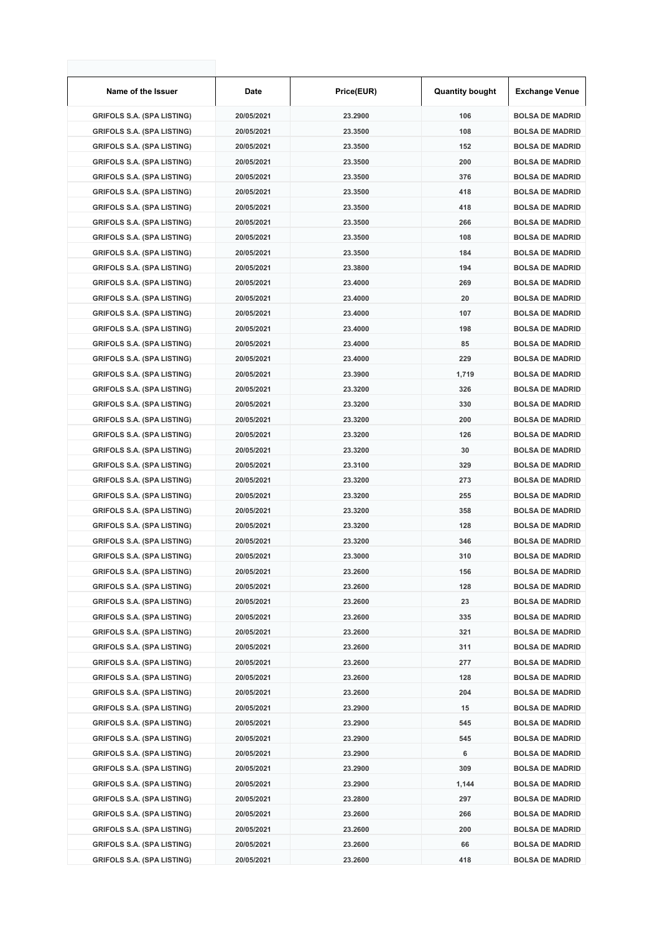| Name of the Issuer                | Date       | Price(EUR) | <b>Quantity bought</b> | <b>Exchange Venue</b>  |
|-----------------------------------|------------|------------|------------------------|------------------------|
| <b>GRIFOLS S.A. (SPA LISTING)</b> | 20/05/2021 | 23.2900    | 106                    | <b>BOLSA DE MADRID</b> |
| <b>GRIFOLS S.A. (SPA LISTING)</b> | 20/05/2021 | 23.3500    | 108                    | <b>BOLSA DE MADRID</b> |
| <b>GRIFOLS S.A. (SPA LISTING)</b> | 20/05/2021 | 23.3500    | 152                    | <b>BOLSA DE MADRID</b> |
| <b>GRIFOLS S.A. (SPA LISTING)</b> | 20/05/2021 | 23.3500    | 200                    | <b>BOLSA DE MADRID</b> |
| <b>GRIFOLS S.A. (SPA LISTING)</b> | 20/05/2021 | 23.3500    | 376                    | <b>BOLSA DE MADRID</b> |
| <b>GRIFOLS S.A. (SPA LISTING)</b> | 20/05/2021 | 23.3500    | 418                    | <b>BOLSA DE MADRID</b> |
| <b>GRIFOLS S.A. (SPA LISTING)</b> | 20/05/2021 | 23.3500    | 418                    | <b>BOLSA DE MADRID</b> |
| <b>GRIFOLS S.A. (SPA LISTING)</b> | 20/05/2021 | 23.3500    | 266                    | <b>BOLSA DE MADRID</b> |
| <b>GRIFOLS S.A. (SPA LISTING)</b> | 20/05/2021 | 23.3500    | 108                    | <b>BOLSA DE MADRID</b> |
| <b>GRIFOLS S.A. (SPA LISTING)</b> | 20/05/2021 | 23.3500    | 184                    | <b>BOLSA DE MADRID</b> |
| <b>GRIFOLS S.A. (SPA LISTING)</b> | 20/05/2021 | 23.3800    | 194                    | <b>BOLSA DE MADRID</b> |
| <b>GRIFOLS S.A. (SPA LISTING)</b> | 20/05/2021 | 23.4000    | 269                    | <b>BOLSA DE MADRID</b> |
| <b>GRIFOLS S.A. (SPA LISTING)</b> | 20/05/2021 | 23.4000    | 20                     | <b>BOLSA DE MADRID</b> |
| <b>GRIFOLS S.A. (SPA LISTING)</b> | 20/05/2021 | 23.4000    | 107                    | <b>BOLSA DE MADRID</b> |
| <b>GRIFOLS S.A. (SPA LISTING)</b> | 20/05/2021 | 23.4000    | 198                    | <b>BOLSA DE MADRID</b> |
| <b>GRIFOLS S.A. (SPA LISTING)</b> | 20/05/2021 | 23.4000    | 85                     | <b>BOLSA DE MADRID</b> |
| <b>GRIFOLS S.A. (SPA LISTING)</b> | 20/05/2021 | 23.4000    | 229                    | <b>BOLSA DE MADRID</b> |
| <b>GRIFOLS S.A. (SPA LISTING)</b> | 20/05/2021 | 23.3900    | 1,719                  | <b>BOLSA DE MADRID</b> |
| <b>GRIFOLS S.A. (SPA LISTING)</b> | 20/05/2021 | 23.3200    | 326                    | <b>BOLSA DE MADRID</b> |
| <b>GRIFOLS S.A. (SPA LISTING)</b> | 20/05/2021 | 23.3200    | 330                    | <b>BOLSA DE MADRID</b> |
| <b>GRIFOLS S.A. (SPA LISTING)</b> | 20/05/2021 | 23.3200    | 200                    | <b>BOLSA DE MADRID</b> |
| <b>GRIFOLS S.A. (SPA LISTING)</b> | 20/05/2021 | 23.3200    | 126                    | <b>BOLSA DE MADRID</b> |
| <b>GRIFOLS S.A. (SPA LISTING)</b> | 20/05/2021 | 23.3200    | 30                     | <b>BOLSA DE MADRID</b> |
| <b>GRIFOLS S.A. (SPA LISTING)</b> | 20/05/2021 | 23.3100    | 329                    | <b>BOLSA DE MADRID</b> |
| <b>GRIFOLS S.A. (SPA LISTING)</b> | 20/05/2021 | 23.3200    | 273                    | <b>BOLSA DE MADRID</b> |
| <b>GRIFOLS S.A. (SPA LISTING)</b> | 20/05/2021 | 23.3200    | 255                    | <b>BOLSA DE MADRID</b> |
| <b>GRIFOLS S.A. (SPA LISTING)</b> | 20/05/2021 | 23.3200    | 358                    | <b>BOLSA DE MADRID</b> |
| <b>GRIFOLS S.A. (SPA LISTING)</b> | 20/05/2021 | 23.3200    | 128                    | <b>BOLSA DE MADRID</b> |
| <b>GRIFOLS S.A. (SPA LISTING)</b> | 20/05/2021 | 23.3200    | 346                    | <b>BOLSA DE MADRID</b> |
| <b>GRIFOLS S.A. (SPA LISTING)</b> | 20/05/2021 | 23.3000    | 310                    | <b>BOLSA DE MADRID</b> |
| <b>GRIFOLS S.A. (SPA LISTING)</b> | 20/05/2021 | 23.2600    | 156                    | <b>BOLSA DE MADRID</b> |
| <b>GRIFOLS S.A. (SPA LISTING)</b> | 20/05/2021 | 23.2600    | 128                    | <b>BOLSA DE MADRID</b> |
| <b>GRIFOLS S.A. (SPA LISTING)</b> | 20/05/2021 | 23.2600    | 23                     | <b>BOLSA DE MADRID</b> |
| <b>GRIFOLS S.A. (SPA LISTING)</b> | 20/05/2021 | 23.2600    | 335                    | <b>BOLSA DE MADRID</b> |
| <b>GRIFOLS S.A. (SPA LISTING)</b> | 20/05/2021 | 23.2600    | 321                    | <b>BOLSA DE MADRID</b> |
| <b>GRIFOLS S.A. (SPA LISTING)</b> | 20/05/2021 | 23.2600    | 311                    | <b>BOLSA DE MADRID</b> |
| <b>GRIFOLS S.A. (SPA LISTING)</b> | 20/05/2021 | 23.2600    | 277                    | <b>BOLSA DE MADRID</b> |
| <b>GRIFOLS S.A. (SPA LISTING)</b> | 20/05/2021 | 23.2600    | 128                    | <b>BOLSA DE MADRID</b> |
| <b>GRIFOLS S.A. (SPA LISTING)</b> | 20/05/2021 | 23.2600    | 204                    | <b>BOLSA DE MADRID</b> |
| <b>GRIFOLS S.A. (SPA LISTING)</b> | 20/05/2021 | 23.2900    | 15                     | <b>BOLSA DE MADRID</b> |
| <b>GRIFOLS S.A. (SPA LISTING)</b> | 20/05/2021 | 23.2900    | 545                    | <b>BOLSA DE MADRID</b> |
| <b>GRIFOLS S.A. (SPA LISTING)</b> | 20/05/2021 | 23.2900    | 545                    | <b>BOLSA DE MADRID</b> |
| <b>GRIFOLS S.A. (SPA LISTING)</b> | 20/05/2021 | 23.2900    | 6                      | <b>BOLSA DE MADRID</b> |
| <b>GRIFOLS S.A. (SPA LISTING)</b> | 20/05/2021 | 23.2900    | 309                    | <b>BOLSA DE MADRID</b> |
| <b>GRIFOLS S.A. (SPA LISTING)</b> | 20/05/2021 | 23.2900    | 1,144                  | <b>BOLSA DE MADRID</b> |
| <b>GRIFOLS S.A. (SPA LISTING)</b> | 20/05/2021 | 23.2800    | 297                    | <b>BOLSA DE MADRID</b> |
| <b>GRIFOLS S.A. (SPA LISTING)</b> | 20/05/2021 | 23.2600    | 266                    | <b>BOLSA DE MADRID</b> |
| <b>GRIFOLS S.A. (SPA LISTING)</b> | 20/05/2021 | 23.2600    | 200                    | <b>BOLSA DE MADRID</b> |
| <b>GRIFOLS S.A. (SPA LISTING)</b> | 20/05/2021 | 23.2600    | 66                     | <b>BOLSA DE MADRID</b> |
| <b>GRIFOLS S.A. (SPA LISTING)</b> | 20/05/2021 | 23.2600    | 418                    | <b>BOLSA DE MADRID</b> |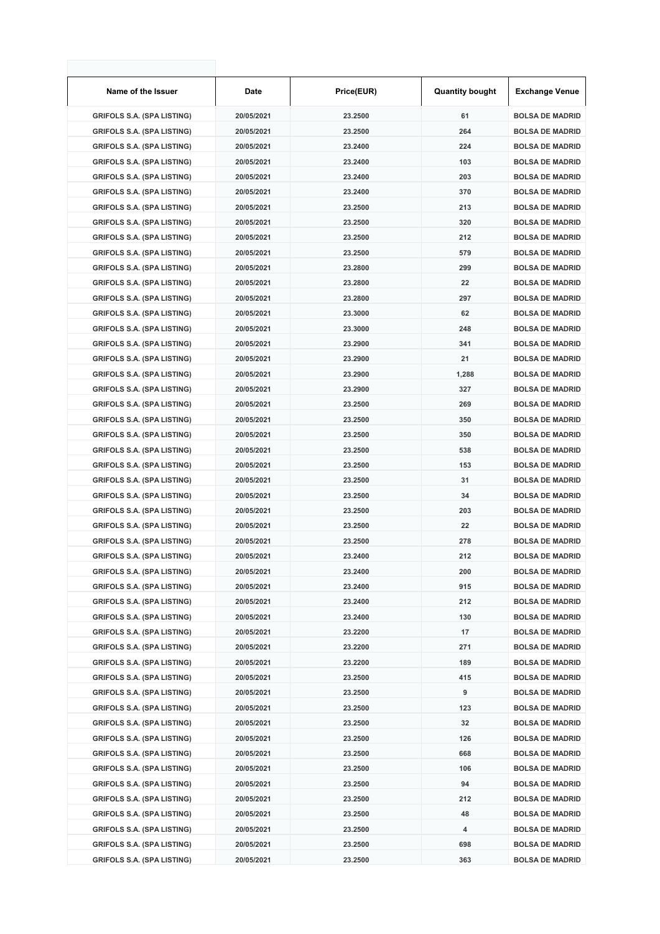| Name of the Issuer                | <b>Date</b> | Price(EUR) | <b>Quantity bought</b> | <b>Exchange Venue</b>  |
|-----------------------------------|-------------|------------|------------------------|------------------------|
| <b>GRIFOLS S.A. (SPA LISTING)</b> | 20/05/2021  | 23.2500    | 61                     | <b>BOLSA DE MADRID</b> |
| <b>GRIFOLS S.A. (SPA LISTING)</b> | 20/05/2021  | 23.2500    | 264                    | <b>BOLSA DE MADRID</b> |
| <b>GRIFOLS S.A. (SPA LISTING)</b> | 20/05/2021  | 23.2400    | 224                    | <b>BOLSA DE MADRID</b> |
| <b>GRIFOLS S.A. (SPA LISTING)</b> | 20/05/2021  | 23.2400    | 103                    | <b>BOLSA DE MADRID</b> |
| <b>GRIFOLS S.A. (SPA LISTING)</b> | 20/05/2021  | 23.2400    | 203                    | <b>BOLSA DE MADRID</b> |
| <b>GRIFOLS S.A. (SPA LISTING)</b> | 20/05/2021  | 23.2400    | 370                    | <b>BOLSA DE MADRID</b> |
| <b>GRIFOLS S.A. (SPA LISTING)</b> | 20/05/2021  | 23.2500    | 213                    | <b>BOLSA DE MADRID</b> |
| <b>GRIFOLS S.A. (SPA LISTING)</b> | 20/05/2021  | 23.2500    | 320                    | <b>BOLSA DE MADRID</b> |
| <b>GRIFOLS S.A. (SPA LISTING)</b> | 20/05/2021  | 23.2500    | 212                    | <b>BOLSA DE MADRID</b> |
| <b>GRIFOLS S.A. (SPA LISTING)</b> | 20/05/2021  | 23.2500    | 579                    | <b>BOLSA DE MADRID</b> |
| <b>GRIFOLS S.A. (SPA LISTING)</b> | 20/05/2021  | 23.2800    | 299                    | <b>BOLSA DE MADRID</b> |
| <b>GRIFOLS S.A. (SPA LISTING)</b> | 20/05/2021  | 23.2800    | 22                     | <b>BOLSA DE MADRID</b> |
| <b>GRIFOLS S.A. (SPA LISTING)</b> | 20/05/2021  | 23.2800    | 297                    | <b>BOLSA DE MADRID</b> |
| <b>GRIFOLS S.A. (SPA LISTING)</b> | 20/05/2021  | 23.3000    | 62                     | <b>BOLSA DE MADRID</b> |
| <b>GRIFOLS S.A. (SPA LISTING)</b> | 20/05/2021  | 23.3000    | 248                    | <b>BOLSA DE MADRID</b> |
| <b>GRIFOLS S.A. (SPA LISTING)</b> | 20/05/2021  | 23.2900    | 341                    | <b>BOLSA DE MADRID</b> |
| <b>GRIFOLS S.A. (SPA LISTING)</b> | 20/05/2021  | 23.2900    | 21                     | <b>BOLSA DE MADRID</b> |
| <b>GRIFOLS S.A. (SPA LISTING)</b> | 20/05/2021  | 23.2900    | 1,288                  | <b>BOLSA DE MADRID</b> |
| <b>GRIFOLS S.A. (SPA LISTING)</b> | 20/05/2021  | 23.2900    | 327                    | <b>BOLSA DE MADRID</b> |
| <b>GRIFOLS S.A. (SPA LISTING)</b> | 20/05/2021  | 23.2500    | 269                    | <b>BOLSA DE MADRID</b> |
| <b>GRIFOLS S.A. (SPA LISTING)</b> | 20/05/2021  | 23.2500    | 350                    | <b>BOLSA DE MADRID</b> |
| <b>GRIFOLS S.A. (SPA LISTING)</b> | 20/05/2021  | 23.2500    | 350                    | <b>BOLSA DE MADRID</b> |
| <b>GRIFOLS S.A. (SPA LISTING)</b> | 20/05/2021  | 23.2500    | 538                    | <b>BOLSA DE MADRID</b> |
| <b>GRIFOLS S.A. (SPA LISTING)</b> | 20/05/2021  | 23.2500    | 153                    | <b>BOLSA DE MADRID</b> |
| <b>GRIFOLS S.A. (SPA LISTING)</b> | 20/05/2021  | 23.2500    | 31                     | <b>BOLSA DE MADRID</b> |
| <b>GRIFOLS S.A. (SPA LISTING)</b> | 20/05/2021  | 23.2500    | 34                     | <b>BOLSA DE MADRID</b> |
| <b>GRIFOLS S.A. (SPA LISTING)</b> | 20/05/2021  | 23.2500    | 203                    | <b>BOLSA DE MADRID</b> |
| <b>GRIFOLS S.A. (SPA LISTING)</b> | 20/05/2021  | 23.2500    | 22                     | <b>BOLSA DE MADRID</b> |
| <b>GRIFOLS S.A. (SPA LISTING)</b> | 20/05/2021  | 23.2500    | 278                    | <b>BOLSA DE MADRID</b> |
| <b>GRIFOLS S.A. (SPA LISTING)</b> | 20/05/2021  | 23.2400    | 212                    | <b>BOLSA DE MADRID</b> |
| <b>GRIFOLS S.A. (SPA LISTING)</b> | 20/05/2021  | 23.2400    | 200                    | <b>BOLSA DE MADRID</b> |
| <b>GRIFOLS S.A. (SPA LISTING)</b> | 20/05/2021  | 23.2400    | 915                    | <b>BOLSA DE MADRID</b> |
| <b>GRIFOLS S.A. (SPA LISTING)</b> | 20/05/2021  | 23.2400    | 212                    | <b>BOLSA DE MADRID</b> |
| <b>GRIFOLS S.A. (SPA LISTING)</b> | 20/05/2021  | 23.2400    | 130                    | <b>BOLSA DE MADRID</b> |
| <b>GRIFOLS S.A. (SPA LISTING)</b> | 20/05/2021  | 23.2200    | 17                     | <b>BOLSA DE MADRID</b> |
| <b>GRIFOLS S.A. (SPA LISTING)</b> | 20/05/2021  | 23.2200    | 271                    | <b>BOLSA DE MADRID</b> |
| <b>GRIFOLS S.A. (SPA LISTING)</b> | 20/05/2021  | 23.2200    | 189                    | <b>BOLSA DE MADRID</b> |
| <b>GRIFOLS S.A. (SPA LISTING)</b> | 20/05/2021  | 23.2500    | 415                    | <b>BOLSA DE MADRID</b> |
| <b>GRIFOLS S.A. (SPA LISTING)</b> | 20/05/2021  | 23.2500    | 9                      | <b>BOLSA DE MADRID</b> |
| <b>GRIFOLS S.A. (SPA LISTING)</b> | 20/05/2021  | 23.2500    | 123                    | <b>BOLSA DE MADRID</b> |
| <b>GRIFOLS S.A. (SPA LISTING)</b> | 20/05/2021  | 23.2500    | 32                     | <b>BOLSA DE MADRID</b> |
| <b>GRIFOLS S.A. (SPA LISTING)</b> | 20/05/2021  | 23.2500    | 126                    | <b>BOLSA DE MADRID</b> |
| <b>GRIFOLS S.A. (SPA LISTING)</b> | 20/05/2021  | 23.2500    | 668                    | <b>BOLSA DE MADRID</b> |
| <b>GRIFOLS S.A. (SPA LISTING)</b> | 20/05/2021  | 23.2500    | 106                    | <b>BOLSA DE MADRID</b> |
| <b>GRIFOLS S.A. (SPA LISTING)</b> | 20/05/2021  | 23.2500    | 94                     | <b>BOLSA DE MADRID</b> |
| <b>GRIFOLS S.A. (SPA LISTING)</b> | 20/05/2021  | 23.2500    | 212                    | <b>BOLSA DE MADRID</b> |
| <b>GRIFOLS S.A. (SPA LISTING)</b> | 20/05/2021  | 23.2500    | 48                     | <b>BOLSA DE MADRID</b> |
| <b>GRIFOLS S.A. (SPA LISTING)</b> | 20/05/2021  | 23.2500    | 4                      | <b>BOLSA DE MADRID</b> |
| <b>GRIFOLS S.A. (SPA LISTING)</b> | 20/05/2021  | 23.2500    | 698                    | <b>BOLSA DE MADRID</b> |
| <b>GRIFOLS S.A. (SPA LISTING)</b> | 20/05/2021  | 23.2500    | 363                    | <b>BOLSA DE MADRID</b> |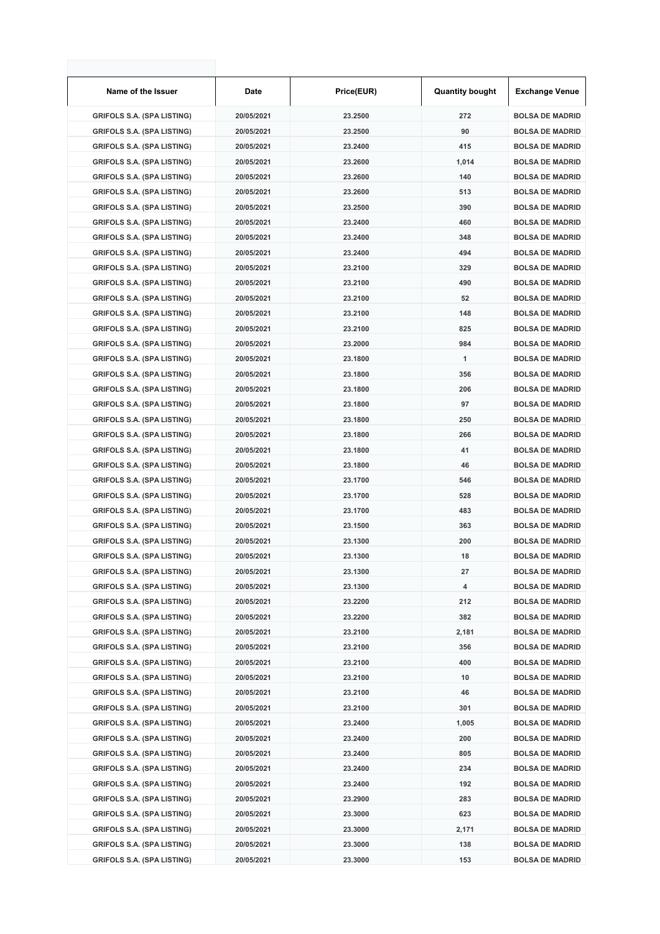| Name of the Issuer                | Date       | Price(EUR) | <b>Quantity bought</b> | <b>Exchange Venue</b>  |
|-----------------------------------|------------|------------|------------------------|------------------------|
| <b>GRIFOLS S.A. (SPA LISTING)</b> | 20/05/2021 | 23.2500    | 272                    | <b>BOLSA DE MADRID</b> |
| <b>GRIFOLS S.A. (SPA LISTING)</b> | 20/05/2021 | 23.2500    | 90                     | <b>BOLSA DE MADRID</b> |
| <b>GRIFOLS S.A. (SPA LISTING)</b> | 20/05/2021 | 23.2400    | 415                    | <b>BOLSA DE MADRID</b> |
| <b>GRIFOLS S.A. (SPA LISTING)</b> | 20/05/2021 | 23.2600    | 1,014                  | <b>BOLSA DE MADRID</b> |
| <b>GRIFOLS S.A. (SPA LISTING)</b> | 20/05/2021 | 23.2600    | 140                    | <b>BOLSA DE MADRID</b> |
| <b>GRIFOLS S.A. (SPA LISTING)</b> | 20/05/2021 | 23.2600    | 513                    | <b>BOLSA DE MADRID</b> |
| <b>GRIFOLS S.A. (SPA LISTING)</b> | 20/05/2021 | 23.2500    | 390                    | <b>BOLSA DE MADRID</b> |
| <b>GRIFOLS S.A. (SPA LISTING)</b> | 20/05/2021 | 23.2400    | 460                    | <b>BOLSA DE MADRID</b> |
| <b>GRIFOLS S.A. (SPA LISTING)</b> | 20/05/2021 | 23.2400    | 348                    | <b>BOLSA DE MADRID</b> |
| <b>GRIFOLS S.A. (SPA LISTING)</b> | 20/05/2021 | 23.2400    | 494                    | <b>BOLSA DE MADRID</b> |
| <b>GRIFOLS S.A. (SPA LISTING)</b> | 20/05/2021 | 23.2100    | 329                    | <b>BOLSA DE MADRID</b> |
| <b>GRIFOLS S.A. (SPA LISTING)</b> | 20/05/2021 | 23.2100    | 490                    | <b>BOLSA DE MADRID</b> |
| <b>GRIFOLS S.A. (SPA LISTING)</b> | 20/05/2021 | 23.2100    | 52                     | <b>BOLSA DE MADRID</b> |
| <b>GRIFOLS S.A. (SPA LISTING)</b> | 20/05/2021 | 23.2100    | 148                    | <b>BOLSA DE MADRID</b> |
| <b>GRIFOLS S.A. (SPA LISTING)</b> | 20/05/2021 | 23.2100    | 825                    | <b>BOLSA DE MADRID</b> |
| <b>GRIFOLS S.A. (SPA LISTING)</b> | 20/05/2021 | 23.2000    | 984                    | <b>BOLSA DE MADRID</b> |
| <b>GRIFOLS S.A. (SPA LISTING)</b> | 20/05/2021 | 23.1800    | 1                      | <b>BOLSA DE MADRID</b> |
| <b>GRIFOLS S.A. (SPA LISTING)</b> | 20/05/2021 | 23.1800    | 356                    | <b>BOLSA DE MADRID</b> |
| <b>GRIFOLS S.A. (SPA LISTING)</b> | 20/05/2021 | 23.1800    | 206                    | <b>BOLSA DE MADRID</b> |
| <b>GRIFOLS S.A. (SPA LISTING)</b> | 20/05/2021 | 23.1800    | 97                     | <b>BOLSA DE MADRID</b> |
| <b>GRIFOLS S.A. (SPA LISTING)</b> | 20/05/2021 | 23.1800    | 250                    | <b>BOLSA DE MADRID</b> |
| <b>GRIFOLS S.A. (SPA LISTING)</b> | 20/05/2021 | 23.1800    | 266                    | <b>BOLSA DE MADRID</b> |
| <b>GRIFOLS S.A. (SPA LISTING)</b> | 20/05/2021 | 23.1800    | 41                     | <b>BOLSA DE MADRID</b> |
| <b>GRIFOLS S.A. (SPA LISTING)</b> | 20/05/2021 | 23.1800    | 46                     | <b>BOLSA DE MADRID</b> |
| <b>GRIFOLS S.A. (SPA LISTING)</b> | 20/05/2021 | 23.1700    | 546                    | <b>BOLSA DE MADRID</b> |
| <b>GRIFOLS S.A. (SPA LISTING)</b> | 20/05/2021 | 23.1700    | 528                    | <b>BOLSA DE MADRID</b> |
| <b>GRIFOLS S.A. (SPA LISTING)</b> | 20/05/2021 | 23.1700    | 483                    | <b>BOLSA DE MADRID</b> |
| <b>GRIFOLS S.A. (SPA LISTING)</b> | 20/05/2021 | 23.1500    | 363                    | <b>BOLSA DE MADRID</b> |
| <b>GRIFOLS S.A. (SPA LISTING)</b> | 20/05/2021 | 23.1300    | 200                    | <b>BOLSA DE MADRID</b> |
| <b>GRIFOLS S.A. (SPA LISTING)</b> | 20/05/2021 | 23.1300    | 18                     | <b>BOLSA DE MADRID</b> |
| <b>GRIFOLS S.A. (SPA LISTING)</b> | 20/05/2021 | 23.1300    | 27                     | <b>BOLSA DE MADRID</b> |
| <b>GRIFOLS S.A. (SPA LISTING)</b> | 20/05/2021 | 23.1300    | 4                      | <b>BOLSA DE MADRID</b> |
| <b>GRIFOLS S.A. (SPA LISTING)</b> | 20/05/2021 | 23.2200    | 212                    | <b>BOLSA DE MADRID</b> |
| <b>GRIFOLS S.A. (SPA LISTING)</b> | 20/05/2021 | 23.2200    | 382                    | <b>BOLSA DE MADRID</b> |
| <b>GRIFOLS S.A. (SPA LISTING)</b> | 20/05/2021 | 23.2100    | 2,181                  | <b>BOLSA DE MADRID</b> |
| <b>GRIFOLS S.A. (SPA LISTING)</b> | 20/05/2021 | 23.2100    | 356                    | <b>BOLSA DE MADRID</b> |
| <b>GRIFOLS S.A. (SPA LISTING)</b> | 20/05/2021 | 23.2100    | 400                    | <b>BOLSA DE MADRID</b> |
| <b>GRIFOLS S.A. (SPA LISTING)</b> | 20/05/2021 | 23.2100    | 10                     | <b>BOLSA DE MADRID</b> |
| <b>GRIFOLS S.A. (SPA LISTING)</b> | 20/05/2021 | 23.2100    | 46                     | <b>BOLSA DE MADRID</b> |
| <b>GRIFOLS S.A. (SPA LISTING)</b> | 20/05/2021 | 23.2100    | 301                    | <b>BOLSA DE MADRID</b> |
| <b>GRIFOLS S.A. (SPA LISTING)</b> | 20/05/2021 | 23.2400    | 1,005                  | <b>BOLSA DE MADRID</b> |
| <b>GRIFOLS S.A. (SPA LISTING)</b> | 20/05/2021 | 23.2400    | 200                    | <b>BOLSA DE MADRID</b> |
| <b>GRIFOLS S.A. (SPA LISTING)</b> | 20/05/2021 | 23.2400    | 805                    | <b>BOLSA DE MADRID</b> |
| <b>GRIFOLS S.A. (SPA LISTING)</b> | 20/05/2021 | 23.2400    | 234                    | <b>BOLSA DE MADRID</b> |
| <b>GRIFOLS S.A. (SPA LISTING)</b> | 20/05/2021 | 23.2400    | 192                    | <b>BOLSA DE MADRID</b> |
| <b>GRIFOLS S.A. (SPA LISTING)</b> | 20/05/2021 | 23.2900    | 283                    | <b>BOLSA DE MADRID</b> |
| <b>GRIFOLS S.A. (SPA LISTING)</b> | 20/05/2021 | 23.3000    | 623                    | <b>BOLSA DE MADRID</b> |
| <b>GRIFOLS S.A. (SPA LISTING)</b> | 20/05/2021 | 23.3000    | 2,171                  | <b>BOLSA DE MADRID</b> |
| <b>GRIFOLS S.A. (SPA LISTING)</b> | 20/05/2021 | 23.3000    | 138                    | <b>BOLSA DE MADRID</b> |
| <b>GRIFOLS S.A. (SPA LISTING)</b> | 20/05/2021 | 23.3000    | 153                    | <b>BOLSA DE MADRID</b> |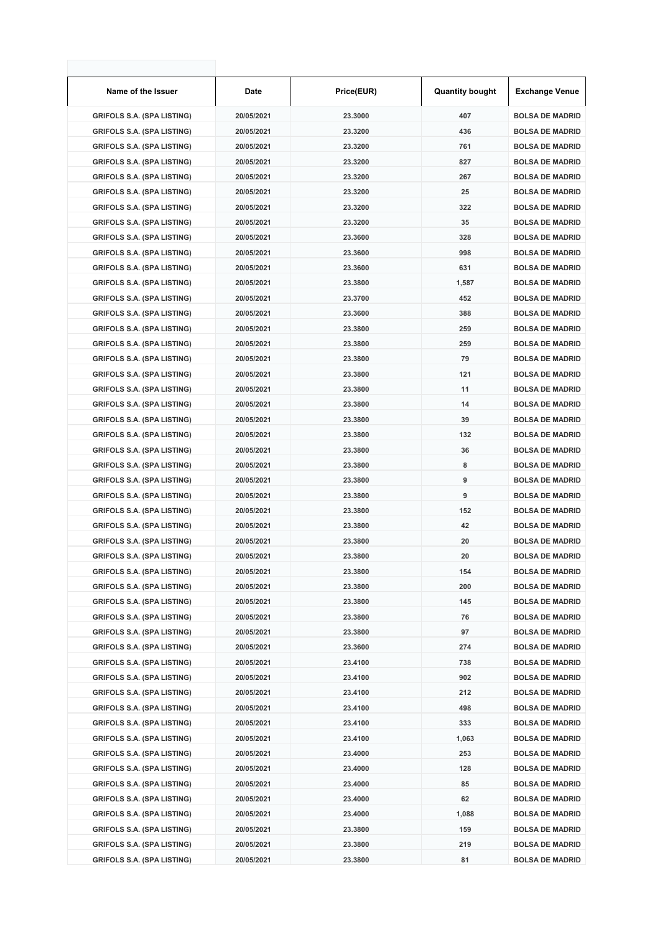| Name of the Issuer                | Date       | Price(EUR) | <b>Quantity bought</b> | <b>Exchange Venue</b>  |
|-----------------------------------|------------|------------|------------------------|------------------------|
| <b>GRIFOLS S.A. (SPA LISTING)</b> | 20/05/2021 | 23.3000    | 407                    | <b>BOLSA DE MADRID</b> |
| <b>GRIFOLS S.A. (SPA LISTING)</b> | 20/05/2021 | 23.3200    | 436                    | <b>BOLSA DE MADRID</b> |
| <b>GRIFOLS S.A. (SPA LISTING)</b> | 20/05/2021 | 23.3200    | 761                    | <b>BOLSA DE MADRID</b> |
| <b>GRIFOLS S.A. (SPA LISTING)</b> | 20/05/2021 | 23.3200    | 827                    | <b>BOLSA DE MADRID</b> |
| <b>GRIFOLS S.A. (SPA LISTING)</b> | 20/05/2021 | 23.3200    | 267                    | <b>BOLSA DE MADRID</b> |
| <b>GRIFOLS S.A. (SPA LISTING)</b> | 20/05/2021 | 23.3200    | 25                     | <b>BOLSA DE MADRID</b> |
| <b>GRIFOLS S.A. (SPA LISTING)</b> | 20/05/2021 | 23.3200    | 322                    | <b>BOLSA DE MADRID</b> |
| <b>GRIFOLS S.A. (SPA LISTING)</b> | 20/05/2021 | 23.3200    | 35                     | <b>BOLSA DE MADRID</b> |
| <b>GRIFOLS S.A. (SPA LISTING)</b> | 20/05/2021 | 23.3600    | 328                    | <b>BOLSA DE MADRID</b> |
| <b>GRIFOLS S.A. (SPA LISTING)</b> | 20/05/2021 | 23.3600    | 998                    | <b>BOLSA DE MADRID</b> |
| <b>GRIFOLS S.A. (SPA LISTING)</b> | 20/05/2021 | 23.3600    | 631                    | <b>BOLSA DE MADRID</b> |
| <b>GRIFOLS S.A. (SPA LISTING)</b> | 20/05/2021 | 23.3800    | 1,587                  | <b>BOLSA DE MADRID</b> |
| <b>GRIFOLS S.A. (SPA LISTING)</b> | 20/05/2021 | 23.3700    | 452                    | <b>BOLSA DE MADRID</b> |
| <b>GRIFOLS S.A. (SPA LISTING)</b> | 20/05/2021 | 23.3600    | 388                    | <b>BOLSA DE MADRID</b> |
| <b>GRIFOLS S.A. (SPA LISTING)</b> | 20/05/2021 | 23.3800    | 259                    | <b>BOLSA DE MADRID</b> |
| <b>GRIFOLS S.A. (SPA LISTING)</b> | 20/05/2021 | 23.3800    | 259                    | <b>BOLSA DE MADRID</b> |
| <b>GRIFOLS S.A. (SPA LISTING)</b> | 20/05/2021 | 23.3800    | 79                     | <b>BOLSA DE MADRID</b> |
| <b>GRIFOLS S.A. (SPA LISTING)</b> | 20/05/2021 | 23.3800    | 121                    | <b>BOLSA DE MADRID</b> |
| <b>GRIFOLS S.A. (SPA LISTING)</b> | 20/05/2021 | 23.3800    | 11                     | <b>BOLSA DE MADRID</b> |
| <b>GRIFOLS S.A. (SPA LISTING)</b> | 20/05/2021 | 23.3800    | 14                     | <b>BOLSA DE MADRID</b> |
| <b>GRIFOLS S.A. (SPA LISTING)</b> | 20/05/2021 | 23.3800    | 39                     | <b>BOLSA DE MADRID</b> |
| <b>GRIFOLS S.A. (SPA LISTING)</b> | 20/05/2021 | 23.3800    | 132                    | <b>BOLSA DE MADRID</b> |
| <b>GRIFOLS S.A. (SPA LISTING)</b> | 20/05/2021 | 23.3800    | 36                     | <b>BOLSA DE MADRID</b> |
| <b>GRIFOLS S.A. (SPA LISTING)</b> | 20/05/2021 | 23.3800    | 8                      | <b>BOLSA DE MADRID</b> |
| <b>GRIFOLS S.A. (SPA LISTING)</b> | 20/05/2021 | 23.3800    | 9                      | <b>BOLSA DE MADRID</b> |
| <b>GRIFOLS S.A. (SPA LISTING)</b> | 20/05/2021 | 23.3800    | 9                      | <b>BOLSA DE MADRID</b> |
| <b>GRIFOLS S.A. (SPA LISTING)</b> | 20/05/2021 | 23.3800    | 152                    | <b>BOLSA DE MADRID</b> |
| <b>GRIFOLS S.A. (SPA LISTING)</b> | 20/05/2021 | 23.3800    | 42                     | <b>BOLSA DE MADRID</b> |
| <b>GRIFOLS S.A. (SPA LISTING)</b> | 20/05/2021 | 23.3800    | 20                     | <b>BOLSA DE MADRID</b> |
| <b>GRIFOLS S.A. (SPA LISTING)</b> | 20/05/2021 | 23.3800    | 20                     | <b>BOLSA DE MADRID</b> |
| <b>GRIFOLS S.A. (SPA LISTING)</b> | 20/05/2021 | 23.3800    | 154                    | <b>BOLSA DE MADRID</b> |
| <b>GRIFOLS S.A. (SPA LISTING)</b> | 20/05/2021 | 23.3800    | 200                    | <b>BOLSA DE MADRID</b> |
| <b>GRIFOLS S.A. (SPA LISTING)</b> | 20/05/2021 | 23.3800    | 145                    | <b>BOLSA DE MADRID</b> |
| <b>GRIFOLS S.A. (SPA LISTING)</b> | 20/05/2021 | 23.3800    | 76                     | <b>BOLSA DE MADRID</b> |
| <b>GRIFOLS S.A. (SPA LISTING)</b> | 20/05/2021 | 23.3800    | 97                     | <b>BOLSA DE MADRID</b> |
| <b>GRIFOLS S.A. (SPA LISTING)</b> | 20/05/2021 | 23.3600    | 274                    | <b>BOLSA DE MADRID</b> |
| <b>GRIFOLS S.A. (SPA LISTING)</b> | 20/05/2021 | 23.4100    | 738                    | <b>BOLSA DE MADRID</b> |
| <b>GRIFOLS S.A. (SPA LISTING)</b> | 20/05/2021 | 23.4100    | 902                    | <b>BOLSA DE MADRID</b> |
| <b>GRIFOLS S.A. (SPA LISTING)</b> | 20/05/2021 | 23.4100    | 212                    | <b>BOLSA DE MADRID</b> |
| <b>GRIFOLS S.A. (SPA LISTING)</b> | 20/05/2021 | 23.4100    | 498                    | <b>BOLSA DE MADRID</b> |
| <b>GRIFOLS S.A. (SPA LISTING)</b> | 20/05/2021 | 23.4100    | 333                    | <b>BOLSA DE MADRID</b> |
| <b>GRIFOLS S.A. (SPA LISTING)</b> | 20/05/2021 | 23.4100    | 1,063                  | <b>BOLSA DE MADRID</b> |
| <b>GRIFOLS S.A. (SPA LISTING)</b> | 20/05/2021 | 23.4000    | 253                    | <b>BOLSA DE MADRID</b> |
| <b>GRIFOLS S.A. (SPA LISTING)</b> | 20/05/2021 | 23.4000    | 128                    | <b>BOLSA DE MADRID</b> |
| <b>GRIFOLS S.A. (SPA LISTING)</b> | 20/05/2021 | 23.4000    | 85                     | <b>BOLSA DE MADRID</b> |
| <b>GRIFOLS S.A. (SPA LISTING)</b> | 20/05/2021 | 23.4000    | 62                     | <b>BOLSA DE MADRID</b> |
| <b>GRIFOLS S.A. (SPA LISTING)</b> | 20/05/2021 | 23.4000    | 1,088                  | <b>BOLSA DE MADRID</b> |
| <b>GRIFOLS S.A. (SPA LISTING)</b> | 20/05/2021 | 23.3800    | 159                    | <b>BOLSA DE MADRID</b> |
| <b>GRIFOLS S.A. (SPA LISTING)</b> | 20/05/2021 | 23.3800    | 219                    | <b>BOLSA DE MADRID</b> |
| <b>GRIFOLS S.A. (SPA LISTING)</b> | 20/05/2021 | 23.3800    | 81                     | <b>BOLSA DE MADRID</b> |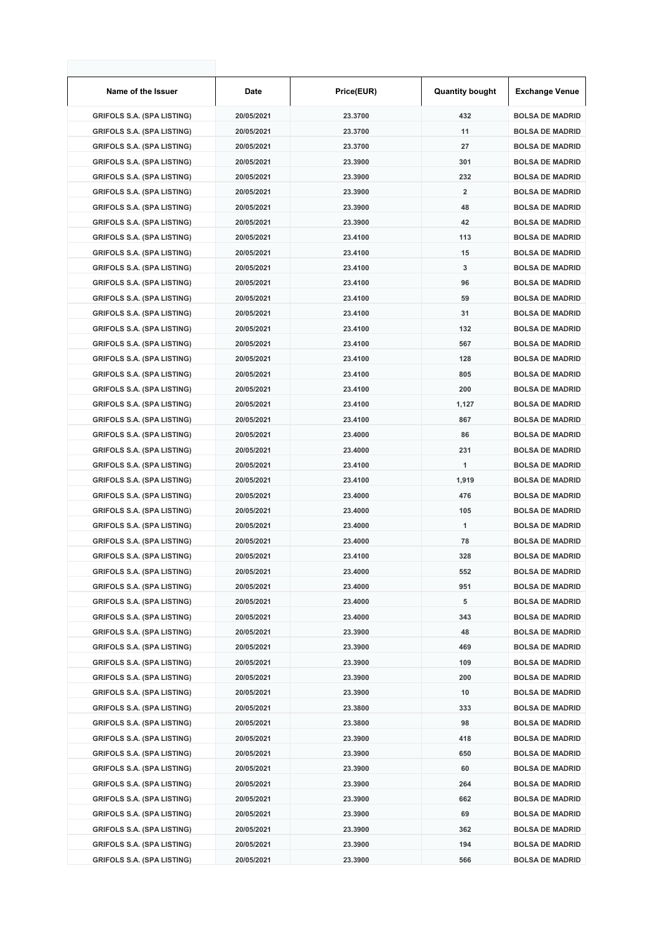| Name of the Issuer                | Date       | Price(EUR) | <b>Quantity bought</b>  | <b>Exchange Venue</b>  |
|-----------------------------------|------------|------------|-------------------------|------------------------|
| <b>GRIFOLS S.A. (SPA LISTING)</b> | 20/05/2021 | 23.3700    | 432                     | <b>BOLSA DE MADRID</b> |
| <b>GRIFOLS S.A. (SPA LISTING)</b> | 20/05/2021 | 23.3700    | 11                      | <b>BOLSA DE MADRID</b> |
| <b>GRIFOLS S.A. (SPA LISTING)</b> | 20/05/2021 | 23.3700    | 27                      | <b>BOLSA DE MADRID</b> |
| <b>GRIFOLS S.A. (SPA LISTING)</b> | 20/05/2021 | 23.3900    | 301                     | <b>BOLSA DE MADRID</b> |
| <b>GRIFOLS S.A. (SPA LISTING)</b> | 20/05/2021 | 23.3900    | 232                     | <b>BOLSA DE MADRID</b> |
| <b>GRIFOLS S.A. (SPA LISTING)</b> | 20/05/2021 | 23.3900    | $\overline{\mathbf{2}}$ | <b>BOLSA DE MADRID</b> |
| <b>GRIFOLS S.A. (SPA LISTING)</b> | 20/05/2021 | 23.3900    | 48                      | <b>BOLSA DE MADRID</b> |
| <b>GRIFOLS S.A. (SPA LISTING)</b> | 20/05/2021 | 23.3900    | 42                      | <b>BOLSA DE MADRID</b> |
| <b>GRIFOLS S.A. (SPA LISTING)</b> | 20/05/2021 | 23.4100    | 113                     | <b>BOLSA DE MADRID</b> |
| <b>GRIFOLS S.A. (SPA LISTING)</b> | 20/05/2021 | 23.4100    | 15                      | <b>BOLSA DE MADRID</b> |
| <b>GRIFOLS S.A. (SPA LISTING)</b> | 20/05/2021 | 23.4100    | 3                       | <b>BOLSA DE MADRID</b> |
| <b>GRIFOLS S.A. (SPA LISTING)</b> | 20/05/2021 | 23.4100    | 96                      | <b>BOLSA DE MADRID</b> |
| <b>GRIFOLS S.A. (SPA LISTING)</b> | 20/05/2021 | 23.4100    | 59                      | <b>BOLSA DE MADRID</b> |
| <b>GRIFOLS S.A. (SPA LISTING)</b> | 20/05/2021 | 23.4100    | 31                      | <b>BOLSA DE MADRID</b> |
| <b>GRIFOLS S.A. (SPA LISTING)</b> | 20/05/2021 | 23.4100    | 132                     | <b>BOLSA DE MADRID</b> |
| <b>GRIFOLS S.A. (SPA LISTING)</b> | 20/05/2021 | 23.4100    | 567                     | <b>BOLSA DE MADRID</b> |
| <b>GRIFOLS S.A. (SPA LISTING)</b> | 20/05/2021 | 23.4100    | 128                     | <b>BOLSA DE MADRID</b> |
| <b>GRIFOLS S.A. (SPA LISTING)</b> | 20/05/2021 | 23.4100    | 805                     | <b>BOLSA DE MADRID</b> |
| <b>GRIFOLS S.A. (SPA LISTING)</b> | 20/05/2021 | 23.4100    | 200                     | <b>BOLSA DE MADRID</b> |
| <b>GRIFOLS S.A. (SPA LISTING)</b> | 20/05/2021 | 23.4100    | 1,127                   | <b>BOLSA DE MADRID</b> |
| <b>GRIFOLS S.A. (SPA LISTING)</b> | 20/05/2021 | 23.4100    | 867                     | <b>BOLSA DE MADRID</b> |
| <b>GRIFOLS S.A. (SPA LISTING)</b> | 20/05/2021 | 23.4000    | 86                      | <b>BOLSA DE MADRID</b> |
| <b>GRIFOLS S.A. (SPA LISTING)</b> | 20/05/2021 | 23.4000    | 231                     | <b>BOLSA DE MADRID</b> |
| <b>GRIFOLS S.A. (SPA LISTING)</b> | 20/05/2021 | 23.4100    | 1                       | <b>BOLSA DE MADRID</b> |
| <b>GRIFOLS S.A. (SPA LISTING)</b> | 20/05/2021 | 23.4100    | 1,919                   | <b>BOLSA DE MADRID</b> |
| <b>GRIFOLS S.A. (SPA LISTING)</b> | 20/05/2021 | 23.4000    | 476                     | <b>BOLSA DE MADRID</b> |
| <b>GRIFOLS S.A. (SPA LISTING)</b> | 20/05/2021 | 23.4000    | 105                     | <b>BOLSA DE MADRID</b> |
| <b>GRIFOLS S.A. (SPA LISTING)</b> | 20/05/2021 | 23.4000    | 1                       | <b>BOLSA DE MADRID</b> |
| <b>GRIFOLS S.A. (SPA LISTING)</b> | 20/05/2021 | 23.4000    | 78                      | <b>BOLSA DE MADRID</b> |
| <b>GRIFOLS S.A. (SPA LISTING)</b> | 20/05/2021 | 23.4100    | 328                     | <b>BOLSA DE MADRID</b> |
| <b>GRIFOLS S.A. (SPA LISTING)</b> | 20/05/2021 | 23.4000    | 552                     | <b>BOLSA DE MADRID</b> |
| <b>GRIFOLS S.A. (SPA LISTING)</b> | 20/05/2021 | 23.4000    | 951                     | <b>BOLSA DE MADRID</b> |
| <b>GRIFOLS S.A. (SPA LISTING)</b> | 20/05/2021 | 23.4000    | 5                       | <b>BOLSA DE MADRID</b> |
| <b>GRIFOLS S.A. (SPA LISTING)</b> | 20/05/2021 | 23.4000    | 343                     | <b>BOLSA DE MADRID</b> |
| <b>GRIFOLS S.A. (SPA LISTING)</b> | 20/05/2021 | 23.3900    | 48                      | <b>BOLSA DE MADRID</b> |
| <b>GRIFOLS S.A. (SPA LISTING)</b> | 20/05/2021 | 23.3900    | 469                     | <b>BOLSA DE MADRID</b> |
| <b>GRIFOLS S.A. (SPA LISTING)</b> | 20/05/2021 | 23.3900    | 109                     | <b>BOLSA DE MADRID</b> |
| <b>GRIFOLS S.A. (SPA LISTING)</b> | 20/05/2021 | 23.3900    | 200                     | <b>BOLSA DE MADRID</b> |
| <b>GRIFOLS S.A. (SPA LISTING)</b> | 20/05/2021 | 23.3900    | 10                      | <b>BOLSA DE MADRID</b> |
| <b>GRIFOLS S.A. (SPA LISTING)</b> | 20/05/2021 | 23.3800    | 333                     | <b>BOLSA DE MADRID</b> |
| <b>GRIFOLS S.A. (SPA LISTING)</b> | 20/05/2021 | 23.3800    | 98                      | <b>BOLSA DE MADRID</b> |
| <b>GRIFOLS S.A. (SPA LISTING)</b> | 20/05/2021 | 23.3900    | 418                     | <b>BOLSA DE MADRID</b> |
| <b>GRIFOLS S.A. (SPA LISTING)</b> | 20/05/2021 | 23.3900    | 650                     | <b>BOLSA DE MADRID</b> |
| <b>GRIFOLS S.A. (SPA LISTING)</b> | 20/05/2021 | 23.3900    | 60                      | <b>BOLSA DE MADRID</b> |
| <b>GRIFOLS S.A. (SPA LISTING)</b> | 20/05/2021 | 23.3900    | 264                     | <b>BOLSA DE MADRID</b> |
| <b>GRIFOLS S.A. (SPA LISTING)</b> | 20/05/2021 | 23.3900    | 662                     | <b>BOLSA DE MADRID</b> |
| <b>GRIFOLS S.A. (SPA LISTING)</b> | 20/05/2021 | 23.3900    | 69                      | <b>BOLSA DE MADRID</b> |
| <b>GRIFOLS S.A. (SPA LISTING)</b> | 20/05/2021 | 23.3900    | 362                     | <b>BOLSA DE MADRID</b> |
| <b>GRIFOLS S.A. (SPA LISTING)</b> | 20/05/2021 | 23.3900    | 194                     | <b>BOLSA DE MADRID</b> |
| <b>GRIFOLS S.A. (SPA LISTING)</b> | 20/05/2021 | 23.3900    | 566                     | <b>BOLSA DE MADRID</b> |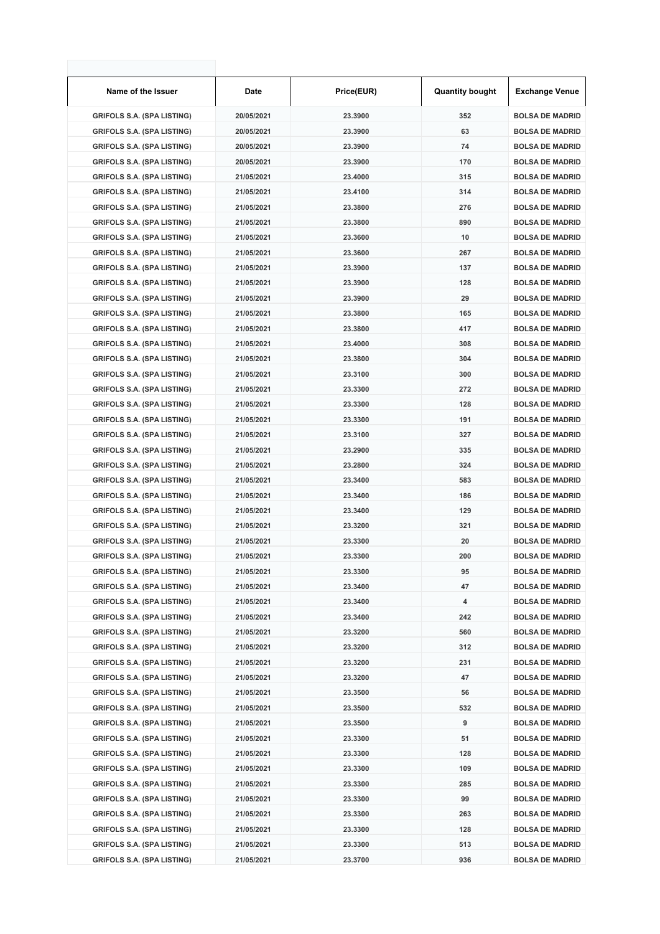| Name of the Issuer                | Date       | Price(EUR) | <b>Quantity bought</b> | <b>Exchange Venue</b>  |
|-----------------------------------|------------|------------|------------------------|------------------------|
| <b>GRIFOLS S.A. (SPA LISTING)</b> | 20/05/2021 | 23.3900    | 352                    | <b>BOLSA DE MADRID</b> |
| <b>GRIFOLS S.A. (SPA LISTING)</b> | 20/05/2021 | 23.3900    | 63                     | <b>BOLSA DE MADRID</b> |
| <b>GRIFOLS S.A. (SPA LISTING)</b> | 20/05/2021 | 23.3900    | 74                     | <b>BOLSA DE MADRID</b> |
| <b>GRIFOLS S.A. (SPA LISTING)</b> | 20/05/2021 | 23.3900    | 170                    | <b>BOLSA DE MADRID</b> |
| <b>GRIFOLS S.A. (SPA LISTING)</b> | 21/05/2021 | 23.4000    | 315                    | <b>BOLSA DE MADRID</b> |
| <b>GRIFOLS S.A. (SPA LISTING)</b> | 21/05/2021 | 23.4100    | 314                    | <b>BOLSA DE MADRID</b> |
| <b>GRIFOLS S.A. (SPA LISTING)</b> | 21/05/2021 | 23.3800    | 276                    | <b>BOLSA DE MADRID</b> |
| <b>GRIFOLS S.A. (SPA LISTING)</b> | 21/05/2021 | 23.3800    | 890                    | <b>BOLSA DE MADRID</b> |
| <b>GRIFOLS S.A. (SPA LISTING)</b> | 21/05/2021 | 23.3600    | 10                     | <b>BOLSA DE MADRID</b> |
| <b>GRIFOLS S.A. (SPA LISTING)</b> | 21/05/2021 | 23.3600    | 267                    | <b>BOLSA DE MADRID</b> |
| <b>GRIFOLS S.A. (SPA LISTING)</b> | 21/05/2021 | 23.3900    | 137                    | <b>BOLSA DE MADRID</b> |
| <b>GRIFOLS S.A. (SPA LISTING)</b> | 21/05/2021 | 23.3900    | 128                    | <b>BOLSA DE MADRID</b> |
| <b>GRIFOLS S.A. (SPA LISTING)</b> | 21/05/2021 | 23.3900    | 29                     | <b>BOLSA DE MADRID</b> |
| <b>GRIFOLS S.A. (SPA LISTING)</b> | 21/05/2021 | 23.3800    | 165                    | <b>BOLSA DE MADRID</b> |
| <b>GRIFOLS S.A. (SPA LISTING)</b> | 21/05/2021 | 23.3800    | 417                    | <b>BOLSA DE MADRID</b> |
| <b>GRIFOLS S.A. (SPA LISTING)</b> | 21/05/2021 | 23.4000    | 308                    | <b>BOLSA DE MADRID</b> |
| <b>GRIFOLS S.A. (SPA LISTING)</b> | 21/05/2021 | 23.3800    | 304                    | <b>BOLSA DE MADRID</b> |
| <b>GRIFOLS S.A. (SPA LISTING)</b> | 21/05/2021 | 23.3100    | 300                    | <b>BOLSA DE MADRID</b> |
| <b>GRIFOLS S.A. (SPA LISTING)</b> | 21/05/2021 | 23.3300    | 272                    | <b>BOLSA DE MADRID</b> |
| <b>GRIFOLS S.A. (SPA LISTING)</b> | 21/05/2021 | 23.3300    | 128                    | <b>BOLSA DE MADRID</b> |
| <b>GRIFOLS S.A. (SPA LISTING)</b> | 21/05/2021 | 23.3300    | 191                    | <b>BOLSA DE MADRID</b> |
| <b>GRIFOLS S.A. (SPA LISTING)</b> | 21/05/2021 | 23.3100    | 327                    | <b>BOLSA DE MADRID</b> |
| <b>GRIFOLS S.A. (SPA LISTING)</b> | 21/05/2021 | 23.2900    | 335                    | <b>BOLSA DE MADRID</b> |
| <b>GRIFOLS S.A. (SPA LISTING)</b> | 21/05/2021 | 23.2800    | 324                    | <b>BOLSA DE MADRID</b> |
| <b>GRIFOLS S.A. (SPA LISTING)</b> | 21/05/2021 | 23.3400    | 583                    | <b>BOLSA DE MADRID</b> |
| <b>GRIFOLS S.A. (SPA LISTING)</b> | 21/05/2021 | 23.3400    | 186                    | <b>BOLSA DE MADRID</b> |
| <b>GRIFOLS S.A. (SPA LISTING)</b> | 21/05/2021 | 23.3400    | 129                    | <b>BOLSA DE MADRID</b> |
| <b>GRIFOLS S.A. (SPA LISTING)</b> | 21/05/2021 | 23.3200    | 321                    | <b>BOLSA DE MADRID</b> |
| <b>GRIFOLS S.A. (SPA LISTING)</b> | 21/05/2021 | 23.3300    | 20                     | <b>BOLSA DE MADRID</b> |
| <b>GRIFOLS S.A. (SPA LISTING)</b> | 21/05/2021 | 23.3300    | 200                    | <b>BOLSA DE MADRID</b> |
| <b>GRIFOLS S.A. (SPA LISTING)</b> | 21/05/2021 | 23.3300    | 95                     | <b>BOLSA DE MADRID</b> |
| <b>GRIFOLS S.A. (SPA LISTING)</b> | 21/05/2021 | 23.3400    | 47                     | <b>BOLSA DE MADRID</b> |
| <b>GRIFOLS S.A. (SPA LISTING)</b> | 21/05/2021 | 23.3400    | 4                      | <b>BOLSA DE MADRID</b> |
| <b>GRIFOLS S.A. (SPA LISTING)</b> | 21/05/2021 | 23.3400    | 242                    | <b>BOLSA DE MADRID</b> |
| <b>GRIFOLS S.A. (SPA LISTING)</b> | 21/05/2021 | 23.3200    | 560                    | <b>BOLSA DE MADRID</b> |
| <b>GRIFOLS S.A. (SPA LISTING)</b> | 21/05/2021 | 23.3200    | 312                    | <b>BOLSA DE MADRID</b> |
| <b>GRIFOLS S.A. (SPA LISTING)</b> | 21/05/2021 | 23.3200    | 231                    | <b>BOLSA DE MADRID</b> |
| <b>GRIFOLS S.A. (SPA LISTING)</b> | 21/05/2021 | 23.3200    | 47                     | <b>BOLSA DE MADRID</b> |
| <b>GRIFOLS S.A. (SPA LISTING)</b> | 21/05/2021 | 23.3500    | 56                     | <b>BOLSA DE MADRID</b> |
| <b>GRIFOLS S.A. (SPA LISTING)</b> | 21/05/2021 | 23.3500    | 532                    | <b>BOLSA DE MADRID</b> |
| <b>GRIFOLS S.A. (SPA LISTING)</b> | 21/05/2021 | 23.3500    | 9                      | <b>BOLSA DE MADRID</b> |
| <b>GRIFOLS S.A. (SPA LISTING)</b> | 21/05/2021 | 23.3300    | 51                     | <b>BOLSA DE MADRID</b> |
| <b>GRIFOLS S.A. (SPA LISTING)</b> | 21/05/2021 | 23.3300    | 128                    | <b>BOLSA DE MADRID</b> |
| <b>GRIFOLS S.A. (SPA LISTING)</b> | 21/05/2021 | 23.3300    | 109                    | <b>BOLSA DE MADRID</b> |
| <b>GRIFOLS S.A. (SPA LISTING)</b> | 21/05/2021 | 23.3300    | 285                    | <b>BOLSA DE MADRID</b> |
| <b>GRIFOLS S.A. (SPA LISTING)</b> | 21/05/2021 | 23.3300    | 99                     | <b>BOLSA DE MADRID</b> |
| <b>GRIFOLS S.A. (SPA LISTING)</b> | 21/05/2021 | 23.3300    | 263                    | <b>BOLSA DE MADRID</b> |
| <b>GRIFOLS S.A. (SPA LISTING)</b> | 21/05/2021 | 23.3300    | 128                    | <b>BOLSA DE MADRID</b> |
| <b>GRIFOLS S.A. (SPA LISTING)</b> | 21/05/2021 | 23.3300    | 513                    | <b>BOLSA DE MADRID</b> |
| <b>GRIFOLS S.A. (SPA LISTING)</b> | 21/05/2021 | 23.3700    | 936                    | <b>BOLSA DE MADRID</b> |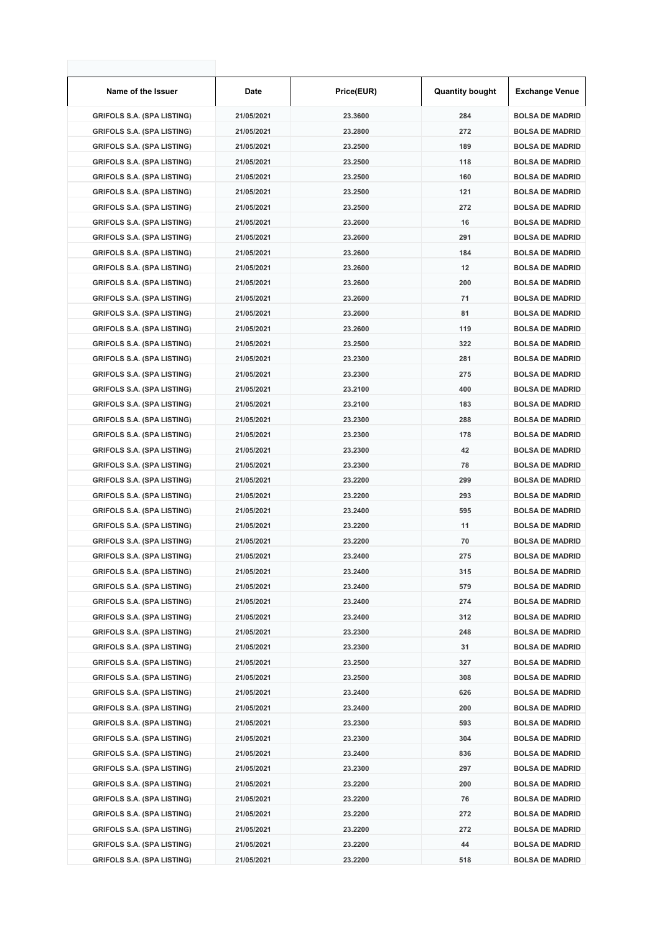| Name of the Issuer                | Date       | Price(EUR) | <b>Quantity bought</b> | <b>Exchange Venue</b>  |
|-----------------------------------|------------|------------|------------------------|------------------------|
| <b>GRIFOLS S.A. (SPA LISTING)</b> | 21/05/2021 | 23.3600    | 284                    | <b>BOLSA DE MADRID</b> |
| <b>GRIFOLS S.A. (SPA LISTING)</b> | 21/05/2021 | 23.2800    | 272                    | <b>BOLSA DE MADRID</b> |
| <b>GRIFOLS S.A. (SPA LISTING)</b> | 21/05/2021 | 23.2500    | 189                    | <b>BOLSA DE MADRID</b> |
| <b>GRIFOLS S.A. (SPA LISTING)</b> | 21/05/2021 | 23.2500    | 118                    | <b>BOLSA DE MADRID</b> |
| <b>GRIFOLS S.A. (SPA LISTING)</b> | 21/05/2021 | 23.2500    | 160                    | <b>BOLSA DE MADRID</b> |
| <b>GRIFOLS S.A. (SPA LISTING)</b> | 21/05/2021 | 23.2500    | 121                    | <b>BOLSA DE MADRID</b> |
| <b>GRIFOLS S.A. (SPA LISTING)</b> | 21/05/2021 | 23.2500    | 272                    | <b>BOLSA DE MADRID</b> |
| <b>GRIFOLS S.A. (SPA LISTING)</b> | 21/05/2021 | 23.2600    | 16                     | <b>BOLSA DE MADRID</b> |
| <b>GRIFOLS S.A. (SPA LISTING)</b> | 21/05/2021 | 23.2600    | 291                    | <b>BOLSA DE MADRID</b> |
| <b>GRIFOLS S.A. (SPA LISTING)</b> | 21/05/2021 | 23.2600    | 184                    | <b>BOLSA DE MADRID</b> |
| <b>GRIFOLS S.A. (SPA LISTING)</b> | 21/05/2021 | 23.2600    | 12                     | <b>BOLSA DE MADRID</b> |
| <b>GRIFOLS S.A. (SPA LISTING)</b> | 21/05/2021 | 23.2600    | 200                    | <b>BOLSA DE MADRID</b> |
| <b>GRIFOLS S.A. (SPA LISTING)</b> | 21/05/2021 | 23.2600    | 71                     | <b>BOLSA DE MADRID</b> |
| <b>GRIFOLS S.A. (SPA LISTING)</b> | 21/05/2021 | 23.2600    | 81                     | <b>BOLSA DE MADRID</b> |
| <b>GRIFOLS S.A. (SPA LISTING)</b> | 21/05/2021 | 23.2600    | 119                    | <b>BOLSA DE MADRID</b> |
| <b>GRIFOLS S.A. (SPA LISTING)</b> | 21/05/2021 | 23.2500    | 322                    | <b>BOLSA DE MADRID</b> |
| <b>GRIFOLS S.A. (SPA LISTING)</b> | 21/05/2021 | 23.2300    | 281                    | <b>BOLSA DE MADRID</b> |
| <b>GRIFOLS S.A. (SPA LISTING)</b> | 21/05/2021 | 23.2300    | 275                    | <b>BOLSA DE MADRID</b> |
| <b>GRIFOLS S.A. (SPA LISTING)</b> | 21/05/2021 | 23.2100    | 400                    | <b>BOLSA DE MADRID</b> |
| <b>GRIFOLS S.A. (SPA LISTING)</b> | 21/05/2021 | 23.2100    | 183                    | <b>BOLSA DE MADRID</b> |
| <b>GRIFOLS S.A. (SPA LISTING)</b> | 21/05/2021 | 23.2300    | 288                    | <b>BOLSA DE MADRID</b> |
| <b>GRIFOLS S.A. (SPA LISTING)</b> | 21/05/2021 | 23.2300    | 178                    | <b>BOLSA DE MADRID</b> |
| <b>GRIFOLS S.A. (SPA LISTING)</b> | 21/05/2021 | 23.2300    | 42                     | <b>BOLSA DE MADRID</b> |
| <b>GRIFOLS S.A. (SPA LISTING)</b> | 21/05/2021 | 23.2300    | 78                     | <b>BOLSA DE MADRID</b> |
| <b>GRIFOLS S.A. (SPA LISTING)</b> | 21/05/2021 | 23.2200    | 299                    | <b>BOLSA DE MADRID</b> |
| <b>GRIFOLS S.A. (SPA LISTING)</b> | 21/05/2021 | 23.2200    | 293                    | <b>BOLSA DE MADRID</b> |
| <b>GRIFOLS S.A. (SPA LISTING)</b> | 21/05/2021 | 23.2400    | 595                    | <b>BOLSA DE MADRID</b> |
| <b>GRIFOLS S.A. (SPA LISTING)</b> | 21/05/2021 | 23.2200    | 11                     | <b>BOLSA DE MADRID</b> |
| <b>GRIFOLS S.A. (SPA LISTING)</b> | 21/05/2021 | 23.2200    | 70                     | <b>BOLSA DE MADRID</b> |
| <b>GRIFOLS S.A. (SPA LISTING)</b> | 21/05/2021 | 23.2400    | 275                    | <b>BOLSA DE MADRID</b> |
| <b>GRIFOLS S.A. (SPA LISTING)</b> | 21/05/2021 | 23.2400    | 315                    | <b>BOLSA DE MADRID</b> |
| <b>GRIFOLS S.A. (SPA LISTING)</b> | 21/05/2021 | 23.2400    | 579                    | <b>BOLSA DE MADRID</b> |
| <b>GRIFOLS S.A. (SPA LISTING)</b> | 21/05/2021 | 23.2400    | 274                    | <b>BOLSA DE MADRID</b> |
| <b>GRIFOLS S.A. (SPA LISTING)</b> | 21/05/2021 | 23.2400    | 312                    | <b>BOLSA DE MADRID</b> |
| <b>GRIFOLS S.A. (SPA LISTING)</b> | 21/05/2021 | 23.2300    | 248                    | <b>BOLSA DE MADRID</b> |
| <b>GRIFOLS S.A. (SPA LISTING)</b> | 21/05/2021 | 23.2300    | 31                     | <b>BOLSA DE MADRID</b> |
| <b>GRIFOLS S.A. (SPA LISTING)</b> | 21/05/2021 | 23.2500    | 327                    | <b>BOLSA DE MADRID</b> |
| <b>GRIFOLS S.A. (SPA LISTING)</b> | 21/05/2021 | 23.2500    | 308                    | <b>BOLSA DE MADRID</b> |
| <b>GRIFOLS S.A. (SPA LISTING)</b> | 21/05/2021 | 23.2400    | 626                    | <b>BOLSA DE MADRID</b> |
| <b>GRIFOLS S.A. (SPA LISTING)</b> | 21/05/2021 | 23.2400    | 200                    | <b>BOLSA DE MADRID</b> |
| <b>GRIFOLS S.A. (SPA LISTING)</b> | 21/05/2021 | 23.2300    | 593                    | <b>BOLSA DE MADRID</b> |
| <b>GRIFOLS S.A. (SPA LISTING)</b> | 21/05/2021 | 23.2300    | 304                    | <b>BOLSA DE MADRID</b> |
| <b>GRIFOLS S.A. (SPA LISTING)</b> | 21/05/2021 | 23.2400    | 836                    | <b>BOLSA DE MADRID</b> |
| <b>GRIFOLS S.A. (SPA LISTING)</b> | 21/05/2021 | 23.2300    | 297                    | <b>BOLSA DE MADRID</b> |
| <b>GRIFOLS S.A. (SPA LISTING)</b> | 21/05/2021 | 23.2200    | 200                    | <b>BOLSA DE MADRID</b> |
| <b>GRIFOLS S.A. (SPA LISTING)</b> | 21/05/2021 | 23.2200    | 76                     | <b>BOLSA DE MADRID</b> |
| <b>GRIFOLS S.A. (SPA LISTING)</b> | 21/05/2021 | 23.2200    | 272                    | <b>BOLSA DE MADRID</b> |
| <b>GRIFOLS S.A. (SPA LISTING)</b> | 21/05/2021 | 23.2200    | 272                    | <b>BOLSA DE MADRID</b> |
| <b>GRIFOLS S.A. (SPA LISTING)</b> | 21/05/2021 | 23.2200    | 44                     | <b>BOLSA DE MADRID</b> |
| <b>GRIFOLS S.A. (SPA LISTING)</b> | 21/05/2021 | 23.2200    | 518                    | <b>BOLSA DE MADRID</b> |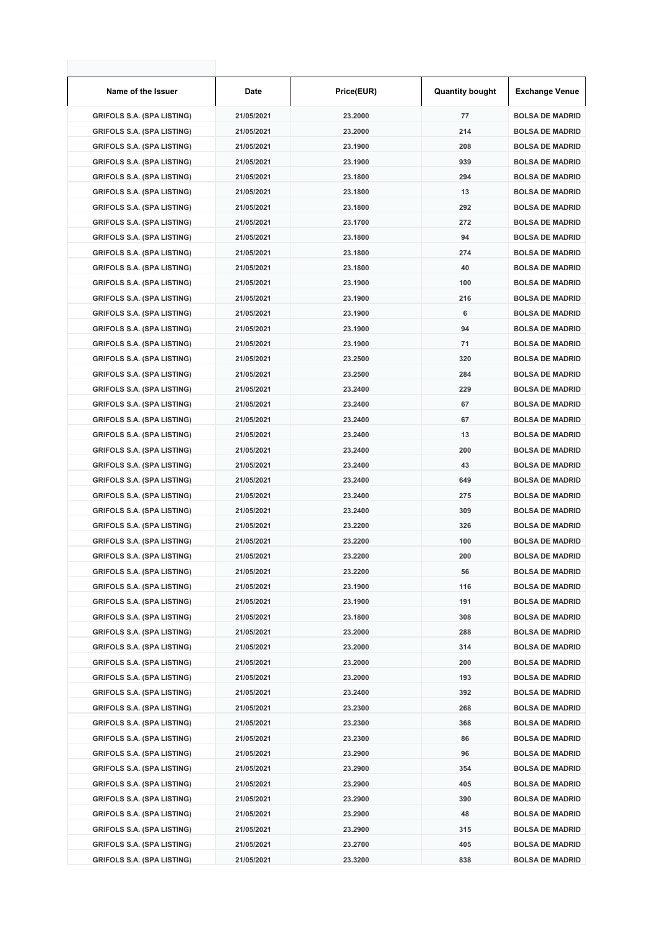| Name of the Issuer                | Date       | Price(EUR) | <b>Quantity bought</b> | <b>Exchange Venue</b>  |
|-----------------------------------|------------|------------|------------------------|------------------------|
| <b>GRIFOLS S.A. (SPA LISTING)</b> | 21/05/2021 | 23.2000    | 77                     | <b>BOLSA DE MADRID</b> |
| <b>GRIFOLS S.A. (SPA LISTING)</b> | 21/05/2021 | 23.2000    | 214                    | <b>BOLSA DE MADRID</b> |
| <b>GRIFOLS S.A. (SPA LISTING)</b> | 21/05/2021 | 23.1900    | 208                    | <b>BOLSA DE MADRID</b> |
| <b>GRIFOLS S.A. (SPA LISTING)</b> | 21/05/2021 | 23.1900    | 939                    | <b>BOLSA DE MADRID</b> |
| <b>GRIFOLS S.A. (SPA LISTING)</b> | 21/05/2021 | 23.1800    | 294                    | <b>BOLSA DE MADRID</b> |
| <b>GRIFOLS S.A. (SPA LISTING)</b> | 21/05/2021 | 23.1800    | 13                     | <b>BOLSA DE MADRID</b> |
| <b>GRIFOLS S.A. (SPA LISTING)</b> | 21/05/2021 | 23.1800    | 292                    | <b>BOLSA DE MADRID</b> |
| <b>GRIFOLS S.A. (SPA LISTING)</b> | 21/05/2021 | 23.1700    | 272                    | <b>BOLSA DE MADRID</b> |
| <b>GRIFOLS S.A. (SPA LISTING)</b> | 21/05/2021 | 23.1800    | 94                     | <b>BOLSA DE MADRID</b> |
| <b>GRIFOLS S.A. (SPA LISTING)</b> | 21/05/2021 | 23.1800    | 274                    | <b>BOLSA DE MADRID</b> |
| <b>GRIFOLS S.A. (SPA LISTING)</b> | 21/05/2021 | 23.1800    | 40                     | <b>BOLSA DE MADRID</b> |
| <b>GRIFOLS S.A. (SPA LISTING)</b> | 21/05/2021 | 23.1900    | 100                    | <b>BOLSA DE MADRID</b> |
| <b>GRIFOLS S.A. (SPA LISTING)</b> | 21/05/2021 | 23.1900    | 216                    | <b>BOLSA DE MADRID</b> |
| <b>GRIFOLS S.A. (SPA LISTING)</b> | 21/05/2021 | 23.1900    | 6                      | <b>BOLSA DE MADRID</b> |
| <b>GRIFOLS S.A. (SPA LISTING)</b> | 21/05/2021 | 23.1900    | 94                     | <b>BOLSA DE MADRID</b> |
| <b>GRIFOLS S.A. (SPA LISTING)</b> | 21/05/2021 | 23.1900    | 71                     | <b>BOLSA DE MADRID</b> |
| <b>GRIFOLS S.A. (SPA LISTING)</b> | 21/05/2021 | 23.2500    | 320                    | <b>BOLSA DE MADRID</b> |
| <b>GRIFOLS S.A. (SPA LISTING)</b> | 21/05/2021 | 23.2500    | 284                    | <b>BOLSA DE MADRID</b> |
| <b>GRIFOLS S.A. (SPA LISTING)</b> | 21/05/2021 | 23.2400    | 229                    | <b>BOLSA DE MADRID</b> |
| <b>GRIFOLS S.A. (SPA LISTING)</b> | 21/05/2021 | 23.2400    | 67                     | <b>BOLSA DE MADRID</b> |
| <b>GRIFOLS S.A. (SPA LISTING)</b> | 21/05/2021 | 23.2400    | 67                     | <b>BOLSA DE MADRID</b> |
| <b>GRIFOLS S.A. (SPA LISTING)</b> | 21/05/2021 | 23.2400    | 13                     | <b>BOLSA DE MADRID</b> |
| <b>GRIFOLS S.A. (SPA LISTING)</b> | 21/05/2021 | 23.2400    | 200                    | <b>BOLSA DE MADRID</b> |
| <b>GRIFOLS S.A. (SPA LISTING)</b> | 21/05/2021 | 23.2400    | 43                     | <b>BOLSA DE MADRID</b> |
| <b>GRIFOLS S.A. (SPA LISTING)</b> | 21/05/2021 | 23.2400    | 649                    | <b>BOLSA DE MADRID</b> |
| <b>GRIFOLS S.A. (SPA LISTING)</b> | 21/05/2021 | 23.2400    | 275                    | <b>BOLSA DE MADRID</b> |
| <b>GRIFOLS S.A. (SPA LISTING)</b> | 21/05/2021 | 23.2400    | 309                    | <b>BOLSA DE MADRID</b> |
| <b>GRIFOLS S.A. (SPA LISTING)</b> | 21/05/2021 | 23.2200    | 326                    | <b>BOLSA DE MADRID</b> |
| <b>GRIFOLS S.A. (SPA LISTING)</b> | 21/05/2021 | 23.2200    | 100                    | <b>BOLSA DE MADRID</b> |
| <b>GRIFOLS S.A. (SPA LISTING)</b> | 21/05/2021 | 23.2200    | 200                    | <b>BOLSA DE MADRID</b> |
| <b>GRIFOLS S.A. (SPA LISTING)</b> | 21/05/2021 | 23.2200    | 56                     | <b>BOLSA DE MADRID</b> |
| <b>GRIFOLS S.A. (SPA LISTING)</b> | 21/05/2021 | 23.1900    | 116                    | <b>BOLSA DE MADRID</b> |
| <b>GRIFOLS S.A. (SPA LISTING)</b> | 21/05/2021 | 23.1900    | 191                    | <b>BOLSA DE MADRID</b> |
| <b>GRIFOLS S.A. (SPA LISTING)</b> | 21/05/2021 | 23.1800    | 308                    | <b>BOLSA DE MADRID</b> |
| <b>GRIFOLS S.A. (SPA LISTING)</b> | 21/05/2021 | 23.2000    | 288                    | <b>BOLSA DE MADRID</b> |
| <b>GRIFOLS S.A. (SPA LISTING)</b> | 21/05/2021 | 23.2000    | 314                    | <b>BOLSA DE MADRID</b> |
| <b>GRIFOLS S.A. (SPA LISTING)</b> | 21/05/2021 | 23.2000    | 200                    | <b>BOLSA DE MADRID</b> |
| <b>GRIFOLS S.A. (SPA LISTING)</b> | 21/05/2021 | 23.2000    | 193                    | <b>BOLSA DE MADRID</b> |
| <b>GRIFOLS S.A. (SPA LISTING)</b> | 21/05/2021 | 23.2400    | 392                    | <b>BOLSA DE MADRID</b> |
| <b>GRIFOLS S.A. (SPA LISTING)</b> | 21/05/2021 | 23.2300    | 268                    | <b>BOLSA DE MADRID</b> |
| <b>GRIFOLS S.A. (SPA LISTING)</b> | 21/05/2021 | 23.2300    | 368                    | <b>BOLSA DE MADRID</b> |
| <b>GRIFOLS S.A. (SPA LISTING)</b> | 21/05/2021 | 23.2300    | 86                     | <b>BOLSA DE MADRID</b> |
| <b>GRIFOLS S.A. (SPA LISTING)</b> | 21/05/2021 | 23.2900    | 96                     | <b>BOLSA DE MADRID</b> |
| <b>GRIFOLS S.A. (SPA LISTING)</b> | 21/05/2021 | 23.2900    | 354                    | <b>BOLSA DE MADRID</b> |
| <b>GRIFOLS S.A. (SPA LISTING)</b> | 21/05/2021 | 23.2900    | 405                    | <b>BOLSA DE MADRID</b> |
| <b>GRIFOLS S.A. (SPA LISTING)</b> | 21/05/2021 | 23.2900    | 390                    | <b>BOLSA DE MADRID</b> |
| <b>GRIFOLS S.A. (SPA LISTING)</b> | 21/05/2021 | 23.2900    | 48                     | <b>BOLSA DE MADRID</b> |
| <b>GRIFOLS S.A. (SPA LISTING)</b> | 21/05/2021 | 23.2900    | 315                    | <b>BOLSA DE MADRID</b> |
| <b>GRIFOLS S.A. (SPA LISTING)</b> | 21/05/2021 | 23.2700    | 405                    | <b>BOLSA DE MADRID</b> |
| <b>GRIFOLS S.A. (SPA LISTING)</b> | 21/05/2021 | 23.3200    | 838                    | <b>BOLSA DE MADRID</b> |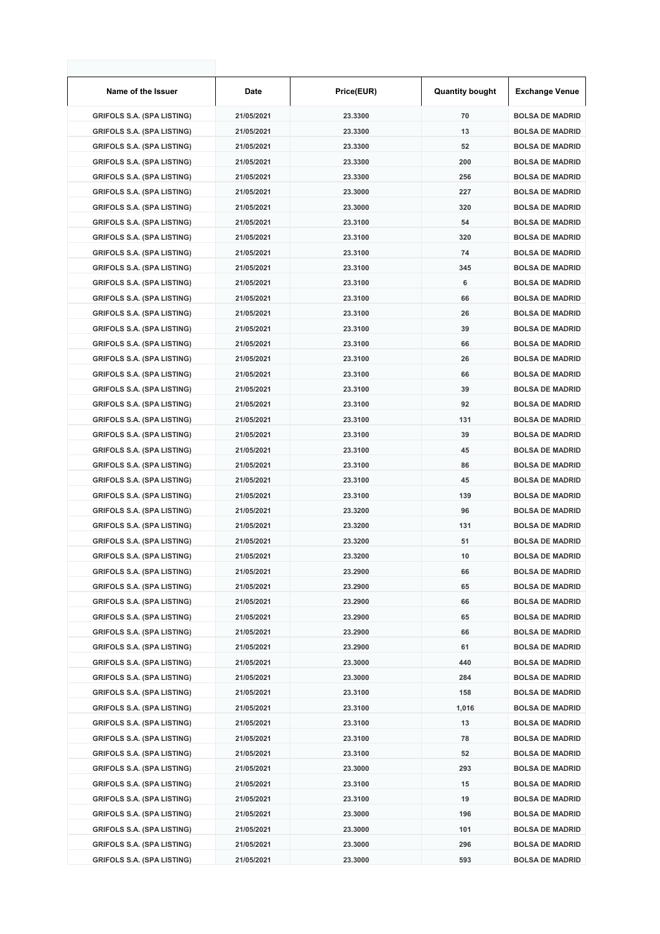| Name of the Issuer                | Date       | Price(EUR) | <b>Quantity bought</b> | <b>Exchange Venue</b>  |
|-----------------------------------|------------|------------|------------------------|------------------------|
| <b>GRIFOLS S.A. (SPA LISTING)</b> | 21/05/2021 | 23.3300    | 70                     | <b>BOLSA DE MADRID</b> |
| <b>GRIFOLS S.A. (SPA LISTING)</b> | 21/05/2021 | 23.3300    | 13                     | <b>BOLSA DE MADRID</b> |
| <b>GRIFOLS S.A. (SPA LISTING)</b> | 21/05/2021 | 23.3300    | 52                     | <b>BOLSA DE MADRID</b> |
| <b>GRIFOLS S.A. (SPA LISTING)</b> | 21/05/2021 | 23.3300    | 200                    | <b>BOLSA DE MADRID</b> |
| <b>GRIFOLS S.A. (SPA LISTING)</b> | 21/05/2021 | 23.3300    | 256                    | <b>BOLSA DE MADRID</b> |
| <b>GRIFOLS S.A. (SPA LISTING)</b> | 21/05/2021 | 23.3000    | 227                    | <b>BOLSA DE MADRID</b> |
| <b>GRIFOLS S.A. (SPA LISTING)</b> | 21/05/2021 | 23.3000    | 320                    | <b>BOLSA DE MADRID</b> |
| <b>GRIFOLS S.A. (SPA LISTING)</b> | 21/05/2021 | 23.3100    | 54                     | <b>BOLSA DE MADRID</b> |
| <b>GRIFOLS S.A. (SPA LISTING)</b> | 21/05/2021 | 23.3100    | 320                    | <b>BOLSA DE MADRID</b> |
| <b>GRIFOLS S.A. (SPA LISTING)</b> | 21/05/2021 | 23.3100    | 74                     | <b>BOLSA DE MADRID</b> |
| <b>GRIFOLS S.A. (SPA LISTING)</b> | 21/05/2021 | 23.3100    | 345                    | <b>BOLSA DE MADRID</b> |
| <b>GRIFOLS S.A. (SPA LISTING)</b> | 21/05/2021 | 23.3100    | 6                      | <b>BOLSA DE MADRID</b> |
| <b>GRIFOLS S.A. (SPA LISTING)</b> | 21/05/2021 | 23.3100    | 66                     | <b>BOLSA DE MADRID</b> |
| <b>GRIFOLS S.A. (SPA LISTING)</b> | 21/05/2021 | 23.3100    | 26                     | <b>BOLSA DE MADRID</b> |
| <b>GRIFOLS S.A. (SPA LISTING)</b> | 21/05/2021 | 23.3100    | 39                     | <b>BOLSA DE MADRID</b> |
| <b>GRIFOLS S.A. (SPA LISTING)</b> | 21/05/2021 | 23.3100    | 66                     | <b>BOLSA DE MADRID</b> |
| <b>GRIFOLS S.A. (SPA LISTING)</b> | 21/05/2021 | 23.3100    | 26                     | <b>BOLSA DE MADRID</b> |
| <b>GRIFOLS S.A. (SPA LISTING)</b> | 21/05/2021 | 23.3100    | 66                     | <b>BOLSA DE MADRID</b> |
| <b>GRIFOLS S.A. (SPA LISTING)</b> | 21/05/2021 | 23.3100    | 39                     | <b>BOLSA DE MADRID</b> |
| <b>GRIFOLS S.A. (SPA LISTING)</b> | 21/05/2021 | 23.3100    | 92                     | <b>BOLSA DE MADRID</b> |
| <b>GRIFOLS S.A. (SPA LISTING)</b> | 21/05/2021 | 23.3100    | 131                    | <b>BOLSA DE MADRID</b> |
| <b>GRIFOLS S.A. (SPA LISTING)</b> | 21/05/2021 | 23.3100    | 39                     | <b>BOLSA DE MADRID</b> |
| <b>GRIFOLS S.A. (SPA LISTING)</b> | 21/05/2021 | 23.3100    | 45                     | <b>BOLSA DE MADRID</b> |
| <b>GRIFOLS S.A. (SPA LISTING)</b> | 21/05/2021 | 23.3100    | 86                     | <b>BOLSA DE MADRID</b> |
| <b>GRIFOLS S.A. (SPA LISTING)</b> | 21/05/2021 | 23.3100    | 45                     | <b>BOLSA DE MADRID</b> |
| <b>GRIFOLS S.A. (SPA LISTING)</b> | 21/05/2021 | 23.3100    | 139                    | <b>BOLSA DE MADRID</b> |
| <b>GRIFOLS S.A. (SPA LISTING)</b> | 21/05/2021 | 23.3200    | 96                     | <b>BOLSA DE MADRID</b> |
| <b>GRIFOLS S.A. (SPA LISTING)</b> | 21/05/2021 | 23.3200    | 131                    | <b>BOLSA DE MADRID</b> |
| <b>GRIFOLS S.A. (SPA LISTING)</b> | 21/05/2021 | 23.3200    | 51                     | <b>BOLSA DE MADRID</b> |
| <b>GRIFOLS S.A. (SPA LISTING)</b> | 21/05/2021 | 23.3200    | 10                     | <b>BOLSA DE MADRID</b> |
| <b>GRIFOLS S.A. (SPA LISTING)</b> | 21/05/2021 | 23.2900    | 66                     | <b>BOLSA DE MADRID</b> |
| <b>GRIFOLS S.A. (SPA LISTING)</b> | 21/05/2021 | 23.2900    | 65                     | <b>BOLSA DE MADRID</b> |
| <b>GRIFOLS S.A. (SPA LISTING)</b> | 21/05/2021 | 23.2900    | 66                     | <b>BOLSA DE MADRID</b> |
| <b>GRIFOLS S.A. (SPA LISTING)</b> | 21/05/2021 | 23.2900    | 65                     | <b>BOLSA DE MADRID</b> |
| <b>GRIFOLS S.A. (SPA LISTING)</b> | 21/05/2021 | 23.2900    | 66                     | <b>BOLSA DE MADRID</b> |
| <b>GRIFOLS S.A. (SPA LISTING)</b> | 21/05/2021 | 23.2900    | 61                     | <b>BOLSA DE MADRID</b> |
| <b>GRIFOLS S.A. (SPA LISTING)</b> | 21/05/2021 | 23.3000    | 440                    | <b>BOLSA DE MADRID</b> |
| <b>GRIFOLS S.A. (SPA LISTING)</b> | 21/05/2021 | 23.3000    | 284                    | <b>BOLSA DE MADRID</b> |
| <b>GRIFOLS S.A. (SPA LISTING)</b> | 21/05/2021 | 23.3100    | 158                    | <b>BOLSA DE MADRID</b> |
| <b>GRIFOLS S.A. (SPA LISTING)</b> | 21/05/2021 | 23.3100    | 1,016                  | <b>BOLSA DE MADRID</b> |
| <b>GRIFOLS S.A. (SPA LISTING)</b> | 21/05/2021 | 23.3100    | 13                     | <b>BOLSA DE MADRID</b> |
| <b>GRIFOLS S.A. (SPA LISTING)</b> | 21/05/2021 | 23.3100    | 78                     | <b>BOLSA DE MADRID</b> |
| <b>GRIFOLS S.A. (SPA LISTING)</b> | 21/05/2021 | 23.3100    | 52                     | <b>BOLSA DE MADRID</b> |
| <b>GRIFOLS S.A. (SPA LISTING)</b> | 21/05/2021 | 23.3000    | 293                    | <b>BOLSA DE MADRID</b> |
| <b>GRIFOLS S.A. (SPA LISTING)</b> | 21/05/2021 | 23.3100    | 15                     | <b>BOLSA DE MADRID</b> |
| <b>GRIFOLS S.A. (SPA LISTING)</b> | 21/05/2021 | 23.3100    | 19                     | <b>BOLSA DE MADRID</b> |
| <b>GRIFOLS S.A. (SPA LISTING)</b> | 21/05/2021 | 23.3000    | 196                    | <b>BOLSA DE MADRID</b> |
| <b>GRIFOLS S.A. (SPA LISTING)</b> | 21/05/2021 | 23.3000    | 101                    | <b>BOLSA DE MADRID</b> |
| <b>GRIFOLS S.A. (SPA LISTING)</b> | 21/05/2021 | 23.3000    | 296                    | <b>BOLSA DE MADRID</b> |
| <b>GRIFOLS S.A. (SPA LISTING)</b> | 21/05/2021 | 23.3000    | 593                    | <b>BOLSA DE MADRID</b> |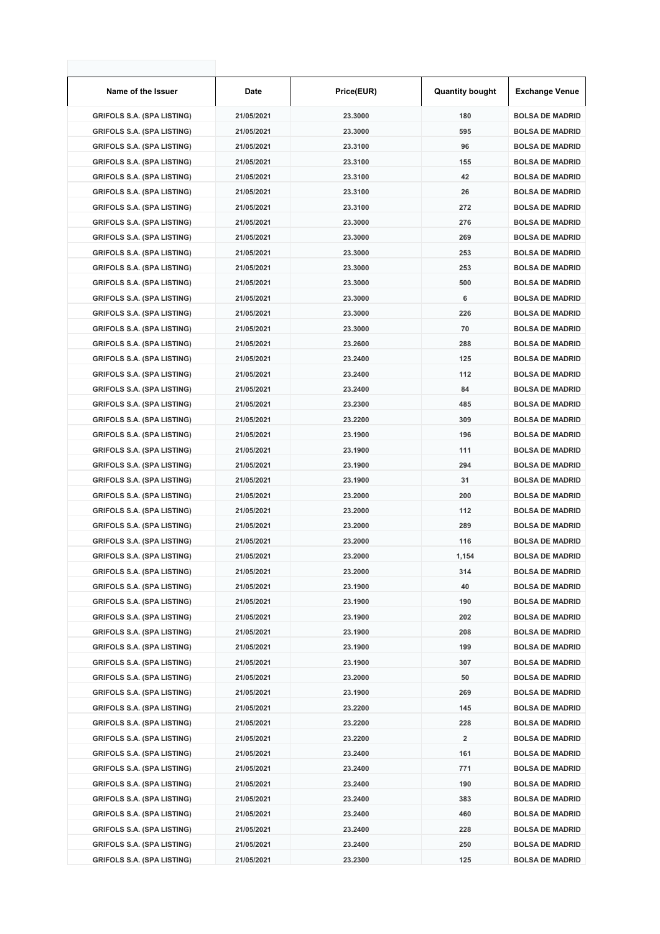| Name of the Issuer                | Date       | Price(EUR) | <b>Quantity bought</b> | <b>Exchange Venue</b>  |
|-----------------------------------|------------|------------|------------------------|------------------------|
| <b>GRIFOLS S.A. (SPA LISTING)</b> | 21/05/2021 | 23.3000    | 180                    | <b>BOLSA DE MADRID</b> |
| <b>GRIFOLS S.A. (SPA LISTING)</b> | 21/05/2021 | 23.3000    | 595                    | <b>BOLSA DE MADRID</b> |
| <b>GRIFOLS S.A. (SPA LISTING)</b> | 21/05/2021 | 23.3100    | 96                     | <b>BOLSA DE MADRID</b> |
| <b>GRIFOLS S.A. (SPA LISTING)</b> | 21/05/2021 | 23.3100    | 155                    | <b>BOLSA DE MADRID</b> |
| <b>GRIFOLS S.A. (SPA LISTING)</b> | 21/05/2021 | 23.3100    | 42                     | <b>BOLSA DE MADRID</b> |
| <b>GRIFOLS S.A. (SPA LISTING)</b> | 21/05/2021 | 23.3100    | 26                     | <b>BOLSA DE MADRID</b> |
| <b>GRIFOLS S.A. (SPA LISTING)</b> | 21/05/2021 | 23.3100    | 272                    | <b>BOLSA DE MADRID</b> |
| <b>GRIFOLS S.A. (SPA LISTING)</b> | 21/05/2021 | 23.3000    | 276                    | <b>BOLSA DE MADRID</b> |
| <b>GRIFOLS S.A. (SPA LISTING)</b> | 21/05/2021 | 23.3000    | 269                    | <b>BOLSA DE MADRID</b> |
| <b>GRIFOLS S.A. (SPA LISTING)</b> | 21/05/2021 | 23.3000    | 253                    | <b>BOLSA DE MADRID</b> |
| <b>GRIFOLS S.A. (SPA LISTING)</b> | 21/05/2021 | 23.3000    | 253                    | <b>BOLSA DE MADRID</b> |
| <b>GRIFOLS S.A. (SPA LISTING)</b> | 21/05/2021 | 23.3000    | 500                    | <b>BOLSA DE MADRID</b> |
| <b>GRIFOLS S.A. (SPA LISTING)</b> | 21/05/2021 | 23.3000    | 6                      | <b>BOLSA DE MADRID</b> |
| <b>GRIFOLS S.A. (SPA LISTING)</b> | 21/05/2021 | 23.3000    | 226                    | <b>BOLSA DE MADRID</b> |
| <b>GRIFOLS S.A. (SPA LISTING)</b> | 21/05/2021 | 23.3000    | 70                     | <b>BOLSA DE MADRID</b> |
| <b>GRIFOLS S.A. (SPA LISTING)</b> | 21/05/2021 | 23.2600    | 288                    | <b>BOLSA DE MADRID</b> |
| <b>GRIFOLS S.A. (SPA LISTING)</b> | 21/05/2021 | 23.2400    | 125                    | <b>BOLSA DE MADRID</b> |
| <b>GRIFOLS S.A. (SPA LISTING)</b> | 21/05/2021 | 23.2400    | 112                    | <b>BOLSA DE MADRID</b> |
| <b>GRIFOLS S.A. (SPA LISTING)</b> | 21/05/2021 | 23.2400    | 84                     | <b>BOLSA DE MADRID</b> |
| <b>GRIFOLS S.A. (SPA LISTING)</b> | 21/05/2021 | 23.2300    | 485                    | <b>BOLSA DE MADRID</b> |
| <b>GRIFOLS S.A. (SPA LISTING)</b> | 21/05/2021 | 23.2200    | 309                    | <b>BOLSA DE MADRID</b> |
| <b>GRIFOLS S.A. (SPA LISTING)</b> | 21/05/2021 | 23.1900    | 196                    | <b>BOLSA DE MADRID</b> |
| <b>GRIFOLS S.A. (SPA LISTING)</b> | 21/05/2021 | 23.1900    | 111                    | <b>BOLSA DE MADRID</b> |
| <b>GRIFOLS S.A. (SPA LISTING)</b> | 21/05/2021 | 23.1900    | 294                    | <b>BOLSA DE MADRID</b> |
| <b>GRIFOLS S.A. (SPA LISTING)</b> | 21/05/2021 | 23.1900    | 31                     | <b>BOLSA DE MADRID</b> |
| <b>GRIFOLS S.A. (SPA LISTING)</b> | 21/05/2021 | 23.2000    | 200                    | <b>BOLSA DE MADRID</b> |
| <b>GRIFOLS S.A. (SPA LISTING)</b> | 21/05/2021 | 23.2000    | 112                    | <b>BOLSA DE MADRID</b> |
| <b>GRIFOLS S.A. (SPA LISTING)</b> | 21/05/2021 | 23.2000    | 289                    | <b>BOLSA DE MADRID</b> |
| <b>GRIFOLS S.A. (SPA LISTING)</b> | 21/05/2021 | 23.2000    | 116                    | <b>BOLSA DE MADRID</b> |
| <b>GRIFOLS S.A. (SPA LISTING)</b> | 21/05/2021 | 23.2000    | 1,154                  | <b>BOLSA DE MADRID</b> |
| <b>GRIFOLS S.A. (SPA LISTING)</b> | 21/05/2021 | 23.2000    | 314                    | <b>BOLSA DE MADRID</b> |
| <b>GRIFOLS S.A. (SPA LISTING)</b> | 21/05/2021 | 23.1900    | 40                     | <b>BOLSA DE MADRID</b> |
| <b>GRIFOLS S.A. (SPA LISTING)</b> | 21/05/2021 | 23.1900    | 190                    | <b>BOLSA DE MADRID</b> |
| <b>GRIFOLS S.A. (SPA LISTING)</b> | 21/05/2021 | 23.1900    | 202                    | <b>BOLSA DE MADRID</b> |
| <b>GRIFOLS S.A. (SPA LISTING)</b> | 21/05/2021 | 23.1900    | 208                    | <b>BOLSA DE MADRID</b> |
| <b>GRIFOLS S.A. (SPA LISTING)</b> | 21/05/2021 | 23.1900    | 199                    | <b>BOLSA DE MADRID</b> |
| <b>GRIFOLS S.A. (SPA LISTING)</b> | 21/05/2021 | 23.1900    | 307                    | <b>BOLSA DE MADRID</b> |
| <b>GRIFOLS S.A. (SPA LISTING)</b> | 21/05/2021 | 23.2000    | 50                     | <b>BOLSA DE MADRID</b> |
| <b>GRIFOLS S.A. (SPA LISTING)</b> | 21/05/2021 | 23.1900    | 269                    | <b>BOLSA DE MADRID</b> |
| <b>GRIFOLS S.A. (SPA LISTING)</b> | 21/05/2021 | 23.2200    | 145                    | <b>BOLSA DE MADRID</b> |
| <b>GRIFOLS S.A. (SPA LISTING)</b> | 21/05/2021 | 23.2200    | 228                    | <b>BOLSA DE MADRID</b> |
| <b>GRIFOLS S.A. (SPA LISTING)</b> | 21/05/2021 | 23.2200    | 2                      | <b>BOLSA DE MADRID</b> |
| <b>GRIFOLS S.A. (SPA LISTING)</b> | 21/05/2021 | 23.2400    | 161                    | <b>BOLSA DE MADRID</b> |
| <b>GRIFOLS S.A. (SPA LISTING)</b> | 21/05/2021 | 23.2400    | 771                    | <b>BOLSA DE MADRID</b> |
| <b>GRIFOLS S.A. (SPA LISTING)</b> | 21/05/2021 | 23.2400    | 190                    | <b>BOLSA DE MADRID</b> |
| <b>GRIFOLS S.A. (SPA LISTING)</b> | 21/05/2021 | 23.2400    | 383                    | <b>BOLSA DE MADRID</b> |
| <b>GRIFOLS S.A. (SPA LISTING)</b> | 21/05/2021 | 23.2400    | 460                    | <b>BOLSA DE MADRID</b> |
| <b>GRIFOLS S.A. (SPA LISTING)</b> | 21/05/2021 | 23.2400    | 228                    | <b>BOLSA DE MADRID</b> |
| <b>GRIFOLS S.A. (SPA LISTING)</b> | 21/05/2021 | 23.2400    | 250                    | <b>BOLSA DE MADRID</b> |
| <b>GRIFOLS S.A. (SPA LISTING)</b> | 21/05/2021 | 23.2300    | 125                    | <b>BOLSA DE MADRID</b> |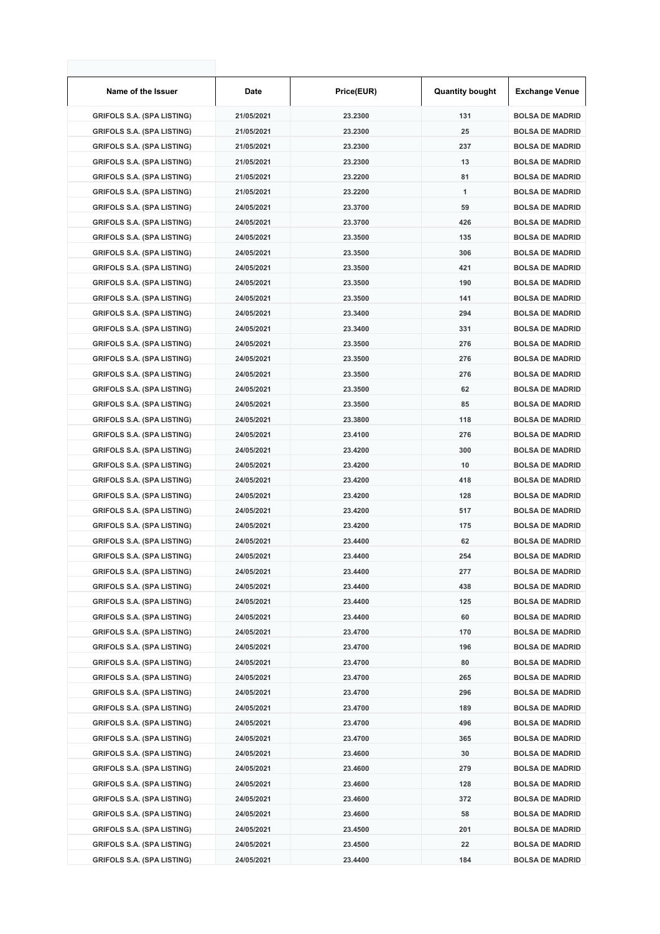| Name of the Issuer                | Date       | Price(EUR) | <b>Quantity bought</b> | <b>Exchange Venue</b>  |
|-----------------------------------|------------|------------|------------------------|------------------------|
| <b>GRIFOLS S.A. (SPA LISTING)</b> | 21/05/2021 | 23.2300    | 131                    | <b>BOLSA DE MADRID</b> |
| <b>GRIFOLS S.A. (SPA LISTING)</b> | 21/05/2021 | 23.2300    | 25                     | <b>BOLSA DE MADRID</b> |
| <b>GRIFOLS S.A. (SPA LISTING)</b> | 21/05/2021 | 23.2300    | 237                    | <b>BOLSA DE MADRID</b> |
| <b>GRIFOLS S.A. (SPA LISTING)</b> | 21/05/2021 | 23.2300    | 13                     | <b>BOLSA DE MADRID</b> |
| <b>GRIFOLS S.A. (SPA LISTING)</b> | 21/05/2021 | 23.2200    | 81                     | <b>BOLSA DE MADRID</b> |
| <b>GRIFOLS S.A. (SPA LISTING)</b> | 21/05/2021 | 23.2200    | 1                      | <b>BOLSA DE MADRID</b> |
| <b>GRIFOLS S.A. (SPA LISTING)</b> | 24/05/2021 | 23.3700    | 59                     | <b>BOLSA DE MADRID</b> |
| <b>GRIFOLS S.A. (SPA LISTING)</b> | 24/05/2021 | 23.3700    | 426                    | <b>BOLSA DE MADRID</b> |
| <b>GRIFOLS S.A. (SPA LISTING)</b> | 24/05/2021 | 23.3500    | 135                    | <b>BOLSA DE MADRID</b> |
| <b>GRIFOLS S.A. (SPA LISTING)</b> | 24/05/2021 | 23.3500    | 306                    | <b>BOLSA DE MADRID</b> |
| <b>GRIFOLS S.A. (SPA LISTING)</b> | 24/05/2021 | 23.3500    | 421                    | <b>BOLSA DE MADRID</b> |
| <b>GRIFOLS S.A. (SPA LISTING)</b> | 24/05/2021 | 23.3500    | 190                    | <b>BOLSA DE MADRID</b> |
| <b>GRIFOLS S.A. (SPA LISTING)</b> | 24/05/2021 | 23.3500    | 141                    | <b>BOLSA DE MADRID</b> |
| <b>GRIFOLS S.A. (SPA LISTING)</b> | 24/05/2021 | 23.3400    | 294                    | <b>BOLSA DE MADRID</b> |
| <b>GRIFOLS S.A. (SPA LISTING)</b> | 24/05/2021 | 23.3400    | 331                    | <b>BOLSA DE MADRID</b> |
| <b>GRIFOLS S.A. (SPA LISTING)</b> | 24/05/2021 | 23.3500    | 276                    | <b>BOLSA DE MADRID</b> |
| <b>GRIFOLS S.A. (SPA LISTING)</b> | 24/05/2021 | 23.3500    | 276                    | <b>BOLSA DE MADRID</b> |
| <b>GRIFOLS S.A. (SPA LISTING)</b> | 24/05/2021 | 23.3500    | 276                    | <b>BOLSA DE MADRID</b> |
| <b>GRIFOLS S.A. (SPA LISTING)</b> | 24/05/2021 | 23.3500    | 62                     | <b>BOLSA DE MADRID</b> |
| <b>GRIFOLS S.A. (SPA LISTING)</b> | 24/05/2021 | 23.3500    | 85                     | <b>BOLSA DE MADRID</b> |
| <b>GRIFOLS S.A. (SPA LISTING)</b> | 24/05/2021 | 23.3800    | 118                    | <b>BOLSA DE MADRID</b> |
| <b>GRIFOLS S.A. (SPA LISTING)</b> | 24/05/2021 | 23.4100    | 276                    | <b>BOLSA DE MADRID</b> |
| <b>GRIFOLS S.A. (SPA LISTING)</b> | 24/05/2021 | 23.4200    | 300                    | <b>BOLSA DE MADRID</b> |
| <b>GRIFOLS S.A. (SPA LISTING)</b> | 24/05/2021 | 23.4200    | 10                     | <b>BOLSA DE MADRID</b> |
| <b>GRIFOLS S.A. (SPA LISTING)</b> | 24/05/2021 | 23.4200    | 418                    | <b>BOLSA DE MADRID</b> |
| <b>GRIFOLS S.A. (SPA LISTING)</b> | 24/05/2021 | 23.4200    | 128                    | <b>BOLSA DE MADRID</b> |
| <b>GRIFOLS S.A. (SPA LISTING)</b> | 24/05/2021 | 23.4200    | 517                    | <b>BOLSA DE MADRID</b> |
| <b>GRIFOLS S.A. (SPA LISTING)</b> | 24/05/2021 | 23.4200    | 175                    | <b>BOLSA DE MADRID</b> |
| <b>GRIFOLS S.A. (SPA LISTING)</b> | 24/05/2021 | 23.4400    | 62                     | <b>BOLSA DE MADRID</b> |
| <b>GRIFOLS S.A. (SPA LISTING)</b> | 24/05/2021 | 23.4400    | 254                    | <b>BOLSA DE MADRID</b> |
| <b>GRIFOLS S.A. (SPA LISTING)</b> | 24/05/2021 | 23.4400    | 277                    | <b>BOLSA DE MADRID</b> |
| <b>GRIFOLS S.A. (SPA LISTING)</b> | 24/05/2021 | 23.4400    | 438                    | <b>BOLSA DE MADRID</b> |
| <b>GRIFOLS S.A. (SPA LISTING)</b> | 24/05/2021 | 23.4400    | 125                    | <b>BOLSA DE MADRID</b> |
| <b>GRIFOLS S.A. (SPA LISTING)</b> | 24/05/2021 | 23.4400    | 60                     | <b>BOLSA DE MADRID</b> |
| <b>GRIFOLS S.A. (SPA LISTING)</b> | 24/05/2021 | 23.4700    | 170                    | <b>BOLSA DE MADRID</b> |
| <b>GRIFOLS S.A. (SPA LISTING)</b> | 24/05/2021 | 23.4700    | 196                    | <b>BOLSA DE MADRID</b> |
| <b>GRIFOLS S.A. (SPA LISTING)</b> | 24/05/2021 | 23.4700    | 80                     | <b>BOLSA DE MADRID</b> |
| <b>GRIFOLS S.A. (SPA LISTING)</b> | 24/05/2021 | 23.4700    | 265                    | <b>BOLSA DE MADRID</b> |
| <b>GRIFOLS S.A. (SPA LISTING)</b> | 24/05/2021 | 23.4700    | 296                    | <b>BOLSA DE MADRID</b> |
| <b>GRIFOLS S.A. (SPA LISTING)</b> | 24/05/2021 | 23.4700    | 189                    | <b>BOLSA DE MADRID</b> |
| <b>GRIFOLS S.A. (SPA LISTING)</b> | 24/05/2021 | 23.4700    | 496                    | <b>BOLSA DE MADRID</b> |
| <b>GRIFOLS S.A. (SPA LISTING)</b> | 24/05/2021 | 23.4700    | 365                    | <b>BOLSA DE MADRID</b> |
| <b>GRIFOLS S.A. (SPA LISTING)</b> | 24/05/2021 | 23.4600    | 30                     | <b>BOLSA DE MADRID</b> |
| <b>GRIFOLS S.A. (SPA LISTING)</b> | 24/05/2021 | 23.4600    | 279                    | <b>BOLSA DE MADRID</b> |
| <b>GRIFOLS S.A. (SPA LISTING)</b> | 24/05/2021 | 23.4600    | 128                    | <b>BOLSA DE MADRID</b> |
| <b>GRIFOLS S.A. (SPA LISTING)</b> | 24/05/2021 | 23.4600    | 372                    | <b>BOLSA DE MADRID</b> |
| <b>GRIFOLS S.A. (SPA LISTING)</b> | 24/05/2021 | 23.4600    | 58                     | <b>BOLSA DE MADRID</b> |
| <b>GRIFOLS S.A. (SPA LISTING)</b> | 24/05/2021 | 23.4500    | 201                    | <b>BOLSA DE MADRID</b> |
| <b>GRIFOLS S.A. (SPA LISTING)</b> | 24/05/2021 | 23.4500    | 22                     | <b>BOLSA DE MADRID</b> |
| <b>GRIFOLS S.A. (SPA LISTING)</b> | 24/05/2021 | 23.4400    | 184                    | <b>BOLSA DE MADRID</b> |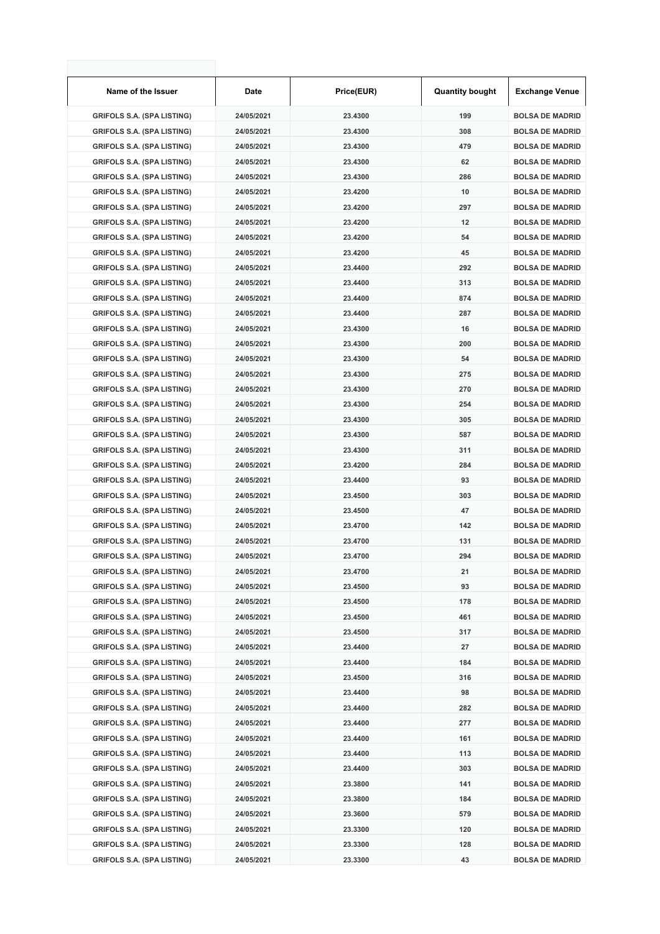| Name of the Issuer                | Date       | Price(EUR) | <b>Quantity bought</b> | <b>Exchange Venue</b>  |
|-----------------------------------|------------|------------|------------------------|------------------------|
| <b>GRIFOLS S.A. (SPA LISTING)</b> | 24/05/2021 | 23.4300    | 199                    | <b>BOLSA DE MADRID</b> |
| <b>GRIFOLS S.A. (SPA LISTING)</b> | 24/05/2021 | 23.4300    | 308                    | <b>BOLSA DE MADRID</b> |
| <b>GRIFOLS S.A. (SPA LISTING)</b> | 24/05/2021 | 23.4300    | 479                    | <b>BOLSA DE MADRID</b> |
| <b>GRIFOLS S.A. (SPA LISTING)</b> | 24/05/2021 | 23.4300    | 62                     | <b>BOLSA DE MADRID</b> |
| <b>GRIFOLS S.A. (SPA LISTING)</b> | 24/05/2021 | 23.4300    | 286                    | <b>BOLSA DE MADRID</b> |
| <b>GRIFOLS S.A. (SPA LISTING)</b> | 24/05/2021 | 23.4200    | 10                     | <b>BOLSA DE MADRID</b> |
| <b>GRIFOLS S.A. (SPA LISTING)</b> | 24/05/2021 | 23.4200    | 297                    | <b>BOLSA DE MADRID</b> |
| <b>GRIFOLS S.A. (SPA LISTING)</b> | 24/05/2021 | 23.4200    | 12                     | <b>BOLSA DE MADRID</b> |
| <b>GRIFOLS S.A. (SPA LISTING)</b> | 24/05/2021 | 23.4200    | 54                     | <b>BOLSA DE MADRID</b> |
| <b>GRIFOLS S.A. (SPA LISTING)</b> | 24/05/2021 | 23.4200    | 45                     | <b>BOLSA DE MADRID</b> |
| <b>GRIFOLS S.A. (SPA LISTING)</b> | 24/05/2021 | 23.4400    | 292                    | <b>BOLSA DE MADRID</b> |
| <b>GRIFOLS S.A. (SPA LISTING)</b> | 24/05/2021 | 23.4400    | 313                    | <b>BOLSA DE MADRID</b> |
| <b>GRIFOLS S.A. (SPA LISTING)</b> | 24/05/2021 | 23.4400    | 874                    | <b>BOLSA DE MADRID</b> |
| <b>GRIFOLS S.A. (SPA LISTING)</b> | 24/05/2021 | 23.4400    | 287                    | <b>BOLSA DE MADRID</b> |
| <b>GRIFOLS S.A. (SPA LISTING)</b> | 24/05/2021 | 23.4300    | 16                     | <b>BOLSA DE MADRID</b> |
| <b>GRIFOLS S.A. (SPA LISTING)</b> | 24/05/2021 | 23.4300    | 200                    | <b>BOLSA DE MADRID</b> |
| <b>GRIFOLS S.A. (SPA LISTING)</b> | 24/05/2021 | 23.4300    | 54                     | <b>BOLSA DE MADRID</b> |
| <b>GRIFOLS S.A. (SPA LISTING)</b> | 24/05/2021 | 23.4300    | 275                    | <b>BOLSA DE MADRID</b> |
| <b>GRIFOLS S.A. (SPA LISTING)</b> | 24/05/2021 | 23.4300    | 270                    | <b>BOLSA DE MADRID</b> |
| <b>GRIFOLS S.A. (SPA LISTING)</b> | 24/05/2021 | 23.4300    | 254                    | <b>BOLSA DE MADRID</b> |
| <b>GRIFOLS S.A. (SPA LISTING)</b> | 24/05/2021 | 23.4300    | 305                    | <b>BOLSA DE MADRID</b> |
| <b>GRIFOLS S.A. (SPA LISTING)</b> | 24/05/2021 | 23.4300    | 587                    | <b>BOLSA DE MADRID</b> |
| <b>GRIFOLS S.A. (SPA LISTING)</b> | 24/05/2021 | 23.4300    | 311                    | <b>BOLSA DE MADRID</b> |
| <b>GRIFOLS S.A. (SPA LISTING)</b> | 24/05/2021 | 23.4200    | 284                    | <b>BOLSA DE MADRID</b> |
| <b>GRIFOLS S.A. (SPA LISTING)</b> | 24/05/2021 | 23.4400    | 93                     | <b>BOLSA DE MADRID</b> |
| <b>GRIFOLS S.A. (SPA LISTING)</b> | 24/05/2021 | 23.4500    | 303                    | <b>BOLSA DE MADRID</b> |
| <b>GRIFOLS S.A. (SPA LISTING)</b> | 24/05/2021 | 23.4500    | 47                     | <b>BOLSA DE MADRID</b> |
| <b>GRIFOLS S.A. (SPA LISTING)</b> | 24/05/2021 | 23.4700    | 142                    | <b>BOLSA DE MADRID</b> |
| <b>GRIFOLS S.A. (SPA LISTING)</b> | 24/05/2021 | 23.4700    | 131                    | <b>BOLSA DE MADRID</b> |
| <b>GRIFOLS S.A. (SPA LISTING)</b> | 24/05/2021 | 23.4700    | 294                    | <b>BOLSA DE MADRID</b> |
| <b>GRIFOLS S.A. (SPA LISTING)</b> | 24/05/2021 | 23.4700    | 21                     | <b>BOLSA DE MADRID</b> |
| <b>GRIFOLS S.A. (SPA LISTING)</b> | 24/05/2021 | 23.4500    | 93                     | <b>BOLSA DE MADRID</b> |
| <b>GRIFOLS S.A. (SPA LISTING)</b> | 24/05/2021 | 23.4500    | 178                    | <b>BOLSA DE MADRID</b> |
| <b>GRIFOLS S.A. (SPA LISTING)</b> | 24/05/2021 | 23.4500    | 461                    | <b>BOLSA DE MADRID</b> |
| <b>GRIFOLS S.A. (SPA LISTING)</b> | 24/05/2021 | 23.4500    | 317                    | <b>BOLSA DE MADRID</b> |
| <b>GRIFOLS S.A. (SPA LISTING)</b> | 24/05/2021 | 23.4400    | 27                     | <b>BOLSA DE MADRID</b> |
| <b>GRIFOLS S.A. (SPA LISTING)</b> | 24/05/2021 | 23.4400    | 184                    | <b>BOLSA DE MADRID</b> |
| <b>GRIFOLS S.A. (SPA LISTING)</b> | 24/05/2021 | 23.4500    | 316                    | <b>BOLSA DE MADRID</b> |
| <b>GRIFOLS S.A. (SPA LISTING)</b> | 24/05/2021 | 23.4400    | 98                     | <b>BOLSA DE MADRID</b> |
| <b>GRIFOLS S.A. (SPA LISTING)</b> | 24/05/2021 | 23.4400    | 282                    | <b>BOLSA DE MADRID</b> |
| <b>GRIFOLS S.A. (SPA LISTING)</b> | 24/05/2021 | 23.4400    | 277                    | <b>BOLSA DE MADRID</b> |
| <b>GRIFOLS S.A. (SPA LISTING)</b> | 24/05/2021 | 23.4400    | 161                    | <b>BOLSA DE MADRID</b> |
| <b>GRIFOLS S.A. (SPA LISTING)</b> | 24/05/2021 | 23.4400    | 113                    | <b>BOLSA DE MADRID</b> |
| <b>GRIFOLS S.A. (SPA LISTING)</b> | 24/05/2021 | 23.4400    | 303                    | <b>BOLSA DE MADRID</b> |
| <b>GRIFOLS S.A. (SPA LISTING)</b> | 24/05/2021 | 23.3800    | 141                    | <b>BOLSA DE MADRID</b> |
| <b>GRIFOLS S.A. (SPA LISTING)</b> | 24/05/2021 | 23.3800    | 184                    | <b>BOLSA DE MADRID</b> |
| <b>GRIFOLS S.A. (SPA LISTING)</b> | 24/05/2021 | 23.3600    | 579                    | <b>BOLSA DE MADRID</b> |
| <b>GRIFOLS S.A. (SPA LISTING)</b> | 24/05/2021 | 23.3300    | 120                    | <b>BOLSA DE MADRID</b> |
| <b>GRIFOLS S.A. (SPA LISTING)</b> | 24/05/2021 | 23.3300    | 128                    | <b>BOLSA DE MADRID</b> |
| <b>GRIFOLS S.A. (SPA LISTING)</b> | 24/05/2021 | 23.3300    | 43                     | <b>BOLSA DE MADRID</b> |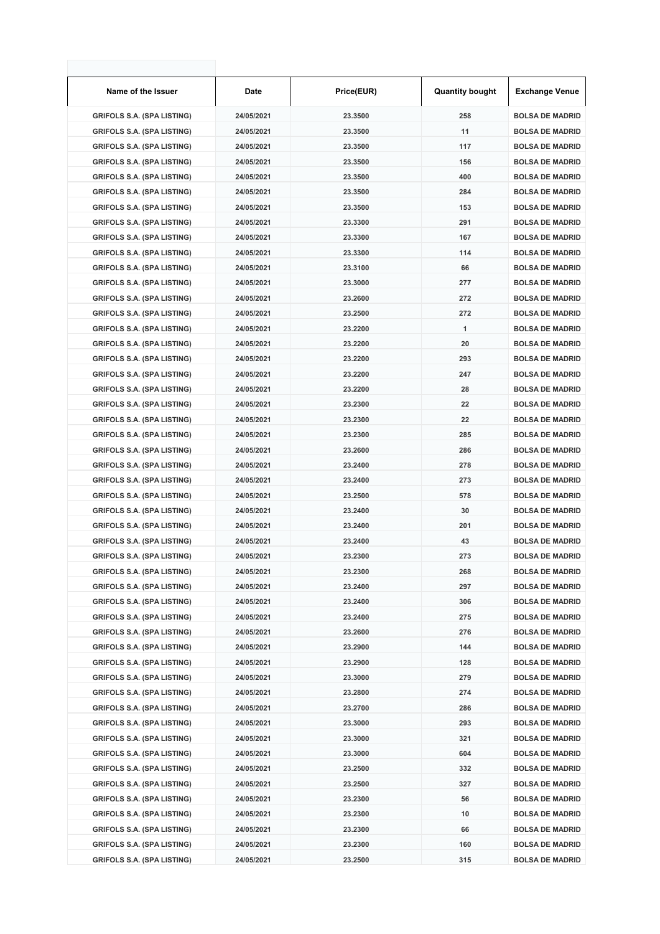| Name of the Issuer                | Date       | Price(EUR) | <b>Quantity bought</b> | <b>Exchange Venue</b>  |
|-----------------------------------|------------|------------|------------------------|------------------------|
| <b>GRIFOLS S.A. (SPA LISTING)</b> | 24/05/2021 | 23.3500    | 258                    | <b>BOLSA DE MADRID</b> |
| <b>GRIFOLS S.A. (SPA LISTING)</b> | 24/05/2021 | 23.3500    | 11                     | <b>BOLSA DE MADRID</b> |
| <b>GRIFOLS S.A. (SPA LISTING)</b> | 24/05/2021 | 23.3500    | 117                    | <b>BOLSA DE MADRID</b> |
| <b>GRIFOLS S.A. (SPA LISTING)</b> | 24/05/2021 | 23.3500    | 156                    | <b>BOLSA DE MADRID</b> |
| <b>GRIFOLS S.A. (SPA LISTING)</b> | 24/05/2021 | 23.3500    | 400                    | <b>BOLSA DE MADRID</b> |
| <b>GRIFOLS S.A. (SPA LISTING)</b> | 24/05/2021 | 23.3500    | 284                    | <b>BOLSA DE MADRID</b> |
| <b>GRIFOLS S.A. (SPA LISTING)</b> | 24/05/2021 | 23.3500    | 153                    | <b>BOLSA DE MADRID</b> |
| <b>GRIFOLS S.A. (SPA LISTING)</b> | 24/05/2021 | 23.3300    | 291                    | <b>BOLSA DE MADRID</b> |
| <b>GRIFOLS S.A. (SPA LISTING)</b> | 24/05/2021 | 23.3300    | 167                    | <b>BOLSA DE MADRID</b> |
| <b>GRIFOLS S.A. (SPA LISTING)</b> | 24/05/2021 | 23.3300    | 114                    | <b>BOLSA DE MADRID</b> |
| <b>GRIFOLS S.A. (SPA LISTING)</b> | 24/05/2021 | 23.3100    | 66                     | <b>BOLSA DE MADRID</b> |
| <b>GRIFOLS S.A. (SPA LISTING)</b> | 24/05/2021 | 23.3000    | 277                    | <b>BOLSA DE MADRID</b> |
| <b>GRIFOLS S.A. (SPA LISTING)</b> | 24/05/2021 | 23.2600    | 272                    | <b>BOLSA DE MADRID</b> |
| <b>GRIFOLS S.A. (SPA LISTING)</b> | 24/05/2021 | 23.2500    | 272                    | <b>BOLSA DE MADRID</b> |
| <b>GRIFOLS S.A. (SPA LISTING)</b> | 24/05/2021 | 23.2200    | 1                      | <b>BOLSA DE MADRID</b> |
| <b>GRIFOLS S.A. (SPA LISTING)</b> | 24/05/2021 | 23.2200    | 20                     | <b>BOLSA DE MADRID</b> |
| <b>GRIFOLS S.A. (SPA LISTING)</b> | 24/05/2021 | 23.2200    | 293                    | <b>BOLSA DE MADRID</b> |
| <b>GRIFOLS S.A. (SPA LISTING)</b> | 24/05/2021 | 23.2200    | 247                    | <b>BOLSA DE MADRID</b> |
| <b>GRIFOLS S.A. (SPA LISTING)</b> | 24/05/2021 | 23.2200    | 28                     | <b>BOLSA DE MADRID</b> |
| <b>GRIFOLS S.A. (SPA LISTING)</b> | 24/05/2021 | 23.2300    | 22                     | <b>BOLSA DE MADRID</b> |
| <b>GRIFOLS S.A. (SPA LISTING)</b> | 24/05/2021 | 23.2300    | 22                     | <b>BOLSA DE MADRID</b> |
| <b>GRIFOLS S.A. (SPA LISTING)</b> | 24/05/2021 | 23.2300    | 285                    | <b>BOLSA DE MADRID</b> |
| <b>GRIFOLS S.A. (SPA LISTING)</b> | 24/05/2021 | 23.2600    | 286                    | <b>BOLSA DE MADRID</b> |
| <b>GRIFOLS S.A. (SPA LISTING)</b> | 24/05/2021 | 23.2400    | 278                    | <b>BOLSA DE MADRID</b> |
| <b>GRIFOLS S.A. (SPA LISTING)</b> | 24/05/2021 | 23.2400    | 273                    | <b>BOLSA DE MADRID</b> |
| <b>GRIFOLS S.A. (SPA LISTING)</b> | 24/05/2021 | 23.2500    | 578                    | <b>BOLSA DE MADRID</b> |
| <b>GRIFOLS S.A. (SPA LISTING)</b> | 24/05/2021 | 23.2400    | 30                     | <b>BOLSA DE MADRID</b> |
| <b>GRIFOLS S.A. (SPA LISTING)</b> | 24/05/2021 | 23.2400    | 201                    | <b>BOLSA DE MADRID</b> |
| <b>GRIFOLS S.A. (SPA LISTING)</b> | 24/05/2021 | 23.2400    | 43                     | <b>BOLSA DE MADRID</b> |
| <b>GRIFOLS S.A. (SPA LISTING)</b> | 24/05/2021 | 23.2300    | 273                    | <b>BOLSA DE MADRID</b> |
| <b>GRIFOLS S.A. (SPA LISTING)</b> | 24/05/2021 | 23.2300    | 268                    | <b>BOLSA DE MADRID</b> |
| <b>GRIFOLS S.A. (SPA LISTING)</b> | 24/05/2021 | 23.2400    | 297                    | <b>BOLSA DE MADRID</b> |
| <b>GRIFOLS S.A. (SPA LISTING)</b> | 24/05/2021 | 23.2400    | 306                    | <b>BOLSA DE MADRID</b> |
| <b>GRIFOLS S.A. (SPA LISTING)</b> | 24/05/2021 | 23.2400    | 275                    | <b>BOLSA DE MADRID</b> |
| <b>GRIFOLS S.A. (SPA LISTING)</b> | 24/05/2021 | 23.2600    | 276                    | <b>BOLSA DE MADRID</b> |
| <b>GRIFOLS S.A. (SPA LISTING)</b> | 24/05/2021 | 23.2900    | 144                    | <b>BOLSA DE MADRID</b> |
| <b>GRIFOLS S.A. (SPA LISTING)</b> | 24/05/2021 | 23.2900    | 128                    | <b>BOLSA DE MADRID</b> |
| <b>GRIFOLS S.A. (SPA LISTING)</b> | 24/05/2021 | 23.3000    | 279                    | <b>BOLSA DE MADRID</b> |
| <b>GRIFOLS S.A. (SPA LISTING)</b> | 24/05/2021 | 23.2800    | 274                    | <b>BOLSA DE MADRID</b> |
| <b>GRIFOLS S.A. (SPA LISTING)</b> | 24/05/2021 | 23.2700    | 286                    | <b>BOLSA DE MADRID</b> |
| <b>GRIFOLS S.A. (SPA LISTING)</b> | 24/05/2021 | 23.3000    | 293                    | <b>BOLSA DE MADRID</b> |
| <b>GRIFOLS S.A. (SPA LISTING)</b> | 24/05/2021 | 23.3000    | 321                    | <b>BOLSA DE MADRID</b> |
| <b>GRIFOLS S.A. (SPA LISTING)</b> | 24/05/2021 | 23.3000    | 604                    | <b>BOLSA DE MADRID</b> |
| <b>GRIFOLS S.A. (SPA LISTING)</b> | 24/05/2021 | 23.2500    | 332                    | <b>BOLSA DE MADRID</b> |
| <b>GRIFOLS S.A. (SPA LISTING)</b> | 24/05/2021 | 23.2500    | 327                    | <b>BOLSA DE MADRID</b> |
| <b>GRIFOLS S.A. (SPA LISTING)</b> | 24/05/2021 | 23.2300    | 56                     | <b>BOLSA DE MADRID</b> |
| <b>GRIFOLS S.A. (SPA LISTING)</b> | 24/05/2021 | 23.2300    | 10                     | <b>BOLSA DE MADRID</b> |
| <b>GRIFOLS S.A. (SPA LISTING)</b> | 24/05/2021 | 23.2300    | 66                     | <b>BOLSA DE MADRID</b> |
| <b>GRIFOLS S.A. (SPA LISTING)</b> | 24/05/2021 | 23.2300    | 160                    | <b>BOLSA DE MADRID</b> |
| <b>GRIFOLS S.A. (SPA LISTING)</b> | 24/05/2021 | 23.2500    | 315                    | <b>BOLSA DE MADRID</b> |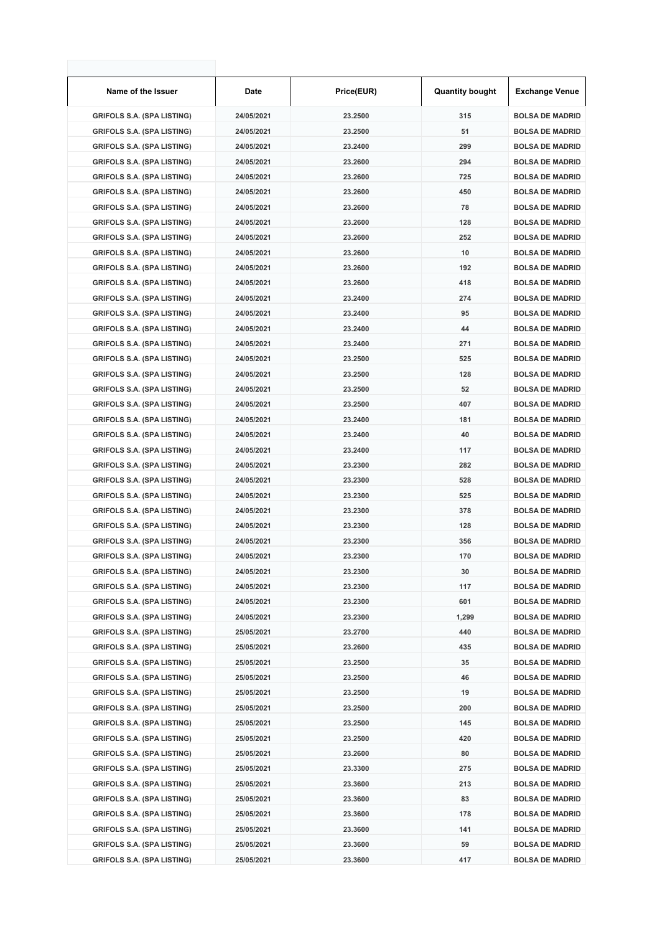| Name of the Issuer                | Date       | Price(EUR) | <b>Quantity bought</b> | <b>Exchange Venue</b>  |
|-----------------------------------|------------|------------|------------------------|------------------------|
| <b>GRIFOLS S.A. (SPA LISTING)</b> | 24/05/2021 | 23.2500    | 315                    | <b>BOLSA DE MADRID</b> |
| <b>GRIFOLS S.A. (SPA LISTING)</b> | 24/05/2021 | 23.2500    | 51                     | <b>BOLSA DE MADRID</b> |
| <b>GRIFOLS S.A. (SPA LISTING)</b> | 24/05/2021 | 23.2400    | 299                    | <b>BOLSA DE MADRID</b> |
| <b>GRIFOLS S.A. (SPA LISTING)</b> | 24/05/2021 | 23.2600    | 294                    | <b>BOLSA DE MADRID</b> |
| <b>GRIFOLS S.A. (SPA LISTING)</b> | 24/05/2021 | 23.2600    | 725                    | <b>BOLSA DE MADRID</b> |
| <b>GRIFOLS S.A. (SPA LISTING)</b> | 24/05/2021 | 23.2600    | 450                    | <b>BOLSA DE MADRID</b> |
| <b>GRIFOLS S.A. (SPA LISTING)</b> | 24/05/2021 | 23.2600    | 78                     | <b>BOLSA DE MADRID</b> |
| <b>GRIFOLS S.A. (SPA LISTING)</b> | 24/05/2021 | 23.2600    | 128                    | <b>BOLSA DE MADRID</b> |
| <b>GRIFOLS S.A. (SPA LISTING)</b> | 24/05/2021 | 23.2600    | 252                    | <b>BOLSA DE MADRID</b> |
| <b>GRIFOLS S.A. (SPA LISTING)</b> | 24/05/2021 | 23.2600    | 10                     | <b>BOLSA DE MADRID</b> |
| <b>GRIFOLS S.A. (SPA LISTING)</b> | 24/05/2021 | 23.2600    | 192                    | <b>BOLSA DE MADRID</b> |
| <b>GRIFOLS S.A. (SPA LISTING)</b> | 24/05/2021 | 23.2600    | 418                    | <b>BOLSA DE MADRID</b> |
| <b>GRIFOLS S.A. (SPA LISTING)</b> | 24/05/2021 | 23.2400    | 274                    | <b>BOLSA DE MADRID</b> |
| <b>GRIFOLS S.A. (SPA LISTING)</b> | 24/05/2021 | 23.2400    | 95                     | <b>BOLSA DE MADRID</b> |
| <b>GRIFOLS S.A. (SPA LISTING)</b> | 24/05/2021 | 23.2400    | 44                     | <b>BOLSA DE MADRID</b> |
| <b>GRIFOLS S.A. (SPA LISTING)</b> | 24/05/2021 | 23.2400    | 271                    | <b>BOLSA DE MADRID</b> |
| <b>GRIFOLS S.A. (SPA LISTING)</b> | 24/05/2021 | 23.2500    | 525                    | <b>BOLSA DE MADRID</b> |
| <b>GRIFOLS S.A. (SPA LISTING)</b> | 24/05/2021 | 23.2500    | 128                    | <b>BOLSA DE MADRID</b> |
| <b>GRIFOLS S.A. (SPA LISTING)</b> | 24/05/2021 | 23.2500    | 52                     | <b>BOLSA DE MADRID</b> |
| <b>GRIFOLS S.A. (SPA LISTING)</b> | 24/05/2021 | 23.2500    | 407                    | <b>BOLSA DE MADRID</b> |
| <b>GRIFOLS S.A. (SPA LISTING)</b> | 24/05/2021 | 23.2400    | 181                    | <b>BOLSA DE MADRID</b> |
| <b>GRIFOLS S.A. (SPA LISTING)</b> | 24/05/2021 | 23.2400    | 40                     | <b>BOLSA DE MADRID</b> |
| <b>GRIFOLS S.A. (SPA LISTING)</b> | 24/05/2021 | 23.2400    | 117                    | <b>BOLSA DE MADRID</b> |
| <b>GRIFOLS S.A. (SPA LISTING)</b> | 24/05/2021 | 23.2300    | 282                    | <b>BOLSA DE MADRID</b> |
| <b>GRIFOLS S.A. (SPA LISTING)</b> | 24/05/2021 | 23.2300    | 528                    | <b>BOLSA DE MADRID</b> |
| <b>GRIFOLS S.A. (SPA LISTING)</b> | 24/05/2021 | 23.2300    | 525                    | <b>BOLSA DE MADRID</b> |
| <b>GRIFOLS S.A. (SPA LISTING)</b> | 24/05/2021 | 23.2300    | 378                    | <b>BOLSA DE MADRID</b> |
| <b>GRIFOLS S.A. (SPA LISTING)</b> | 24/05/2021 | 23.2300    | 128                    | <b>BOLSA DE MADRID</b> |
| <b>GRIFOLS S.A. (SPA LISTING)</b> | 24/05/2021 | 23.2300    | 356                    | <b>BOLSA DE MADRID</b> |
| <b>GRIFOLS S.A. (SPA LISTING)</b> | 24/05/2021 | 23.2300    | 170                    | <b>BOLSA DE MADRID</b> |
| <b>GRIFOLS S.A. (SPA LISTING)</b> | 24/05/2021 | 23.2300    | 30                     | <b>BOLSA DE MADRID</b> |
| <b>GRIFOLS S.A. (SPA LISTING)</b> | 24/05/2021 | 23.2300    | 117                    | <b>BOLSA DE MADRID</b> |
| <b>GRIFOLS S.A. (SPA LISTING)</b> | 24/05/2021 | 23.2300    | 601                    | <b>BOLSA DE MADRID</b> |
| <b>GRIFOLS S.A. (SPA LISTING)</b> | 24/05/2021 | 23.2300    | 1,299                  | <b>BOLSA DE MADRID</b> |
| <b>GRIFOLS S.A. (SPA LISTING)</b> | 25/05/2021 | 23.2700    | 440                    | <b>BOLSA DE MADRID</b> |
| <b>GRIFOLS S.A. (SPA LISTING)</b> | 25/05/2021 | 23.2600    | 435                    | <b>BOLSA DE MADRID</b> |
| <b>GRIFOLS S.A. (SPA LISTING)</b> | 25/05/2021 | 23.2500    | 35                     | <b>BOLSA DE MADRID</b> |
| <b>GRIFOLS S.A. (SPA LISTING)</b> | 25/05/2021 | 23.2500    | 46                     | <b>BOLSA DE MADRID</b> |
| <b>GRIFOLS S.A. (SPA LISTING)</b> | 25/05/2021 | 23.2500    | 19                     | <b>BOLSA DE MADRID</b> |
| <b>GRIFOLS S.A. (SPA LISTING)</b> | 25/05/2021 | 23.2500    | 200                    | <b>BOLSA DE MADRID</b> |
| <b>GRIFOLS S.A. (SPA LISTING)</b> | 25/05/2021 | 23.2500    | 145                    | <b>BOLSA DE MADRID</b> |
| <b>GRIFOLS S.A. (SPA LISTING)</b> | 25/05/2021 | 23.2500    | 420                    | <b>BOLSA DE MADRID</b> |
| <b>GRIFOLS S.A. (SPA LISTING)</b> | 25/05/2021 | 23.2600    | 80                     | <b>BOLSA DE MADRID</b> |
| <b>GRIFOLS S.A. (SPA LISTING)</b> | 25/05/2021 | 23.3300    | 275                    | <b>BOLSA DE MADRID</b> |
| <b>GRIFOLS S.A. (SPA LISTING)</b> | 25/05/2021 | 23.3600    | 213                    | <b>BOLSA DE MADRID</b> |
| <b>GRIFOLS S.A. (SPA LISTING)</b> | 25/05/2021 | 23.3600    | 83                     | <b>BOLSA DE MADRID</b> |
| <b>GRIFOLS S.A. (SPA LISTING)</b> | 25/05/2021 | 23.3600    | 178                    | <b>BOLSA DE MADRID</b> |
| <b>GRIFOLS S.A. (SPA LISTING)</b> | 25/05/2021 | 23.3600    | 141                    | <b>BOLSA DE MADRID</b> |
| <b>GRIFOLS S.A. (SPA LISTING)</b> | 25/05/2021 | 23.3600    | 59                     | <b>BOLSA DE MADRID</b> |
| <b>GRIFOLS S.A. (SPA LISTING)</b> | 25/05/2021 | 23.3600    | 417                    | <b>BOLSA DE MADRID</b> |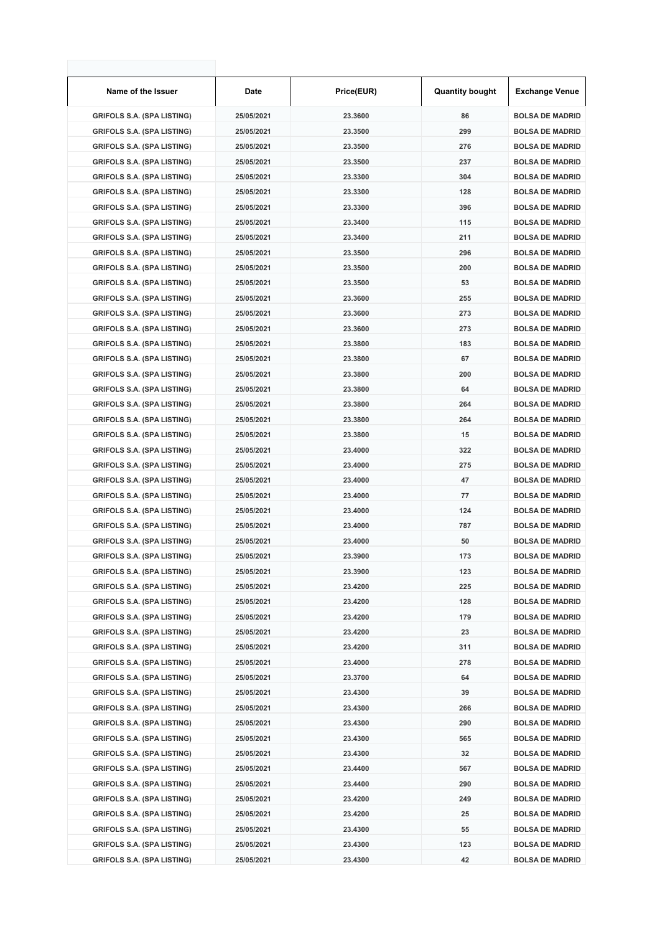| Name of the Issuer                | Date       | Price(EUR) | <b>Quantity bought</b> | <b>Exchange Venue</b>  |
|-----------------------------------|------------|------------|------------------------|------------------------|
| <b>GRIFOLS S.A. (SPA LISTING)</b> | 25/05/2021 | 23.3600    | 86                     | <b>BOLSA DE MADRID</b> |
| <b>GRIFOLS S.A. (SPA LISTING)</b> | 25/05/2021 | 23.3500    | 299                    | <b>BOLSA DE MADRID</b> |
| <b>GRIFOLS S.A. (SPA LISTING)</b> | 25/05/2021 | 23.3500    | 276                    | <b>BOLSA DE MADRID</b> |
| <b>GRIFOLS S.A. (SPA LISTING)</b> | 25/05/2021 | 23.3500    | 237                    | <b>BOLSA DE MADRID</b> |
| <b>GRIFOLS S.A. (SPA LISTING)</b> | 25/05/2021 | 23.3300    | 304                    | <b>BOLSA DE MADRID</b> |
| <b>GRIFOLS S.A. (SPA LISTING)</b> | 25/05/2021 | 23.3300    | 128                    | <b>BOLSA DE MADRID</b> |
| <b>GRIFOLS S.A. (SPA LISTING)</b> | 25/05/2021 | 23.3300    | 396                    | <b>BOLSA DE MADRID</b> |
| <b>GRIFOLS S.A. (SPA LISTING)</b> | 25/05/2021 | 23.3400    | 115                    | <b>BOLSA DE MADRID</b> |
| <b>GRIFOLS S.A. (SPA LISTING)</b> | 25/05/2021 | 23.3400    | 211                    | <b>BOLSA DE MADRID</b> |
| <b>GRIFOLS S.A. (SPA LISTING)</b> | 25/05/2021 | 23.3500    | 296                    | <b>BOLSA DE MADRID</b> |
| <b>GRIFOLS S.A. (SPA LISTING)</b> | 25/05/2021 | 23.3500    | 200                    | <b>BOLSA DE MADRID</b> |
| <b>GRIFOLS S.A. (SPA LISTING)</b> | 25/05/2021 | 23.3500    | 53                     | <b>BOLSA DE MADRID</b> |
| <b>GRIFOLS S.A. (SPA LISTING)</b> | 25/05/2021 | 23.3600    | 255                    | <b>BOLSA DE MADRID</b> |
| <b>GRIFOLS S.A. (SPA LISTING)</b> | 25/05/2021 | 23.3600    | 273                    | <b>BOLSA DE MADRID</b> |
| <b>GRIFOLS S.A. (SPA LISTING)</b> | 25/05/2021 | 23.3600    | 273                    | <b>BOLSA DE MADRID</b> |
| <b>GRIFOLS S.A. (SPA LISTING)</b> | 25/05/2021 | 23.3800    | 183                    | <b>BOLSA DE MADRID</b> |
| <b>GRIFOLS S.A. (SPA LISTING)</b> | 25/05/2021 | 23.3800    | 67                     | <b>BOLSA DE MADRID</b> |
| <b>GRIFOLS S.A. (SPA LISTING)</b> | 25/05/2021 | 23.3800    | 200                    | <b>BOLSA DE MADRID</b> |
| <b>GRIFOLS S.A. (SPA LISTING)</b> | 25/05/2021 | 23.3800    | 64                     | <b>BOLSA DE MADRID</b> |
| <b>GRIFOLS S.A. (SPA LISTING)</b> | 25/05/2021 | 23.3800    | 264                    | <b>BOLSA DE MADRID</b> |
| <b>GRIFOLS S.A. (SPA LISTING)</b> | 25/05/2021 | 23.3800    | 264                    | <b>BOLSA DE MADRID</b> |
| <b>GRIFOLS S.A. (SPA LISTING)</b> | 25/05/2021 | 23.3800    | 15                     | <b>BOLSA DE MADRID</b> |
| <b>GRIFOLS S.A. (SPA LISTING)</b> | 25/05/2021 | 23.4000    | 322                    | <b>BOLSA DE MADRID</b> |
| <b>GRIFOLS S.A. (SPA LISTING)</b> | 25/05/2021 | 23.4000    | 275                    | <b>BOLSA DE MADRID</b> |
| <b>GRIFOLS S.A. (SPA LISTING)</b> | 25/05/2021 | 23.4000    | 47                     | <b>BOLSA DE MADRID</b> |
| <b>GRIFOLS S.A. (SPA LISTING)</b> | 25/05/2021 | 23.4000    | 77                     | <b>BOLSA DE MADRID</b> |
| <b>GRIFOLS S.A. (SPA LISTING)</b> | 25/05/2021 | 23.4000    | 124                    | <b>BOLSA DE MADRID</b> |
| <b>GRIFOLS S.A. (SPA LISTING)</b> | 25/05/2021 | 23.4000    | 787                    | <b>BOLSA DE MADRID</b> |
| <b>GRIFOLS S.A. (SPA LISTING)</b> | 25/05/2021 | 23.4000    | 50                     | <b>BOLSA DE MADRID</b> |
| <b>GRIFOLS S.A. (SPA LISTING)</b> | 25/05/2021 | 23.3900    | 173                    | <b>BOLSA DE MADRID</b> |
| <b>GRIFOLS S.A. (SPA LISTING)</b> | 25/05/2021 | 23.3900    | 123                    | <b>BOLSA DE MADRID</b> |
| <b>GRIFOLS S.A. (SPA LISTING)</b> | 25/05/2021 | 23.4200    | 225                    | <b>BOLSA DE MADRID</b> |
| <b>GRIFOLS S.A. (SPA LISTING)</b> | 25/05/2021 | 23.4200    | 128                    | <b>BOLSA DE MADRID</b> |
| <b>GRIFOLS S.A. (SPA LISTING)</b> | 25/05/2021 | 23.4200    | 179                    | <b>BOLSA DE MADRID</b> |
| <b>GRIFOLS S.A. (SPA LISTING)</b> | 25/05/2021 | 23.4200    | 23                     | <b>BOLSA DE MADRID</b> |
| <b>GRIFOLS S.A. (SPA LISTING)</b> | 25/05/2021 | 23.4200    | 311                    | <b>BOLSA DE MADRID</b> |
| <b>GRIFOLS S.A. (SPA LISTING)</b> | 25/05/2021 | 23.4000    | 278                    | <b>BOLSA DE MADRID</b> |
| <b>GRIFOLS S.A. (SPA LISTING)</b> | 25/05/2021 | 23.3700    | 64                     | <b>BOLSA DE MADRID</b> |
| <b>GRIFOLS S.A. (SPA LISTING)</b> | 25/05/2021 | 23.4300    | 39                     | <b>BOLSA DE MADRID</b> |
| <b>GRIFOLS S.A. (SPA LISTING)</b> | 25/05/2021 | 23.4300    | 266                    | <b>BOLSA DE MADRID</b> |
| <b>GRIFOLS S.A. (SPA LISTING)</b> | 25/05/2021 | 23.4300    | 290                    | <b>BOLSA DE MADRID</b> |
| <b>GRIFOLS S.A. (SPA LISTING)</b> | 25/05/2021 | 23.4300    | 565                    | <b>BOLSA DE MADRID</b> |
| <b>GRIFOLS S.A. (SPA LISTING)</b> | 25/05/2021 | 23.4300    | 32                     | <b>BOLSA DE MADRID</b> |
| <b>GRIFOLS S.A. (SPA LISTING)</b> | 25/05/2021 | 23.4400    | 567                    | <b>BOLSA DE MADRID</b> |
| <b>GRIFOLS S.A. (SPA LISTING)</b> | 25/05/2021 | 23.4400    | 290                    | <b>BOLSA DE MADRID</b> |
| <b>GRIFOLS S.A. (SPA LISTING)</b> | 25/05/2021 | 23.4200    | 249                    | <b>BOLSA DE MADRID</b> |
| <b>GRIFOLS S.A. (SPA LISTING)</b> | 25/05/2021 | 23.4200    | 25                     | <b>BOLSA DE MADRID</b> |
| <b>GRIFOLS S.A. (SPA LISTING)</b> | 25/05/2021 | 23.4300    | 55                     | <b>BOLSA DE MADRID</b> |
| <b>GRIFOLS S.A. (SPA LISTING)</b> | 25/05/2021 | 23.4300    | 123                    | <b>BOLSA DE MADRID</b> |
| <b>GRIFOLS S.A. (SPA LISTING)</b> | 25/05/2021 | 23.4300    | 42                     | <b>BOLSA DE MADRID</b> |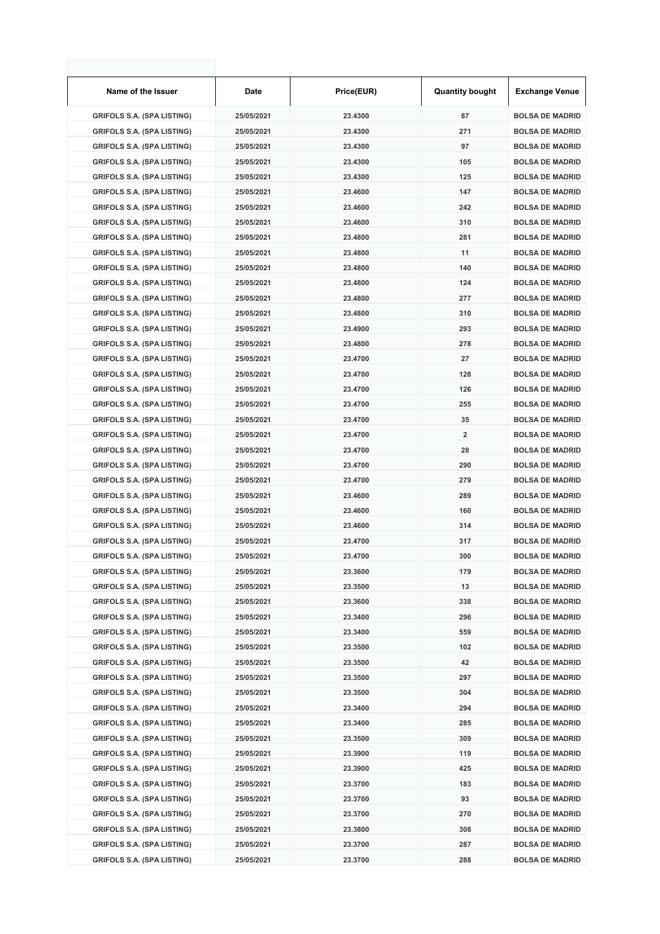| Name of the Issuer                | Date       | Price(EUR) | <b>Quantity bought</b>  | <b>Exchange Venue</b>  |
|-----------------------------------|------------|------------|-------------------------|------------------------|
| <b>GRIFOLS S.A. (SPA LISTING)</b> | 25/05/2021 | 23.4300    | 87                      | <b>BOLSA DE MADRID</b> |
| <b>GRIFOLS S.A. (SPA LISTING)</b> | 25/05/2021 | 23.4300    | 271                     | <b>BOLSA DE MADRID</b> |
| <b>GRIFOLS S.A. (SPA LISTING)</b> | 25/05/2021 | 23.4300    | 97                      | <b>BOLSA DE MADRID</b> |
| <b>GRIFOLS S.A. (SPA LISTING)</b> | 25/05/2021 | 23.4300    | 105                     | <b>BOLSA DE MADRID</b> |
| <b>GRIFOLS S.A. (SPA LISTING)</b> | 25/05/2021 | 23.4300    | 125                     | <b>BOLSA DE MADRID</b> |
| <b>GRIFOLS S.A. (SPA LISTING)</b> | 25/05/2021 | 23.4600    | 147                     | <b>BOLSA DE MADRID</b> |
| <b>GRIFOLS S.A. (SPA LISTING)</b> | 25/05/2021 | 23.4600    | 242                     | <b>BOLSA DE MADRID</b> |
| <b>GRIFOLS S.A. (SPA LISTING)</b> | 25/05/2021 | 23.4600    | 310                     | <b>BOLSA DE MADRID</b> |
| <b>GRIFOLS S.A. (SPA LISTING)</b> | 25/05/2021 | 23.4800    | 281                     | <b>BOLSA DE MADRID</b> |
| <b>GRIFOLS S.A. (SPA LISTING)</b> | 25/05/2021 | 23.4800    | 11                      | <b>BOLSA DE MADRID</b> |
| <b>GRIFOLS S.A. (SPA LISTING)</b> | 25/05/2021 | 23.4800    | 140                     | <b>BOLSA DE MADRID</b> |
| <b>GRIFOLS S.A. (SPA LISTING)</b> | 25/05/2021 | 23.4800    | 124                     | <b>BOLSA DE MADRID</b> |
| <b>GRIFOLS S.A. (SPA LISTING)</b> | 25/05/2021 | 23.4800    | 277                     | <b>BOLSA DE MADRID</b> |
| <b>GRIFOLS S.A. (SPA LISTING)</b> | 25/05/2021 | 23.4800    | 310                     | <b>BOLSA DE MADRID</b> |
| <b>GRIFOLS S.A. (SPA LISTING)</b> | 25/05/2021 | 23.4900    | 293                     | <b>BOLSA DE MADRID</b> |
| <b>GRIFOLS S.A. (SPA LISTING)</b> | 25/05/2021 | 23.4800    | 278                     | <b>BOLSA DE MADRID</b> |
| <b>GRIFOLS S.A. (SPA LISTING)</b> | 25/05/2021 | 23.4700    | 27                      | <b>BOLSA DE MADRID</b> |
| <b>GRIFOLS S.A. (SPA LISTING)</b> | 25/05/2021 | 23.4700    | 128                     | <b>BOLSA DE MADRID</b> |
| <b>GRIFOLS S.A. (SPA LISTING)</b> | 25/05/2021 | 23.4700    | 126                     | <b>BOLSA DE MADRID</b> |
| <b>GRIFOLS S.A. (SPA LISTING)</b> | 25/05/2021 | 23.4700    | 255                     | <b>BOLSA DE MADRID</b> |
| <b>GRIFOLS S.A. (SPA LISTING)</b> | 25/05/2021 | 23.4700    | 35                      | <b>BOLSA DE MADRID</b> |
| <b>GRIFOLS S.A. (SPA LISTING)</b> | 25/05/2021 | 23.4700    | $\overline{\mathbf{2}}$ | <b>BOLSA DE MADRID</b> |
| <b>GRIFOLS S.A. (SPA LISTING)</b> | 25/05/2021 | 23.4700    | 28                      | <b>BOLSA DE MADRID</b> |
| <b>GRIFOLS S.A. (SPA LISTING)</b> | 25/05/2021 | 23.4700    | 290                     | <b>BOLSA DE MADRID</b> |
| <b>GRIFOLS S.A. (SPA LISTING)</b> | 25/05/2021 | 23.4700    | 279                     | <b>BOLSA DE MADRID</b> |
| <b>GRIFOLS S.A. (SPA LISTING)</b> | 25/05/2021 | 23.4600    | 289                     | <b>BOLSA DE MADRID</b> |
| <b>GRIFOLS S.A. (SPA LISTING)</b> | 25/05/2021 | 23.4600    | 160                     | <b>BOLSA DE MADRID</b> |
| <b>GRIFOLS S.A. (SPA LISTING)</b> | 25/05/2021 | 23.4600    | 314                     | <b>BOLSA DE MADRID</b> |
| <b>GRIFOLS S.A. (SPA LISTING)</b> | 25/05/2021 | 23.4700    | 317                     | <b>BOLSA DE MADRID</b> |
| <b>GRIFOLS S.A. (SPA LISTING)</b> | 25/05/2021 | 23.4700    | 300                     | <b>BOLSA DE MADRID</b> |
| <b>GRIFOLS S.A. (SPA LISTING)</b> | 25/05/2021 | 23.3600    | 179                     | <b>BOLSA DE MADRID</b> |
| <b>GRIFOLS S.A. (SPA LISTING)</b> | 25/05/2021 | 23.3500    | 13                      | <b>BOLSA DE MADRID</b> |
| <b>GRIFOLS S.A. (SPA LISTING)</b> | 25/05/2021 | 23.3600    | 338                     | <b>BOLSA DE MADRID</b> |
| <b>GRIFOLS S.A. (SPA LISTING)</b> | 25/05/2021 | 23.3400    | 296                     | <b>BOLSA DE MADRID</b> |
| <b>GRIFOLS S.A. (SPA LISTING)</b> | 25/05/2021 | 23.3400    | 559                     | <b>BOLSA DE MADRID</b> |
| <b>GRIFOLS S.A. (SPA LISTING)</b> | 25/05/2021 | 23.3500    | 102                     | <b>BOLSA DE MADRID</b> |
| <b>GRIFOLS S.A. (SPA LISTING)</b> | 25/05/2021 | 23.3500    | 42                      | <b>BOLSA DE MADRID</b> |
| <b>GRIFOLS S.A. (SPA LISTING)</b> | 25/05/2021 | 23.3500    | 297                     | <b>BOLSA DE MADRID</b> |
| <b>GRIFOLS S.A. (SPA LISTING)</b> | 25/05/2021 | 23.3500    | 304                     | <b>BOLSA DE MADRID</b> |
| <b>GRIFOLS S.A. (SPA LISTING)</b> | 25/05/2021 | 23.3400    | 294                     | <b>BOLSA DE MADRID</b> |
| <b>GRIFOLS S.A. (SPA LISTING)</b> | 25/05/2021 | 23.3400    | 285                     | <b>BOLSA DE MADRID</b> |
| <b>GRIFOLS S.A. (SPA LISTING)</b> | 25/05/2021 | 23.3500    | 309                     | <b>BOLSA DE MADRID</b> |
| <b>GRIFOLS S.A. (SPA LISTING)</b> | 25/05/2021 | 23.3900    | 119                     | <b>BOLSA DE MADRID</b> |
| <b>GRIFOLS S.A. (SPA LISTING)</b> | 25/05/2021 | 23.3900    | 425                     | <b>BOLSA DE MADRID</b> |
| <b>GRIFOLS S.A. (SPA LISTING)</b> | 25/05/2021 | 23.3700    | 183                     | <b>BOLSA DE MADRID</b> |
| <b>GRIFOLS S.A. (SPA LISTING)</b> | 25/05/2021 | 23.3700    | 93                      | <b>BOLSA DE MADRID</b> |
| <b>GRIFOLS S.A. (SPA LISTING)</b> | 25/05/2021 | 23.3700    | 270                     | <b>BOLSA DE MADRID</b> |
| <b>GRIFOLS S.A. (SPA LISTING)</b> | 25/05/2021 | 23.3800    | 308                     | <b>BOLSA DE MADRID</b> |
| <b>GRIFOLS S.A. (SPA LISTING)</b> | 25/05/2021 | 23.3700    | 287                     | <b>BOLSA DE MADRID</b> |
| <b>GRIFOLS S.A. (SPA LISTING)</b> | 25/05/2021 | 23.3700    | 288                     | <b>BOLSA DE MADRID</b> |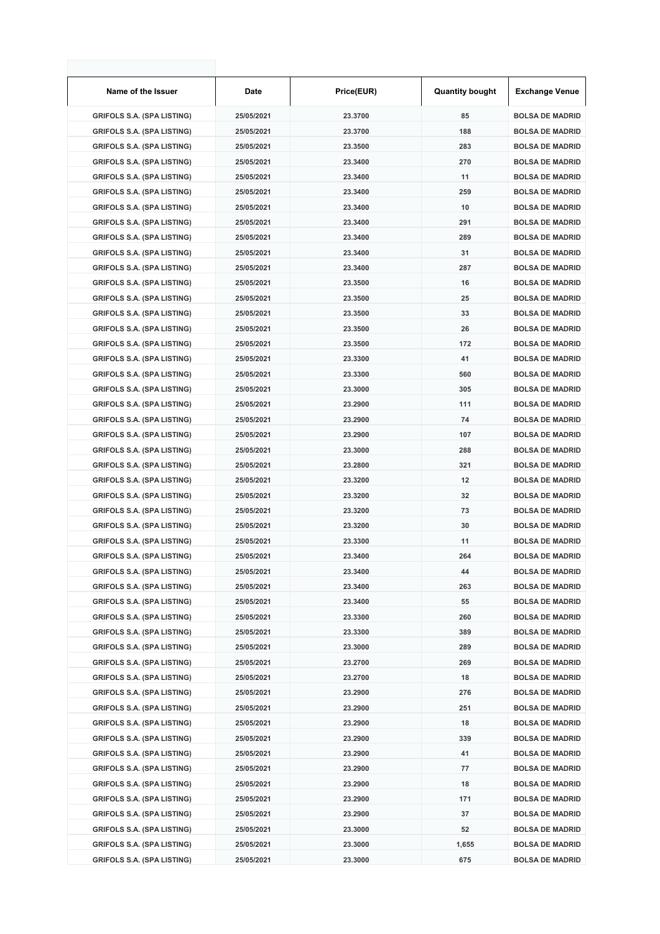| Name of the Issuer                | <b>Date</b> | Price(EUR) | <b>Quantity bought</b> | <b>Exchange Venue</b>  |
|-----------------------------------|-------------|------------|------------------------|------------------------|
| <b>GRIFOLS S.A. (SPA LISTING)</b> | 25/05/2021  | 23.3700    | 85                     | <b>BOLSA DE MADRID</b> |
| <b>GRIFOLS S.A. (SPA LISTING)</b> | 25/05/2021  | 23.3700    | 188                    | <b>BOLSA DE MADRID</b> |
| <b>GRIFOLS S.A. (SPA LISTING)</b> | 25/05/2021  | 23.3500    | 283                    | <b>BOLSA DE MADRID</b> |
| <b>GRIFOLS S.A. (SPA LISTING)</b> | 25/05/2021  | 23.3400    | 270                    | <b>BOLSA DE MADRID</b> |
| <b>GRIFOLS S.A. (SPA LISTING)</b> | 25/05/2021  | 23.3400    | 11                     | <b>BOLSA DE MADRID</b> |
| <b>GRIFOLS S.A. (SPA LISTING)</b> | 25/05/2021  | 23.3400    | 259                    | <b>BOLSA DE MADRID</b> |
| <b>GRIFOLS S.A. (SPA LISTING)</b> | 25/05/2021  | 23.3400    | 10                     | <b>BOLSA DE MADRID</b> |
| <b>GRIFOLS S.A. (SPA LISTING)</b> | 25/05/2021  | 23.3400    | 291                    | <b>BOLSA DE MADRID</b> |
| <b>GRIFOLS S.A. (SPA LISTING)</b> | 25/05/2021  | 23.3400    | 289                    | <b>BOLSA DE MADRID</b> |
| <b>GRIFOLS S.A. (SPA LISTING)</b> | 25/05/2021  | 23.3400    | 31                     | <b>BOLSA DE MADRID</b> |
| <b>GRIFOLS S.A. (SPA LISTING)</b> | 25/05/2021  | 23.3400    | 287                    | <b>BOLSA DE MADRID</b> |
| <b>GRIFOLS S.A. (SPA LISTING)</b> | 25/05/2021  | 23.3500    | 16                     | <b>BOLSA DE MADRID</b> |
| <b>GRIFOLS S.A. (SPA LISTING)</b> | 25/05/2021  | 23.3500    | 25                     | <b>BOLSA DE MADRID</b> |
| <b>GRIFOLS S.A. (SPA LISTING)</b> | 25/05/2021  | 23.3500    | 33                     | <b>BOLSA DE MADRID</b> |
| <b>GRIFOLS S.A. (SPA LISTING)</b> | 25/05/2021  | 23.3500    | 26                     | <b>BOLSA DE MADRID</b> |
| <b>GRIFOLS S.A. (SPA LISTING)</b> | 25/05/2021  | 23.3500    | 172                    | <b>BOLSA DE MADRID</b> |
| <b>GRIFOLS S.A. (SPA LISTING)</b> | 25/05/2021  | 23.3300    | 41                     | <b>BOLSA DE MADRID</b> |
| <b>GRIFOLS S.A. (SPA LISTING)</b> | 25/05/2021  | 23.3300    | 560                    | <b>BOLSA DE MADRID</b> |
| <b>GRIFOLS S.A. (SPA LISTING)</b> | 25/05/2021  | 23.3000    | 305                    | <b>BOLSA DE MADRID</b> |
| <b>GRIFOLS S.A. (SPA LISTING)</b> | 25/05/2021  | 23.2900    | 111                    | <b>BOLSA DE MADRID</b> |
| <b>GRIFOLS S.A. (SPA LISTING)</b> | 25/05/2021  | 23.2900    | 74                     | <b>BOLSA DE MADRID</b> |
| <b>GRIFOLS S.A. (SPA LISTING)</b> | 25/05/2021  | 23.2900    | 107                    | <b>BOLSA DE MADRID</b> |
| <b>GRIFOLS S.A. (SPA LISTING)</b> | 25/05/2021  | 23.3000    | 288                    | <b>BOLSA DE MADRID</b> |
| <b>GRIFOLS S.A. (SPA LISTING)</b> | 25/05/2021  | 23.2800    | 321                    | <b>BOLSA DE MADRID</b> |
| <b>GRIFOLS S.A. (SPA LISTING)</b> | 25/05/2021  | 23.3200    | 12                     | <b>BOLSA DE MADRID</b> |
| <b>GRIFOLS S.A. (SPA LISTING)</b> | 25/05/2021  | 23.3200    | 32                     | <b>BOLSA DE MADRID</b> |
| <b>GRIFOLS S.A. (SPA LISTING)</b> | 25/05/2021  | 23.3200    | 73                     | <b>BOLSA DE MADRID</b> |
| <b>GRIFOLS S.A. (SPA LISTING)</b> | 25/05/2021  | 23.3200    | 30                     | <b>BOLSA DE MADRID</b> |
| <b>GRIFOLS S.A. (SPA LISTING)</b> | 25/05/2021  | 23.3300    | 11                     | <b>BOLSA DE MADRID</b> |
| <b>GRIFOLS S.A. (SPA LISTING)</b> | 25/05/2021  | 23.3400    | 264                    | <b>BOLSA DE MADRID</b> |
| <b>GRIFOLS S.A. (SPA LISTING)</b> | 25/05/2021  | 23.3400    | 44                     | <b>BOLSA DE MADRID</b> |
| <b>GRIFOLS S.A. (SPA LISTING)</b> | 25/05/2021  | 23.3400    | 263                    | <b>BOLSA DE MADRID</b> |
| <b>GRIFOLS S.A. (SPA LISTING)</b> | 25/05/2021  | 23.3400    | 55                     | <b>BOLSA DE MADRID</b> |
| <b>GRIFOLS S.A. (SPA LISTING)</b> | 25/05/2021  | 23.3300    | 260                    | <b>BOLSA DE MADRID</b> |
| <b>GRIFOLS S.A. (SPA LISTING)</b> | 25/05/2021  | 23.3300    | 389                    | <b>BOLSA DE MADRID</b> |
| <b>GRIFOLS S.A. (SPA LISTING)</b> | 25/05/2021  | 23.3000    | 289                    | <b>BOLSA DE MADRID</b> |
| <b>GRIFOLS S.A. (SPA LISTING)</b> | 25/05/2021  | 23.2700    | 269                    | <b>BOLSA DE MADRID</b> |
| <b>GRIFOLS S.A. (SPA LISTING)</b> | 25/05/2021  | 23.2700    | 18                     | <b>BOLSA DE MADRID</b> |
| <b>GRIFOLS S.A. (SPA LISTING)</b> | 25/05/2021  | 23.2900    | 276                    | <b>BOLSA DE MADRID</b> |
| <b>GRIFOLS S.A. (SPA LISTING)</b> | 25/05/2021  | 23.2900    | 251                    | <b>BOLSA DE MADRID</b> |
| <b>GRIFOLS S.A. (SPA LISTING)</b> | 25/05/2021  | 23.2900    | 18                     | <b>BOLSA DE MADRID</b> |
| <b>GRIFOLS S.A. (SPA LISTING)</b> | 25/05/2021  | 23.2900    | 339                    | <b>BOLSA DE MADRID</b> |
| <b>GRIFOLS S.A. (SPA LISTING)</b> | 25/05/2021  | 23.2900    | 41                     | <b>BOLSA DE MADRID</b> |
| <b>GRIFOLS S.A. (SPA LISTING)</b> | 25/05/2021  | 23.2900    | 77                     | <b>BOLSA DE MADRID</b> |
| <b>GRIFOLS S.A. (SPA LISTING)</b> | 25/05/2021  | 23.2900    | 18                     | <b>BOLSA DE MADRID</b> |
| <b>GRIFOLS S.A. (SPA LISTING)</b> | 25/05/2021  | 23.2900    | 171                    | <b>BOLSA DE MADRID</b> |
| <b>GRIFOLS S.A. (SPA LISTING)</b> | 25/05/2021  | 23.2900    | 37                     | <b>BOLSA DE MADRID</b> |
| <b>GRIFOLS S.A. (SPA LISTING)</b> | 25/05/2021  | 23.3000    | 52                     | <b>BOLSA DE MADRID</b> |
| <b>GRIFOLS S.A. (SPA LISTING)</b> | 25/05/2021  | 23.3000    | 1,655                  | <b>BOLSA DE MADRID</b> |
| <b>GRIFOLS S.A. (SPA LISTING)</b> | 25/05/2021  | 23.3000    | 675                    | <b>BOLSA DE MADRID</b> |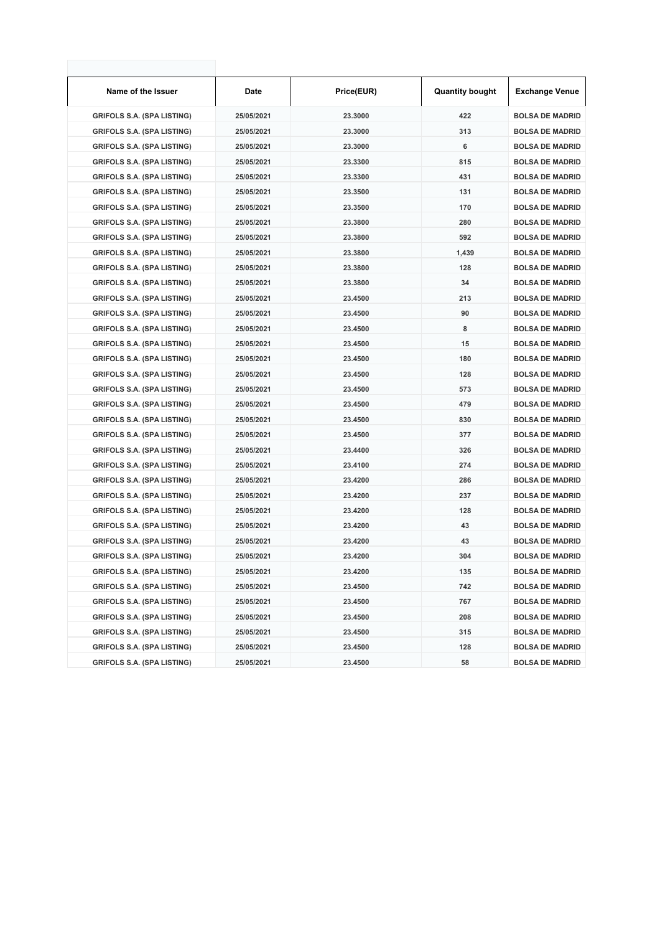| Name of the Issuer                | Date       | Price(EUR) | <b>Quantity bought</b> | <b>Exchange Venue</b>  |
|-----------------------------------|------------|------------|------------------------|------------------------|
| <b>GRIFOLS S.A. (SPA LISTING)</b> | 25/05/2021 | 23.3000    | 422                    | <b>BOLSA DE MADRID</b> |
| <b>GRIFOLS S.A. (SPA LISTING)</b> | 25/05/2021 | 23.3000    | 313                    | <b>BOLSA DE MADRID</b> |
| <b>GRIFOLS S.A. (SPA LISTING)</b> | 25/05/2021 | 23.3000    | 6                      | <b>BOLSA DE MADRID</b> |
| <b>GRIFOLS S.A. (SPA LISTING)</b> | 25/05/2021 | 23.3300    | 815                    | <b>BOLSA DE MADRID</b> |
| <b>GRIFOLS S.A. (SPA LISTING)</b> | 25/05/2021 | 23.3300    | 431                    | <b>BOLSA DE MADRID</b> |
| <b>GRIFOLS S.A. (SPA LISTING)</b> | 25/05/2021 | 23.3500    | 131                    | <b>BOLSA DE MADRID</b> |
| <b>GRIFOLS S.A. (SPA LISTING)</b> | 25/05/2021 | 23.3500    | 170                    | <b>BOLSA DE MADRID</b> |
| <b>GRIFOLS S.A. (SPA LISTING)</b> | 25/05/2021 | 23.3800    | 280                    | <b>BOLSA DE MADRID</b> |
| <b>GRIFOLS S.A. (SPA LISTING)</b> | 25/05/2021 | 23.3800    | 592                    | <b>BOLSA DE MADRID</b> |
| <b>GRIFOLS S.A. (SPA LISTING)</b> | 25/05/2021 | 23.3800    | 1,439                  | <b>BOLSA DE MADRID</b> |
| <b>GRIFOLS S.A. (SPA LISTING)</b> | 25/05/2021 | 23.3800    | 128                    | <b>BOLSA DE MADRID</b> |
| <b>GRIFOLS S.A. (SPA LISTING)</b> | 25/05/2021 | 23.3800    | 34                     | <b>BOLSA DE MADRID</b> |
| <b>GRIFOLS S.A. (SPA LISTING)</b> | 25/05/2021 | 23.4500    | 213                    | <b>BOLSA DE MADRID</b> |
| <b>GRIFOLS S.A. (SPA LISTING)</b> | 25/05/2021 | 23.4500    | 90                     | <b>BOLSA DE MADRID</b> |
| <b>GRIFOLS S.A. (SPA LISTING)</b> | 25/05/2021 | 23.4500    | 8                      | <b>BOLSA DE MADRID</b> |
| <b>GRIFOLS S.A. (SPA LISTING)</b> | 25/05/2021 | 23.4500    | 15                     | <b>BOLSA DE MADRID</b> |
| <b>GRIFOLS S.A. (SPA LISTING)</b> | 25/05/2021 | 23.4500    | 180                    | <b>BOLSA DE MADRID</b> |
| <b>GRIFOLS S.A. (SPA LISTING)</b> | 25/05/2021 | 23.4500    | 128                    | <b>BOLSA DE MADRID</b> |
| <b>GRIFOLS S.A. (SPA LISTING)</b> | 25/05/2021 | 23.4500    | 573                    | <b>BOLSA DE MADRID</b> |
| <b>GRIFOLS S.A. (SPA LISTING)</b> | 25/05/2021 | 23.4500    | 479                    | <b>BOLSA DE MADRID</b> |
| <b>GRIFOLS S.A. (SPA LISTING)</b> | 25/05/2021 | 23.4500    | 830                    | <b>BOLSA DE MADRID</b> |
| <b>GRIFOLS S.A. (SPA LISTING)</b> | 25/05/2021 | 23.4500    | 377                    | <b>BOLSA DE MADRID</b> |
| <b>GRIFOLS S.A. (SPA LISTING)</b> | 25/05/2021 | 23.4400    | 326                    | <b>BOLSA DE MADRID</b> |
| <b>GRIFOLS S.A. (SPA LISTING)</b> | 25/05/2021 | 23.4100    | 274                    | <b>BOLSA DE MADRID</b> |
| <b>GRIFOLS S.A. (SPA LISTING)</b> | 25/05/2021 | 23.4200    | 286                    | <b>BOLSA DE MADRID</b> |
| <b>GRIFOLS S.A. (SPA LISTING)</b> | 25/05/2021 | 23.4200    | 237                    | <b>BOLSA DE MADRID</b> |
| <b>GRIFOLS S.A. (SPA LISTING)</b> | 25/05/2021 | 23.4200    | 128                    | <b>BOLSA DE MADRID</b> |
| <b>GRIFOLS S.A. (SPA LISTING)</b> | 25/05/2021 | 23.4200    | 43                     | <b>BOLSA DE MADRID</b> |
| <b>GRIFOLS S.A. (SPA LISTING)</b> | 25/05/2021 | 23.4200    | 43                     | <b>BOLSA DE MADRID</b> |
| <b>GRIFOLS S.A. (SPA LISTING)</b> | 25/05/2021 | 23.4200    | 304                    | <b>BOLSA DE MADRID</b> |
| <b>GRIFOLS S.A. (SPA LISTING)</b> | 25/05/2021 | 23.4200    | 135                    | <b>BOLSA DE MADRID</b> |
| <b>GRIFOLS S.A. (SPA LISTING)</b> | 25/05/2021 | 23.4500    | 742                    | <b>BOLSA DE MADRID</b> |
| <b>GRIFOLS S.A. (SPA LISTING)</b> | 25/05/2021 | 23.4500    | 767                    | <b>BOLSA DE MADRID</b> |
| <b>GRIFOLS S.A. (SPA LISTING)</b> | 25/05/2021 | 23.4500    | 208                    | <b>BOLSA DE MADRID</b> |
| <b>GRIFOLS S.A. (SPA LISTING)</b> | 25/05/2021 | 23.4500    | 315                    | <b>BOLSA DE MADRID</b> |
| <b>GRIFOLS S.A. (SPA LISTING)</b> | 25/05/2021 | 23.4500    | 128                    | <b>BOLSA DE MADRID</b> |
| <b>GRIFOLS S.A. (SPA LISTING)</b> | 25/05/2021 | 23.4500    | 58                     | <b>BOLSA DE MADRID</b> |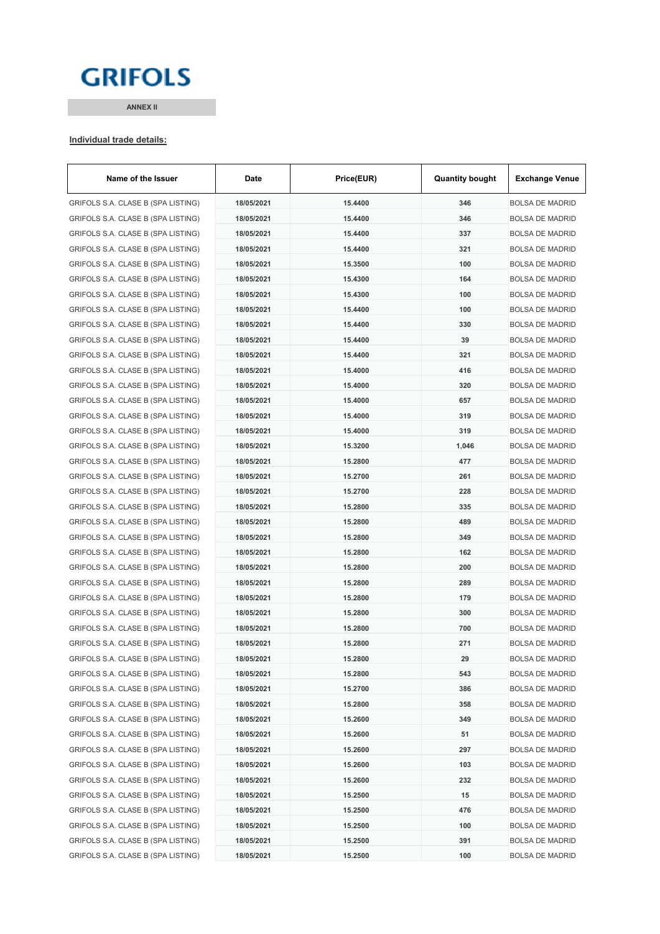# **GRIFOLS**

**ANNEX II**

#### **Individual trade details:**

| Name of the Issuer                 | Date       | Price(EUR) | <b>Quantity bought</b> | <b>Exchange Venue</b>  |
|------------------------------------|------------|------------|------------------------|------------------------|
| GRIFOLS S.A. CLASE B (SPA LISTING) | 18/05/2021 | 15.4400    | 346                    | <b>BOLSA DE MADRID</b> |
| GRIFOLS S.A. CLASE B (SPA LISTING) | 18/05/2021 | 15.4400    | 346                    | <b>BOLSA DE MADRID</b> |
| GRIFOLS S.A. CLASE B (SPA LISTING) | 18/05/2021 | 15.4400    | 337                    | <b>BOLSA DE MADRID</b> |
| GRIFOLS S.A. CLASE B (SPA LISTING) | 18/05/2021 | 15.4400    | 321                    | <b>BOLSA DE MADRID</b> |
| GRIFOLS S.A. CLASE B (SPA LISTING) | 18/05/2021 | 15.3500    | 100                    | <b>BOLSA DE MADRID</b> |
| GRIFOLS S.A. CLASE B (SPA LISTING) | 18/05/2021 | 15.4300    | 164                    | <b>BOLSA DE MADRID</b> |
| GRIFOLS S.A. CLASE B (SPA LISTING) | 18/05/2021 | 15.4300    | 100                    | <b>BOLSA DE MADRID</b> |
| GRIFOLS S.A. CLASE B (SPA LISTING) | 18/05/2021 | 15.4400    | 100                    | <b>BOLSA DE MADRID</b> |
| GRIFOLS S.A. CLASE B (SPA LISTING) | 18/05/2021 | 15.4400    | 330                    | <b>BOLSA DE MADRID</b> |
| GRIFOLS S.A. CLASE B (SPA LISTING) | 18/05/2021 | 15.4400    | 39                     | <b>BOLSA DE MADRID</b> |
| GRIFOLS S.A. CLASE B (SPA LISTING) | 18/05/2021 | 15.4400    | 321                    | <b>BOLSA DE MADRID</b> |
| GRIFOLS S.A. CLASE B (SPA LISTING) | 18/05/2021 | 15.4000    | 416                    | <b>BOLSA DE MADRID</b> |
| GRIFOLS S.A. CLASE B (SPA LISTING) | 18/05/2021 | 15.4000    | 320                    | <b>BOLSA DE MADRID</b> |
| GRIFOLS S.A. CLASE B (SPA LISTING) | 18/05/2021 | 15.4000    | 657                    | <b>BOLSA DE MADRID</b> |
| GRIFOLS S.A. CLASE B (SPA LISTING) | 18/05/2021 | 15.4000    | 319                    | <b>BOLSA DE MADRID</b> |
| GRIFOLS S.A. CLASE B (SPA LISTING) | 18/05/2021 | 15.4000    | 319                    | <b>BOLSA DE MADRID</b> |
| GRIFOLS S.A. CLASE B (SPA LISTING) | 18/05/2021 | 15.3200    | 1,046                  | <b>BOLSA DE MADRID</b> |
| GRIFOLS S.A. CLASE B (SPA LISTING) | 18/05/2021 | 15.2800    | 477                    | <b>BOLSA DE MADRID</b> |
| GRIFOLS S.A. CLASE B (SPA LISTING) | 18/05/2021 | 15.2700    | 261                    | <b>BOLSA DE MADRID</b> |
| GRIFOLS S.A. CLASE B (SPA LISTING) | 18/05/2021 | 15.2700    | 228                    | <b>BOLSA DE MADRID</b> |
| GRIFOLS S.A. CLASE B (SPA LISTING) | 18/05/2021 | 15.2800    | 335                    | <b>BOLSA DE MADRID</b> |
| GRIFOLS S.A. CLASE B (SPA LISTING) | 18/05/2021 | 15.2800    | 489                    | <b>BOLSA DE MADRID</b> |
| GRIFOLS S.A. CLASE B (SPA LISTING) | 18/05/2021 | 15.2800    | 349                    | <b>BOLSA DE MADRID</b> |
| GRIFOLS S.A. CLASE B (SPA LISTING) | 18/05/2021 | 15.2800    | 162                    | <b>BOLSA DE MADRID</b> |
| GRIFOLS S.A. CLASE B (SPA LISTING) | 18/05/2021 | 15.2800    | 200                    | <b>BOLSA DE MADRID</b> |
| GRIFOLS S.A. CLASE B (SPA LISTING) | 18/05/2021 | 15.2800    | 289                    | <b>BOLSA DE MADRID</b> |
| GRIFOLS S.A. CLASE B (SPA LISTING) | 18/05/2021 | 15.2800    | 179                    | <b>BOLSA DE MADRID</b> |
| GRIFOLS S.A. CLASE B (SPA LISTING) | 18/05/2021 | 15.2800    | 300                    | <b>BOLSA DE MADRID</b> |
| GRIFOLS S.A. CLASE B (SPA LISTING) | 18/05/2021 | 15.2800    | 700                    | <b>BOLSA DE MADRID</b> |
| GRIFOLS S.A. CLASE B (SPA LISTING) | 18/05/2021 | 15.2800    | 271                    | <b>BOLSA DE MADRID</b> |
| GRIFOLS S.A. CLASE B (SPA LISTING) | 18/05/2021 | 15.2800    | 29                     | BOLSA DE MADRID        |
| GRIFOLS S.A. CLASE B (SPA LISTING) | 18/05/2021 | 15.2800    | 543                    | <b>BOLSA DE MADRID</b> |
| GRIFOLS S.A. CLASE B (SPA LISTING) | 18/05/2021 | 15.2700    | 386                    | <b>BOLSA DE MADRID</b> |
| GRIFOLS S.A. CLASE B (SPA LISTING) | 18/05/2021 | 15.2800    | 358                    | <b>BOLSA DE MADRID</b> |
| GRIFOLS S.A. CLASE B (SPA LISTING) | 18/05/2021 | 15.2600    | 349                    | <b>BOLSA DE MADRID</b> |
| GRIFOLS S.A. CLASE B (SPA LISTING) | 18/05/2021 | 15.2600    | 51                     | <b>BOLSA DE MADRID</b> |
| GRIFOLS S.A. CLASE B (SPA LISTING) | 18/05/2021 | 15.2600    | 297                    | <b>BOLSA DE MADRID</b> |
| GRIFOLS S.A. CLASE B (SPA LISTING) | 18/05/2021 | 15.2600    | 103                    | <b>BOLSA DE MADRID</b> |
| GRIFOLS S.A. CLASE B (SPA LISTING) | 18/05/2021 | 15.2600    | 232                    | <b>BOLSA DE MADRID</b> |
| GRIFOLS S.A. CLASE B (SPA LISTING) | 18/05/2021 | 15.2500    | 15                     | <b>BOLSA DE MADRID</b> |
| GRIFOLS S.A. CLASE B (SPA LISTING) | 18/05/2021 | 15.2500    | 476                    | <b>BOLSA DE MADRID</b> |
| GRIFOLS S.A. CLASE B (SPA LISTING) | 18/05/2021 | 15.2500    | 100                    | <b>BOLSA DE MADRID</b> |
| GRIFOLS S.A. CLASE B (SPA LISTING) | 18/05/2021 | 15.2500    | 391                    | <b>BOLSA DE MADRID</b> |
| GRIFOLS S.A. CLASE B (SPA LISTING) | 18/05/2021 | 15.2500    | 100                    | <b>BOLSA DE MADRID</b> |
|                                    |            |            |                        |                        |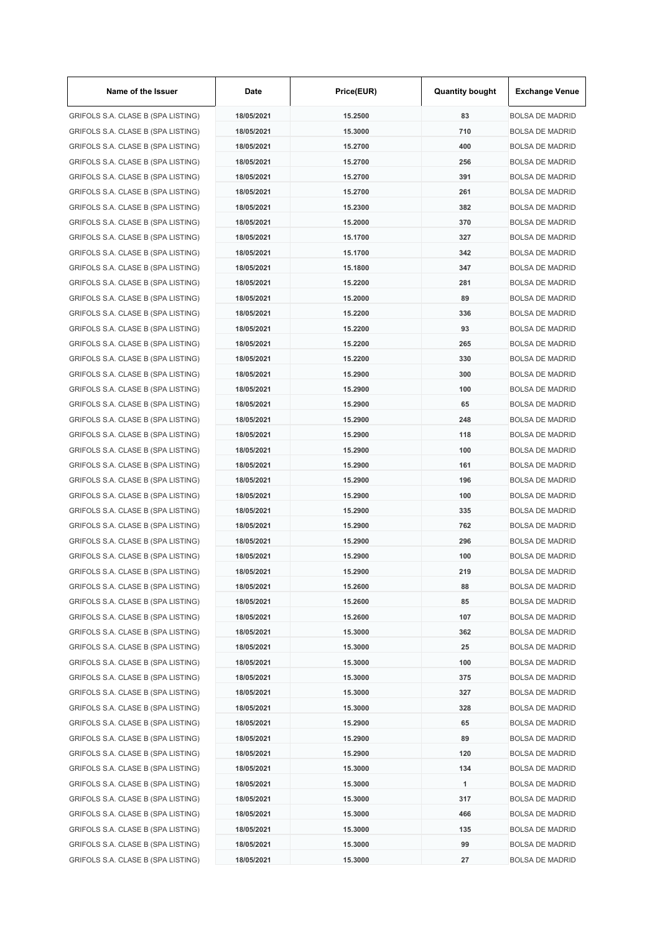| Name of the Issuer                 | Date       | Price(EUR) | <b>Quantity bought</b> | <b>Exchange Venue</b>  |
|------------------------------------|------------|------------|------------------------|------------------------|
| GRIFOLS S.A. CLASE B (SPA LISTING) | 18/05/2021 | 15.2500    | 83                     | <b>BOLSA DE MADRID</b> |
| GRIFOLS S.A. CLASE B (SPA LISTING) | 18/05/2021 | 15.3000    | 710                    | <b>BOLSA DE MADRID</b> |
| GRIFOLS S.A. CLASE B (SPA LISTING) | 18/05/2021 | 15.2700    | 400                    | <b>BOLSA DE MADRID</b> |
| GRIFOLS S.A. CLASE B (SPA LISTING) | 18/05/2021 | 15.2700    | 256                    | <b>BOLSA DE MADRID</b> |
| GRIFOLS S.A. CLASE B (SPA LISTING) | 18/05/2021 | 15.2700    | 391                    | <b>BOLSA DE MADRID</b> |
| GRIFOLS S.A. CLASE B (SPA LISTING) | 18/05/2021 | 15.2700    | 261                    | <b>BOLSA DE MADRID</b> |
| GRIFOLS S.A. CLASE B (SPA LISTING) | 18/05/2021 | 15.2300    | 382                    | <b>BOLSA DE MADRID</b> |
| GRIFOLS S.A. CLASE B (SPA LISTING) | 18/05/2021 | 15.2000    | 370                    | <b>BOLSA DE MADRID</b> |
| GRIFOLS S.A. CLASE B (SPA LISTING) | 18/05/2021 | 15.1700    | 327                    | <b>BOLSA DE MADRID</b> |
| GRIFOLS S.A. CLASE B (SPA LISTING) | 18/05/2021 | 15.1700    | 342                    | <b>BOLSA DE MADRID</b> |
| GRIFOLS S.A. CLASE B (SPA LISTING) | 18/05/2021 | 15.1800    | 347                    | <b>BOLSA DE MADRID</b> |
| GRIFOLS S.A. CLASE B (SPA LISTING) | 18/05/2021 | 15.2200    | 281                    | <b>BOLSA DE MADRID</b> |
| GRIFOLS S.A. CLASE B (SPA LISTING) | 18/05/2021 | 15.2000    | 89                     | <b>BOLSA DE MADRID</b> |
| GRIFOLS S.A. CLASE B (SPA LISTING) | 18/05/2021 | 15.2200    | 336                    | <b>BOLSA DE MADRID</b> |
| GRIFOLS S.A. CLASE B (SPA LISTING) | 18/05/2021 | 15.2200    | 93                     | <b>BOLSA DE MADRID</b> |
| GRIFOLS S.A. CLASE B (SPA LISTING) | 18/05/2021 | 15.2200    | 265                    | <b>BOLSA DE MADRID</b> |
| GRIFOLS S.A. CLASE B (SPA LISTING) | 18/05/2021 | 15.2200    | 330                    | <b>BOLSA DE MADRID</b> |
| GRIFOLS S.A. CLASE B (SPA LISTING) | 18/05/2021 | 15.2900    | 300                    | <b>BOLSA DE MADRID</b> |
| GRIFOLS S.A. CLASE B (SPA LISTING) | 18/05/2021 | 15.2900    | 100                    |                        |
|                                    |            |            |                        | <b>BOLSA DE MADRID</b> |
| GRIFOLS S.A. CLASE B (SPA LISTING) | 18/05/2021 | 15.2900    | 65                     | <b>BOLSA DE MADRID</b> |
| GRIFOLS S.A. CLASE B (SPA LISTING) | 18/05/2021 | 15.2900    | 248                    | <b>BOLSA DE MADRID</b> |
| GRIFOLS S.A. CLASE B (SPA LISTING) | 18/05/2021 | 15.2900    | 118                    | <b>BOLSA DE MADRID</b> |
| GRIFOLS S.A. CLASE B (SPA LISTING) | 18/05/2021 | 15.2900    | 100                    | <b>BOLSA DE MADRID</b> |
| GRIFOLS S.A. CLASE B (SPA LISTING) | 18/05/2021 | 15.2900    | 161                    | <b>BOLSA DE MADRID</b> |
| GRIFOLS S.A. CLASE B (SPA LISTING) | 18/05/2021 | 15.2900    | 196                    | <b>BOLSA DE MADRID</b> |
| GRIFOLS S.A. CLASE B (SPA LISTING) | 18/05/2021 | 15.2900    | 100                    | <b>BOLSA DE MADRID</b> |
| GRIFOLS S.A. CLASE B (SPA LISTING) | 18/05/2021 | 15.2900    | 335                    | <b>BOLSA DE MADRID</b> |
| GRIFOLS S.A. CLASE B (SPA LISTING) | 18/05/2021 | 15.2900    | 762                    | <b>BOLSA DE MADRID</b> |
| GRIFOLS S.A. CLASE B (SPA LISTING) | 18/05/2021 | 15.2900    | 296                    | <b>BOLSA DE MADRID</b> |
| GRIFOLS S.A. CLASE B (SPA LISTING) | 18/05/2021 | 15.2900    | 100                    | <b>BOLSA DE MADRID</b> |
| GRIFOLS S.A. CLASE B (SPA LISTING) | 18/05/2021 | 15.2900    | 219                    | <b>BOLSA DE MADRID</b> |
| GRIFOLS S.A. CLASE B (SPA LISTING) | 18/05/2021 | 15.2600    | 88                     | <b>BOLSA DE MADRID</b> |
| GRIFOLS S.A. CLASE B (SPA LISTING) | 18/05/2021 | 15.2600    | 85                     | <b>BOLSA DE MADRID</b> |
| GRIFOLS S.A. CLASE B (SPA LISTING) | 18/05/2021 | 15.2600    | 107                    | <b>BOLSA DE MADRID</b> |
| GRIFOLS S.A. CLASE B (SPA LISTING) | 18/05/2021 | 15.3000    | 362                    | <b>BOLSA DE MADRID</b> |
| GRIFOLS S.A. CLASE B (SPA LISTING) | 18/05/2021 | 15.3000    | 25                     | <b>BOLSA DE MADRID</b> |
| GRIFOLS S.A. CLASE B (SPA LISTING) | 18/05/2021 | 15.3000    | 100                    | <b>BOLSA DE MADRID</b> |
| GRIFOLS S.A. CLASE B (SPA LISTING) | 18/05/2021 | 15.3000    | 375                    | <b>BOLSA DE MADRID</b> |
| GRIFOLS S.A. CLASE B (SPA LISTING) | 18/05/2021 | 15.3000    | 327                    | <b>BOLSA DE MADRID</b> |
| GRIFOLS S.A. CLASE B (SPA LISTING) | 18/05/2021 | 15.3000    | 328                    | <b>BOLSA DE MADRID</b> |
| GRIFOLS S.A. CLASE B (SPA LISTING) | 18/05/2021 | 15.2900    | 65                     | <b>BOLSA DE MADRID</b> |
| GRIFOLS S.A. CLASE B (SPA LISTING) | 18/05/2021 | 15.2900    | 89                     | <b>BOLSA DE MADRID</b> |
| GRIFOLS S.A. CLASE B (SPA LISTING) | 18/05/2021 | 15.2900    | 120                    | <b>BOLSA DE MADRID</b> |
| GRIFOLS S.A. CLASE B (SPA LISTING) | 18/05/2021 | 15.3000    | 134                    | <b>BOLSA DE MADRID</b> |
| GRIFOLS S.A. CLASE B (SPA LISTING) | 18/05/2021 | 15.3000    | 1                      | <b>BOLSA DE MADRID</b> |
| GRIFOLS S.A. CLASE B (SPA LISTING) | 18/05/2021 | 15.3000    | 317                    | <b>BOLSA DE MADRID</b> |
| GRIFOLS S.A. CLASE B (SPA LISTING) | 18/05/2021 | 15.3000    | 466                    | <b>BOLSA DE MADRID</b> |
| GRIFOLS S.A. CLASE B (SPA LISTING) | 18/05/2021 | 15.3000    | 135                    | <b>BOLSA DE MADRID</b> |
| GRIFOLS S.A. CLASE B (SPA LISTING) | 18/05/2021 | 15.3000    | 99                     | <b>BOLSA DE MADRID</b> |
| GRIFOLS S.A. CLASE B (SPA LISTING) | 18/05/2021 | 15.3000    | 27                     | <b>BOLSA DE MADRID</b> |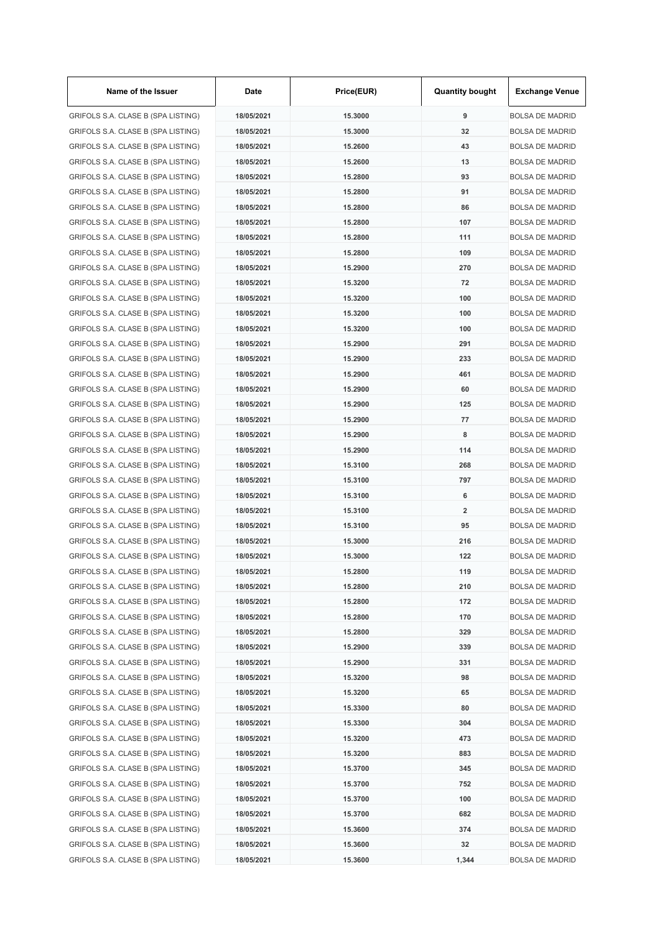| Name of the Issuer                 | Date       | Price(EUR) | <b>Quantity bought</b>  | <b>Exchange Venue</b>  |
|------------------------------------|------------|------------|-------------------------|------------------------|
| GRIFOLS S.A. CLASE B (SPA LISTING) | 18/05/2021 | 15.3000    | 9                       | <b>BOLSA DE MADRID</b> |
| GRIFOLS S.A. CLASE B (SPA LISTING) | 18/05/2021 | 15.3000    | 32                      | <b>BOLSA DE MADRID</b> |
| GRIFOLS S.A. CLASE B (SPA LISTING) | 18/05/2021 | 15.2600    | 43                      | <b>BOLSA DE MADRID</b> |
| GRIFOLS S.A. CLASE B (SPA LISTING) | 18/05/2021 | 15.2600    | 13                      | <b>BOLSA DE MADRID</b> |
| GRIFOLS S.A. CLASE B (SPA LISTING) | 18/05/2021 | 15.2800    | 93                      | <b>BOLSA DE MADRID</b> |
| GRIFOLS S.A. CLASE B (SPA LISTING) | 18/05/2021 | 15.2800    | 91                      | <b>BOLSA DE MADRID</b> |
| GRIFOLS S.A. CLASE B (SPA LISTING) | 18/05/2021 | 15.2800    | 86                      | <b>BOLSA DE MADRID</b> |
| GRIFOLS S.A. CLASE B (SPA LISTING) | 18/05/2021 | 15.2800    | 107                     | <b>BOLSA DE MADRID</b> |
| GRIFOLS S.A. CLASE B (SPA LISTING) | 18/05/2021 | 15.2800    | 111                     | <b>BOLSA DE MADRID</b> |
| GRIFOLS S.A. CLASE B (SPA LISTING) | 18/05/2021 | 15.2800    | 109                     | <b>BOLSA DE MADRID</b> |
| GRIFOLS S.A. CLASE B (SPA LISTING) | 18/05/2021 | 15.2900    | 270                     | <b>BOLSA DE MADRID</b> |
| GRIFOLS S.A. CLASE B (SPA LISTING) | 18/05/2021 | 15.3200    | 72                      | <b>BOLSA DE MADRID</b> |
| GRIFOLS S.A. CLASE B (SPA LISTING) | 18/05/2021 | 15.3200    | 100                     | <b>BOLSA DE MADRID</b> |
| GRIFOLS S.A. CLASE B (SPA LISTING) | 18/05/2021 | 15.3200    | 100                     | <b>BOLSA DE MADRID</b> |
| GRIFOLS S.A. CLASE B (SPA LISTING) | 18/05/2021 | 15.3200    | 100                     | <b>BOLSA DE MADRID</b> |
| GRIFOLS S.A. CLASE B (SPA LISTING) | 18/05/2021 | 15.2900    | 291                     | <b>BOLSA DE MADRID</b> |
| GRIFOLS S.A. CLASE B (SPA LISTING) | 18/05/2021 | 15.2900    | 233                     | <b>BOLSA DE MADRID</b> |
| GRIFOLS S.A. CLASE B (SPA LISTING) | 18/05/2021 | 15.2900    | 461                     | <b>BOLSA DE MADRID</b> |
| GRIFOLS S.A. CLASE B (SPA LISTING) | 18/05/2021 | 15.2900    | 60                      | <b>BOLSA DE MADRID</b> |
| GRIFOLS S.A. CLASE B (SPA LISTING) | 18/05/2021 | 15.2900    | 125                     | <b>BOLSA DE MADRID</b> |
| GRIFOLS S.A. CLASE B (SPA LISTING) | 18/05/2021 | 15.2900    | 77                      | <b>BOLSA DE MADRID</b> |
| GRIFOLS S.A. CLASE B (SPA LISTING) | 18/05/2021 | 15.2900    | 8                       | <b>BOLSA DE MADRID</b> |
| GRIFOLS S.A. CLASE B (SPA LISTING) | 18/05/2021 | 15.2900    | 114                     | <b>BOLSA DE MADRID</b> |
| GRIFOLS S.A. CLASE B (SPA LISTING) | 18/05/2021 | 15.3100    | 268                     | <b>BOLSA DE MADRID</b> |
| GRIFOLS S.A. CLASE B (SPA LISTING) | 18/05/2021 | 15.3100    | 797                     | <b>BOLSA DE MADRID</b> |
| GRIFOLS S.A. CLASE B (SPA LISTING) | 18/05/2021 | 15.3100    | 6                       | <b>BOLSA DE MADRID</b> |
| GRIFOLS S.A. CLASE B (SPA LISTING) | 18/05/2021 | 15.3100    | $\overline{\mathbf{2}}$ | <b>BOLSA DE MADRID</b> |
| GRIFOLS S.A. CLASE B (SPA LISTING) | 18/05/2021 | 15.3100    | 95                      | <b>BOLSA DE MADRID</b> |
| GRIFOLS S.A. CLASE B (SPA LISTING) | 18/05/2021 | 15.3000    | 216                     | <b>BOLSA DE MADRID</b> |
| GRIFOLS S.A. CLASE B (SPA LISTING) | 18/05/2021 | 15.3000    | 122                     | <b>BOLSA DE MADRID</b> |
|                                    |            |            | 119                     |                        |
| GRIFOLS S.A. CLASE B (SPA LISTING) | 18/05/2021 | 15.2800    |                         | <b>BOLSA DE MADRID</b> |
| GRIFOLS S.A. CLASE B (SPA LISTING) | 18/05/2021 | 15.2800    | 210                     | <b>BOLSA DE MADRID</b> |
| GRIFOLS S.A. CLASE B (SPA LISTING) | 18/05/2021 | 15.2800    | 172                     | <b>BOLSA DE MADRID</b> |
| GRIFOLS S.A. CLASE B (SPA LISTING) | 18/05/2021 | 15.2800    | 170                     | <b>BOLSA DE MADRID</b> |
| GRIFOLS S.A. CLASE B (SPA LISTING) | 18/05/2021 | 15.2800    | 329                     | <b>BOLSA DE MADRID</b> |
| GRIFOLS S.A. CLASE B (SPA LISTING) | 18/05/2021 | 15.2900    | 339                     | <b>BOLSA DE MADRID</b> |
| GRIFOLS S.A. CLASE B (SPA LISTING) | 18/05/2021 | 15.2900    | 331                     | <b>BOLSA DE MADRID</b> |
| GRIFOLS S.A. CLASE B (SPA LISTING) | 18/05/2021 | 15.3200    | 98                      | <b>BOLSA DE MADRID</b> |
| GRIFOLS S.A. CLASE B (SPA LISTING) | 18/05/2021 | 15.3200    | 65                      | <b>BOLSA DE MADRID</b> |
| GRIFOLS S.A. CLASE B (SPA LISTING) | 18/05/2021 | 15.3300    | 80                      | <b>BOLSA DE MADRID</b> |
| GRIFOLS S.A. CLASE B (SPA LISTING) | 18/05/2021 | 15.3300    | 304                     | <b>BOLSA DE MADRID</b> |
| GRIFOLS S.A. CLASE B (SPA LISTING) | 18/05/2021 | 15.3200    | 473                     | <b>BOLSA DE MADRID</b> |
| GRIFOLS S.A. CLASE B (SPA LISTING) | 18/05/2021 | 15.3200    | 883                     | <b>BOLSA DE MADRID</b> |
| GRIFOLS S.A. CLASE B (SPA LISTING) | 18/05/2021 | 15.3700    | 345                     | <b>BOLSA DE MADRID</b> |
| GRIFOLS S.A. CLASE B (SPA LISTING) | 18/05/2021 | 15.3700    | 752                     | <b>BOLSA DE MADRID</b> |
| GRIFOLS S.A. CLASE B (SPA LISTING) | 18/05/2021 | 15.3700    | 100                     | <b>BOLSA DE MADRID</b> |
| GRIFOLS S.A. CLASE B (SPA LISTING) | 18/05/2021 | 15.3700    | 682                     | <b>BOLSA DE MADRID</b> |
| GRIFOLS S.A. CLASE B (SPA LISTING) | 18/05/2021 | 15.3600    | 374                     | <b>BOLSA DE MADRID</b> |
| GRIFOLS S.A. CLASE B (SPA LISTING) | 18/05/2021 | 15.3600    | 32                      | <b>BOLSA DE MADRID</b> |
| GRIFOLS S.A. CLASE B (SPA LISTING) | 18/05/2021 | 15.3600    | 1,344                   | <b>BOLSA DE MADRID</b> |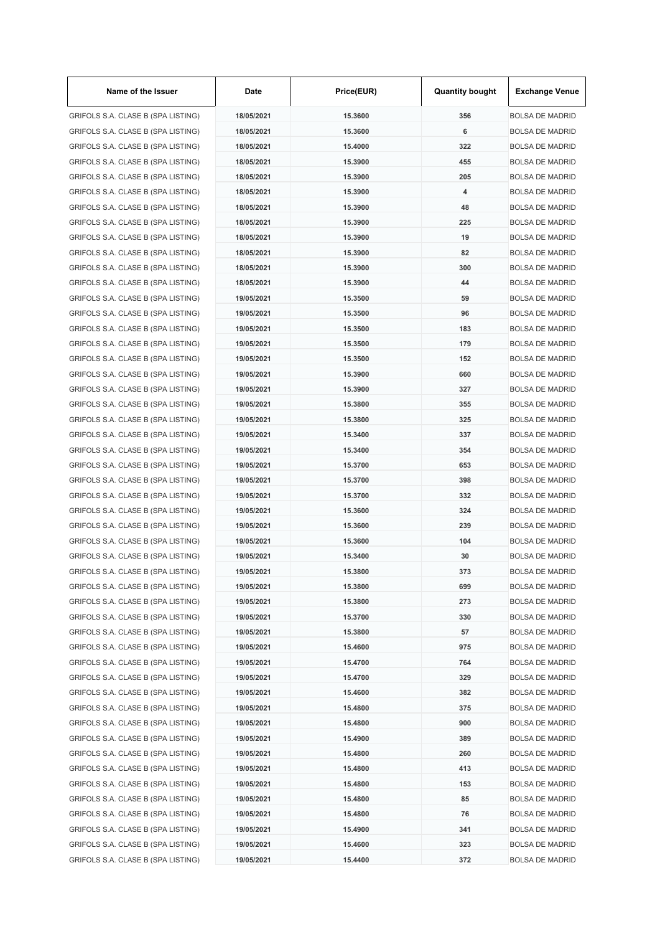| Name of the Issuer                 | Date       | Price(EUR) | <b>Quantity bought</b> | <b>Exchange Venue</b>  |
|------------------------------------|------------|------------|------------------------|------------------------|
| GRIFOLS S.A. CLASE B (SPA LISTING) | 18/05/2021 | 15.3600    | 356                    | <b>BOLSA DE MADRID</b> |
| GRIFOLS S.A. CLASE B (SPA LISTING) | 18/05/2021 | 15.3600    | 6                      | <b>BOLSA DE MADRID</b> |
| GRIFOLS S.A. CLASE B (SPA LISTING) | 18/05/2021 | 15.4000    | 322                    | <b>BOLSA DE MADRID</b> |
| GRIFOLS S.A. CLASE B (SPA LISTING) | 18/05/2021 | 15.3900    | 455                    | <b>BOLSA DE MADRID</b> |
| GRIFOLS S.A. CLASE B (SPA LISTING) | 18/05/2021 | 15.3900    | 205                    | <b>BOLSA DE MADRID</b> |
| GRIFOLS S.A. CLASE B (SPA LISTING) | 18/05/2021 | 15.3900    | 4                      | <b>BOLSA DE MADRID</b> |
| GRIFOLS S.A. CLASE B (SPA LISTING) | 18/05/2021 | 15.3900    | 48                     | <b>BOLSA DE MADRID</b> |
| GRIFOLS S.A. CLASE B (SPA LISTING) | 18/05/2021 | 15.3900    | 225                    | <b>BOLSA DE MADRID</b> |
| GRIFOLS S.A. CLASE B (SPA LISTING) | 18/05/2021 | 15.3900    | 19                     | <b>BOLSA DE MADRID</b> |
| GRIFOLS S.A. CLASE B (SPA LISTING) | 18/05/2021 | 15.3900    | 82                     | <b>BOLSA DE MADRID</b> |
| GRIFOLS S.A. CLASE B (SPA LISTING) | 18/05/2021 | 15.3900    | 300                    | <b>BOLSA DE MADRID</b> |
| GRIFOLS S.A. CLASE B (SPA LISTING) | 18/05/2021 | 15.3900    | 44                     | <b>BOLSA DE MADRID</b> |
| GRIFOLS S.A. CLASE B (SPA LISTING) | 19/05/2021 | 15.3500    | 59                     | <b>BOLSA DE MADRID</b> |
| GRIFOLS S.A. CLASE B (SPA LISTING) | 19/05/2021 | 15.3500    | 96                     | <b>BOLSA DE MADRID</b> |
| GRIFOLS S.A. CLASE B (SPA LISTING) | 19/05/2021 | 15.3500    | 183                    | <b>BOLSA DE MADRID</b> |
| GRIFOLS S.A. CLASE B (SPA LISTING) | 19/05/2021 | 15.3500    | 179                    | <b>BOLSA DE MADRID</b> |
| GRIFOLS S.A. CLASE B (SPA LISTING) | 19/05/2021 | 15.3500    | 152                    | <b>BOLSA DE MADRID</b> |
| GRIFOLS S.A. CLASE B (SPA LISTING) | 19/05/2021 | 15.3900    | 660                    | <b>BOLSA DE MADRID</b> |
| GRIFOLS S.A. CLASE B (SPA LISTING) | 19/05/2021 | 15.3900    | 327                    | <b>BOLSA DE MADRID</b> |
| GRIFOLS S.A. CLASE B (SPA LISTING) | 19/05/2021 | 15.3800    | 355                    | <b>BOLSA DE MADRID</b> |
| GRIFOLS S.A. CLASE B (SPA LISTING) | 19/05/2021 | 15.3800    | 325                    | <b>BOLSA DE MADRID</b> |
| GRIFOLS S.A. CLASE B (SPA LISTING) | 19/05/2021 |            | 337                    | <b>BOLSA DE MADRID</b> |
|                                    |            | 15.3400    |                        |                        |
| GRIFOLS S.A. CLASE B (SPA LISTING) | 19/05/2021 | 15.3400    | 354                    | <b>BOLSA DE MADRID</b> |
| GRIFOLS S.A. CLASE B (SPA LISTING) | 19/05/2021 | 15.3700    | 653                    | <b>BOLSA DE MADRID</b> |
| GRIFOLS S.A. CLASE B (SPA LISTING) | 19/05/2021 | 15.3700    | 398                    | <b>BOLSA DE MADRID</b> |
| GRIFOLS S.A. CLASE B (SPA LISTING) | 19/05/2021 | 15.3700    | 332                    | <b>BOLSA DE MADRID</b> |
| GRIFOLS S.A. CLASE B (SPA LISTING) | 19/05/2021 | 15.3600    | 324                    | <b>BOLSA DE MADRID</b> |
| GRIFOLS S.A. CLASE B (SPA LISTING) | 19/05/2021 | 15,3600    | 239                    | <b>BOLSA DE MADRID</b> |
| GRIFOLS S.A. CLASE B (SPA LISTING) | 19/05/2021 | 15,3600    | 104                    | <b>BOLSA DE MADRID</b> |
| GRIFOLS S.A. CLASE B (SPA LISTING) | 19/05/2021 | 15.3400    | 30                     | <b>BOLSA DE MADRID</b> |
| GRIFOLS S.A. CLASE B (SPA LISTING) | 19/05/2021 | 15.3800    | 373                    | <b>BOLSA DE MADRID</b> |
| GRIFOLS S.A. CLASE B (SPA LISTING) | 19/05/2021 | 15.3800    | 699                    | <b>BOLSA DE MADRID</b> |
| GRIFOLS S.A. CLASE B (SPA LISTING) | 19/05/2021 | 15.3800    | 273                    | <b>BOLSA DE MADRID</b> |
| GRIFOLS S.A. CLASE B (SPA LISTING) | 19/05/2021 | 15.3700    | 330                    | <b>BOLSA DE MADRID</b> |
| GRIFOLS S.A. CLASE B (SPA LISTING) | 19/05/2021 | 15.3800    | 57                     | <b>BOLSA DE MADRID</b> |
| GRIFOLS S.A. CLASE B (SPA LISTING) | 19/05/2021 | 15.4600    | 975                    | <b>BOLSA DE MADRID</b> |
| GRIFOLS S.A. CLASE B (SPA LISTING) | 19/05/2021 | 15.4700    | 764                    | <b>BOLSA DE MADRID</b> |
| GRIFOLS S.A. CLASE B (SPA LISTING) | 19/05/2021 | 15.4700    | 329                    | <b>BOLSA DE MADRID</b> |
| GRIFOLS S.A. CLASE B (SPA LISTING) | 19/05/2021 | 15.4600    | 382                    | <b>BOLSA DE MADRID</b> |
| GRIFOLS S.A. CLASE B (SPA LISTING) | 19/05/2021 | 15.4800    | 375                    | <b>BOLSA DE MADRID</b> |
| GRIFOLS S.A. CLASE B (SPA LISTING) | 19/05/2021 | 15.4800    | 900                    | <b>BOLSA DE MADRID</b> |
| GRIFOLS S.A. CLASE B (SPA LISTING) | 19/05/2021 | 15.4900    | 389                    | <b>BOLSA DE MADRID</b> |
| GRIFOLS S.A. CLASE B (SPA LISTING) | 19/05/2021 | 15.4800    | 260                    | <b>BOLSA DE MADRID</b> |
| GRIFOLS S.A. CLASE B (SPA LISTING) | 19/05/2021 | 15.4800    | 413                    | <b>BOLSA DE MADRID</b> |
| GRIFOLS S.A. CLASE B (SPA LISTING) | 19/05/2021 | 15.4800    | 153                    | <b>BOLSA DE MADRID</b> |
| GRIFOLS S.A. CLASE B (SPA LISTING) | 19/05/2021 | 15.4800    | 85                     | <b>BOLSA DE MADRID</b> |
| GRIFOLS S.A. CLASE B (SPA LISTING) | 19/05/2021 | 15.4800    | 76                     | <b>BOLSA DE MADRID</b> |
| GRIFOLS S.A. CLASE B (SPA LISTING) | 19/05/2021 | 15.4900    | 341                    | <b>BOLSA DE MADRID</b> |
| GRIFOLS S.A. CLASE B (SPA LISTING) | 19/05/2021 | 15.4600    | 323                    | <b>BOLSA DE MADRID</b> |
| GRIFOLS S.A. CLASE B (SPA LISTING) | 19/05/2021 | 15.4400    | 372                    | <b>BOLSA DE MADRID</b> |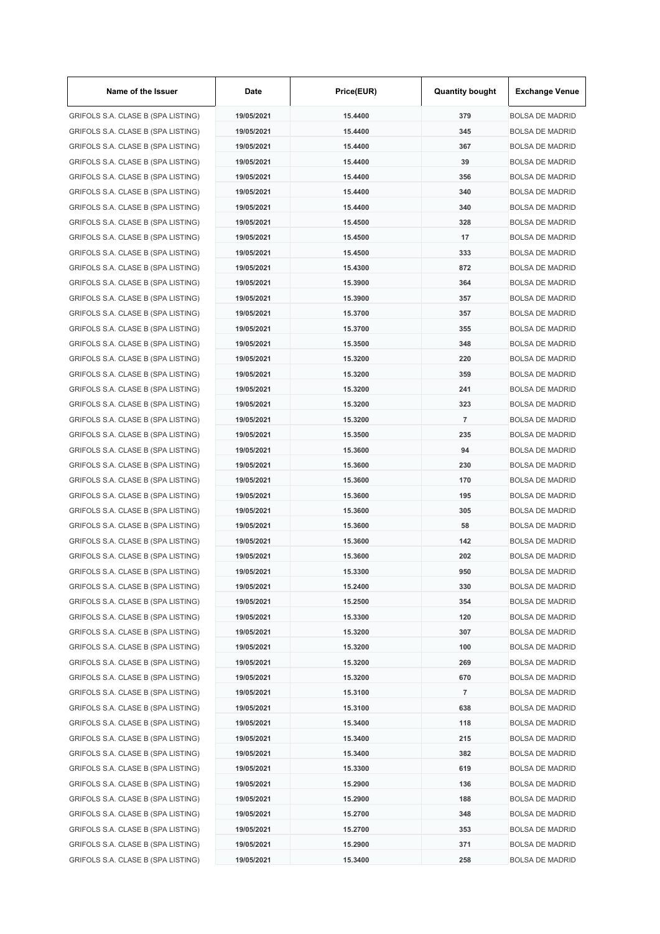| Name of the Issuer                 | Date       | Price(EUR) | <b>Quantity bought</b> | <b>Exchange Venue</b>  |
|------------------------------------|------------|------------|------------------------|------------------------|
| GRIFOLS S.A. CLASE B (SPA LISTING) | 19/05/2021 | 15.4400    | 379                    | <b>BOLSA DE MADRID</b> |
| GRIFOLS S.A. CLASE B (SPA LISTING) | 19/05/2021 | 15.4400    | 345                    | <b>BOLSA DE MADRID</b> |
| GRIFOLS S.A. CLASE B (SPA LISTING) | 19/05/2021 | 15.4400    | 367                    | <b>BOLSA DE MADRID</b> |
| GRIFOLS S.A. CLASE B (SPA LISTING) | 19/05/2021 | 15.4400    | 39                     | <b>BOLSA DE MADRID</b> |
| GRIFOLS S.A. CLASE B (SPA LISTING) | 19/05/2021 | 15.4400    | 356                    | <b>BOLSA DE MADRID</b> |
| GRIFOLS S.A. CLASE B (SPA LISTING) | 19/05/2021 | 15.4400    | 340                    | <b>BOLSA DE MADRID</b> |
| GRIFOLS S.A. CLASE B (SPA LISTING) | 19/05/2021 | 15.4400    | 340                    | <b>BOLSA DE MADRID</b> |
| GRIFOLS S.A. CLASE B (SPA LISTING) | 19/05/2021 | 15.4500    | 328                    | <b>BOLSA DE MADRID</b> |
| GRIFOLS S.A. CLASE B (SPA LISTING) | 19/05/2021 | 15.4500    | 17                     | <b>BOLSA DE MADRID</b> |
| GRIFOLS S.A. CLASE B (SPA LISTING) | 19/05/2021 | 15.4500    | 333                    | <b>BOLSA DE MADRID</b> |
| GRIFOLS S.A. CLASE B (SPA LISTING) | 19/05/2021 | 15.4300    | 872                    | <b>BOLSA DE MADRID</b> |
| GRIFOLS S.A. CLASE B (SPA LISTING) | 19/05/2021 | 15.3900    | 364                    | <b>BOLSA DE MADRID</b> |
| GRIFOLS S.A. CLASE B (SPA LISTING) | 19/05/2021 | 15.3900    | 357                    | <b>BOLSA DE MADRID</b> |
| GRIFOLS S.A. CLASE B (SPA LISTING) | 19/05/2021 | 15.3700    | 357                    | <b>BOLSA DE MADRID</b> |
| GRIFOLS S.A. CLASE B (SPA LISTING) | 19/05/2021 | 15.3700    | 355                    | <b>BOLSA DE MADRID</b> |
| GRIFOLS S.A. CLASE B (SPA LISTING) | 19/05/2021 | 15.3500    | 348                    | <b>BOLSA DE MADRID</b> |
| GRIFOLS S.A. CLASE B (SPA LISTING) | 19/05/2021 | 15.3200    | 220                    | <b>BOLSA DE MADRID</b> |
| GRIFOLS S.A. CLASE B (SPA LISTING) | 19/05/2021 | 15.3200    | 359                    | <b>BOLSA DE MADRID</b> |
| GRIFOLS S.A. CLASE B (SPA LISTING) | 19/05/2021 | 15.3200    | 241                    | <b>BOLSA DE MADRID</b> |
| GRIFOLS S.A. CLASE B (SPA LISTING) | 19/05/2021 | 15.3200    | 323                    | <b>BOLSA DE MADRID</b> |
| GRIFOLS S.A. CLASE B (SPA LISTING) | 19/05/2021 | 15.3200    | $\overline{7}$         | <b>BOLSA DE MADRID</b> |
| GRIFOLS S.A. CLASE B (SPA LISTING) | 19/05/2021 | 15.3500    | 235                    | <b>BOLSA DE MADRID</b> |
| GRIFOLS S.A. CLASE B (SPA LISTING) | 19/05/2021 | 15.3600    | 94                     | <b>BOLSA DE MADRID</b> |
| GRIFOLS S.A. CLASE B (SPA LISTING) | 19/05/2021 | 15.3600    | 230                    | <b>BOLSA DE MADRID</b> |
| GRIFOLS S.A. CLASE B (SPA LISTING) | 19/05/2021 | 15.3600    | 170                    | <b>BOLSA DE MADRID</b> |
| GRIFOLS S.A. CLASE B (SPA LISTING) | 19/05/2021 | 15.3600    | 195                    | <b>BOLSA DE MADRID</b> |
| GRIFOLS S.A. CLASE B (SPA LISTING) | 19/05/2021 | 15.3600    | 305                    | <b>BOLSA DE MADRID</b> |
|                                    | 19/05/2021 | 15.3600    | 58                     | <b>BOLSA DE MADRID</b> |
| GRIFOLS S.A. CLASE B (SPA LISTING) | 19/05/2021 |            |                        |                        |
| GRIFOLS S.A. CLASE B (SPA LISTING) |            | 15.3600    | 142<br>202             | <b>BOLSA DE MADRID</b> |
| GRIFOLS S.A. CLASE B (SPA LISTING) | 19/05/2021 | 15.3600    |                        | <b>BOLSA DE MADRID</b> |
| GRIFOLS S.A. CLASE B (SPA LISTING) | 19/05/2021 | 15.3300    | 950                    | <b>BOLSA DE MADRID</b> |
| GRIFOLS S.A. CLASE B (SPA LISTING) | 19/05/2021 | 15.2400    | 330                    | <b>BOLSA DE MADRID</b> |
| GRIFOLS S.A. CLASE B (SPA LISTING) | 19/05/2021 | 15.2500    | 354                    | <b>BOLSA DE MADRID</b> |
| GRIFOLS S.A. CLASE B (SPA LISTING) | 19/05/2021 | 15.3300    | 120                    | <b>BOLSA DE MADRID</b> |
| GRIFOLS S.A. CLASE B (SPA LISTING) | 19/05/2021 | 15.3200    | 307                    | <b>BOLSA DE MADRID</b> |
| GRIFOLS S.A. CLASE B (SPA LISTING) | 19/05/2021 | 15.3200    | 100                    | <b>BOLSA DE MADRID</b> |
| GRIFOLS S.A. CLASE B (SPA LISTING) | 19/05/2021 | 15.3200    | 269                    | <b>BOLSA DE MADRID</b> |
| GRIFOLS S.A. CLASE B (SPA LISTING) | 19/05/2021 | 15.3200    | 670                    | <b>BOLSA DE MADRID</b> |
| GRIFOLS S.A. CLASE B (SPA LISTING) | 19/05/2021 | 15.3100    | $\overline{7}$         | <b>BOLSA DE MADRID</b> |
| GRIFOLS S.A. CLASE B (SPA LISTING) | 19/05/2021 | 15.3100    | 638                    | <b>BOLSA DE MADRID</b> |
| GRIFOLS S.A. CLASE B (SPA LISTING) | 19/05/2021 | 15.3400    | 118                    | <b>BOLSA DE MADRID</b> |
| GRIFOLS S.A. CLASE B (SPA LISTING) | 19/05/2021 | 15.3400    | 215                    | <b>BOLSA DE MADRID</b> |
| GRIFOLS S.A. CLASE B (SPA LISTING) | 19/05/2021 | 15.3400    | 382                    | <b>BOLSA DE MADRID</b> |
| GRIFOLS S.A. CLASE B (SPA LISTING) | 19/05/2021 | 15.3300    | 619                    | <b>BOLSA DE MADRID</b> |
| GRIFOLS S.A. CLASE B (SPA LISTING) | 19/05/2021 | 15.2900    | 136                    | <b>BOLSA DE MADRID</b> |
| GRIFOLS S.A. CLASE B (SPA LISTING) | 19/05/2021 | 15.2900    | 188                    | <b>BOLSA DE MADRID</b> |
| GRIFOLS S.A. CLASE B (SPA LISTING) | 19/05/2021 | 15.2700    | 348                    | <b>BOLSA DE MADRID</b> |
| GRIFOLS S.A. CLASE B (SPA LISTING) | 19/05/2021 | 15.2700    | 353                    | <b>BOLSA DE MADRID</b> |
| GRIFOLS S.A. CLASE B (SPA LISTING) | 19/05/2021 | 15.2900    | 371                    | <b>BOLSA DE MADRID</b> |
| GRIFOLS S.A. CLASE B (SPA LISTING) | 19/05/2021 | 15.3400    | 258                    | <b>BOLSA DE MADRID</b> |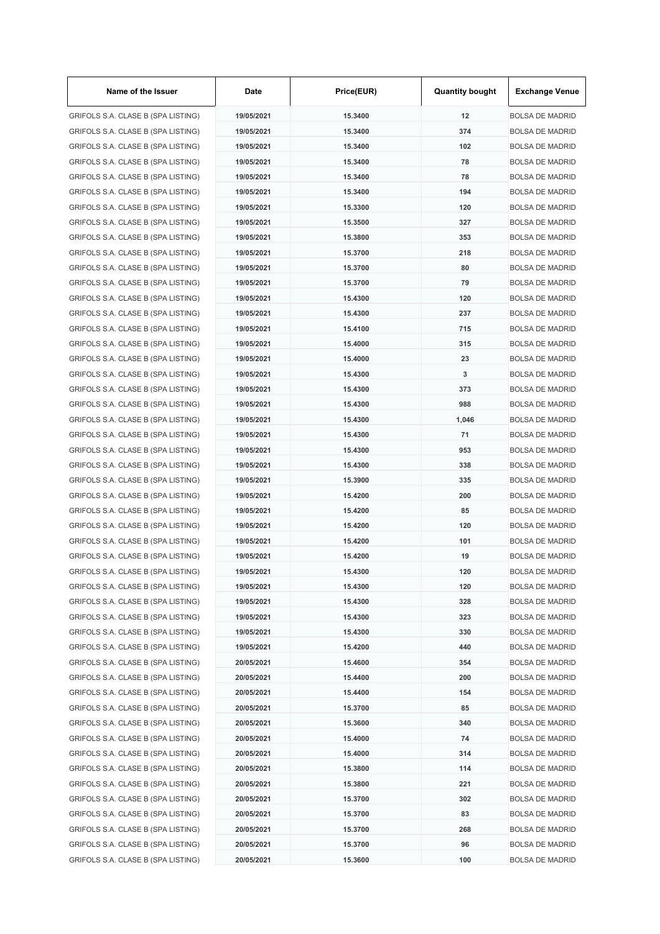| Name of the Issuer                 | Date       | Price(EUR) | <b>Quantity bought</b> | <b>Exchange Venue</b>  |
|------------------------------------|------------|------------|------------------------|------------------------|
| GRIFOLS S.A. CLASE B (SPA LISTING) | 19/05/2021 | 15.3400    | 12                     | <b>BOLSA DE MADRID</b> |
| GRIFOLS S.A. CLASE B (SPA LISTING) | 19/05/2021 | 15.3400    | 374                    | <b>BOLSA DE MADRID</b> |
| GRIFOLS S.A. CLASE B (SPA LISTING) | 19/05/2021 | 15.3400    | 102                    | <b>BOLSA DE MADRID</b> |
| GRIFOLS S.A. CLASE B (SPA LISTING) | 19/05/2021 | 15.3400    | 78                     | <b>BOLSA DE MADRID</b> |
| GRIFOLS S.A. CLASE B (SPA LISTING) | 19/05/2021 | 15.3400    | 78                     | <b>BOLSA DE MADRID</b> |
| GRIFOLS S.A. CLASE B (SPA LISTING) | 19/05/2021 | 15.3400    | 194                    | <b>BOLSA DE MADRID</b> |
| GRIFOLS S.A. CLASE B (SPA LISTING) | 19/05/2021 | 15.3300    | 120                    | <b>BOLSA DE MADRID</b> |
| GRIFOLS S.A. CLASE B (SPA LISTING) | 19/05/2021 | 15,3500    | 327                    | <b>BOLSA DE MADRID</b> |
| GRIFOLS S.A. CLASE B (SPA LISTING) | 19/05/2021 | 15.3800    | 353                    | <b>BOLSA DE MADRID</b> |
| GRIFOLS S.A. CLASE B (SPA LISTING) | 19/05/2021 | 15.3700    | 218                    | <b>BOLSA DE MADRID</b> |
| GRIFOLS S.A. CLASE B (SPA LISTING) | 19/05/2021 | 15.3700    | 80                     | <b>BOLSA DE MADRID</b> |
| GRIFOLS S.A. CLASE B (SPA LISTING) | 19/05/2021 | 15.3700    | 79                     | <b>BOLSA DE MADRID</b> |
| GRIFOLS S.A. CLASE B (SPA LISTING) | 19/05/2021 | 15.4300    | 120                    | <b>BOLSA DE MADRID</b> |
| GRIFOLS S.A. CLASE B (SPA LISTING) | 19/05/2021 | 15.4300    | 237                    | <b>BOLSA DE MADRID</b> |
| GRIFOLS S.A. CLASE B (SPA LISTING) | 19/05/2021 | 15.4100    | 715                    | <b>BOLSA DE MADRID</b> |
| GRIFOLS S.A. CLASE B (SPA LISTING) | 19/05/2021 | 15.4000    | 315                    | <b>BOLSA DE MADRID</b> |
| GRIFOLS S.A. CLASE B (SPA LISTING) | 19/05/2021 | 15.4000    | 23                     | <b>BOLSA DE MADRID</b> |
| GRIFOLS S.A. CLASE B (SPA LISTING) | 19/05/2021 | 15.4300    | 3                      | <b>BOLSA DE MADRID</b> |
| GRIFOLS S.A. CLASE B (SPA LISTING) | 19/05/2021 | 15.4300    | 373                    | <b>BOLSA DE MADRID</b> |
| GRIFOLS S.A. CLASE B (SPA LISTING) | 19/05/2021 | 15.4300    | 988                    | <b>BOLSA DE MADRID</b> |
| GRIFOLS S.A. CLASE B (SPA LISTING) | 19/05/2021 | 15.4300    | 1,046                  | <b>BOLSA DE MADRID</b> |
| GRIFOLS S.A. CLASE B (SPA LISTING) | 19/05/2021 | 15.4300    | 71                     | <b>BOLSA DE MADRID</b> |
| GRIFOLS S.A. CLASE B (SPA LISTING) | 19/05/2021 | 15.4300    | 953                    | <b>BOLSA DE MADRID</b> |
| GRIFOLS S.A. CLASE B (SPA LISTING) | 19/05/2021 | 15.4300    | 338                    | <b>BOLSA DE MADRID</b> |
|                                    |            |            | 335                    |                        |
| GRIFOLS S.A. CLASE B (SPA LISTING) | 19/05/2021 | 15.3900    |                        | <b>BOLSA DE MADRID</b> |
| GRIFOLS S.A. CLASE B (SPA LISTING) | 19/05/2021 | 15.4200    | 200                    | <b>BOLSA DE MADRID</b> |
| GRIFOLS S.A. CLASE B (SPA LISTING) | 19/05/2021 | 15.4200    | 85                     | <b>BOLSA DE MADRID</b> |
| GRIFOLS S.A. CLASE B (SPA LISTING) | 19/05/2021 | 15.4200    | 120                    | <b>BOLSA DE MADRID</b> |
| GRIFOLS S.A. CLASE B (SPA LISTING) | 19/05/2021 | 15.4200    | 101                    | <b>BOLSA DE MADRID</b> |
| GRIFOLS S.A. CLASE B (SPA LISTING) | 19/05/2021 | 15.4200    | 19                     | <b>BOLSA DE MADRID</b> |
| GRIFOLS S.A. CLASE B (SPA LISTING) | 19/05/2021 | 15.4300    | 120                    | <b>BOLSA DE MADRID</b> |
| GRIFOLS S.A. CLASE B (SPA LISTING) | 19/05/2021 | 15.4300    | 120                    | <b>BOLSA DE MADRID</b> |
| GRIFOLS S.A. CLASE B (SPA LISTING) | 19/05/2021 | 15.4300    | 328                    | <b>BOLSA DE MADRID</b> |
| GRIFOLS S.A. CLASE B (SPA LISTING) | 19/05/2021 | 15.4300    | 323                    | <b>BOLSA DE MADRID</b> |
| GRIFOLS S.A. CLASE B (SPA LISTING) | 19/05/2021 | 15.4300    | 330                    | <b>BOLSA DE MADRID</b> |
| GRIFOLS S.A. CLASE B (SPA LISTING) | 19/05/2021 | 15.4200    | 440                    | <b>BOLSA DE MADRID</b> |
| GRIFOLS S.A. CLASE B (SPA LISTING) | 20/05/2021 | 15.4600    | 354                    | <b>BOLSA DE MADRID</b> |
| GRIFOLS S.A. CLASE B (SPA LISTING) | 20/05/2021 | 15.4400    | 200                    | <b>BOLSA DE MADRID</b> |
| GRIFOLS S.A. CLASE B (SPA LISTING) | 20/05/2021 | 15.4400    | 154                    | <b>BOLSA DE MADRID</b> |
| GRIFOLS S.A. CLASE B (SPA LISTING) | 20/05/2021 | 15.3700    | 85                     | <b>BOLSA DE MADRID</b> |
| GRIFOLS S.A. CLASE B (SPA LISTING) | 20/05/2021 | 15.3600    | 340                    | <b>BOLSA DE MADRID</b> |
| GRIFOLS S.A. CLASE B (SPA LISTING) | 20/05/2021 | 15.4000    | 74                     | <b>BOLSA DE MADRID</b> |
| GRIFOLS S.A. CLASE B (SPA LISTING) | 20/05/2021 | 15.4000    | 314                    | <b>BOLSA DE MADRID</b> |
| GRIFOLS S.A. CLASE B (SPA LISTING) | 20/05/2021 | 15.3800    | 114                    | <b>BOLSA DE MADRID</b> |
| GRIFOLS S.A. CLASE B (SPA LISTING) | 20/05/2021 | 15.3800    | 221                    | <b>BOLSA DE MADRID</b> |
| GRIFOLS S.A. CLASE B (SPA LISTING) | 20/05/2021 | 15.3700    | 302                    | <b>BOLSA DE MADRID</b> |
| GRIFOLS S.A. CLASE B (SPA LISTING) | 20/05/2021 | 15.3700    | 83                     | <b>BOLSA DE MADRID</b> |
| GRIFOLS S.A. CLASE B (SPA LISTING) | 20/05/2021 | 15.3700    | 268                    | <b>BOLSA DE MADRID</b> |
| GRIFOLS S.A. CLASE B (SPA LISTING) | 20/05/2021 | 15.3700    | 96                     | <b>BOLSA DE MADRID</b> |
| GRIFOLS S.A. CLASE B (SPA LISTING) | 20/05/2021 | 15.3600    | 100                    | <b>BOLSA DE MADRID</b> |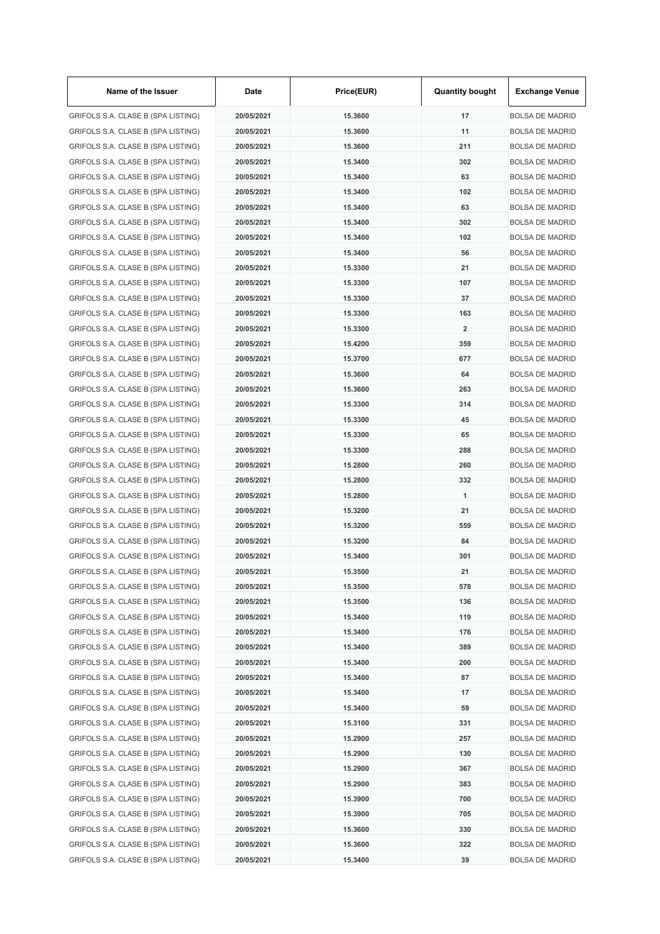| Name of the Issuer                 | Date       | Price(EUR) | <b>Quantity bought</b>  | <b>Exchange Venue</b>  |
|------------------------------------|------------|------------|-------------------------|------------------------|
| GRIFOLS S.A. CLASE B (SPA LISTING) | 20/05/2021 | 15.3600    | 17                      | <b>BOLSA DE MADRID</b> |
| GRIFOLS S.A. CLASE B (SPA LISTING) | 20/05/2021 | 15.3600    | 11                      | <b>BOLSA DE MADRID</b> |
| GRIFOLS S.A. CLASE B (SPA LISTING) | 20/05/2021 | 15,3600    | 211                     | <b>BOLSA DE MADRID</b> |
| GRIFOLS S.A. CLASE B (SPA LISTING) | 20/05/2021 | 15.3400    | 302                     | <b>BOLSA DE MADRID</b> |
| GRIFOLS S.A. CLASE B (SPA LISTING) | 20/05/2021 | 15.3400    | 63                      | <b>BOLSA DE MADRID</b> |
| GRIFOLS S.A. CLASE B (SPA LISTING) | 20/05/2021 | 15.3400    | 102                     | <b>BOLSA DE MADRID</b> |
| GRIFOLS S.A. CLASE B (SPA LISTING) | 20/05/2021 | 15.3400    | 63                      | <b>BOLSA DE MADRID</b> |
| GRIFOLS S.A. CLASE B (SPA LISTING) | 20/05/2021 | 15.3400    | 302                     | <b>BOLSA DE MADRID</b> |
| GRIFOLS S.A. CLASE B (SPA LISTING) | 20/05/2021 | 15.3400    | 102                     | <b>BOLSA DE MADRID</b> |
| GRIFOLS S.A. CLASE B (SPA LISTING) | 20/05/2021 | 15.3400    | 56                      | <b>BOLSA DE MADRID</b> |
| GRIFOLS S.A. CLASE B (SPA LISTING) | 20/05/2021 | 15.3300    | 21                      | <b>BOLSA DE MADRID</b> |
| GRIFOLS S.A. CLASE B (SPA LISTING) | 20/05/2021 | 15.3300    | 107                     | <b>BOLSA DE MADRID</b> |
| GRIFOLS S.A. CLASE B (SPA LISTING) | 20/05/2021 | 15.3300    | 37                      | <b>BOLSA DE MADRID</b> |
| GRIFOLS S.A. CLASE B (SPA LISTING) | 20/05/2021 | 15.3300    | 163                     | <b>BOLSA DE MADRID</b> |
| GRIFOLS S.A. CLASE B (SPA LISTING) | 20/05/2021 | 15.3300    | $\overline{\mathbf{2}}$ | <b>BOLSA DE MADRID</b> |
| GRIFOLS S.A. CLASE B (SPA LISTING) | 20/05/2021 | 15.4200    | 359                     | <b>BOLSA DE MADRID</b> |
| GRIFOLS S.A. CLASE B (SPA LISTING) | 20/05/2021 | 15.3700    | 677                     | <b>BOLSA DE MADRID</b> |
| GRIFOLS S.A. CLASE B (SPA LISTING) | 20/05/2021 | 15.3600    | 64                      | <b>BOLSA DE MADRID</b> |
| GRIFOLS S.A. CLASE B (SPA LISTING) | 20/05/2021 | 15.3600    | 263                     | <b>BOLSA DE MADRID</b> |
| GRIFOLS S.A. CLASE B (SPA LISTING) | 20/05/2021 | 15.3300    | 314                     | <b>BOLSA DE MADRID</b> |
| GRIFOLS S.A. CLASE B (SPA LISTING) | 20/05/2021 | 15.3300    | 45                      | <b>BOLSA DE MADRID</b> |
| GRIFOLS S.A. CLASE B (SPA LISTING) | 20/05/2021 | 15.3300    | 65                      | <b>BOLSA DE MADRID</b> |
|                                    | 20/05/2021 | 15.3300    | 288                     | <b>BOLSA DE MADRID</b> |
| GRIFOLS S.A. CLASE B (SPA LISTING) |            |            | 260                     |                        |
| GRIFOLS S.A. CLASE B (SPA LISTING) | 20/05/2021 | 15.2800    |                         | <b>BOLSA DE MADRID</b> |
| GRIFOLS S.A. CLASE B (SPA LISTING) | 20/05/2021 | 15.2800    | 332                     | <b>BOLSA DE MADRID</b> |
| GRIFOLS S.A. CLASE B (SPA LISTING) | 20/05/2021 | 15.2800    | 1                       | <b>BOLSA DE MADRID</b> |
| GRIFOLS S.A. CLASE B (SPA LISTING) | 20/05/2021 | 15.3200    | 21                      | <b>BOLSA DE MADRID</b> |
| GRIFOLS S.A. CLASE B (SPA LISTING) | 20/05/2021 | 15.3200    | 559                     | <b>BOLSA DE MADRID</b> |
| GRIFOLS S.A. CLASE B (SPA LISTING) | 20/05/2021 | 15.3200    | 84                      | <b>BOLSA DE MADRID</b> |
| GRIFOLS S.A. CLASE B (SPA LISTING) | 20/05/2021 | 15.3400    | 301                     | <b>BOLSA DE MADRID</b> |
| GRIFOLS S.A. CLASE B (SPA LISTING) | 20/05/2021 | 15.3500    | 21                      | <b>BOLSA DE MADRID</b> |
| GRIFOLS S.A. CLASE B (SPA LISTING) | 20/05/2021 | 15.3500    | 578                     | <b>BOLSA DE MADRID</b> |
| GRIFOLS S.A. CLASE B (SPA LISTING) | 20/05/2021 | 15.3500    | 136                     | <b>BOLSA DE MADRID</b> |
| GRIFOLS S.A. CLASE B (SPA LISTING) | 20/05/2021 | 15.3400    | 119                     | <b>BOLSA DE MADRID</b> |
| GRIFOLS S.A. CLASE B (SPA LISTING) | 20/05/2021 | 15.3400    | 176                     | <b>BOLSA DE MADRID</b> |
| GRIFOLS S.A. CLASE B (SPA LISTING) | 20/05/2021 | 15.3400    | 389                     | <b>BOLSA DE MADRID</b> |
| GRIFOLS S.A. CLASE B (SPA LISTING) | 20/05/2021 | 15.3400    | 200                     | <b>BOLSA DE MADRID</b> |
| GRIFOLS S.A. CLASE B (SPA LISTING) | 20/05/2021 | 15.3400    | 87                      | <b>BOLSA DE MADRID</b> |
| GRIFOLS S.A. CLASE B (SPA LISTING) | 20/05/2021 | 15.3400    | 17                      | <b>BOLSA DE MADRID</b> |
| GRIFOLS S.A. CLASE B (SPA LISTING) | 20/05/2021 | 15.3400    | 59                      | <b>BOLSA DE MADRID</b> |
| GRIFOLS S.A. CLASE B (SPA LISTING) | 20/05/2021 | 15.3100    | 331                     | <b>BOLSA DE MADRID</b> |
| GRIFOLS S.A. CLASE B (SPA LISTING) | 20/05/2021 | 15.2900    | 257                     | <b>BOLSA DE MADRID</b> |
| GRIFOLS S.A. CLASE B (SPA LISTING) | 20/05/2021 | 15.2900    | 130                     | <b>BOLSA DE MADRID</b> |
| GRIFOLS S.A. CLASE B (SPA LISTING) | 20/05/2021 | 15.2900    | 367                     | <b>BOLSA DE MADRID</b> |
| GRIFOLS S.A. CLASE B (SPA LISTING) | 20/05/2021 | 15.2900    | 383                     | <b>BOLSA DE MADRID</b> |
| GRIFOLS S.A. CLASE B (SPA LISTING) | 20/05/2021 | 15.3900    | 700                     | <b>BOLSA DE MADRID</b> |
| GRIFOLS S.A. CLASE B (SPA LISTING) | 20/05/2021 | 15.3900    | 705                     | <b>BOLSA DE MADRID</b> |
| GRIFOLS S.A. CLASE B (SPA LISTING) | 20/05/2021 | 15.3600    | 330                     | <b>BOLSA DE MADRID</b> |
| GRIFOLS S.A. CLASE B (SPA LISTING) | 20/05/2021 | 15.3600    | 322                     | <b>BOLSA DE MADRID</b> |
| GRIFOLS S.A. CLASE B (SPA LISTING) | 20/05/2021 | 15.3400    | 39                      | <b>BOLSA DE MADRID</b> |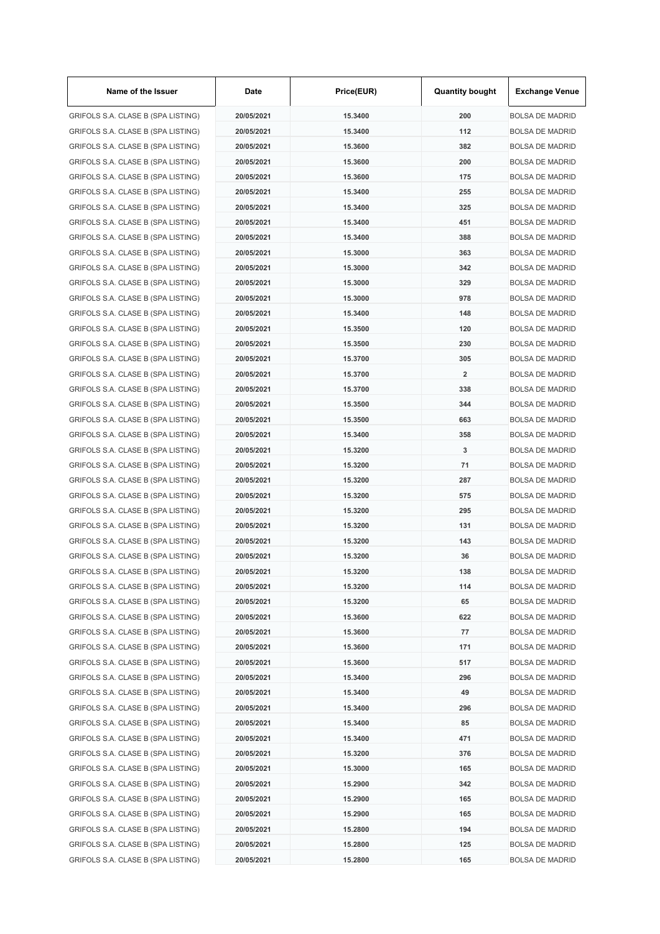| Name of the Issuer                 | Date       | Price(EUR) | <b>Quantity bought</b>  | <b>Exchange Venue</b>  |
|------------------------------------|------------|------------|-------------------------|------------------------|
| GRIFOLS S.A. CLASE B (SPA LISTING) | 20/05/2021 | 15.3400    | 200                     | <b>BOLSA DE MADRID</b> |
| GRIFOLS S.A. CLASE B (SPA LISTING) | 20/05/2021 | 15.3400    | 112                     | <b>BOLSA DE MADRID</b> |
| GRIFOLS S.A. CLASE B (SPA LISTING) | 20/05/2021 | 15.3600    | 382                     | <b>BOLSA DE MADRID</b> |
| GRIFOLS S.A. CLASE B (SPA LISTING) | 20/05/2021 | 15.3600    | 200                     | <b>BOLSA DE MADRID</b> |
| GRIFOLS S.A. CLASE B (SPA LISTING) | 20/05/2021 | 15.3600    | 175                     | <b>BOLSA DE MADRID</b> |
| GRIFOLS S.A. CLASE B (SPA LISTING) | 20/05/2021 | 15.3400    | 255                     | <b>BOLSA DE MADRID</b> |
| GRIFOLS S.A. CLASE B (SPA LISTING) | 20/05/2021 | 15.3400    | 325                     | <b>BOLSA DE MADRID</b> |
| GRIFOLS S.A. CLASE B (SPA LISTING) | 20/05/2021 | 15.3400    | 451                     | <b>BOLSA DE MADRID</b> |
| GRIFOLS S.A. CLASE B (SPA LISTING) | 20/05/2021 | 15.3400    | 388                     | <b>BOLSA DE MADRID</b> |
| GRIFOLS S.A. CLASE B (SPA LISTING) | 20/05/2021 | 15.3000    | 363                     | <b>BOLSA DE MADRID</b> |
| GRIFOLS S.A. CLASE B (SPA LISTING) | 20/05/2021 | 15.3000    | 342                     | <b>BOLSA DE MADRID</b> |
| GRIFOLS S.A. CLASE B (SPA LISTING) | 20/05/2021 | 15.3000    | 329                     | <b>BOLSA DE MADRID</b> |
| GRIFOLS S.A. CLASE B (SPA LISTING) | 20/05/2021 | 15,3000    | 978                     | <b>BOLSA DE MADRID</b> |
| GRIFOLS S.A. CLASE B (SPA LISTING) | 20/05/2021 | 15.3400    | 148                     | <b>BOLSA DE MADRID</b> |
| GRIFOLS S.A. CLASE B (SPA LISTING) | 20/05/2021 | 15.3500    | 120                     | <b>BOLSA DE MADRID</b> |
| GRIFOLS S.A. CLASE B (SPA LISTING) | 20/05/2021 | 15.3500    | 230                     | <b>BOLSA DE MADRID</b> |
| GRIFOLS S.A. CLASE B (SPA LISTING) | 20/05/2021 | 15.3700    | 305                     | <b>BOLSA DE MADRID</b> |
| GRIFOLS S.A. CLASE B (SPA LISTING) | 20/05/2021 | 15.3700    | $\overline{\mathbf{2}}$ | <b>BOLSA DE MADRID</b> |
| GRIFOLS S.A. CLASE B (SPA LISTING) | 20/05/2021 | 15.3700    | 338                     | <b>BOLSA DE MADRID</b> |
| GRIFOLS S.A. CLASE B (SPA LISTING) | 20/05/2021 | 15.3500    | 344                     | <b>BOLSA DE MADRID</b> |
| GRIFOLS S.A. CLASE B (SPA LISTING) | 20/05/2021 | 15.3500    | 663                     | <b>BOLSA DE MADRID</b> |
| GRIFOLS S.A. CLASE B (SPA LISTING) | 20/05/2021 | 15.3400    | 358                     | <b>BOLSA DE MADRID</b> |
| GRIFOLS S.A. CLASE B (SPA LISTING) | 20/05/2021 | 15.3200    | 3                       | <b>BOLSA DE MADRID</b> |
| GRIFOLS S.A. CLASE B (SPA LISTING) | 20/05/2021 | 15.3200    | 71                      | <b>BOLSA DE MADRID</b> |
| GRIFOLS S.A. CLASE B (SPA LISTING) | 20/05/2021 | 15.3200    | 287                     | <b>BOLSA DE MADRID</b> |
| GRIFOLS S.A. CLASE B (SPA LISTING) | 20/05/2021 | 15.3200    | 575                     | <b>BOLSA DE MADRID</b> |
| GRIFOLS S.A. CLASE B (SPA LISTING) | 20/05/2021 | 15.3200    | 295                     | <b>BOLSA DE MADRID</b> |
| GRIFOLS S.A. CLASE B (SPA LISTING) | 20/05/2021 | 15.3200    | 131                     | <b>BOLSA DE MADRID</b> |
|                                    |            |            |                         | <b>BOLSA DE MADRID</b> |
| GRIFOLS S.A. CLASE B (SPA LISTING) | 20/05/2021 | 15.3200    | 143<br>36               |                        |
| GRIFOLS S.A. CLASE B (SPA LISTING) | 20/05/2021 | 15.3200    |                         | <b>BOLSA DE MADRID</b> |
| GRIFOLS S.A. CLASE B (SPA LISTING) | 20/05/2021 | 15.3200    | 138                     | <b>BOLSA DE MADRID</b> |
| GRIFOLS S.A. CLASE B (SPA LISTING) | 20/05/2021 | 15.3200    | 114                     | <b>BOLSA DE MADRID</b> |
| GRIFOLS S.A. CLASE B (SPA LISTING) | 20/05/2021 | 15.3200    | 65                      | <b>BOLSA DE MADRID</b> |
| GRIFOLS S.A. CLASE B (SPA LISTING) | 20/05/2021 | 15.3600    | 622                     | <b>BOLSA DE MADRID</b> |
| GRIFOLS S.A. CLASE B (SPA LISTING) | 20/05/2021 | 15.3600    | 77                      | <b>BOLSA DE MADRID</b> |
| GRIFOLS S.A. CLASE B (SPA LISTING) | 20/05/2021 | 15.3600    | 171                     | <b>BOLSA DE MADRID</b> |
| GRIFOLS S.A. CLASE B (SPA LISTING) | 20/05/2021 | 15.3600    | 517                     | <b>BOLSA DE MADRID</b> |
| GRIFOLS S.A. CLASE B (SPA LISTING) | 20/05/2021 | 15.3400    | 296                     | <b>BOLSA DE MADRID</b> |
| GRIFOLS S.A. CLASE B (SPA LISTING) | 20/05/2021 | 15.3400    | 49                      | <b>BOLSA DE MADRID</b> |
| GRIFOLS S.A. CLASE B (SPA LISTING) | 20/05/2021 | 15.3400    | 296                     | <b>BOLSA DE MADRID</b> |
| GRIFOLS S.A. CLASE B (SPA LISTING) | 20/05/2021 | 15.3400    | 85                      | <b>BOLSA DE MADRID</b> |
| GRIFOLS S.A. CLASE B (SPA LISTING) | 20/05/2021 | 15.3400    | 471                     | <b>BOLSA DE MADRID</b> |
| GRIFOLS S.A. CLASE B (SPA LISTING) | 20/05/2021 | 15.3200    | 376                     | <b>BOLSA DE MADRID</b> |
| GRIFOLS S.A. CLASE B (SPA LISTING) | 20/05/2021 | 15.3000    | 165                     | <b>BOLSA DE MADRID</b> |
| GRIFOLS S.A. CLASE B (SPA LISTING) | 20/05/2021 | 15.2900    | 342                     | <b>BOLSA DE MADRID</b> |
| GRIFOLS S.A. CLASE B (SPA LISTING) | 20/05/2021 | 15.2900    | 165                     | <b>BOLSA DE MADRID</b> |
| GRIFOLS S.A. CLASE B (SPA LISTING) | 20/05/2021 | 15.2900    | 165                     | <b>BOLSA DE MADRID</b> |
| GRIFOLS S.A. CLASE B (SPA LISTING) | 20/05/2021 | 15.2800    | 194                     | <b>BOLSA DE MADRID</b> |
| GRIFOLS S.A. CLASE B (SPA LISTING) | 20/05/2021 | 15.2800    | 125                     | <b>BOLSA DE MADRID</b> |
| GRIFOLS S.A. CLASE B (SPA LISTING) | 20/05/2021 | 15.2800    | 165                     | <b>BOLSA DE MADRID</b> |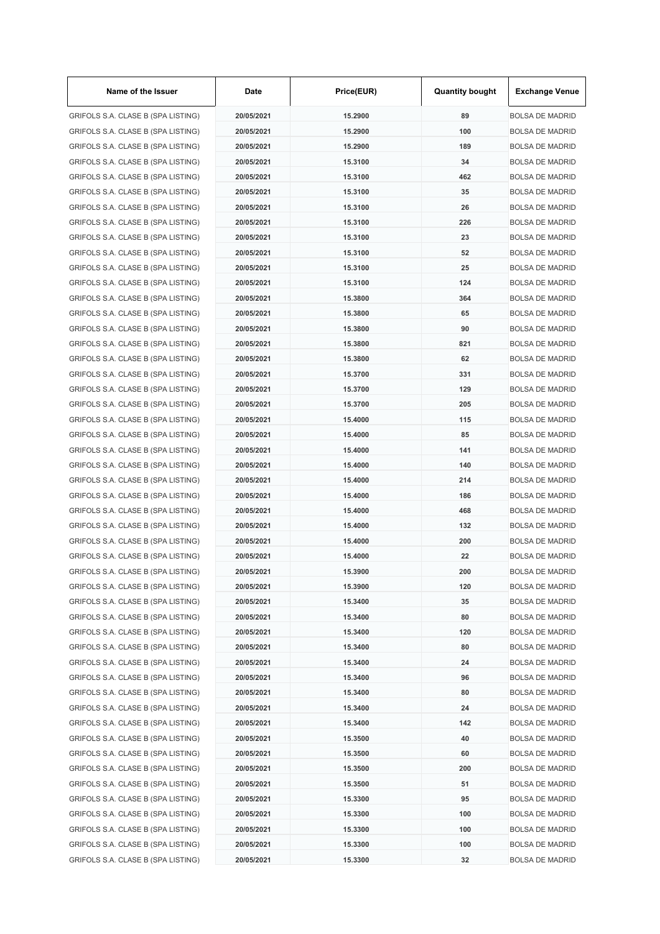| Name of the Issuer                 | Date       | Price(EUR) | <b>Quantity bought</b> | <b>Exchange Venue</b>  |
|------------------------------------|------------|------------|------------------------|------------------------|
| GRIFOLS S.A. CLASE B (SPA LISTING) | 20/05/2021 | 15.2900    | 89                     | <b>BOLSA DE MADRID</b> |
| GRIFOLS S.A. CLASE B (SPA LISTING) | 20/05/2021 | 15.2900    | 100                    | <b>BOLSA DE MADRID</b> |
| GRIFOLS S.A. CLASE B (SPA LISTING) | 20/05/2021 | 15.2900    | 189                    | <b>BOLSA DE MADRID</b> |
| GRIFOLS S.A. CLASE B (SPA LISTING) | 20/05/2021 | 15.3100    | 34                     | <b>BOLSA DE MADRID</b> |
| GRIFOLS S.A. CLASE B (SPA LISTING) | 20/05/2021 | 15.3100    | 462                    | <b>BOLSA DE MADRID</b> |
| GRIFOLS S.A. CLASE B (SPA LISTING) | 20/05/2021 | 15.3100    | 35                     | <b>BOLSA DE MADRID</b> |
| GRIFOLS S.A. CLASE B (SPA LISTING) | 20/05/2021 | 15.3100    | 26                     | <b>BOLSA DE MADRID</b> |
| GRIFOLS S.A. CLASE B (SPA LISTING) | 20/05/2021 | 15.3100    | 226                    | <b>BOLSA DE MADRID</b> |
| GRIFOLS S.A. CLASE B (SPA LISTING) | 20/05/2021 | 15.3100    | 23                     | <b>BOLSA DE MADRID</b> |
| GRIFOLS S.A. CLASE B (SPA LISTING) | 20/05/2021 | 15.3100    | 52                     | <b>BOLSA DE MADRID</b> |
| GRIFOLS S.A. CLASE B (SPA LISTING) | 20/05/2021 | 15.3100    | 25                     | <b>BOLSA DE MADRID</b> |
| GRIFOLS S.A. CLASE B (SPA LISTING) | 20/05/2021 | 15.3100    | 124                    | <b>BOLSA DE MADRID</b> |
| GRIFOLS S.A. CLASE B (SPA LISTING) | 20/05/2021 | 15.3800    | 364                    | <b>BOLSA DE MADRID</b> |
| GRIFOLS S.A. CLASE B (SPA LISTING) | 20/05/2021 | 15.3800    | 65                     | <b>BOLSA DE MADRID</b> |
| GRIFOLS S.A. CLASE B (SPA LISTING) | 20/05/2021 | 15.3800    | 90                     | <b>BOLSA DE MADRID</b> |
| GRIFOLS S.A. CLASE B (SPA LISTING) | 20/05/2021 | 15.3800    | 821                    | <b>BOLSA DE MADRID</b> |
| GRIFOLS S.A. CLASE B (SPA LISTING) | 20/05/2021 | 15.3800    | 62                     | <b>BOLSA DE MADRID</b> |
| GRIFOLS S.A. CLASE B (SPA LISTING) | 20/05/2021 | 15.3700    | 331                    | <b>BOLSA DE MADRID</b> |
| GRIFOLS S.A. CLASE B (SPA LISTING) | 20/05/2021 | 15,3700    | 129                    | <b>BOLSA DE MADRID</b> |
| GRIFOLS S.A. CLASE B (SPA LISTING) | 20/05/2021 | 15.3700    | 205                    | <b>BOLSA DE MADRID</b> |
|                                    |            | 15.4000    | 115                    | <b>BOLSA DE MADRID</b> |
| GRIFOLS S.A. CLASE B (SPA LISTING) | 20/05/2021 | 15.4000    | 85                     |                        |
| GRIFOLS S.A. CLASE B (SPA LISTING) | 20/05/2021 |            |                        | <b>BOLSA DE MADRID</b> |
| GRIFOLS S.A. CLASE B (SPA LISTING) | 20/05/2021 | 15.4000    | 141                    | <b>BOLSA DE MADRID</b> |
| GRIFOLS S.A. CLASE B (SPA LISTING) | 20/05/2021 | 15.4000    | 140                    | <b>BOLSA DE MADRID</b> |
| GRIFOLS S.A. CLASE B (SPA LISTING) | 20/05/2021 | 15.4000    | 214                    | <b>BOLSA DE MADRID</b> |
| GRIFOLS S.A. CLASE B (SPA LISTING) | 20/05/2021 | 15.4000    | 186                    | <b>BOLSA DE MADRID</b> |
| GRIFOLS S.A. CLASE B (SPA LISTING) | 20/05/2021 | 15.4000    | 468                    | <b>BOLSA DE MADRID</b> |
| GRIFOLS S.A. CLASE B (SPA LISTING) | 20/05/2021 | 15,4000    | 132                    | <b>BOLSA DE MADRID</b> |
| GRIFOLS S.A. CLASE B (SPA LISTING) | 20/05/2021 | 15.4000    | 200                    | <b>BOLSA DE MADRID</b> |
| GRIFOLS S.A. CLASE B (SPA LISTING) | 20/05/2021 | 15.4000    | 22                     | <b>BOLSA DE MADRID</b> |
| GRIFOLS S.A. CLASE B (SPA LISTING) | 20/05/2021 | 15.3900    | 200                    | <b>BOLSA DE MADRID</b> |
| GRIFOLS S.A. CLASE B (SPA LISTING) | 20/05/2021 | 15.3900    | 120                    | <b>BOLSA DE MADRID</b> |
| GRIFOLS S.A. CLASE B (SPA LISTING) | 20/05/2021 | 15.3400    | 35                     | <b>BOLSA DE MADRID</b> |
| GRIFOLS S.A. CLASE B (SPA LISTING) | 20/05/2021 | 15.3400    | 80                     | <b>BOLSA DE MADRID</b> |
| GRIFOLS S.A. CLASE B (SPA LISTING) | 20/05/2021 | 15.3400    | 120                    | <b>BOLSA DE MADRID</b> |
| GRIFOLS S.A. CLASE B (SPA LISTING) | 20/05/2021 | 15.3400    | 80                     | <b>BOLSA DE MADRID</b> |
| GRIFOLS S.A. CLASE B (SPA LISTING) | 20/05/2021 | 15.3400    | 24                     | <b>BOLSA DE MADRID</b> |
| GRIFOLS S.A. CLASE B (SPA LISTING) | 20/05/2021 | 15.3400    | 96                     | <b>BOLSA DE MADRID</b> |
| GRIFOLS S.A. CLASE B (SPA LISTING) | 20/05/2021 | 15.3400    | 80                     | <b>BOLSA DE MADRID</b> |
| GRIFOLS S.A. CLASE B (SPA LISTING) | 20/05/2021 | 15.3400    | 24                     | <b>BOLSA DE MADRID</b> |
| GRIFOLS S.A. CLASE B (SPA LISTING) | 20/05/2021 | 15.3400    | 142                    | <b>BOLSA DE MADRID</b> |
| GRIFOLS S.A. CLASE B (SPA LISTING) | 20/05/2021 | 15.3500    | 40                     | <b>BOLSA DE MADRID</b> |
| GRIFOLS S.A. CLASE B (SPA LISTING) | 20/05/2021 | 15.3500    | 60                     | <b>BOLSA DE MADRID</b> |
| GRIFOLS S.A. CLASE B (SPA LISTING) | 20/05/2021 | 15.3500    | 200                    | <b>BOLSA DE MADRID</b> |
| GRIFOLS S.A. CLASE B (SPA LISTING) | 20/05/2021 | 15.3500    | 51                     | <b>BOLSA DE MADRID</b> |
| GRIFOLS S.A. CLASE B (SPA LISTING) | 20/05/2021 | 15.3300    | 95                     | <b>BOLSA DE MADRID</b> |
| GRIFOLS S.A. CLASE B (SPA LISTING) | 20/05/2021 | 15.3300    | 100                    | <b>BOLSA DE MADRID</b> |
| GRIFOLS S.A. CLASE B (SPA LISTING) | 20/05/2021 | 15.3300    | 100                    | <b>BOLSA DE MADRID</b> |
| GRIFOLS S.A. CLASE B (SPA LISTING) | 20/05/2021 | 15.3300    | 100                    | <b>BOLSA DE MADRID</b> |
| GRIFOLS S.A. CLASE B (SPA LISTING) | 20/05/2021 | 15.3300    | 32                     | <b>BOLSA DE MADRID</b> |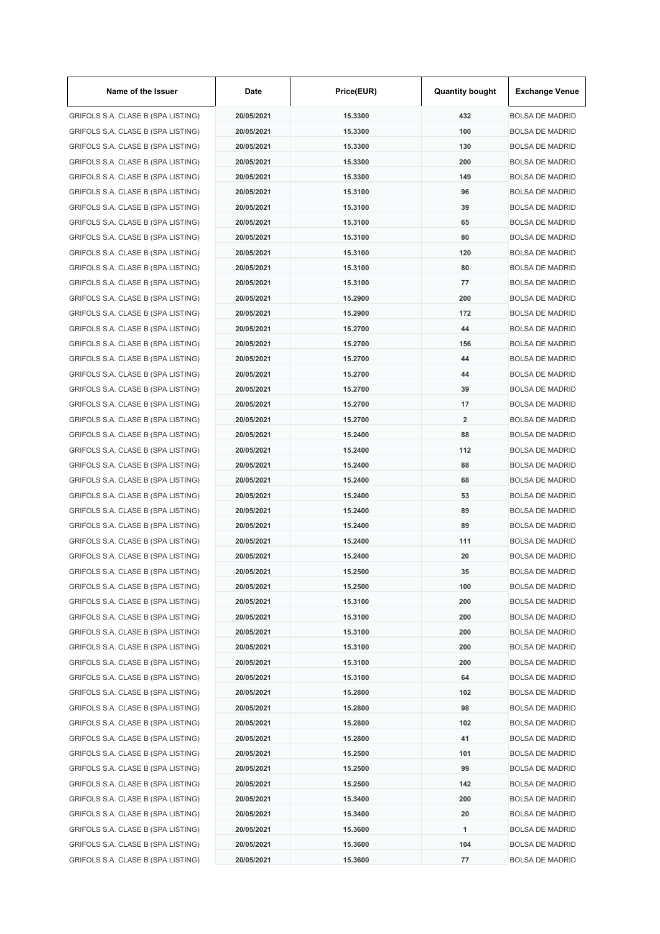| Name of the Issuer                                                       | Date       | Price(EUR) | <b>Quantity bought</b>  | <b>Exchange Venue</b>  |
|--------------------------------------------------------------------------|------------|------------|-------------------------|------------------------|
| GRIFOLS S.A. CLASE B (SPA LISTING)                                       | 20/05/2021 | 15.3300    | 432                     | <b>BOLSA DE MADRID</b> |
| GRIFOLS S.A. CLASE B (SPA LISTING)                                       | 20/05/2021 | 15.3300    | 100                     | <b>BOLSA DE MADRID</b> |
| GRIFOLS S.A. CLASE B (SPA LISTING)                                       | 20/05/2021 | 15.3300    | 130                     | <b>BOLSA DE MADRID</b> |
| GRIFOLS S.A. CLASE B (SPA LISTING)                                       | 20/05/2021 | 15.3300    | 200                     | <b>BOLSA DE MADRID</b> |
| GRIFOLS S.A. CLASE B (SPA LISTING)                                       | 20/05/2021 | 15.3300    | 149                     | <b>BOLSA DE MADRID</b> |
| GRIFOLS S.A. CLASE B (SPA LISTING)                                       | 20/05/2021 | 15.3100    | 96                      | <b>BOLSA DE MADRID</b> |
| GRIFOLS S.A. CLASE B (SPA LISTING)                                       | 20/05/2021 | 15.3100    | 39                      | <b>BOLSA DE MADRID</b> |
| GRIFOLS S.A. CLASE B (SPA LISTING)                                       | 20/05/2021 | 15.3100    | 65                      | <b>BOLSA DE MADRID</b> |
| GRIFOLS S.A. CLASE B (SPA LISTING)                                       | 20/05/2021 | 15.3100    | 80                      | <b>BOLSA DE MADRID</b> |
| GRIFOLS S.A. CLASE B (SPA LISTING)                                       | 20/05/2021 | 15.3100    | 120                     | <b>BOLSA DE MADRID</b> |
| GRIFOLS S.A. CLASE B (SPA LISTING)                                       | 20/05/2021 | 15.3100    | 80                      | <b>BOLSA DE MADRID</b> |
| GRIFOLS S.A. CLASE B (SPA LISTING)                                       | 20/05/2021 | 15.3100    | 77                      | <b>BOLSA DE MADRID</b> |
| GRIFOLS S.A. CLASE B (SPA LISTING)                                       | 20/05/2021 | 15.2900    | 200                     | <b>BOLSA DE MADRID</b> |
| GRIFOLS S.A. CLASE B (SPA LISTING)                                       | 20/05/2021 | 15.2900    | 172                     | <b>BOLSA DE MADRID</b> |
| GRIFOLS S.A. CLASE B (SPA LISTING)                                       | 20/05/2021 | 15.2700    | 44                      | <b>BOLSA DE MADRID</b> |
| GRIFOLS S.A. CLASE B (SPA LISTING)                                       | 20/05/2021 | 15.2700    | 156                     | <b>BOLSA DE MADRID</b> |
| GRIFOLS S.A. CLASE B (SPA LISTING)                                       | 20/05/2021 | 15.2700    | 44                      | <b>BOLSA DE MADRID</b> |
| GRIFOLS S.A. CLASE B (SPA LISTING)                                       | 20/05/2021 | 15.2700    | 44                      | <b>BOLSA DE MADRID</b> |
| GRIFOLS S.A. CLASE B (SPA LISTING)                                       | 20/05/2021 | 15.2700    | 39                      | <b>BOLSA DE MADRID</b> |
| GRIFOLS S.A. CLASE B (SPA LISTING)                                       | 20/05/2021 | 15.2700    | 17                      | <b>BOLSA DE MADRID</b> |
| GRIFOLS S.A. CLASE B (SPA LISTING)                                       | 20/05/2021 | 15.2700    | $\overline{\mathbf{2}}$ | <b>BOLSA DE MADRID</b> |
| GRIFOLS S.A. CLASE B (SPA LISTING)                                       | 20/05/2021 | 15.2400    | 88                      | <b>BOLSA DE MADRID</b> |
| GRIFOLS S.A. CLASE B (SPA LISTING)                                       | 20/05/2021 | 15.2400    | 112                     | <b>BOLSA DE MADRID</b> |
| GRIFOLS S.A. CLASE B (SPA LISTING)                                       | 20/05/2021 | 15.2400    | 88                      | <b>BOLSA DE MADRID</b> |
| GRIFOLS S.A. CLASE B (SPA LISTING)                                       | 20/05/2021 | 15.2400    | 68                      | <b>BOLSA DE MADRID</b> |
| GRIFOLS S.A. CLASE B (SPA LISTING)                                       | 20/05/2021 | 15.2400    | 53                      | <b>BOLSA DE MADRID</b> |
| GRIFOLS S.A. CLASE B (SPA LISTING)                                       | 20/05/2021 | 15.2400    | 89                      | <b>BOLSA DE MADRID</b> |
| GRIFOLS S.A. CLASE B (SPA LISTING)                                       | 20/05/2021 | 15.2400    | 89                      | <b>BOLSA DE MADRID</b> |
|                                                                          |            | 15.2400    | 111                     |                        |
| GRIFOLS S.A. CLASE B (SPA LISTING)<br>GRIFOLS S.A. CLASE B (SPA LISTING) | 20/05/2021 |            | 20                      | <b>BOLSA DE MADRID</b> |
|                                                                          | 20/05/2021 | 15.2400    |                         | <b>BOLSA DE MADRID</b> |
| GRIFOLS S.A. CLASE B (SPA LISTING)                                       | 20/05/2021 | 15.2500    | 35                      | <b>BOLSA DE MADRID</b> |
| GRIFOLS S.A. CLASE B (SPA LISTING)                                       | 20/05/2021 | 15.2500    | 100                     | <b>BOLSA DE MADRID</b> |
| GRIFOLS S.A. CLASE B (SPA LISTING)                                       | 20/05/2021 | 15.3100    | 200                     | <b>BOLSA DE MADRID</b> |
| GRIFOLS S.A. CLASE B (SPA LISTING)                                       | 20/05/2021 | 15.3100    | 200                     | <b>BOLSA DE MADRID</b> |
| GRIFOLS S.A. CLASE B (SPA LISTING)                                       | 20/05/2021 | 15.3100    | 200                     | <b>BOLSA DE MADRID</b> |
| GRIFOLS S.A. CLASE B (SPA LISTING)                                       | 20/05/2021 | 15.3100    | 200                     | <b>BOLSA DE MADRID</b> |
| GRIFOLS S.A. CLASE B (SPA LISTING)                                       | 20/05/2021 | 15.3100    | 200                     | <b>BOLSA DE MADRID</b> |
| GRIFOLS S.A. CLASE B (SPA LISTING)                                       | 20/05/2021 | 15.3100    | 64                      | <b>BOLSA DE MADRID</b> |
| GRIFOLS S.A. CLASE B (SPA LISTING)                                       | 20/05/2021 | 15.2800    | 102                     | <b>BOLSA DE MADRID</b> |
| GRIFOLS S.A. CLASE B (SPA LISTING)                                       | 20/05/2021 | 15.2800    | 98                      | <b>BOLSA DE MADRID</b> |
| GRIFOLS S.A. CLASE B (SPA LISTING)                                       | 20/05/2021 | 15.2800    | 102                     | <b>BOLSA DE MADRID</b> |
| GRIFOLS S.A. CLASE B (SPA LISTING)                                       | 20/05/2021 | 15.2800    | 41                      | <b>BOLSA DE MADRID</b> |
| GRIFOLS S.A. CLASE B (SPA LISTING)                                       | 20/05/2021 | 15.2500    | 101                     | <b>BOLSA DE MADRID</b> |
| GRIFOLS S.A. CLASE B (SPA LISTING)                                       | 20/05/2021 | 15.2500    | 99                      | <b>BOLSA DE MADRID</b> |
| GRIFOLS S.A. CLASE B (SPA LISTING)                                       | 20/05/2021 | 15.2500    | 142                     | <b>BOLSA DE MADRID</b> |
| GRIFOLS S.A. CLASE B (SPA LISTING)                                       | 20/05/2021 | 15.3400    | 200                     | <b>BOLSA DE MADRID</b> |
| GRIFOLS S.A. CLASE B (SPA LISTING)                                       | 20/05/2021 | 15.3400    | 20                      | <b>BOLSA DE MADRID</b> |
| GRIFOLS S.A. CLASE B (SPA LISTING)                                       | 20/05/2021 | 15.3600    | 1                       | <b>BOLSA DE MADRID</b> |
| GRIFOLS S.A. CLASE B (SPA LISTING)                                       | 20/05/2021 | 15.3600    | 104                     | <b>BOLSA DE MADRID</b> |
| GRIFOLS S.A. CLASE B (SPA LISTING)                                       | 20/05/2021 | 15.3600    | 77                      | <b>BOLSA DE MADRID</b> |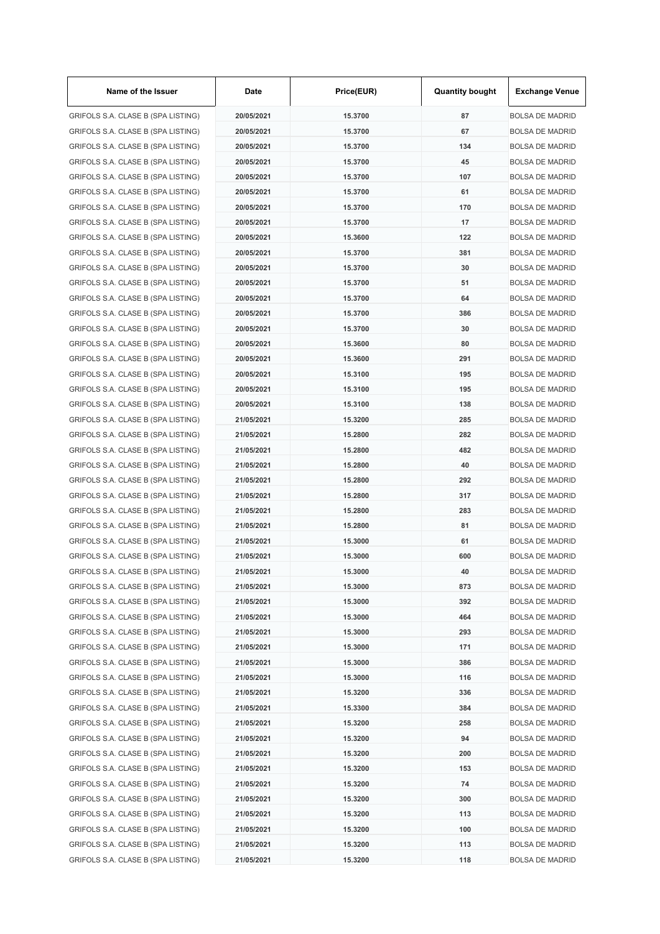| Name of the Issuer                 | Date       | Price(EUR) | <b>Quantity bought</b> | <b>Exchange Venue</b>  |
|------------------------------------|------------|------------|------------------------|------------------------|
| GRIFOLS S.A. CLASE B (SPA LISTING) | 20/05/2021 | 15.3700    | 87                     | <b>BOLSA DE MADRID</b> |
| GRIFOLS S.A. CLASE B (SPA LISTING) | 20/05/2021 | 15.3700    | 67                     | <b>BOLSA DE MADRID</b> |
| GRIFOLS S.A. CLASE B (SPA LISTING) | 20/05/2021 | 15.3700    | 134                    | <b>BOLSA DE MADRID</b> |
| GRIFOLS S.A. CLASE B (SPA LISTING) | 20/05/2021 | 15.3700    | 45                     | <b>BOLSA DE MADRID</b> |
| GRIFOLS S.A. CLASE B (SPA LISTING) | 20/05/2021 | 15.3700    | 107                    | <b>BOLSA DE MADRID</b> |
| GRIFOLS S.A. CLASE B (SPA LISTING) | 20/05/2021 | 15.3700    | 61                     | <b>BOLSA DE MADRID</b> |
| GRIFOLS S.A. CLASE B (SPA LISTING) | 20/05/2021 | 15.3700    | 170                    | <b>BOLSA DE MADRID</b> |
| GRIFOLS S.A. CLASE B (SPA LISTING) | 20/05/2021 | 15.3700    | 17                     | <b>BOLSA DE MADRID</b> |
| GRIFOLS S.A. CLASE B (SPA LISTING) | 20/05/2021 | 15.3600    | 122                    | <b>BOLSA DE MADRID</b> |
| GRIFOLS S.A. CLASE B (SPA LISTING) | 20/05/2021 | 15.3700    | 381                    | <b>BOLSA DE MADRID</b> |
| GRIFOLS S.A. CLASE B (SPA LISTING) | 20/05/2021 | 15.3700    | 30                     | <b>BOLSA DE MADRID</b> |
| GRIFOLS S.A. CLASE B (SPA LISTING) | 20/05/2021 | 15.3700    | 51                     | <b>BOLSA DE MADRID</b> |
| GRIFOLS S.A. CLASE B (SPA LISTING) | 20/05/2021 | 15.3700    | 64                     | <b>BOLSA DE MADRID</b> |
| GRIFOLS S.A. CLASE B (SPA LISTING) | 20/05/2021 | 15.3700    | 386                    | <b>BOLSA DE MADRID</b> |
| GRIFOLS S.A. CLASE B (SPA LISTING) | 20/05/2021 | 15.3700    | 30                     | <b>BOLSA DE MADRID</b> |
| GRIFOLS S.A. CLASE B (SPA LISTING) | 20/05/2021 | 15.3600    | 80                     | <b>BOLSA DE MADRID</b> |
| GRIFOLS S.A. CLASE B (SPA LISTING) | 20/05/2021 | 15.3600    | 291                    | <b>BOLSA DE MADRID</b> |
| GRIFOLS S.A. CLASE B (SPA LISTING) | 20/05/2021 | 15.3100    | 195                    | <b>BOLSA DE MADRID</b> |
| GRIFOLS S.A. CLASE B (SPA LISTING) | 20/05/2021 | 15.3100    | 195                    | <b>BOLSA DE MADRID</b> |
| GRIFOLS S.A. CLASE B (SPA LISTING) | 20/05/2021 | 15.3100    | 138                    | <b>BOLSA DE MADRID</b> |
| GRIFOLS S.A. CLASE B (SPA LISTING) | 21/05/2021 | 15.3200    | 285                    | <b>BOLSA DE MADRID</b> |
| GRIFOLS S.A. CLASE B (SPA LISTING) | 21/05/2021 | 15.2800    | 282                    | <b>BOLSA DE MADRID</b> |
| GRIFOLS S.A. CLASE B (SPA LISTING) | 21/05/2021 | 15.2800    | 482                    | <b>BOLSA DE MADRID</b> |
| GRIFOLS S.A. CLASE B (SPA LISTING) | 21/05/2021 | 15.2800    | 40                     | <b>BOLSA DE MADRID</b> |
| GRIFOLS S.A. CLASE B (SPA LISTING) | 21/05/2021 | 15.2800    | 292                    | <b>BOLSA DE MADRID</b> |
|                                    | 21/05/2021 | 15.2800    | 317                    |                        |
| GRIFOLS S.A. CLASE B (SPA LISTING) | 21/05/2021 |            |                        | <b>BOLSA DE MADRID</b> |
| GRIFOLS S.A. CLASE B (SPA LISTING) |            | 15.2800    | 283                    | <b>BOLSA DE MADRID</b> |
| GRIFOLS S.A. CLASE B (SPA LISTING) | 21/05/2021 | 15.2800    | 81                     | <b>BOLSA DE MADRID</b> |
| GRIFOLS S.A. CLASE B (SPA LISTING) | 21/05/2021 | 15,3000    | 61                     | <b>BOLSA DE MADRID</b> |
| GRIFOLS S.A. CLASE B (SPA LISTING) | 21/05/2021 | 15.3000    | 600                    | <b>BOLSA DE MADRID</b> |
| GRIFOLS S.A. CLASE B (SPA LISTING) | 21/05/2021 | 15.3000    | 40                     | <b>BOLSA DE MADRID</b> |
| GRIFOLS S.A. CLASE B (SPA LISTING) | 21/05/2021 | 15.3000    | 873                    | <b>BOLSA DE MADRID</b> |
| GRIFOLS S.A. CLASE B (SPA LISTING) | 21/05/2021 | 15.3000    | 392                    | <b>BOLSA DE MADRID</b> |
| GRIFOLS S.A. CLASE B (SPA LISTING) | 21/05/2021 | 15.3000    | 464                    | <b>BOLSA DE MADRID</b> |
| GRIFOLS S.A. CLASE B (SPA LISTING) | 21/05/2021 | 15.3000    | 293                    | <b>BOLSA DE MADRID</b> |
| GRIFOLS S.A. CLASE B (SPA LISTING) | 21/05/2021 | 15.3000    | 171                    | <b>BOLSA DE MADRID</b> |
| GRIFOLS S.A. CLASE B (SPA LISTING) | 21/05/2021 | 15.3000    | 386                    | <b>BOLSA DE MADRID</b> |
| GRIFOLS S.A. CLASE B (SPA LISTING) | 21/05/2021 | 15.3000    | 116                    | <b>BOLSA DE MADRID</b> |
| GRIFOLS S.A. CLASE B (SPA LISTING) | 21/05/2021 | 15.3200    | 336                    | <b>BOLSA DE MADRID</b> |
| GRIFOLS S.A. CLASE B (SPA LISTING) | 21/05/2021 | 15.3300    | 384                    | <b>BOLSA DE MADRID</b> |
| GRIFOLS S.A. CLASE B (SPA LISTING) | 21/05/2021 | 15.3200    | 258                    | <b>BOLSA DE MADRID</b> |
| GRIFOLS S.A. CLASE B (SPA LISTING) | 21/05/2021 | 15.3200    | 94                     | <b>BOLSA DE MADRID</b> |
| GRIFOLS S.A. CLASE B (SPA LISTING) | 21/05/2021 | 15.3200    | 200                    | <b>BOLSA DE MADRID</b> |
| GRIFOLS S.A. CLASE B (SPA LISTING) | 21/05/2021 | 15.3200    | 153                    | <b>BOLSA DE MADRID</b> |
| GRIFOLS S.A. CLASE B (SPA LISTING) | 21/05/2021 | 15.3200    | 74                     | <b>BOLSA DE MADRID</b> |
| GRIFOLS S.A. CLASE B (SPA LISTING) | 21/05/2021 | 15.3200    | 300                    | <b>BOLSA DE MADRID</b> |
| GRIFOLS S.A. CLASE B (SPA LISTING) | 21/05/2021 | 15.3200    | 113                    | <b>BOLSA DE MADRID</b> |
| GRIFOLS S.A. CLASE B (SPA LISTING) | 21/05/2021 | 15.3200    | 100                    | <b>BOLSA DE MADRID</b> |
| GRIFOLS S.A. CLASE B (SPA LISTING) | 21/05/2021 | 15.3200    | 113                    | <b>BOLSA DE MADRID</b> |
| GRIFOLS S.A. CLASE B (SPA LISTING) | 21/05/2021 | 15.3200    | 118                    | <b>BOLSA DE MADRID</b> |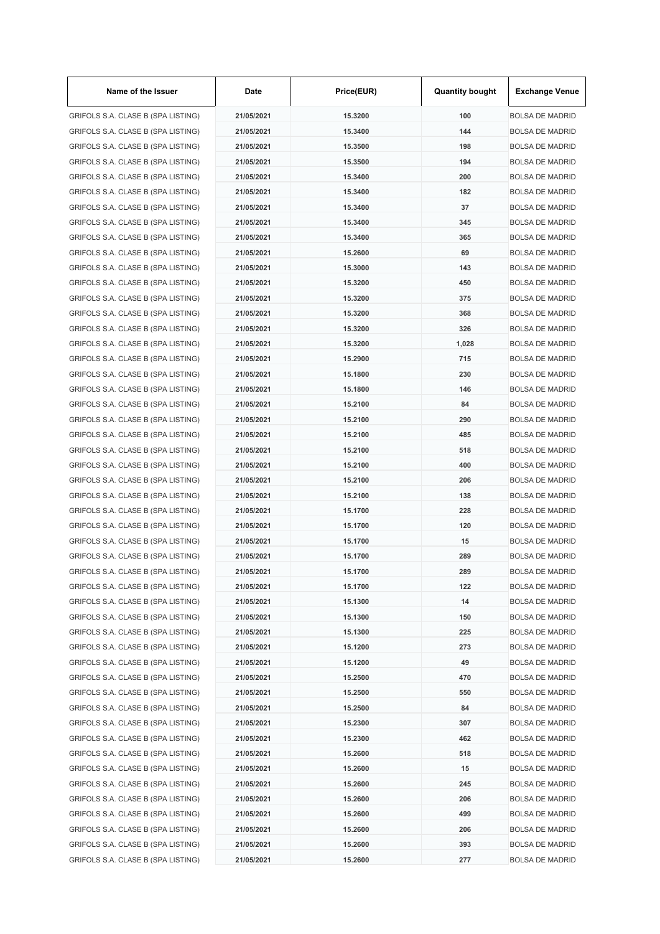| Name of the Issuer                 | Date       | Price(EUR) | <b>Quantity bought</b> | <b>Exchange Venue</b>  |
|------------------------------------|------------|------------|------------------------|------------------------|
| GRIFOLS S.A. CLASE B (SPA LISTING) | 21/05/2021 | 15.3200    | 100                    | <b>BOLSA DE MADRID</b> |
| GRIFOLS S.A. CLASE B (SPA LISTING) | 21/05/2021 | 15.3400    | 144                    | <b>BOLSA DE MADRID</b> |
| GRIFOLS S.A. CLASE B (SPA LISTING) | 21/05/2021 | 15,3500    | 198                    | <b>BOLSA DE MADRID</b> |
| GRIFOLS S.A. CLASE B (SPA LISTING) | 21/05/2021 | 15.3500    | 194                    | <b>BOLSA DE MADRID</b> |
| GRIFOLS S.A. CLASE B (SPA LISTING) | 21/05/2021 | 15.3400    | 200                    | <b>BOLSA DE MADRID</b> |
| GRIFOLS S.A. CLASE B (SPA LISTING) | 21/05/2021 | 15.3400    | 182                    | <b>BOLSA DE MADRID</b> |
| GRIFOLS S.A. CLASE B (SPA LISTING) | 21/05/2021 | 15.3400    | 37                     | <b>BOLSA DE MADRID</b> |
| GRIFOLS S.A. CLASE B (SPA LISTING) | 21/05/2021 | 15.3400    | 345                    | <b>BOLSA DE MADRID</b> |
| GRIFOLS S.A. CLASE B (SPA LISTING) | 21/05/2021 | 15.3400    | 365                    | <b>BOLSA DE MADRID</b> |
| GRIFOLS S.A. CLASE B (SPA LISTING) | 21/05/2021 | 15.2600    | 69                     | <b>BOLSA DE MADRID</b> |
| GRIFOLS S.A. CLASE B (SPA LISTING) | 21/05/2021 | 15.3000    | 143                    | <b>BOLSA DE MADRID</b> |
| GRIFOLS S.A. CLASE B (SPA LISTING) | 21/05/2021 | 15.3200    | 450                    | <b>BOLSA DE MADRID</b> |
| GRIFOLS S.A. CLASE B (SPA LISTING) | 21/05/2021 | 15.3200    | 375                    | <b>BOLSA DE MADRID</b> |
| GRIFOLS S.A. CLASE B (SPA LISTING) | 21/05/2021 | 15.3200    | 368                    | <b>BOLSA DE MADRID</b> |
| GRIFOLS S.A. CLASE B (SPA LISTING) | 21/05/2021 | 15.3200    | 326                    | <b>BOLSA DE MADRID</b> |
| GRIFOLS S.A. CLASE B (SPA LISTING) | 21/05/2021 | 15.3200    | 1,028                  | <b>BOLSA DE MADRID</b> |
| GRIFOLS S.A. CLASE B (SPA LISTING) | 21/05/2021 | 15.2900    | 715                    | <b>BOLSA DE MADRID</b> |
| GRIFOLS S.A. CLASE B (SPA LISTING) | 21/05/2021 | 15.1800    | 230                    | <b>BOLSA DE MADRID</b> |
| GRIFOLS S.A. CLASE B (SPA LISTING) | 21/05/2021 | 15.1800    | 146                    | <b>BOLSA DE MADRID</b> |
| GRIFOLS S.A. CLASE B (SPA LISTING) | 21/05/2021 | 15.2100    | 84                     | <b>BOLSA DE MADRID</b> |
| GRIFOLS S.A. CLASE B (SPA LISTING) | 21/05/2021 | 15.2100    | 290                    | <b>BOLSA DE MADRID</b> |
| GRIFOLS S.A. CLASE B (SPA LISTING) | 21/05/2021 | 15.2100    | 485                    | <b>BOLSA DE MADRID</b> |
| GRIFOLS S.A. CLASE B (SPA LISTING) | 21/05/2021 | 15.2100    | 518                    | <b>BOLSA DE MADRID</b> |
| GRIFOLS S.A. CLASE B (SPA LISTING) | 21/05/2021 | 15.2100    | 400                    | <b>BOLSA DE MADRID</b> |
|                                    |            |            | 206                    |                        |
| GRIFOLS S.A. CLASE B (SPA LISTING) | 21/05/2021 | 15.2100    |                        | <b>BOLSA DE MADRID</b> |
| GRIFOLS S.A. CLASE B (SPA LISTING) | 21/05/2021 | 15.2100    | 138                    | <b>BOLSA DE MADRID</b> |
| GRIFOLS S.A. CLASE B (SPA LISTING) | 21/05/2021 | 15.1700    | 228                    | <b>BOLSA DE MADRID</b> |
| GRIFOLS S.A. CLASE B (SPA LISTING) | 21/05/2021 | 15.1700    | 120                    | <b>BOLSA DE MADRID</b> |
| GRIFOLS S.A. CLASE B (SPA LISTING) | 21/05/2021 | 15.1700    | 15                     | <b>BOLSA DE MADRID</b> |
| GRIFOLS S.A. CLASE B (SPA LISTING) | 21/05/2021 | 15.1700    | 289                    | <b>BOLSA DE MADRID</b> |
| GRIFOLS S.A. CLASE B (SPA LISTING) | 21/05/2021 | 15.1700    | 289                    | <b>BOLSA DE MADRID</b> |
| GRIFOLS S.A. CLASE B (SPA LISTING) | 21/05/2021 | 15.1700    | 122                    | <b>BOLSA DE MADRID</b> |
| GRIFOLS S.A. CLASE B (SPA LISTING) | 21/05/2021 | 15.1300    | 14                     | <b>BOLSA DE MADRID</b> |
| GRIFOLS S.A. CLASE B (SPA LISTING) | 21/05/2021 | 15.1300    | 150                    | <b>BOLSA DE MADRID</b> |
| GRIFOLS S.A. CLASE B (SPA LISTING) | 21/05/2021 | 15.1300    | 225                    | <b>BOLSA DE MADRID</b> |
| GRIFOLS S.A. CLASE B (SPA LISTING) | 21/05/2021 | 15.1200    | 273                    | <b>BOLSA DE MADRID</b> |
| GRIFOLS S.A. CLASE B (SPA LISTING) | 21/05/2021 | 15.1200    | 49                     | <b>BOLSA DE MADRID</b> |
| GRIFOLS S.A. CLASE B (SPA LISTING) | 21/05/2021 | 15.2500    | 470                    | <b>BOLSA DE MADRID</b> |
| GRIFOLS S.A. CLASE B (SPA LISTING) | 21/05/2021 | 15.2500    | 550                    | <b>BOLSA DE MADRID</b> |
| GRIFOLS S.A. CLASE B (SPA LISTING) | 21/05/2021 | 15.2500    | 84                     | <b>BOLSA DE MADRID</b> |
| GRIFOLS S.A. CLASE B (SPA LISTING) | 21/05/2021 | 15.2300    | 307                    | <b>BOLSA DE MADRID</b> |
| GRIFOLS S.A. CLASE B (SPA LISTING) | 21/05/2021 | 15.2300    | 462                    | <b>BOLSA DE MADRID</b> |
| GRIFOLS S.A. CLASE B (SPA LISTING) | 21/05/2021 | 15.2600    | 518                    | <b>BOLSA DE MADRID</b> |
| GRIFOLS S.A. CLASE B (SPA LISTING) | 21/05/2021 | 15.2600    | 15                     | <b>BOLSA DE MADRID</b> |
| GRIFOLS S.A. CLASE B (SPA LISTING) | 21/05/2021 | 15.2600    | 245                    | <b>BOLSA DE MADRID</b> |
| GRIFOLS S.A. CLASE B (SPA LISTING) | 21/05/2021 | 15.2600    | 206                    | <b>BOLSA DE MADRID</b> |
| GRIFOLS S.A. CLASE B (SPA LISTING) | 21/05/2021 | 15.2600    | 499                    | <b>BOLSA DE MADRID</b> |
| GRIFOLS S.A. CLASE B (SPA LISTING) | 21/05/2021 | 15.2600    | 206                    | <b>BOLSA DE MADRID</b> |
| GRIFOLS S.A. CLASE B (SPA LISTING) | 21/05/2021 | 15.2600    | 393                    | <b>BOLSA DE MADRID</b> |
| GRIFOLS S.A. CLASE B (SPA LISTING) | 21/05/2021 | 15.2600    | 277                    | <b>BOLSA DE MADRID</b> |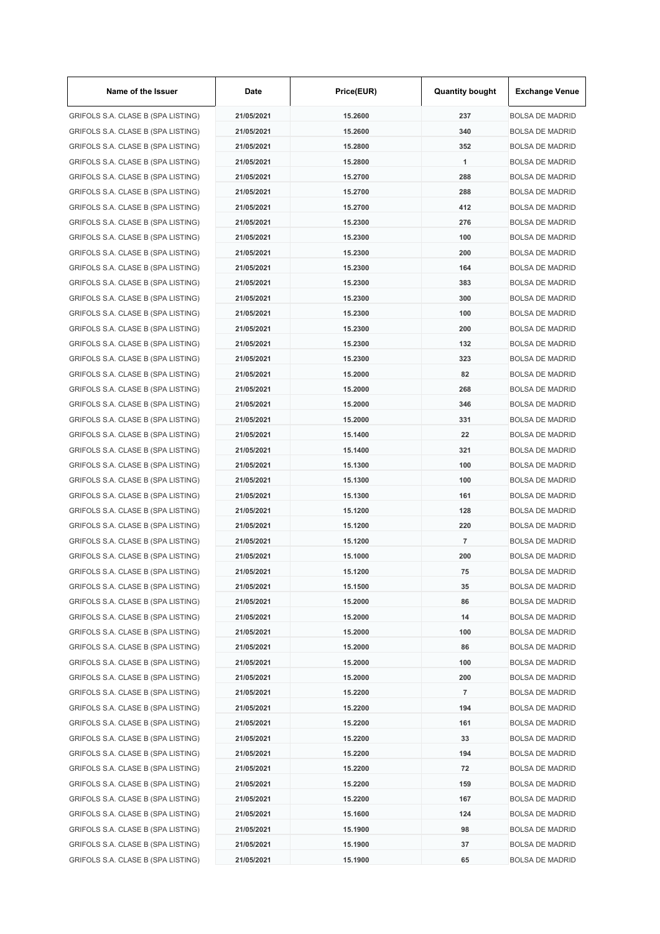| Name of the Issuer                 | Date       | Price(EUR) | <b>Quantity bought</b> | <b>Exchange Venue</b>  |
|------------------------------------|------------|------------|------------------------|------------------------|
| GRIFOLS S.A. CLASE B (SPA LISTING) | 21/05/2021 | 15.2600    | 237                    | <b>BOLSA DE MADRID</b> |
| GRIFOLS S.A. CLASE B (SPA LISTING) | 21/05/2021 | 15.2600    | 340                    | <b>BOLSA DE MADRID</b> |
| GRIFOLS S.A. CLASE B (SPA LISTING) | 21/05/2021 | 15.2800    | 352                    | <b>BOLSA DE MADRID</b> |
| GRIFOLS S.A. CLASE B (SPA LISTING) | 21/05/2021 | 15.2800    | 1                      | <b>BOLSA DE MADRID</b> |
| GRIFOLS S.A. CLASE B (SPA LISTING) | 21/05/2021 | 15.2700    | 288                    | <b>BOLSA DE MADRID</b> |
| GRIFOLS S.A. CLASE B (SPA LISTING) | 21/05/2021 | 15.2700    | 288                    | <b>BOLSA DE MADRID</b> |
| GRIFOLS S.A. CLASE B (SPA LISTING) | 21/05/2021 | 15.2700    | 412                    | <b>BOLSA DE MADRID</b> |
| GRIFOLS S.A. CLASE B (SPA LISTING) | 21/05/2021 | 15.2300    | 276                    | <b>BOLSA DE MADRID</b> |
| GRIFOLS S.A. CLASE B (SPA LISTING) | 21/05/2021 | 15.2300    | 100                    | <b>BOLSA DE MADRID</b> |
| GRIFOLS S.A. CLASE B (SPA LISTING) | 21/05/2021 | 15.2300    | 200                    | <b>BOLSA DE MADRID</b> |
| GRIFOLS S.A. CLASE B (SPA LISTING) | 21/05/2021 | 15.2300    | 164                    | <b>BOLSA DE MADRID</b> |
| GRIFOLS S.A. CLASE B (SPA LISTING) | 21/05/2021 | 15.2300    | 383                    | <b>BOLSA DE MADRID</b> |
| GRIFOLS S.A. CLASE B (SPA LISTING) | 21/05/2021 | 15.2300    | 300                    | <b>BOLSA DE MADRID</b> |
| GRIFOLS S.A. CLASE B (SPA LISTING) | 21/05/2021 | 15.2300    | 100                    | <b>BOLSA DE MADRID</b> |
| GRIFOLS S.A. CLASE B (SPA LISTING) | 21/05/2021 | 15.2300    | 200                    | <b>BOLSA DE MADRID</b> |
| GRIFOLS S.A. CLASE B (SPA LISTING) | 21/05/2021 | 15.2300    | 132                    | <b>BOLSA DE MADRID</b> |
| GRIFOLS S.A. CLASE B (SPA LISTING) | 21/05/2021 | 15.2300    | 323                    | <b>BOLSA DE MADRID</b> |
| GRIFOLS S.A. CLASE B (SPA LISTING) | 21/05/2021 | 15.2000    | 82                     | <b>BOLSA DE MADRID</b> |
| GRIFOLS S.A. CLASE B (SPA LISTING) | 21/05/2021 | 15.2000    | 268                    | <b>BOLSA DE MADRID</b> |
| GRIFOLS S.A. CLASE B (SPA LISTING) | 21/05/2021 | 15.2000    | 346                    | <b>BOLSA DE MADRID</b> |
| GRIFOLS S.A. CLASE B (SPA LISTING) | 21/05/2021 | 15.2000    | 331                    | <b>BOLSA DE MADRID</b> |
| GRIFOLS S.A. CLASE B (SPA LISTING) | 21/05/2021 | 15.1400    | 22                     | <b>BOLSA DE MADRID</b> |
| GRIFOLS S.A. CLASE B (SPA LISTING) | 21/05/2021 | 15.1400    | 321                    | <b>BOLSA DE MADRID</b> |
| GRIFOLS S.A. CLASE B (SPA LISTING) | 21/05/2021 | 15.1300    | 100                    | <b>BOLSA DE MADRID</b> |
|                                    |            |            | 100                    |                        |
| GRIFOLS S.A. CLASE B (SPA LISTING) | 21/05/2021 | 15.1300    |                        | <b>BOLSA DE MADRID</b> |
| GRIFOLS S.A. CLASE B (SPA LISTING) | 21/05/2021 | 15.1300    | 161                    | <b>BOLSA DE MADRID</b> |
| GRIFOLS S.A. CLASE B (SPA LISTING) | 21/05/2021 | 15.1200    | 128                    | <b>BOLSA DE MADRID</b> |
| GRIFOLS S.A. CLASE B (SPA LISTING) | 21/05/2021 | 15.1200    | 220                    | <b>BOLSA DE MADRID</b> |
| GRIFOLS S.A. CLASE B (SPA LISTING) | 21/05/2021 | 15.1200    | 7                      | <b>BOLSA DE MADRID</b> |
| GRIFOLS S.A. CLASE B (SPA LISTING) | 21/05/2021 | 15.1000    | 200                    | <b>BOLSA DE MADRID</b> |
| GRIFOLS S.A. CLASE B (SPA LISTING) | 21/05/2021 | 15.1200    | 75                     | <b>BOLSA DE MADRID</b> |
| GRIFOLS S.A. CLASE B (SPA LISTING) | 21/05/2021 | 15.1500    | 35                     | <b>BOLSA DE MADRID</b> |
| GRIFOLS S.A. CLASE B (SPA LISTING) | 21/05/2021 | 15.2000    | 86                     | <b>BOLSA DE MADRID</b> |
| GRIFOLS S.A. CLASE B (SPA LISTING) | 21/05/2021 | 15.2000    | 14                     | <b>BOLSA DE MADRID</b> |
| GRIFOLS S.A. CLASE B (SPA LISTING) | 21/05/2021 | 15.2000    | 100                    | <b>BOLSA DE MADRID</b> |
| GRIFOLS S.A. CLASE B (SPA LISTING) | 21/05/2021 | 15.2000    | 86                     | <b>BOLSA DE MADRID</b> |
| GRIFOLS S.A. CLASE B (SPA LISTING) | 21/05/2021 | 15.2000    | 100                    | <b>BOLSA DE MADRID</b> |
| GRIFOLS S.A. CLASE B (SPA LISTING) | 21/05/2021 | 15.2000    | 200                    | <b>BOLSA DE MADRID</b> |
| GRIFOLS S.A. CLASE B (SPA LISTING) | 21/05/2021 | 15.2200    | 7                      | <b>BOLSA DE MADRID</b> |
| GRIFOLS S.A. CLASE B (SPA LISTING) | 21/05/2021 | 15.2200    | 194                    | <b>BOLSA DE MADRID</b> |
| GRIFOLS S.A. CLASE B (SPA LISTING) | 21/05/2021 | 15.2200    | 161                    | <b>BOLSA DE MADRID</b> |
| GRIFOLS S.A. CLASE B (SPA LISTING) | 21/05/2021 | 15.2200    | 33                     | <b>BOLSA DE MADRID</b> |
| GRIFOLS S.A. CLASE B (SPA LISTING) | 21/05/2021 | 15.2200    | 194                    | <b>BOLSA DE MADRID</b> |
| GRIFOLS S.A. CLASE B (SPA LISTING) | 21/05/2021 | 15.2200    | 72                     | <b>BOLSA DE MADRID</b> |
| GRIFOLS S.A. CLASE B (SPA LISTING) | 21/05/2021 | 15.2200    | 159                    | <b>BOLSA DE MADRID</b> |
| GRIFOLS S.A. CLASE B (SPA LISTING) | 21/05/2021 | 15.2200    | 167                    | <b>BOLSA DE MADRID</b> |
| GRIFOLS S.A. CLASE B (SPA LISTING) | 21/05/2021 | 15.1600    | 124                    | <b>BOLSA DE MADRID</b> |
| GRIFOLS S.A. CLASE B (SPA LISTING) | 21/05/2021 | 15.1900    | 98                     | <b>BOLSA DE MADRID</b> |
| GRIFOLS S.A. CLASE B (SPA LISTING) | 21/05/2021 | 15.1900    | 37                     | <b>BOLSA DE MADRID</b> |
| GRIFOLS S.A. CLASE B (SPA LISTING) | 21/05/2021 | 15.1900    | 65                     | <b>BOLSA DE MADRID</b> |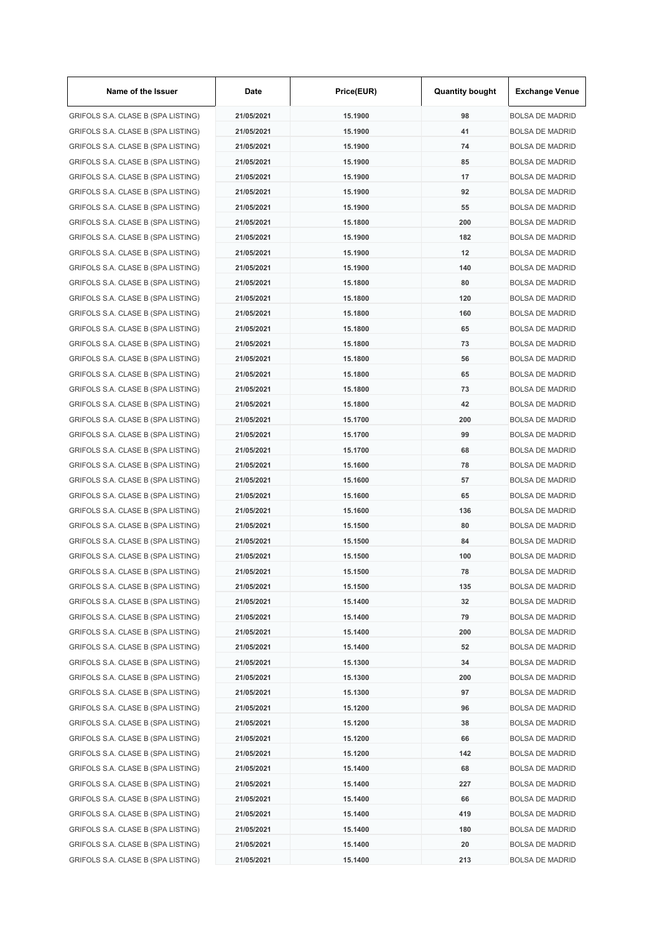| Name of the Issuer                 | Date       | Price(EUR) | <b>Quantity bought</b> | <b>Exchange Venue</b>  |
|------------------------------------|------------|------------|------------------------|------------------------|
| GRIFOLS S.A. CLASE B (SPA LISTING) | 21/05/2021 | 15.1900    | 98                     | <b>BOLSA DE MADRID</b> |
| GRIFOLS S.A. CLASE B (SPA LISTING) | 21/05/2021 | 15.1900    | 41                     | <b>BOLSA DE MADRID</b> |
| GRIFOLS S.A. CLASE B (SPA LISTING) | 21/05/2021 | 15.1900    | 74                     | <b>BOLSA DE MADRID</b> |
| GRIFOLS S.A. CLASE B (SPA LISTING) | 21/05/2021 | 15.1900    | 85                     | <b>BOLSA DE MADRID</b> |
| GRIFOLS S.A. CLASE B (SPA LISTING) | 21/05/2021 | 15.1900    | 17                     | <b>BOLSA DE MADRID</b> |
| GRIFOLS S.A. CLASE B (SPA LISTING) | 21/05/2021 | 15.1900    | 92                     | <b>BOLSA DE MADRID</b> |
| GRIFOLS S.A. CLASE B (SPA LISTING) | 21/05/2021 | 15.1900    | 55                     | <b>BOLSA DE MADRID</b> |
| GRIFOLS S.A. CLASE B (SPA LISTING) | 21/05/2021 | 15.1800    | 200                    | <b>BOLSA DE MADRID</b> |
| GRIFOLS S.A. CLASE B (SPA LISTING) | 21/05/2021 | 15.1900    | 182                    | <b>BOLSA DE MADRID</b> |
| GRIFOLS S.A. CLASE B (SPA LISTING) | 21/05/2021 | 15.1900    | 12                     | <b>BOLSA DE MADRID</b> |
| GRIFOLS S.A. CLASE B (SPA LISTING) | 21/05/2021 | 15.1900    | 140                    | <b>BOLSA DE MADRID</b> |
| GRIFOLS S.A. CLASE B (SPA LISTING) | 21/05/2021 | 15.1800    | 80                     | <b>BOLSA DE MADRID</b> |
| GRIFOLS S.A. CLASE B (SPA LISTING) | 21/05/2021 | 15.1800    | 120                    | <b>BOLSA DE MADRID</b> |
| GRIFOLS S.A. CLASE B (SPA LISTING) | 21/05/2021 | 15.1800    | 160                    | <b>BOLSA DE MADRID</b> |
| GRIFOLS S.A. CLASE B (SPA LISTING) | 21/05/2021 | 15.1800    | 65                     | <b>BOLSA DE MADRID</b> |
| GRIFOLS S.A. CLASE B (SPA LISTING) | 21/05/2021 | 15.1800    | 73                     | <b>BOLSA DE MADRID</b> |
| GRIFOLS S.A. CLASE B (SPA LISTING) | 21/05/2021 | 15.1800    | 56                     | <b>BOLSA DE MADRID</b> |
| GRIFOLS S.A. CLASE B (SPA LISTING) | 21/05/2021 | 15.1800    | 65                     | <b>BOLSA DE MADRID</b> |
| GRIFOLS S.A. CLASE B (SPA LISTING) | 21/05/2021 | 15.1800    | 73                     | <b>BOLSA DE MADRID</b> |
| GRIFOLS S.A. CLASE B (SPA LISTING) | 21/05/2021 | 15.1800    | 42                     | <b>BOLSA DE MADRID</b> |
| GRIFOLS S.A. CLASE B (SPA LISTING) | 21/05/2021 | 15.1700    | 200                    | <b>BOLSA DE MADRID</b> |
| GRIFOLS S.A. CLASE B (SPA LISTING) | 21/05/2021 | 15.1700    | 99                     | <b>BOLSA DE MADRID</b> |
| GRIFOLS S.A. CLASE B (SPA LISTING) | 21/05/2021 | 15.1700    | 68                     | <b>BOLSA DE MADRID</b> |
| GRIFOLS S.A. CLASE B (SPA LISTING) | 21/05/2021 | 15.1600    | 78                     | <b>BOLSA DE MADRID</b> |
| GRIFOLS S.A. CLASE B (SPA LISTING) | 21/05/2021 | 15.1600    | 57                     | <b>BOLSA DE MADRID</b> |
| GRIFOLS S.A. CLASE B (SPA LISTING) | 21/05/2021 | 15.1600    | 65                     | <b>BOLSA DE MADRID</b> |
| GRIFOLS S.A. CLASE B (SPA LISTING) | 21/05/2021 | 15.1600    | 136                    | <b>BOLSA DE MADRID</b> |
|                                    | 21/05/2021 | 15.1500    | 80                     | <b>BOLSA DE MADRID</b> |
| GRIFOLS S.A. CLASE B (SPA LISTING) |            |            |                        |                        |
| GRIFOLS S.A. CLASE B (SPA LISTING) | 21/05/2021 | 15.1500    | 84<br>100              | <b>BOLSA DE MADRID</b> |
| GRIFOLS S.A. CLASE B (SPA LISTING) | 21/05/2021 | 15.1500    |                        | <b>BOLSA DE MADRID</b> |
| GRIFOLS S.A. CLASE B (SPA LISTING) | 21/05/2021 | 15.1500    | 78                     | <b>BOLSA DE MADRID</b> |
| GRIFOLS S.A. CLASE B (SPA LISTING) | 21/05/2021 | 15.1500    | 135                    | <b>BOLSA DE MADRID</b> |
| GRIFOLS S.A. CLASE B (SPA LISTING) | 21/05/2021 | 15.1400    | 32                     | <b>BOLSA DE MADRID</b> |
| GRIFOLS S.A. CLASE B (SPA LISTING) | 21/05/2021 | 15.1400    | 79                     | <b>BOLSA DE MADRID</b> |
| GRIFOLS S.A. CLASE B (SPA LISTING) | 21/05/2021 | 15.1400    | 200                    | <b>BOLSA DE MADRID</b> |
| GRIFOLS S.A. CLASE B (SPA LISTING) | 21/05/2021 | 15.1400    | 52                     | <b>BOLSA DE MADRID</b> |
| GRIFOLS S.A. CLASE B (SPA LISTING) | 21/05/2021 | 15.1300    | 34                     | <b>BOLSA DE MADRID</b> |
| GRIFOLS S.A. CLASE B (SPA LISTING) | 21/05/2021 | 15.1300    | 200                    | <b>BOLSA DE MADRID</b> |
| GRIFOLS S.A. CLASE B (SPA LISTING) | 21/05/2021 | 15.1300    | 97                     | <b>BOLSA DE MADRID</b> |
| GRIFOLS S.A. CLASE B (SPA LISTING) | 21/05/2021 | 15.1200    | 96                     | <b>BOLSA DE MADRID</b> |
| GRIFOLS S.A. CLASE B (SPA LISTING) | 21/05/2021 | 15.1200    | 38                     | <b>BOLSA DE MADRID</b> |
| GRIFOLS S.A. CLASE B (SPA LISTING) | 21/05/2021 | 15.1200    | 66                     | <b>BOLSA DE MADRID</b> |
| GRIFOLS S.A. CLASE B (SPA LISTING) | 21/05/2021 | 15.1200    | 142                    | <b>BOLSA DE MADRID</b> |
| GRIFOLS S.A. CLASE B (SPA LISTING) | 21/05/2021 | 15.1400    | 68                     | <b>BOLSA DE MADRID</b> |
| GRIFOLS S.A. CLASE B (SPA LISTING) | 21/05/2021 | 15.1400    | 227                    | <b>BOLSA DE MADRID</b> |
| GRIFOLS S.A. CLASE B (SPA LISTING) | 21/05/2021 | 15.1400    | 66                     | <b>BOLSA DE MADRID</b> |
| GRIFOLS S.A. CLASE B (SPA LISTING) | 21/05/2021 | 15.1400    | 419                    | <b>BOLSA DE MADRID</b> |
| GRIFOLS S.A. CLASE B (SPA LISTING) | 21/05/2021 | 15.1400    | 180                    | <b>BOLSA DE MADRID</b> |
| GRIFOLS S.A. CLASE B (SPA LISTING) | 21/05/2021 | 15.1400    | 20                     | <b>BOLSA DE MADRID</b> |
| GRIFOLS S.A. CLASE B (SPA LISTING) | 21/05/2021 | 15.1400    | 213                    | <b>BOLSA DE MADRID</b> |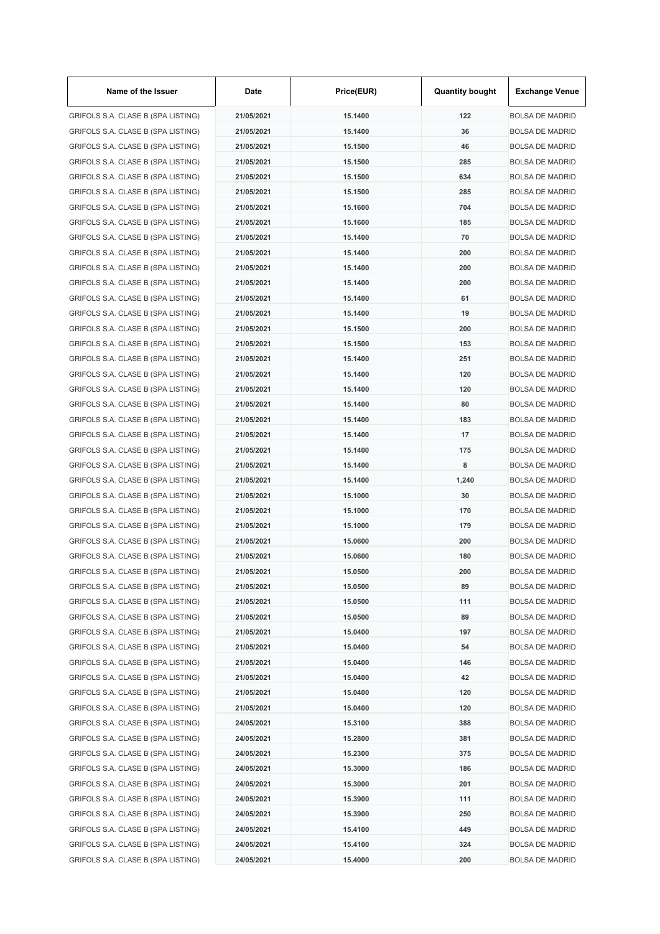| Name of the Issuer                 | Date       | Price(EUR) | <b>Quantity bought</b> | <b>Exchange Venue</b>  |
|------------------------------------|------------|------------|------------------------|------------------------|
| GRIFOLS S.A. CLASE B (SPA LISTING) | 21/05/2021 | 15.1400    | 122                    | <b>BOLSA DE MADRID</b> |
| GRIFOLS S.A. CLASE B (SPA LISTING) | 21/05/2021 | 15.1400    | 36                     | <b>BOLSA DE MADRID</b> |
| GRIFOLS S.A. CLASE B (SPA LISTING) | 21/05/2021 | 15.1500    | 46                     | <b>BOLSA DE MADRID</b> |
| GRIFOLS S.A. CLASE B (SPA LISTING) | 21/05/2021 | 15.1500    | 285                    | <b>BOLSA DE MADRID</b> |
| GRIFOLS S.A. CLASE B (SPA LISTING) | 21/05/2021 | 15.1500    | 634                    | <b>BOLSA DE MADRID</b> |
| GRIFOLS S.A. CLASE B (SPA LISTING) | 21/05/2021 | 15.1500    | 285                    | <b>BOLSA DE MADRID</b> |
| GRIFOLS S.A. CLASE B (SPA LISTING) | 21/05/2021 | 15.1600    | 704                    | <b>BOLSA DE MADRID</b> |
| GRIFOLS S.A. CLASE B (SPA LISTING) | 21/05/2021 | 15.1600    | 185                    | <b>BOLSA DE MADRID</b> |
| GRIFOLS S.A. CLASE B (SPA LISTING) | 21/05/2021 | 15.1400    | 70                     | <b>BOLSA DE MADRID</b> |
| GRIFOLS S.A. CLASE B (SPA LISTING) | 21/05/2021 | 15.1400    | 200                    | <b>BOLSA DE MADRID</b> |
| GRIFOLS S.A. CLASE B (SPA LISTING) | 21/05/2021 | 15.1400    | 200                    | <b>BOLSA DE MADRID</b> |
| GRIFOLS S.A. CLASE B (SPA LISTING) | 21/05/2021 | 15.1400    | 200                    | <b>BOLSA DE MADRID</b> |
| GRIFOLS S.A. CLASE B (SPA LISTING) | 21/05/2021 | 15.1400    | 61                     | <b>BOLSA DE MADRID</b> |
| GRIFOLS S.A. CLASE B (SPA LISTING) | 21/05/2021 | 15.1400    | 19                     | <b>BOLSA DE MADRID</b> |
| GRIFOLS S.A. CLASE B (SPA LISTING) | 21/05/2021 | 15.1500    | 200                    | <b>BOLSA DE MADRID</b> |
| GRIFOLS S.A. CLASE B (SPA LISTING) | 21/05/2021 | 15.1500    | 153                    | <b>BOLSA DE MADRID</b> |
| GRIFOLS S.A. CLASE B (SPA LISTING) | 21/05/2021 | 15.1400    | 251                    | <b>BOLSA DE MADRID</b> |
| GRIFOLS S.A. CLASE B (SPA LISTING) | 21/05/2021 | 15.1400    | 120                    | <b>BOLSA DE MADRID</b> |
| GRIFOLS S.A. CLASE B (SPA LISTING) | 21/05/2021 | 15.1400    | 120                    | <b>BOLSA DE MADRID</b> |
| GRIFOLS S.A. CLASE B (SPA LISTING) | 21/05/2021 | 15.1400    | 80                     | <b>BOLSA DE MADRID</b> |
| GRIFOLS S.A. CLASE B (SPA LISTING) | 21/05/2021 | 15.1400    | 183                    | <b>BOLSA DE MADRID</b> |
| GRIFOLS S.A. CLASE B (SPA LISTING) | 21/05/2021 | 15.1400    | 17                     | <b>BOLSA DE MADRID</b> |
| GRIFOLS S.A. CLASE B (SPA LISTING) | 21/05/2021 | 15.1400    | 175                    | <b>BOLSA DE MADRID</b> |
| GRIFOLS S.A. CLASE B (SPA LISTING) | 21/05/2021 | 15.1400    | 8                      | <b>BOLSA DE MADRID</b> |
|                                    |            |            |                        |                        |
| GRIFOLS S.A. CLASE B (SPA LISTING) | 21/05/2021 | 15.1400    | 1,240                  | <b>BOLSA DE MADRID</b> |
| GRIFOLS S.A. CLASE B (SPA LISTING) | 21/05/2021 | 15.1000    | 30                     | <b>BOLSA DE MADRID</b> |
| GRIFOLS S.A. CLASE B (SPA LISTING) | 21/05/2021 | 15.1000    | 170                    | <b>BOLSA DE MADRID</b> |
| GRIFOLS S.A. CLASE B (SPA LISTING) | 21/05/2021 | 15.1000    | 179                    | <b>BOLSA DE MADRID</b> |
| GRIFOLS S.A. CLASE B (SPA LISTING) | 21/05/2021 | 15.0600    | 200                    | <b>BOLSA DE MADRID</b> |
| GRIFOLS S.A. CLASE B (SPA LISTING) | 21/05/2021 | 15.0600    | 180                    | <b>BOLSA DE MADRID</b> |
| GRIFOLS S.A. CLASE B (SPA LISTING) | 21/05/2021 | 15.0500    | 200                    | <b>BOLSA DE MADRID</b> |
| GRIFOLS S.A. CLASE B (SPA LISTING) | 21/05/2021 | 15.0500    | 89                     | <b>BOLSA DE MADRID</b> |
| GRIFOLS S.A. CLASE B (SPA LISTING) | 21/05/2021 | 15.0500    | 111                    | <b>BOLSA DE MADRID</b> |
| GRIFOLS S.A. CLASE B (SPA LISTING) | 21/05/2021 | 15.0500    | 89                     | <b>BOLSA DE MADRID</b> |
| GRIFOLS S.A. CLASE B (SPA LISTING) | 21/05/2021 | 15.0400    | 197                    | <b>BOLSA DE MADRID</b> |
| GRIFOLS S.A. CLASE B (SPA LISTING) | 21/05/2021 | 15.0400    | 54                     | <b>BOLSA DE MADRID</b> |
| GRIFOLS S.A. CLASE B (SPA LISTING) | 21/05/2021 | 15.0400    | 146                    | <b>BOLSA DE MADRID</b> |
| GRIFOLS S.A. CLASE B (SPA LISTING) | 21/05/2021 | 15.0400    | 42                     | <b>BOLSA DE MADRID</b> |
| GRIFOLS S.A. CLASE B (SPA LISTING) | 21/05/2021 | 15.0400    | 120                    | <b>BOLSA DE MADRID</b> |
| GRIFOLS S.A. CLASE B (SPA LISTING) | 21/05/2021 | 15.0400    | 120                    | <b>BOLSA DE MADRID</b> |
| GRIFOLS S.A. CLASE B (SPA LISTING) | 24/05/2021 | 15.3100    | 388                    | <b>BOLSA DE MADRID</b> |
| GRIFOLS S.A. CLASE B (SPA LISTING) | 24/05/2021 | 15.2800    | 381                    | <b>BOLSA DE MADRID</b> |
| GRIFOLS S.A. CLASE B (SPA LISTING) | 24/05/2021 | 15.2300    | 375                    | <b>BOLSA DE MADRID</b> |
| GRIFOLS S.A. CLASE B (SPA LISTING) | 24/05/2021 | 15.3000    | 186                    | <b>BOLSA DE MADRID</b> |
| GRIFOLS S.A. CLASE B (SPA LISTING) | 24/05/2021 | 15.3000    | 201                    | <b>BOLSA DE MADRID</b> |
| GRIFOLS S.A. CLASE B (SPA LISTING) | 24/05/2021 | 15.3900    | 111                    | <b>BOLSA DE MADRID</b> |
| GRIFOLS S.A. CLASE B (SPA LISTING) | 24/05/2021 | 15.3900    | 250                    | <b>BOLSA DE MADRID</b> |
| GRIFOLS S.A. CLASE B (SPA LISTING) | 24/05/2021 | 15.4100    | 449                    | <b>BOLSA DE MADRID</b> |
| GRIFOLS S.A. CLASE B (SPA LISTING) | 24/05/2021 | 15.4100    | 324                    | <b>BOLSA DE MADRID</b> |
| GRIFOLS S.A. CLASE B (SPA LISTING) | 24/05/2021 | 15.4000    | 200                    | <b>BOLSA DE MADRID</b> |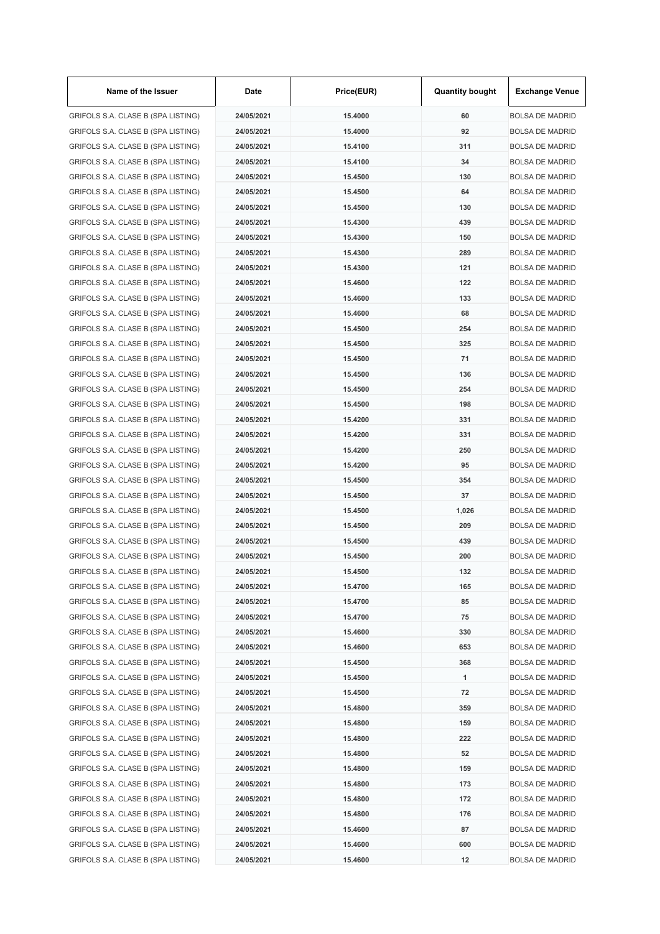| Name of the Issuer                 | Date       | Price(EUR)         | <b>Quantity bought</b> | <b>Exchange Venue</b>  |
|------------------------------------|------------|--------------------|------------------------|------------------------|
| GRIFOLS S.A. CLASE B (SPA LISTING) | 24/05/2021 | 15.4000            | 60                     | <b>BOLSA DE MADRID</b> |
| GRIFOLS S.A. CLASE B (SPA LISTING) | 24/05/2021 | 15.4000            | 92                     | <b>BOLSA DE MADRID</b> |
| GRIFOLS S.A. CLASE B (SPA LISTING) | 24/05/2021 | 15.4100            | 311                    | <b>BOLSA DE MADRID</b> |
| GRIFOLS S.A. CLASE B (SPA LISTING) | 24/05/2021 | 15.4100            | 34                     | <b>BOLSA DE MADRID</b> |
| GRIFOLS S.A. CLASE B (SPA LISTING) | 24/05/2021 | 15.4500            | 130                    | <b>BOLSA DE MADRID</b> |
| GRIFOLS S.A. CLASE B (SPA LISTING) | 24/05/2021 | 15.4500            | 64                     | <b>BOLSA DE MADRID</b> |
| GRIFOLS S.A. CLASE B (SPA LISTING) | 24/05/2021 | 15.4500            | 130                    | <b>BOLSA DE MADRID</b> |
| GRIFOLS S.A. CLASE B (SPA LISTING) | 24/05/2021 | 15.4300            | 439                    | <b>BOLSA DE MADRID</b> |
| GRIFOLS S.A. CLASE B (SPA LISTING) | 24/05/2021 | 15.4300            | 150                    | <b>BOLSA DE MADRID</b> |
| GRIFOLS S.A. CLASE B (SPA LISTING) | 24/05/2021 | 15.4300            | 289                    | <b>BOLSA DE MADRID</b> |
| GRIFOLS S.A. CLASE B (SPA LISTING) | 24/05/2021 | 15.4300            | 121                    | <b>BOLSA DE MADRID</b> |
| GRIFOLS S.A. CLASE B (SPA LISTING) | 24/05/2021 | 15.4600            | 122                    | <b>BOLSA DE MADRID</b> |
| GRIFOLS S.A. CLASE B (SPA LISTING) | 24/05/2021 | 15.4600            | 133                    | <b>BOLSA DE MADRID</b> |
| GRIFOLS S.A. CLASE B (SPA LISTING) | 24/05/2021 | 15.4600            | 68                     | <b>BOLSA DE MADRID</b> |
| GRIFOLS S.A. CLASE B (SPA LISTING) | 24/05/2021 | 15.4500            | 254                    | <b>BOLSA DE MADRID</b> |
| GRIFOLS S.A. CLASE B (SPA LISTING) | 24/05/2021 | 15.4500            | 325                    | <b>BOLSA DE MADRID</b> |
| GRIFOLS S.A. CLASE B (SPA LISTING) | 24/05/2021 | 15.4500            | 71                     | <b>BOLSA DE MADRID</b> |
| GRIFOLS S.A. CLASE B (SPA LISTING) | 24/05/2021 | 15.4500            | 136                    | <b>BOLSA DE MADRID</b> |
| GRIFOLS S.A. CLASE B (SPA LISTING) | 24/05/2021 | 15.4500            | 254                    | <b>BOLSA DE MADRID</b> |
| GRIFOLS S.A. CLASE B (SPA LISTING) | 24/05/2021 | 15.4500            | 198                    | <b>BOLSA DE MADRID</b> |
| GRIFOLS S.A. CLASE B (SPA LISTING) | 24/05/2021 | 15.4200            | 331                    | <b>BOLSA DE MADRID</b> |
| GRIFOLS S.A. CLASE B (SPA LISTING) | 24/05/2021 | 15.4200            | 331                    | <b>BOLSA DE MADRID</b> |
| GRIFOLS S.A. CLASE B (SPA LISTING) | 24/05/2021 | 15.4200            | 250                    | <b>BOLSA DE MADRID</b> |
| GRIFOLS S.A. CLASE B (SPA LISTING) | 24/05/2021 | 15.4200            | 95                     | <b>BOLSA DE MADRID</b> |
| GRIFOLS S.A. CLASE B (SPA LISTING) | 24/05/2021 | 15.4500            | 354                    | <b>BOLSA DE MADRID</b> |
| GRIFOLS S.A. CLASE B (SPA LISTING) | 24/05/2021 | 15.4500            | 37                     | <b>BOLSA DE MADRID</b> |
| GRIFOLS S.A. CLASE B (SPA LISTING) | 24/05/2021 | 15.4500            | 1,026                  | <b>BOLSA DE MADRID</b> |
|                                    | 24/05/2021 | 15.4500            | 209                    | <b>BOLSA DE MADRID</b> |
| GRIFOLS S.A. CLASE B (SPA LISTING) |            |                    |                        |                        |
| GRIFOLS S.A. CLASE B (SPA LISTING) | 24/05/2021 | 15.4500<br>15.4500 | 439                    | <b>BOLSA DE MADRID</b> |
| GRIFOLS S.A. CLASE B (SPA LISTING) | 24/05/2021 |                    | 200                    | <b>BOLSA DE MADRID</b> |
| GRIFOLS S.A. CLASE B (SPA LISTING) | 24/05/2021 | 15.4500            | 132                    | <b>BOLSA DE MADRID</b> |
| GRIFOLS S.A. CLASE B (SPA LISTING) | 24/05/2021 | 15.4700            | 165                    | <b>BOLSA DE MADRID</b> |
| GRIFOLS S.A. CLASE B (SPA LISTING) | 24/05/2021 | 15.4700            | 85                     | <b>BOLSA DE MADRID</b> |
| GRIFOLS S.A. CLASE B (SPA LISTING) | 24/05/2021 | 15.4700            | 75                     | <b>BOLSA DE MADRID</b> |
| GRIFOLS S.A. CLASE B (SPA LISTING) | 24/05/2021 | 15.4600            | 330                    | <b>BOLSA DE MADRID</b> |
| GRIFOLS S.A. CLASE B (SPA LISTING) | 24/05/2021 | 15.4600            | 653                    | <b>BOLSA DE MADRID</b> |
| GRIFOLS S.A. CLASE B (SPA LISTING) | 24/05/2021 | 15.4500            | 368                    | <b>BOLSA DE MADRID</b> |
| GRIFOLS S.A. CLASE B (SPA LISTING) | 24/05/2021 | 15.4500            | 1                      | <b>BOLSA DE MADRID</b> |
| GRIFOLS S.A. CLASE B (SPA LISTING) | 24/05/2021 | 15.4500            | 72                     | <b>BOLSA DE MADRID</b> |
| GRIFOLS S.A. CLASE B (SPA LISTING) | 24/05/2021 | 15.4800            | 359                    | <b>BOLSA DE MADRID</b> |
| GRIFOLS S.A. CLASE B (SPA LISTING) | 24/05/2021 | 15.4800            | 159                    | <b>BOLSA DE MADRID</b> |
| GRIFOLS S.A. CLASE B (SPA LISTING) | 24/05/2021 | 15.4800            | 222                    | <b>BOLSA DE MADRID</b> |
| GRIFOLS S.A. CLASE B (SPA LISTING) | 24/05/2021 | 15.4800            | 52                     | <b>BOLSA DE MADRID</b> |
| GRIFOLS S.A. CLASE B (SPA LISTING) | 24/05/2021 | 15.4800            | 159                    | <b>BOLSA DE MADRID</b> |
| GRIFOLS S.A. CLASE B (SPA LISTING) | 24/05/2021 | 15.4800            | 173                    | <b>BOLSA DE MADRID</b> |
| GRIFOLS S.A. CLASE B (SPA LISTING) | 24/05/2021 | 15.4800            | 172                    | <b>BOLSA DE MADRID</b> |
| GRIFOLS S.A. CLASE B (SPA LISTING) | 24/05/2021 | 15.4800            | 176                    | <b>BOLSA DE MADRID</b> |
| GRIFOLS S.A. CLASE B (SPA LISTING) | 24/05/2021 | 15.4600            | 87                     | <b>BOLSA DE MADRID</b> |
| GRIFOLS S.A. CLASE B (SPA LISTING) | 24/05/2021 | 15.4600            | 600                    | <b>BOLSA DE MADRID</b> |
| GRIFOLS S.A. CLASE B (SPA LISTING) | 24/05/2021 | 15.4600            | 12                     | <b>BOLSA DE MADRID</b> |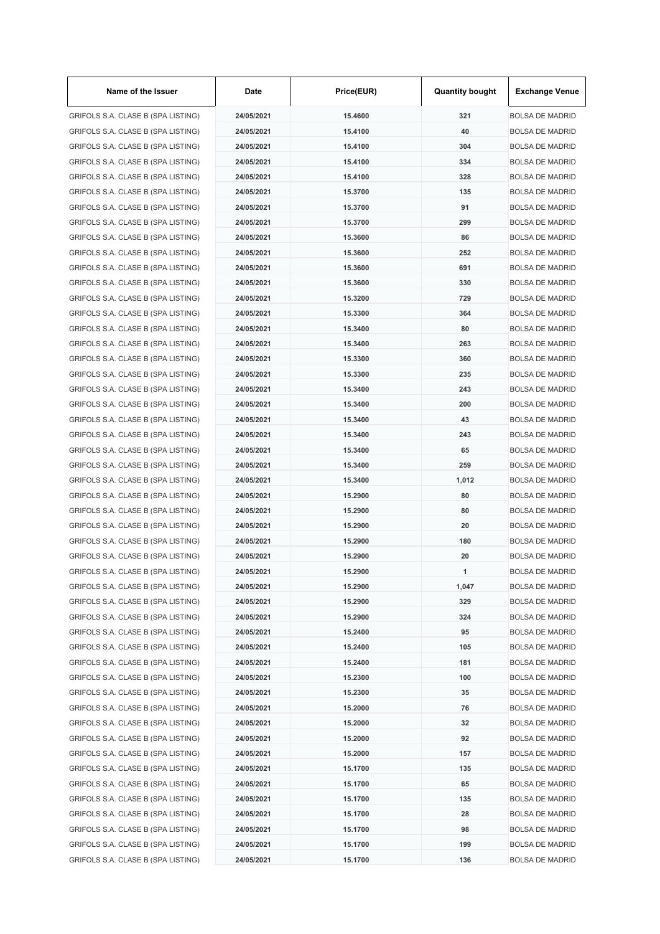| Name of the Issuer                 | Date       | Price(EUR)         | <b>Quantity bought</b> | <b>Exchange Venue</b>  |
|------------------------------------|------------|--------------------|------------------------|------------------------|
| GRIFOLS S.A. CLASE B (SPA LISTING) | 24/05/2021 | 15.4600            | 321                    | <b>BOLSA DE MADRID</b> |
| GRIFOLS S.A. CLASE B (SPA LISTING) | 24/05/2021 | 15.4100            | 40                     | <b>BOLSA DE MADRID</b> |
| GRIFOLS S.A. CLASE B (SPA LISTING) | 24/05/2021 | 15.4100            | 304                    | <b>BOLSA DE MADRID</b> |
| GRIFOLS S.A. CLASE B (SPA LISTING) | 24/05/2021 | 15.4100            | 334                    | <b>BOLSA DE MADRID</b> |
| GRIFOLS S.A. CLASE B (SPA LISTING) | 24/05/2021 | 15.4100            | 328                    | <b>BOLSA DE MADRID</b> |
| GRIFOLS S.A. CLASE B (SPA LISTING) | 24/05/2021 | 15.3700            | 135                    | <b>BOLSA DE MADRID</b> |
| GRIFOLS S.A. CLASE B (SPA LISTING) | 24/05/2021 | 15.3700            | 91                     | <b>BOLSA DE MADRID</b> |
| GRIFOLS S.A. CLASE B (SPA LISTING) | 24/05/2021 | 15.3700            | 299                    | <b>BOLSA DE MADRID</b> |
| GRIFOLS S.A. CLASE B (SPA LISTING) | 24/05/2021 | 15,3600            | 86                     | <b>BOLSA DE MADRID</b> |
| GRIFOLS S.A. CLASE B (SPA LISTING) | 24/05/2021 | 15.3600            | 252                    | <b>BOLSA DE MADRID</b> |
| GRIFOLS S.A. CLASE B (SPA LISTING) | 24/05/2021 | 15.3600            | 691                    | <b>BOLSA DE MADRID</b> |
| GRIFOLS S.A. CLASE B (SPA LISTING) | 24/05/2021 | 15.3600            | 330                    | <b>BOLSA DE MADRID</b> |
| GRIFOLS S.A. CLASE B (SPA LISTING) | 24/05/2021 | 15.3200            | 729                    | <b>BOLSA DE MADRID</b> |
| GRIFOLS S.A. CLASE B (SPA LISTING) | 24/05/2021 | 15.3300            | 364                    | <b>BOLSA DE MADRID</b> |
| GRIFOLS S.A. CLASE B (SPA LISTING) | 24/05/2021 | 15.3400            | 80                     | <b>BOLSA DE MADRID</b> |
| GRIFOLS S.A. CLASE B (SPA LISTING) | 24/05/2021 | 15.3400            | 263                    | <b>BOLSA DE MADRID</b> |
| GRIFOLS S.A. CLASE B (SPA LISTING) | 24/05/2021 | 15.3300            | 360                    | <b>BOLSA DE MADRID</b> |
| GRIFOLS S.A. CLASE B (SPA LISTING) | 24/05/2021 | 15.3300            | 235                    | <b>BOLSA DE MADRID</b> |
| GRIFOLS S.A. CLASE B (SPA LISTING) | 24/05/2021 | 15.3400            | 243                    | <b>BOLSA DE MADRID</b> |
| GRIFOLS S.A. CLASE B (SPA LISTING) | 24/05/2021 | 15.3400            | 200                    | <b>BOLSA DE MADRID</b> |
| GRIFOLS S.A. CLASE B (SPA LISTING) | 24/05/2021 | 15.3400            | 43                     | <b>BOLSA DE MADRID</b> |
| GRIFOLS S.A. CLASE B (SPA LISTING) | 24/05/2021 | 15.3400            | 243                    | <b>BOLSA DE MADRID</b> |
| GRIFOLS S.A. CLASE B (SPA LISTING) | 24/05/2021 | 15.3400            | 65                     | <b>BOLSA DE MADRID</b> |
| GRIFOLS S.A. CLASE B (SPA LISTING) | 24/05/2021 | 15.3400            | 259                    | <b>BOLSA DE MADRID</b> |
| GRIFOLS S.A. CLASE B (SPA LISTING) | 24/05/2021 | 15.3400            | 1,012                  | <b>BOLSA DE MADRID</b> |
| GRIFOLS S.A. CLASE B (SPA LISTING) | 24/05/2021 | 15.2900            | 80                     | <b>BOLSA DE MADRID</b> |
|                                    |            |                    |                        | <b>BOLSA DE MADRID</b> |
| GRIFOLS S.A. CLASE B (SPA LISTING) | 24/05/2021 | 15.2900<br>15.2900 | 80                     | <b>BOLSA DE MADRID</b> |
| GRIFOLS S.A. CLASE B (SPA LISTING) | 24/05/2021 |                    | 20                     |                        |
| GRIFOLS S.A. CLASE B (SPA LISTING) | 24/05/2021 | 15.2900            | 180                    | <b>BOLSA DE MADRID</b> |
| GRIFOLS S.A. CLASE B (SPA LISTING) | 24/05/2021 | 15.2900            | 20                     | <b>BOLSA DE MADRID</b> |
| GRIFOLS S.A. CLASE B (SPA LISTING) | 24/05/2021 | 15.2900            | 1                      | <b>BOLSA DE MADRID</b> |
| GRIFOLS S.A. CLASE B (SPA LISTING) | 24/05/2021 | 15.2900            | 1,047                  | <b>BOLSA DE MADRID</b> |
| GRIFOLS S.A. CLASE B (SPA LISTING) | 24/05/2021 | 15.2900            | 329                    | <b>BOLSA DE MADRID</b> |
| GRIFOLS S.A. CLASE B (SPA LISTING) | 24/05/2021 | 15.2900            | 324                    | <b>BOLSA DE MADRID</b> |
| GRIFOLS S.A. CLASE B (SPA LISTING) | 24/05/2021 | 15.2400            | 95                     | <b>BOLSA DE MADRID</b> |
| GRIFOLS S.A. CLASE B (SPA LISTING) | 24/05/2021 | 15.2400            | 105                    | <b>BOLSA DE MADRID</b> |
| GRIFOLS S.A. CLASE B (SPA LISTING) | 24/05/2021 | 15.2400            | 181                    | <b>BOLSA DE MADRID</b> |
| GRIFOLS S.A. CLASE B (SPA LISTING) | 24/05/2021 | 15.2300            | 100                    | <b>BOLSA DE MADRID</b> |
| GRIFOLS S.A. CLASE B (SPA LISTING) | 24/05/2021 | 15.2300            | 35                     | <b>BOLSA DE MADRID</b> |
| GRIFOLS S.A. CLASE B (SPA LISTING) | 24/05/2021 | 15.2000            | 76                     | <b>BOLSA DE MADRID</b> |
| GRIFOLS S.A. CLASE B (SPA LISTING) | 24/05/2021 | 15.2000            | 32                     | <b>BOLSA DE MADRID</b> |
| GRIFOLS S.A. CLASE B (SPA LISTING) | 24/05/2021 | 15.2000            | 92                     | <b>BOLSA DE MADRID</b> |
| GRIFOLS S.A. CLASE B (SPA LISTING) | 24/05/2021 | 15.2000            | 157                    | <b>BOLSA DE MADRID</b> |
| GRIFOLS S.A. CLASE B (SPA LISTING) | 24/05/2021 | 15.1700            | 135                    | <b>BOLSA DE MADRID</b> |
| GRIFOLS S.A. CLASE B (SPA LISTING) | 24/05/2021 | 15.1700            | 65                     | <b>BOLSA DE MADRID</b> |
| GRIFOLS S.A. CLASE B (SPA LISTING) | 24/05/2021 | 15.1700            | 135                    | <b>BOLSA DE MADRID</b> |
| GRIFOLS S.A. CLASE B (SPA LISTING) | 24/05/2021 | 15.1700            | 28                     | <b>BOLSA DE MADRID</b> |
| GRIFOLS S.A. CLASE B (SPA LISTING) | 24/05/2021 | 15.1700            | 98                     | <b>BOLSA DE MADRID</b> |
| GRIFOLS S.A. CLASE B (SPA LISTING) | 24/05/2021 | 15.1700            | 199                    | <b>BOLSA DE MADRID</b> |
| GRIFOLS S.A. CLASE B (SPA LISTING) | 24/05/2021 | 15.1700            | 136                    | <b>BOLSA DE MADRID</b> |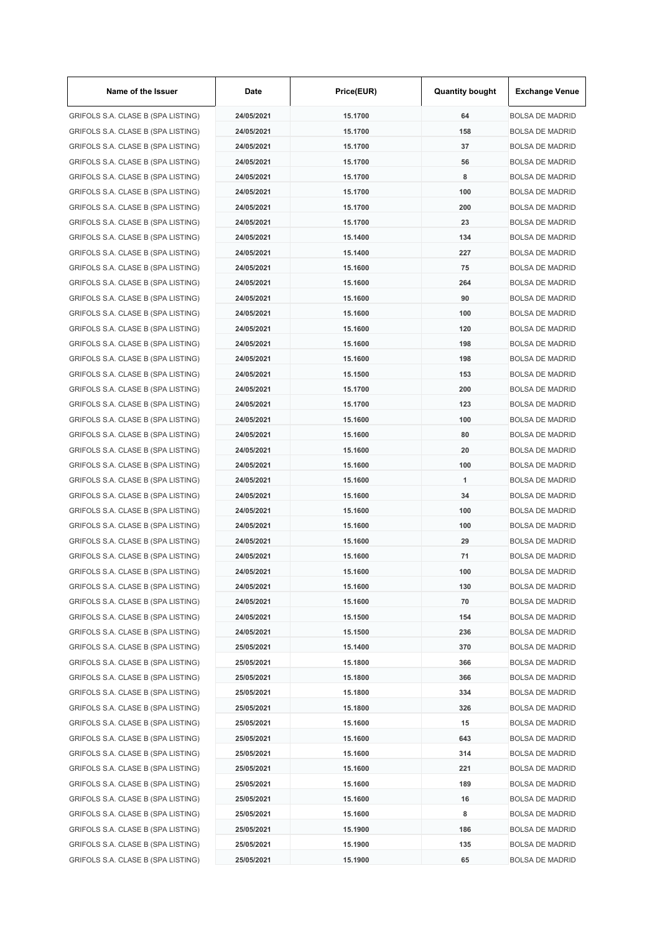| Name of the Issuer                 | Date       | Price(EUR) | <b>Quantity bought</b> | <b>Exchange Venue</b>  |
|------------------------------------|------------|------------|------------------------|------------------------|
| GRIFOLS S.A. CLASE B (SPA LISTING) | 24/05/2021 | 15.1700    | 64                     | <b>BOLSA DE MADRID</b> |
| GRIFOLS S.A. CLASE B (SPA LISTING) | 24/05/2021 | 15.1700    | 158                    | <b>BOLSA DE MADRID</b> |
| GRIFOLS S.A. CLASE B (SPA LISTING) | 24/05/2021 | 15.1700    | 37                     | <b>BOLSA DE MADRID</b> |
| GRIFOLS S.A. CLASE B (SPA LISTING) | 24/05/2021 | 15.1700    | 56                     | <b>BOLSA DE MADRID</b> |
| GRIFOLS S.A. CLASE B (SPA LISTING) | 24/05/2021 | 15.1700    | 8                      | <b>BOLSA DE MADRID</b> |
| GRIFOLS S.A. CLASE B (SPA LISTING) | 24/05/2021 | 15.1700    | 100                    | <b>BOLSA DE MADRID</b> |
| GRIFOLS S.A. CLASE B (SPA LISTING) | 24/05/2021 | 15.1700    | 200                    | <b>BOLSA DE MADRID</b> |
| GRIFOLS S.A. CLASE B (SPA LISTING) | 24/05/2021 | 15.1700    | 23                     | <b>BOLSA DE MADRID</b> |
| GRIFOLS S.A. CLASE B (SPA LISTING) | 24/05/2021 | 15.1400    | 134                    | <b>BOLSA DE MADRID</b> |
| GRIFOLS S.A. CLASE B (SPA LISTING) | 24/05/2021 | 15.1400    | 227                    | <b>BOLSA DE MADRID</b> |
| GRIFOLS S.A. CLASE B (SPA LISTING) | 24/05/2021 | 15.1600    | 75                     | <b>BOLSA DE MADRID</b> |
| GRIFOLS S.A. CLASE B (SPA LISTING) | 24/05/2021 | 15.1600    | 264                    | <b>BOLSA DE MADRID</b> |
| GRIFOLS S.A. CLASE B (SPA LISTING) | 24/05/2021 | 15.1600    | 90                     | <b>BOLSA DE MADRID</b> |
| GRIFOLS S.A. CLASE B (SPA LISTING) | 24/05/2021 | 15.1600    | 100                    | <b>BOLSA DE MADRID</b> |
| GRIFOLS S.A. CLASE B (SPA LISTING) | 24/05/2021 | 15.1600    | 120                    | <b>BOLSA DE MADRID</b> |
| GRIFOLS S.A. CLASE B (SPA LISTING) | 24/05/2021 | 15.1600    | 198                    | <b>BOLSA DE MADRID</b> |
| GRIFOLS S.A. CLASE B (SPA LISTING) | 24/05/2021 | 15.1600    | 198                    | <b>BOLSA DE MADRID</b> |
| GRIFOLS S.A. CLASE B (SPA LISTING) | 24/05/2021 | 15.1500    | 153                    | <b>BOLSA DE MADRID</b> |
| GRIFOLS S.A. CLASE B (SPA LISTING) | 24/05/2021 | 15.1700    | 200                    | <b>BOLSA DE MADRID</b> |
|                                    |            |            |                        |                        |
| GRIFOLS S.A. CLASE B (SPA LISTING) | 24/05/2021 | 15.1700    | 123                    | <b>BOLSA DE MADRID</b> |
| GRIFOLS S.A. CLASE B (SPA LISTING) | 24/05/2021 | 15.1600    | 100                    | <b>BOLSA DE MADRID</b> |
| GRIFOLS S.A. CLASE B (SPA LISTING) | 24/05/2021 | 15.1600    | 80                     | <b>BOLSA DE MADRID</b> |
| GRIFOLS S.A. CLASE B (SPA LISTING) | 24/05/2021 | 15.1600    | 20                     | <b>BOLSA DE MADRID</b> |
| GRIFOLS S.A. CLASE B (SPA LISTING) | 24/05/2021 | 15.1600    | 100                    | <b>BOLSA DE MADRID</b> |
| GRIFOLS S.A. CLASE B (SPA LISTING) | 24/05/2021 | 15.1600    | 1                      | <b>BOLSA DE MADRID</b> |
| GRIFOLS S.A. CLASE B (SPA LISTING) | 24/05/2021 | 15.1600    | 34                     | <b>BOLSA DE MADRID</b> |
| GRIFOLS S.A. CLASE B (SPA LISTING) | 24/05/2021 | 15.1600    | 100                    | <b>BOLSA DE MADRID</b> |
| GRIFOLS S.A. CLASE B (SPA LISTING) | 24/05/2021 | 15.1600    | 100                    | <b>BOLSA DE MADRID</b> |
| GRIFOLS S.A. CLASE B (SPA LISTING) | 24/05/2021 | 15.1600    | 29                     | <b>BOLSA DE MADRID</b> |
| GRIFOLS S.A. CLASE B (SPA LISTING) | 24/05/2021 | 15.1600    | 71                     | <b>BOLSA DE MADRID</b> |
| GRIFOLS S.A. CLASE B (SPA LISTING) | 24/05/2021 | 15.1600    | 100                    | <b>BOLSA DE MADRID</b> |
| GRIFOLS S.A. CLASE B (SPA LISTING) | 24/05/2021 | 15.1600    | 130                    | <b>BOLSA DE MADRID</b> |
| GRIFOLS S.A. CLASE B (SPA LISTING) | 24/05/2021 | 15.1600    | 70                     | <b>BOLSA DE MADRID</b> |
| GRIFOLS S.A. CLASE B (SPA LISTING) | 24/05/2021 | 15.1500    | 154                    | <b>BOLSA DE MADRID</b> |
| GRIFOLS S.A. CLASE B (SPA LISTING) | 24/05/2021 | 15.1500    | 236                    | <b>BOLSA DE MADRID</b> |
| GRIFOLS S.A. CLASE B (SPA LISTING) | 25/05/2021 | 15.1400    | 370                    | <b>BOLSA DE MADRID</b> |
| GRIFOLS S.A. CLASE B (SPA LISTING) | 25/05/2021 | 15.1800    | 366                    | <b>BOLSA DE MADRID</b> |
| GRIFOLS S.A. CLASE B (SPA LISTING) | 25/05/2021 | 15.1800    | 366                    | <b>BOLSA DE MADRID</b> |
| GRIFOLS S.A. CLASE B (SPA LISTING) | 25/05/2021 | 15.1800    | 334                    | <b>BOLSA DE MADRID</b> |
| GRIFOLS S.A. CLASE B (SPA LISTING) | 25/05/2021 | 15.1800    | 326                    | <b>BOLSA DE MADRID</b> |
| GRIFOLS S.A. CLASE B (SPA LISTING) | 25/05/2021 | 15.1600    | 15                     | <b>BOLSA DE MADRID</b> |
| GRIFOLS S.A. CLASE B (SPA LISTING) | 25/05/2021 | 15.1600    | 643                    | <b>BOLSA DE MADRID</b> |
| GRIFOLS S.A. CLASE B (SPA LISTING) | 25/05/2021 | 15.1600    | 314                    | <b>BOLSA DE MADRID</b> |
| GRIFOLS S.A. CLASE B (SPA LISTING) | 25/05/2021 | 15.1600    | 221                    | <b>BOLSA DE MADRID</b> |
| GRIFOLS S.A. CLASE B (SPA LISTING) | 25/05/2021 | 15.1600    | 189                    | <b>BOLSA DE MADRID</b> |
| GRIFOLS S.A. CLASE B (SPA LISTING) | 25/05/2021 | 15.1600    | 16                     | <b>BOLSA DE MADRID</b> |
| GRIFOLS S.A. CLASE B (SPA LISTING) | 25/05/2021 | 15.1600    | 8                      | <b>BOLSA DE MADRID</b> |
| GRIFOLS S.A. CLASE B (SPA LISTING) | 25/05/2021 | 15.1900    | 186                    | <b>BOLSA DE MADRID</b> |
| GRIFOLS S.A. CLASE B (SPA LISTING) | 25/05/2021 | 15.1900    | 135                    | <b>BOLSA DE MADRID</b> |
| GRIFOLS S.A. CLASE B (SPA LISTING) | 25/05/2021 | 15.1900    | 65                     | <b>BOLSA DE MADRID</b> |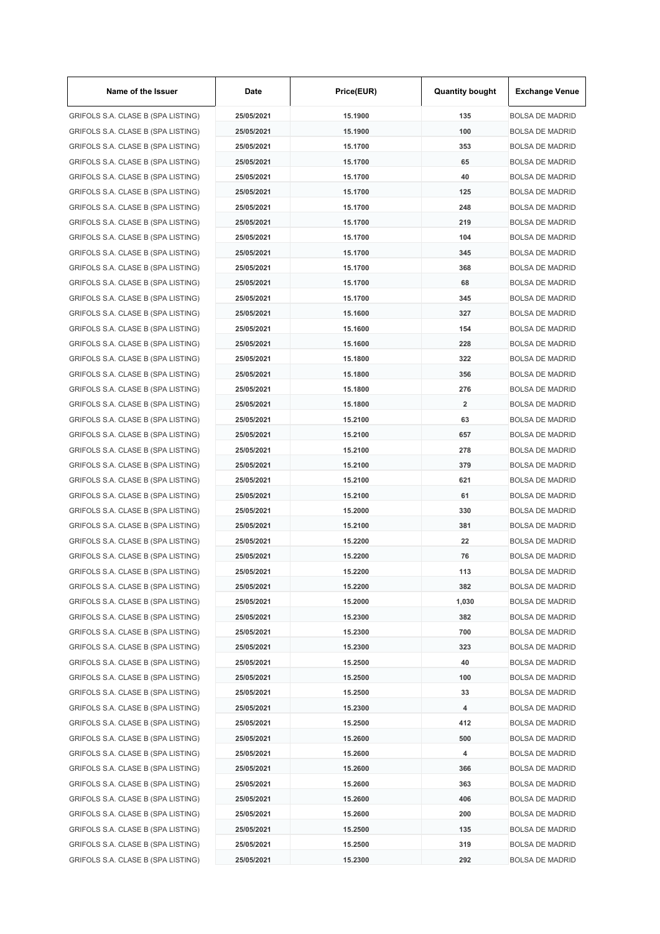| Name of the Issuer                 | Date       | Price(EUR) | <b>Quantity bought</b>  | <b>Exchange Venue</b>  |
|------------------------------------|------------|------------|-------------------------|------------------------|
| GRIFOLS S.A. CLASE B (SPA LISTING) | 25/05/2021 | 15.1900    | 135                     | <b>BOLSA DE MADRID</b> |
| GRIFOLS S.A. CLASE B (SPA LISTING) | 25/05/2021 | 15.1900    | 100                     | <b>BOLSA DE MADRID</b> |
| GRIFOLS S.A. CLASE B (SPA LISTING) | 25/05/2021 | 15.1700    | 353                     | <b>BOLSA DE MADRID</b> |
| GRIFOLS S.A. CLASE B (SPA LISTING) | 25/05/2021 | 15.1700    | 65                      | <b>BOLSA DE MADRID</b> |
| GRIFOLS S.A. CLASE B (SPA LISTING) | 25/05/2021 | 15.1700    | 40                      | <b>BOLSA DE MADRID</b> |
| GRIFOLS S.A. CLASE B (SPA LISTING) | 25/05/2021 | 15.1700    | 125                     | <b>BOLSA DE MADRID</b> |
| GRIFOLS S.A. CLASE B (SPA LISTING) | 25/05/2021 | 15.1700    | 248                     | <b>BOLSA DE MADRID</b> |
| GRIFOLS S.A. CLASE B (SPA LISTING) | 25/05/2021 | 15.1700    | 219                     | <b>BOLSA DE MADRID</b> |
| GRIFOLS S.A. CLASE B (SPA LISTING) | 25/05/2021 | 15.1700    | 104                     | <b>BOLSA DE MADRID</b> |
| GRIFOLS S.A. CLASE B (SPA LISTING) | 25/05/2021 | 15.1700    | 345                     | <b>BOLSA DE MADRID</b> |
| GRIFOLS S.A. CLASE B (SPA LISTING) | 25/05/2021 | 15.1700    | 368                     | <b>BOLSA DE MADRID</b> |
| GRIFOLS S.A. CLASE B (SPA LISTING) | 25/05/2021 | 15.1700    | 68                      | <b>BOLSA DE MADRID</b> |
| GRIFOLS S.A. CLASE B (SPA LISTING) | 25/05/2021 | 15.1700    | 345                     | <b>BOLSA DE MADRID</b> |
| GRIFOLS S.A. CLASE B (SPA LISTING) | 25/05/2021 | 15.1600    | 327                     | <b>BOLSA DE MADRID</b> |
| GRIFOLS S.A. CLASE B (SPA LISTING) | 25/05/2021 | 15.1600    | 154                     | <b>BOLSA DE MADRID</b> |
| GRIFOLS S.A. CLASE B (SPA LISTING) | 25/05/2021 | 15.1600    | 228                     | <b>BOLSA DE MADRID</b> |
| GRIFOLS S.A. CLASE B (SPA LISTING) | 25/05/2021 | 15.1800    | 322                     | <b>BOLSA DE MADRID</b> |
| GRIFOLS S.A. CLASE B (SPA LISTING) | 25/05/2021 | 15.1800    | 356                     | <b>BOLSA DE MADRID</b> |
|                                    | 25/05/2021 | 15.1800    | 276                     | <b>BOLSA DE MADRID</b> |
| GRIFOLS S.A. CLASE B (SPA LISTING) |            |            |                         |                        |
| GRIFOLS S.A. CLASE B (SPA LISTING) | 25/05/2021 | 15.1800    | $\overline{\mathbf{2}}$ | <b>BOLSA DE MADRID</b> |
| GRIFOLS S.A. CLASE B (SPA LISTING) | 25/05/2021 | 15.2100    | 63                      | <b>BOLSA DE MADRID</b> |
| GRIFOLS S.A. CLASE B (SPA LISTING) | 25/05/2021 | 15.2100    | 657                     | <b>BOLSA DE MADRID</b> |
| GRIFOLS S.A. CLASE B (SPA LISTING) | 25/05/2021 | 15.2100    | 278                     | <b>BOLSA DE MADRID</b> |
| GRIFOLS S.A. CLASE B (SPA LISTING) | 25/05/2021 | 15.2100    | 379                     | <b>BOLSA DE MADRID</b> |
| GRIFOLS S.A. CLASE B (SPA LISTING) | 25/05/2021 | 15.2100    | 621                     | <b>BOLSA DE MADRID</b> |
| GRIFOLS S.A. CLASE B (SPA LISTING) | 25/05/2021 | 15.2100    | 61                      | <b>BOLSA DE MADRID</b> |
| GRIFOLS S.A. CLASE B (SPA LISTING) | 25/05/2021 | 15.2000    | 330                     | <b>BOLSA DE MADRID</b> |
| GRIFOLS S.A. CLASE B (SPA LISTING) | 25/05/2021 | 15.2100    | 381                     | <b>BOLSA DE MADRID</b> |
| GRIFOLS S.A. CLASE B (SPA LISTING) | 25/05/2021 | 15.2200    | 22                      | <b>BOLSA DE MADRID</b> |
| GRIFOLS S.A. CLASE B (SPA LISTING) | 25/05/2021 | 15.2200    | 76                      | <b>BOLSA DE MADRID</b> |
| GRIFOLS S.A. CLASE B (SPA LISTING) | 25/05/2021 | 15.2200    | 113                     | <b>BOLSA DE MADRID</b> |
| GRIFOLS S.A. CLASE B (SPA LISTING) | 25/05/2021 | 15.2200    | 382                     | <b>BOLSA DE MADRID</b> |
| GRIFOLS S.A. CLASE B (SPA LISTING) | 25/05/2021 | 15.2000    | 1,030                   | <b>BOLSA DE MADRID</b> |
| GRIFOLS S.A. CLASE B (SPA LISTING) | 25/05/2021 | 15.2300    | 382                     | <b>BOLSA DE MADRID</b> |
| GRIFOLS S.A. CLASE B (SPA LISTING) | 25/05/2021 | 15.2300    | 700                     | <b>BOLSA DE MADRID</b> |
| GRIFOLS S.A. CLASE B (SPA LISTING) | 25/05/2021 | 15.2300    | 323                     | <b>BOLSA DE MADRID</b> |
| GRIFOLS S.A. CLASE B (SPA LISTING) | 25/05/2021 | 15.2500    | 40                      | <b>BOLSA DE MADRID</b> |
| GRIFOLS S.A. CLASE B (SPA LISTING) | 25/05/2021 | 15.2500    | 100                     | <b>BOLSA DE MADRID</b> |
| GRIFOLS S.A. CLASE B (SPA LISTING) | 25/05/2021 | 15.2500    | 33                      | <b>BOLSA DE MADRID</b> |
| GRIFOLS S.A. CLASE B (SPA LISTING) | 25/05/2021 | 15.2300    | 4                       | <b>BOLSA DE MADRID</b> |
| GRIFOLS S.A. CLASE B (SPA LISTING) | 25/05/2021 | 15.2500    | 412                     | <b>BOLSA DE MADRID</b> |
| GRIFOLS S.A. CLASE B (SPA LISTING) | 25/05/2021 | 15.2600    | 500                     | <b>BOLSA DE MADRID</b> |
| GRIFOLS S.A. CLASE B (SPA LISTING) | 25/05/2021 | 15.2600    | 4                       | <b>BOLSA DE MADRID</b> |
| GRIFOLS S.A. CLASE B (SPA LISTING) | 25/05/2021 | 15.2600    | 366                     | <b>BOLSA DE MADRID</b> |
| GRIFOLS S.A. CLASE B (SPA LISTING) | 25/05/2021 | 15.2600    | 363                     | <b>BOLSA DE MADRID</b> |
| GRIFOLS S.A. CLASE B (SPA LISTING) | 25/05/2021 | 15.2600    | 406                     | <b>BOLSA DE MADRID</b> |
| GRIFOLS S.A. CLASE B (SPA LISTING) | 25/05/2021 | 15.2600    | 200                     | <b>BOLSA DE MADRID</b> |
| GRIFOLS S.A. CLASE B (SPA LISTING) | 25/05/2021 | 15.2500    | 135                     | <b>BOLSA DE MADRID</b> |
| GRIFOLS S.A. CLASE B (SPA LISTING) | 25/05/2021 | 15.2500    | 319                     | <b>BOLSA DE MADRID</b> |
| GRIFOLS S.A. CLASE B (SPA LISTING) | 25/05/2021 | 15.2300    | 292                     | <b>BOLSA DE MADRID</b> |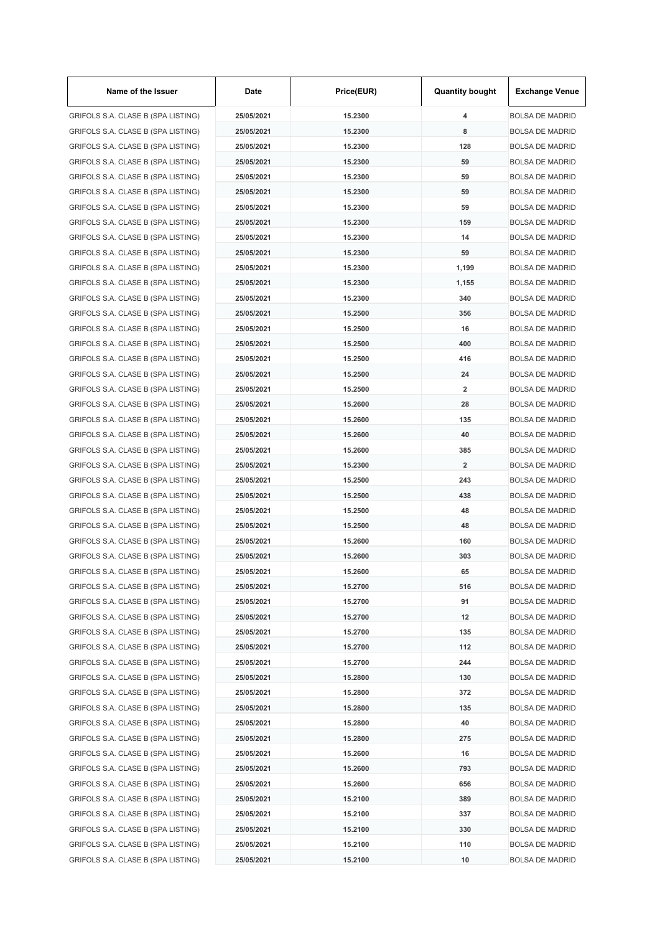| Name of the Issuer                 | Date       | Price(EUR) | <b>Quantity bought</b>  | <b>Exchange Venue</b>  |
|------------------------------------|------------|------------|-------------------------|------------------------|
| GRIFOLS S.A. CLASE B (SPA LISTING) | 25/05/2021 | 15.2300    | 4                       | <b>BOLSA DE MADRID</b> |
| GRIFOLS S.A. CLASE B (SPA LISTING) | 25/05/2021 | 15.2300    | 8                       | <b>BOLSA DE MADRID</b> |
| GRIFOLS S.A. CLASE B (SPA LISTING) | 25/05/2021 | 15.2300    | 128                     | <b>BOLSA DE MADRID</b> |
| GRIFOLS S.A. CLASE B (SPA LISTING) | 25/05/2021 | 15.2300    | 59                      | <b>BOLSA DE MADRID</b> |
| GRIFOLS S.A. CLASE B (SPA LISTING) | 25/05/2021 | 15.2300    | 59                      | <b>BOLSA DE MADRID</b> |
| GRIFOLS S.A. CLASE B (SPA LISTING) | 25/05/2021 | 15.2300    | 59                      | <b>BOLSA DE MADRID</b> |
| GRIFOLS S.A. CLASE B (SPA LISTING) | 25/05/2021 | 15.2300    | 59                      | <b>BOLSA DE MADRID</b> |
| GRIFOLS S.A. CLASE B (SPA LISTING) | 25/05/2021 | 15.2300    | 159                     | <b>BOLSA DE MADRID</b> |
| GRIFOLS S.A. CLASE B (SPA LISTING) | 25/05/2021 | 15.2300    | 14                      | <b>BOLSA DE MADRID</b> |
| GRIFOLS S.A. CLASE B (SPA LISTING) | 25/05/2021 | 15.2300    | 59                      | <b>BOLSA DE MADRID</b> |
| GRIFOLS S.A. CLASE B (SPA LISTING) | 25/05/2021 | 15.2300    | 1,199                   | <b>BOLSA DE MADRID</b> |
| GRIFOLS S.A. CLASE B (SPA LISTING) | 25/05/2021 | 15.2300    | 1,155                   | <b>BOLSA DE MADRID</b> |
| GRIFOLS S.A. CLASE B (SPA LISTING) | 25/05/2021 | 15.2300    | 340                     | <b>BOLSA DE MADRID</b> |
| GRIFOLS S.A. CLASE B (SPA LISTING) | 25/05/2021 | 15.2500    | 356                     | <b>BOLSA DE MADRID</b> |
| GRIFOLS S.A. CLASE B (SPA LISTING) | 25/05/2021 | 15.2500    | 16                      | <b>BOLSA DE MADRID</b> |
| GRIFOLS S.A. CLASE B (SPA LISTING) | 25/05/2021 | 15.2500    | 400                     | <b>BOLSA DE MADRID</b> |
| GRIFOLS S.A. CLASE B (SPA LISTING) | 25/05/2021 | 15.2500    | 416                     | <b>BOLSA DE MADRID</b> |
| GRIFOLS S.A. CLASE B (SPA LISTING) | 25/05/2021 | 15.2500    | 24                      | <b>BOLSA DE MADRID</b> |
| GRIFOLS S.A. CLASE B (SPA LISTING) | 25/05/2021 | 15.2500    | $\overline{\mathbf{2}}$ | <b>BOLSA DE MADRID</b> |
| GRIFOLS S.A. CLASE B (SPA LISTING) | 25/05/2021 | 15.2600    | 28                      | <b>BOLSA DE MADRID</b> |
| GRIFOLS S.A. CLASE B (SPA LISTING) | 25/05/2021 | 15.2600    | 135                     | <b>BOLSA DE MADRID</b> |
| GRIFOLS S.A. CLASE B (SPA LISTING) | 25/05/2021 | 15.2600    | 40                      | <b>BOLSA DE MADRID</b> |
| GRIFOLS S.A. CLASE B (SPA LISTING) | 25/05/2021 | 15.2600    | 385                     | <b>BOLSA DE MADRID</b> |
| GRIFOLS S.A. CLASE B (SPA LISTING) | 25/05/2021 | 15.2300    | $\overline{\mathbf{2}}$ | <b>BOLSA DE MADRID</b> |
|                                    |            |            | 243                     |                        |
| GRIFOLS S.A. CLASE B (SPA LISTING) | 25/05/2021 | 15.2500    |                         | <b>BOLSA DE MADRID</b> |
| GRIFOLS S.A. CLASE B (SPA LISTING) | 25/05/2021 | 15.2500    | 438                     | <b>BOLSA DE MADRID</b> |
| GRIFOLS S.A. CLASE B (SPA LISTING) | 25/05/2021 | 15.2500    | 48                      | <b>BOLSA DE MADRID</b> |
| GRIFOLS S.A. CLASE B (SPA LISTING) | 25/05/2021 | 15.2500    | 48                      | <b>BOLSA DE MADRID</b> |
| GRIFOLS S.A. CLASE B (SPA LISTING) | 25/05/2021 | 15.2600    | 160                     | <b>BOLSA DE MADRID</b> |
| GRIFOLS S.A. CLASE B (SPA LISTING) | 25/05/2021 | 15.2600    | 303                     | <b>BOLSA DE MADRID</b> |
| GRIFOLS S.A. CLASE B (SPA LISTING) | 25/05/2021 | 15.2600    | 65                      | <b>BOLSA DE MADRID</b> |
| GRIFOLS S.A. CLASE B (SPA LISTING) | 25/05/2021 | 15.2700    | 516                     | <b>BOLSA DE MADRID</b> |
| GRIFOLS S.A. CLASE B (SPA LISTING) | 25/05/2021 | 15.2700    | 91                      | <b>BOLSA DE MADRID</b> |
| GRIFOLS S.A. CLASE B (SPA LISTING) | 25/05/2021 | 15.2700    | 12                      | <b>BOLSA DE MADRID</b> |
| GRIFOLS S.A. CLASE B (SPA LISTING) | 25/05/2021 | 15.2700    | 135                     | <b>BOLSA DE MADRID</b> |
| GRIFOLS S.A. CLASE B (SPA LISTING) | 25/05/2021 | 15.2700    | 112                     | <b>BOLSA DE MADRID</b> |
| GRIFOLS S.A. CLASE B (SPA LISTING) | 25/05/2021 | 15.2700    | 244                     | <b>BOLSA DE MADRID</b> |
| GRIFOLS S.A. CLASE B (SPA LISTING) | 25/05/2021 | 15.2800    | 130                     | <b>BOLSA DE MADRID</b> |
| GRIFOLS S.A. CLASE B (SPA LISTING) | 25/05/2021 | 15.2800    | 372                     | <b>BOLSA DE MADRID</b> |
| GRIFOLS S.A. CLASE B (SPA LISTING) | 25/05/2021 | 15.2800    | 135                     | <b>BOLSA DE MADRID</b> |
| GRIFOLS S.A. CLASE B (SPA LISTING) | 25/05/2021 | 15.2800    | 40                      | <b>BOLSA DE MADRID</b> |
| GRIFOLS S.A. CLASE B (SPA LISTING) | 25/05/2021 | 15.2800    | 275                     | <b>BOLSA DE MADRID</b> |
| GRIFOLS S.A. CLASE B (SPA LISTING) | 25/05/2021 | 15.2600    | 16                      | <b>BOLSA DE MADRID</b> |
| GRIFOLS S.A. CLASE B (SPA LISTING) | 25/05/2021 | 15.2600    | 793                     | <b>BOLSA DE MADRID</b> |
| GRIFOLS S.A. CLASE B (SPA LISTING) | 25/05/2021 | 15.2600    | 656                     | <b>BOLSA DE MADRID</b> |
| GRIFOLS S.A. CLASE B (SPA LISTING) | 25/05/2021 | 15.2100    | 389                     | <b>BOLSA DE MADRID</b> |
| GRIFOLS S.A. CLASE B (SPA LISTING) | 25/05/2021 | 15.2100    | 337                     | <b>BOLSA DE MADRID</b> |
| GRIFOLS S.A. CLASE B (SPA LISTING) | 25/05/2021 | 15.2100    | 330                     | <b>BOLSA DE MADRID</b> |
| GRIFOLS S.A. CLASE B (SPA LISTING) | 25/05/2021 | 15.2100    | 110                     | <b>BOLSA DE MADRID</b> |
| GRIFOLS S.A. CLASE B (SPA LISTING) | 25/05/2021 | 15.2100    | 10                      | <b>BOLSA DE MADRID</b> |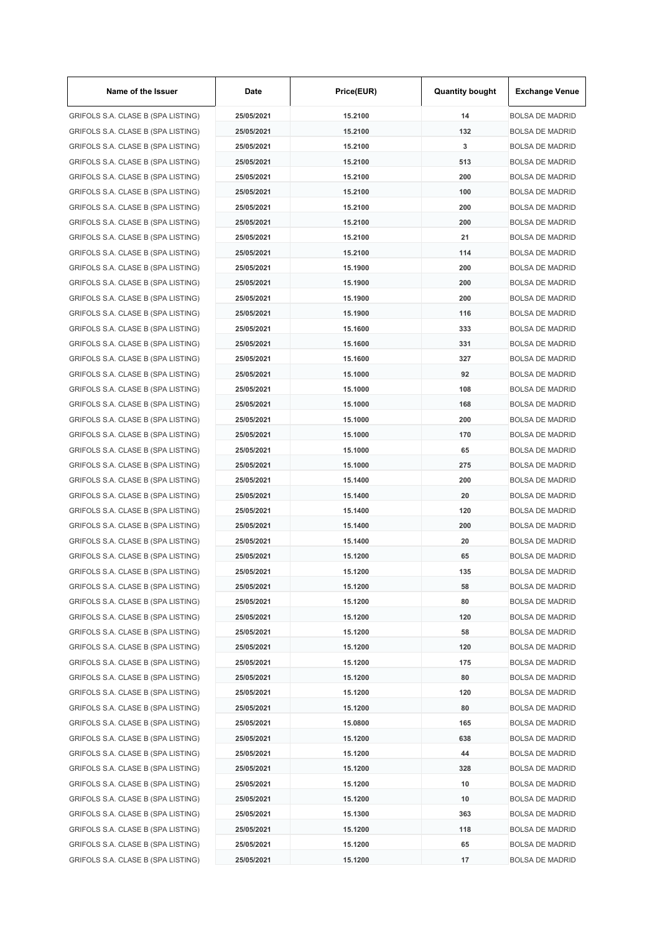| Name of the Issuer                 | Date       | Price(EUR) | <b>Quantity bought</b> | <b>Exchange Venue</b>  |
|------------------------------------|------------|------------|------------------------|------------------------|
| GRIFOLS S.A. CLASE B (SPA LISTING) | 25/05/2021 | 15.2100    | 14                     | <b>BOLSA DE MADRID</b> |
| GRIFOLS S.A. CLASE B (SPA LISTING) | 25/05/2021 | 15.2100    | 132                    | <b>BOLSA DE MADRID</b> |
| GRIFOLS S.A. CLASE B (SPA LISTING) | 25/05/2021 | 15.2100    | 3                      | <b>BOLSA DE MADRID</b> |
| GRIFOLS S.A. CLASE B (SPA LISTING) | 25/05/2021 | 15.2100    | 513                    | BOLSA DE MADRID        |
| GRIFOLS S.A. CLASE B (SPA LISTING) | 25/05/2021 | 15.2100    | 200                    | <b>BOLSA DE MADRID</b> |
| GRIFOLS S.A. CLASE B (SPA LISTING) | 25/05/2021 | 15.2100    | 100                    | BOLSA DE MADRID        |
| GRIFOLS S.A. CLASE B (SPA LISTING) | 25/05/2021 | 15.2100    | 200                    | <b>BOLSA DE MADRID</b> |
| GRIFOLS S.A. CLASE B (SPA LISTING) | 25/05/2021 | 15.2100    | 200                    | <b>BOLSA DE MADRID</b> |
| GRIFOLS S.A. CLASE B (SPA LISTING) | 25/05/2021 | 15.2100    | 21                     | <b>BOLSA DE MADRID</b> |
| GRIFOLS S.A. CLASE B (SPA LISTING) | 25/05/2021 | 15.2100    | 114                    | <b>BOLSA DE MADRID</b> |
| GRIFOLS S.A. CLASE B (SPA LISTING) | 25/05/2021 | 15.1900    | 200                    | <b>BOLSA DE MADRID</b> |
| GRIFOLS S.A. CLASE B (SPA LISTING) | 25/05/2021 | 15.1900    | 200                    | BOLSA DE MADRID        |
| GRIFOLS S.A. CLASE B (SPA LISTING) | 25/05/2021 | 15.1900    | 200                    | <b>BOLSA DE MADRID</b> |
| GRIFOLS S.A. CLASE B (SPA LISTING) | 25/05/2021 | 15.1900    | 116                    | <b>BOLSA DE MADRID</b> |
| GRIFOLS S.A. CLASE B (SPA LISTING) | 25/05/2021 | 15.1600    | 333                    | <b>BOLSA DE MADRID</b> |
| GRIFOLS S.A. CLASE B (SPA LISTING) | 25/05/2021 | 15.1600    | 331                    | <b>BOLSA DE MADRID</b> |
| GRIFOLS S.A. CLASE B (SPA LISTING) | 25/05/2021 | 15.1600    | 327                    | <b>BOLSA DE MADRID</b> |
| GRIFOLS S.A. CLASE B (SPA LISTING) | 25/05/2021 | 15.1000    | 92                     | BOLSA DE MADRID        |
| GRIFOLS S.A. CLASE B (SPA LISTING) | 25/05/2021 | 15.1000    | 108                    | BOLSA DE MADRID        |
|                                    | 25/05/2021 | 15.1000    | 168                    | <b>BOLSA DE MADRID</b> |
| GRIFOLS S.A. CLASE B (SPA LISTING) |            |            |                        |                        |
| GRIFOLS S.A. CLASE B (SPA LISTING) | 25/05/2021 | 15.1000    | 200                    | <b>BOLSA DE MADRID</b> |
| GRIFOLS S.A. CLASE B (SPA LISTING) | 25/05/2021 | 15.1000    | 170                    | BOLSA DE MADRID        |
| GRIFOLS S.A. CLASE B (SPA LISTING) | 25/05/2021 | 15.1000    | 65                     | <b>BOLSA DE MADRID</b> |
| GRIFOLS S.A. CLASE B (SPA LISTING) | 25/05/2021 | 15.1000    | 275                    | BOLSA DE MADRID        |
| GRIFOLS S.A. CLASE B (SPA LISTING) | 25/05/2021 | 15.1400    | 200                    | <b>BOLSA DE MADRID</b> |
| GRIFOLS S.A. CLASE B (SPA LISTING) | 25/05/2021 | 15.1400    | 20                     | BOLSA DE MADRID        |
| GRIFOLS S.A. CLASE B (SPA LISTING) | 25/05/2021 | 15.1400    | 120                    | <b>BOLSA DE MADRID</b> |
| GRIFOLS S.A. CLASE B (SPA LISTING) | 25/05/2021 | 15.1400    | 200                    | BOLSA DE MADRID        |
| GRIFOLS S.A. CLASE B (SPA LISTING) | 25/05/2021 | 15.1400    | 20                     | BOLSA DE MADRID        |
| GRIFOLS S.A. CLASE B (SPA LISTING) | 25/05/2021 | 15.1200    | 65                     | BOLSA DE MADRID        |
| GRIFOLS S.A. CLASE B (SPA LISTING) | 25/05/2021 | 15.1200    | 135                    | BOLSA DE MADRID        |
| GRIFOLS S.A. CLASE B (SPA LISTING) | 25/05/2021 | 15.1200    | 58                     | BOLSA DE MADRID        |
| GRIFOLS S.A. CLASE B (SPA LISTING) | 25/05/2021 | 15.1200    | 80                     | <b>BOLSA DE MADRID</b> |
| GRIFOLS S.A. CLASE B (SPA LISTING) | 25/05/2021 | 15.1200    | 120                    | <b>BOLSA DE MADRID</b> |
| GRIFOLS S.A. CLASE B (SPA LISTING) | 25/05/2021 | 15.1200    | 58                     | <b>BOLSA DE MADRID</b> |
| GRIFOLS S.A. CLASE B (SPA LISTING) | 25/05/2021 | 15.1200    | 120                    | BOLSA DE MADRID        |
| GRIFOLS S.A. CLASE B (SPA LISTING) | 25/05/2021 | 15.1200    | 175                    | BOLSA DE MADRID        |
| GRIFOLS S.A. CLASE B (SPA LISTING) | 25/05/2021 | 15.1200    | 80                     | BOLSA DE MADRID        |
| GRIFOLS S.A. CLASE B (SPA LISTING) | 25/05/2021 | 15.1200    | 120                    | BOLSA DE MADRID        |
| GRIFOLS S.A. CLASE B (SPA LISTING) | 25/05/2021 | 15.1200    | 80                     | <b>BOLSA DE MADRID</b> |
| GRIFOLS S.A. CLASE B (SPA LISTING) | 25/05/2021 | 15.0800    | 165                    | <b>BOLSA DE MADRID</b> |
| GRIFOLS S.A. CLASE B (SPA LISTING) | 25/05/2021 | 15.1200    | 638                    | <b>BOLSA DE MADRID</b> |
| GRIFOLS S.A. CLASE B (SPA LISTING) | 25/05/2021 | 15.1200    | 44                     | <b>BOLSA DE MADRID</b> |
| GRIFOLS S.A. CLASE B (SPA LISTING) | 25/05/2021 | 15.1200    | 328                    | <b>BOLSA DE MADRID</b> |
| GRIFOLS S.A. CLASE B (SPA LISTING) | 25/05/2021 | 15.1200    | 10                     | BOLSA DE MADRID        |
| GRIFOLS S.A. CLASE B (SPA LISTING) | 25/05/2021 | 15.1200    | 10                     | <b>BOLSA DE MADRID</b> |
| GRIFOLS S.A. CLASE B (SPA LISTING) | 25/05/2021 | 15.1300    | 363                    | BOLSA DE MADRID        |
| GRIFOLS S.A. CLASE B (SPA LISTING) | 25/05/2021 | 15.1200    | 118                    | <b>BOLSA DE MADRID</b> |
| GRIFOLS S.A. CLASE B (SPA LISTING) | 25/05/2021 | 15.1200    | 65                     | <b>BOLSA DE MADRID</b> |
| GRIFOLS S.A. CLASE B (SPA LISTING) | 25/05/2021 | 15.1200    | 17                     | BOLSA DE MADRID        |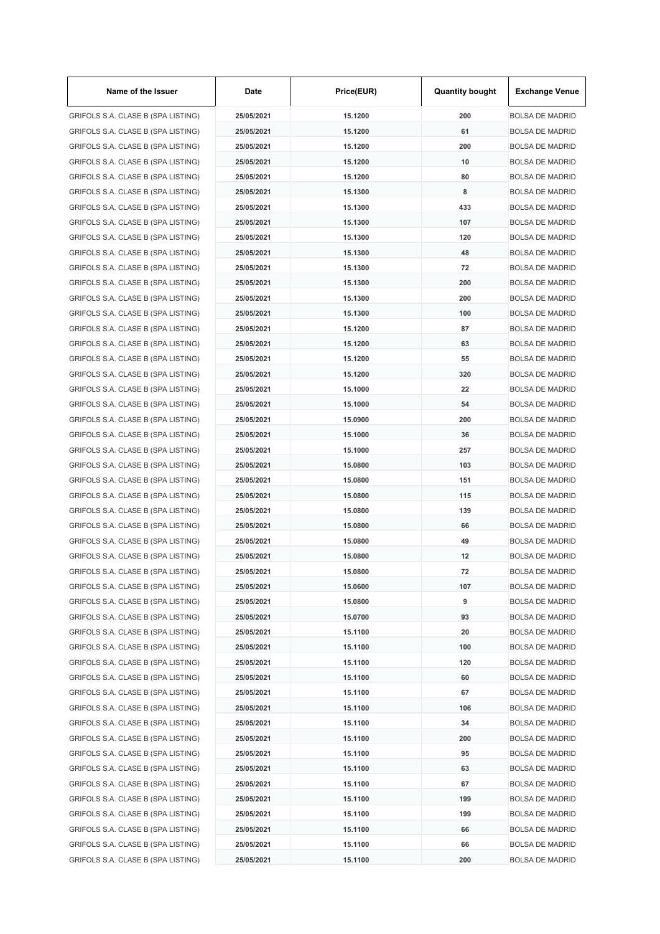| Name of the Issuer                 | Date       | Price(EUR) | <b>Quantity bought</b> | <b>Exchange Venue</b>  |
|------------------------------------|------------|------------|------------------------|------------------------|
| GRIFOLS S.A. CLASE B (SPA LISTING) | 25/05/2021 | 15.1200    | 200                    | <b>BOLSA DE MADRID</b> |
| GRIFOLS S.A. CLASE B (SPA LISTING) | 25/05/2021 | 15.1200    | 61                     | <b>BOLSA DE MADRID</b> |
| GRIFOLS S.A. CLASE B (SPA LISTING) | 25/05/2021 | 15.1200    | 200                    | <b>BOLSA DE MADRID</b> |
| GRIFOLS S.A. CLASE B (SPA LISTING) | 25/05/2021 | 15.1200    | 10                     | BOLSA DE MADRID        |
| GRIFOLS S.A. CLASE B (SPA LISTING) | 25/05/2021 | 15.1200    | 80                     | <b>BOLSA DE MADRID</b> |
| GRIFOLS S.A. CLASE B (SPA LISTING) | 25/05/2021 | 15.1300    | 8                      | BOLSA DE MADRID        |
| GRIFOLS S.A. CLASE B (SPA LISTING) | 25/05/2021 | 15.1300    | 433                    | <b>BOLSA DE MADRID</b> |
| GRIFOLS S.A. CLASE B (SPA LISTING) | 25/05/2021 | 15.1300    | 107                    | <b>BOLSA DE MADRID</b> |
| GRIFOLS S.A. CLASE B (SPA LISTING) | 25/05/2021 | 15.1300    | 120                    | <b>BOLSA DE MADRID</b> |
| GRIFOLS S.A. CLASE B (SPA LISTING) | 25/05/2021 | 15.1300    | 48                     | BOLSA DE MADRID        |
| GRIFOLS S.A. CLASE B (SPA LISTING) | 25/05/2021 | 15.1300    | 72                     | <b>BOLSA DE MADRID</b> |
| GRIFOLS S.A. CLASE B (SPA LISTING) | 25/05/2021 | 15.1300    | 200                    | BOLSA DE MADRID        |
| GRIFOLS S.A. CLASE B (SPA LISTING) | 25/05/2021 | 15.1300    | 200                    | <b>BOLSA DE MADRID</b> |
| GRIFOLS S.A. CLASE B (SPA LISTING) | 25/05/2021 | 15.1300    | 100                    | <b>BOLSA DE MADRID</b> |
| GRIFOLS S.A. CLASE B (SPA LISTING) | 25/05/2021 | 15.1200    | 87                     | <b>BOLSA DE MADRID</b> |
| GRIFOLS S.A. CLASE B (SPA LISTING) | 25/05/2021 | 15.1200    | 63                     | <b>BOLSA DE MADRID</b> |
| GRIFOLS S.A. CLASE B (SPA LISTING) | 25/05/2021 | 15.1200    | 55                     | <b>BOLSA DE MADRID</b> |
| GRIFOLS S.A. CLASE B (SPA LISTING) | 25/05/2021 | 15.1200    | 320                    | BOLSA DE MADRID        |
| GRIFOLS S.A. CLASE B (SPA LISTING) | 25/05/2021 | 15.1000    | 22                     | BOLSA DE MADRID        |
|                                    | 25/05/2021 | 15.1000    | 54                     | BOLSA DE MADRID        |
| GRIFOLS S.A. CLASE B (SPA LISTING) |            |            |                        |                        |
| GRIFOLS S.A. CLASE B (SPA LISTING) | 25/05/2021 | 15.0900    | 200                    | <b>BOLSA DE MADRID</b> |
| GRIFOLS S.A. CLASE B (SPA LISTING) | 25/05/2021 | 15.1000    | 36                     | BOLSA DE MADRID        |
| GRIFOLS S.A. CLASE B (SPA LISTING) | 25/05/2021 | 15.1000    | 257                    | <b>BOLSA DE MADRID</b> |
| GRIFOLS S.A. CLASE B (SPA LISTING) | 25/05/2021 | 15.0800    | 103                    | BOLSA DE MADRID        |
| GRIFOLS S.A. CLASE B (SPA LISTING) | 25/05/2021 | 15.0800    | 151                    | <b>BOLSA DE MADRID</b> |
| GRIFOLS S.A. CLASE B (SPA LISTING) | 25/05/2021 | 15.0800    | 115                    | BOLSA DE MADRID        |
| GRIFOLS S.A. CLASE B (SPA LISTING) | 25/05/2021 | 15.0800    | 139                    | <b>BOLSA DE MADRID</b> |
| GRIFOLS S.A. CLASE B (SPA LISTING) | 25/05/2021 | 15,0800    | 66                     | BOLSA DE MADRID        |
| GRIFOLS S.A. CLASE B (SPA LISTING) | 25/05/2021 | 15.0800    | 49                     | BOLSA DE MADRID        |
| GRIFOLS S.A. CLASE B (SPA LISTING) | 25/05/2021 | 15,0800    | 12                     | BOLSA DE MADRID        |
| GRIFOLS S.A. CLASE B (SPA LISTING) | 25/05/2021 | 15.0800    | 72                     | BOLSA DE MADRID        |
| GRIFOLS S.A. CLASE B (SPA LISTING) | 25/05/2021 | 15.0600    | 107                    | BOLSA DE MADRID        |
| GRIFOLS S.A. CLASE B (SPA LISTING) | 25/05/2021 | 15.0800    | 9                      | <b>BOLSA DE MADRID</b> |
| GRIFOLS S.A. CLASE B (SPA LISTING) | 25/05/2021 | 15.0700    | 93                     | <b>BOLSA DE MADRID</b> |
| GRIFOLS S.A. CLASE B (SPA LISTING) | 25/05/2021 | 15.1100    | 20                     | <b>BOLSA DE MADRID</b> |
| GRIFOLS S.A. CLASE B (SPA LISTING) | 25/05/2021 | 15.1100    | 100                    | BOLSA DE MADRID        |
| GRIFOLS S.A. CLASE B (SPA LISTING) | 25/05/2021 | 15.1100    | 120                    | BOLSA DE MADRID        |
| GRIFOLS S.A. CLASE B (SPA LISTING) | 25/05/2021 | 15.1100    | 60                     | BOLSA DE MADRID        |
| GRIFOLS S.A. CLASE B (SPA LISTING) | 25/05/2021 | 15.1100    | 67                     | BOLSA DE MADRID        |
| GRIFOLS S.A. CLASE B (SPA LISTING) | 25/05/2021 | 15.1100    | 106                    | <b>BOLSA DE MADRID</b> |
| GRIFOLS S.A. CLASE B (SPA LISTING) | 25/05/2021 | 15.1100    | 34                     | <b>BOLSA DE MADRID</b> |
| GRIFOLS S.A. CLASE B (SPA LISTING) | 25/05/2021 | 15.1100    | 200                    | <b>BOLSA DE MADRID</b> |
| GRIFOLS S.A. CLASE B (SPA LISTING) | 25/05/2021 | 15.1100    | 95                     | <b>BOLSA DE MADRID</b> |
| GRIFOLS S.A. CLASE B (SPA LISTING) | 25/05/2021 | 15.1100    | 63                     | <b>BOLSA DE MADRID</b> |
| GRIFOLS S.A. CLASE B (SPA LISTING) | 25/05/2021 | 15.1100    | 67                     | BOLSA DE MADRID        |
| GRIFOLS S.A. CLASE B (SPA LISTING) | 25/05/2021 | 15.1100    | 199                    | <b>BOLSA DE MADRID</b> |
| GRIFOLS S.A. CLASE B (SPA LISTING) | 25/05/2021 | 15.1100    | 199                    | BOLSA DE MADRID        |
| GRIFOLS S.A. CLASE B (SPA LISTING) | 25/05/2021 | 15.1100    | 66                     | <b>BOLSA DE MADRID</b> |
| GRIFOLS S.A. CLASE B (SPA LISTING) | 25/05/2021 | 15.1100    | 66                     | <b>BOLSA DE MADRID</b> |
| GRIFOLS S.A. CLASE B (SPA LISTING) | 25/05/2021 | 15.1100    | 200                    | BOLSA DE MADRID        |